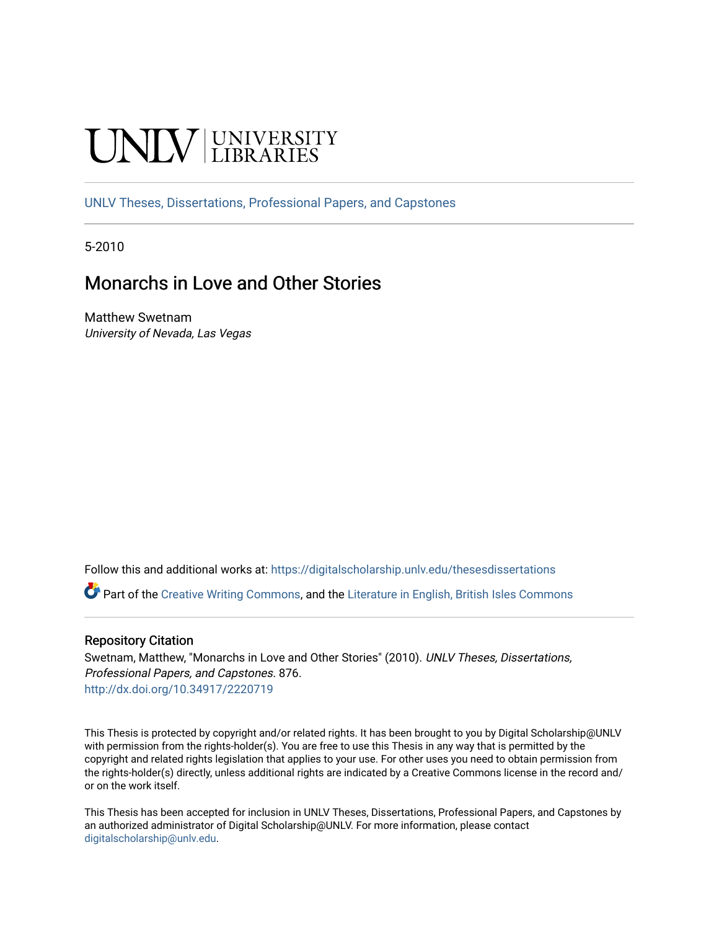# **INIVERSITY**

[UNLV Theses, Dissertations, Professional Papers, and Capstones](https://digitalscholarship.unlv.edu/thesesdissertations)

5-2010

# Monarchs in Love and Other Stories

Matthew Swetnam University of Nevada, Las Vegas

Follow this and additional works at: [https://digitalscholarship.unlv.edu/thesesdissertations](https://digitalscholarship.unlv.edu/thesesdissertations?utm_source=digitalscholarship.unlv.edu%2Fthesesdissertations%2F876&utm_medium=PDF&utm_campaign=PDFCoverPages)

Part of the [Creative Writing Commons](http://network.bepress.com/hgg/discipline/574?utm_source=digitalscholarship.unlv.edu%2Fthesesdissertations%2F876&utm_medium=PDF&utm_campaign=PDFCoverPages), and the [Literature in English, British Isles Commons](http://network.bepress.com/hgg/discipline/456?utm_source=digitalscholarship.unlv.edu%2Fthesesdissertations%2F876&utm_medium=PDF&utm_campaign=PDFCoverPages)

#### Repository Citation

Swetnam, Matthew, "Monarchs in Love and Other Stories" (2010). UNLV Theses, Dissertations, Professional Papers, and Capstones. 876. <http://dx.doi.org/10.34917/2220719>

This Thesis is protected by copyright and/or related rights. It has been brought to you by Digital Scholarship@UNLV with permission from the rights-holder(s). You are free to use this Thesis in any way that is permitted by the copyright and related rights legislation that applies to your use. For other uses you need to obtain permission from the rights-holder(s) directly, unless additional rights are indicated by a Creative Commons license in the record and/ or on the work itself.

This Thesis has been accepted for inclusion in UNLV Theses, Dissertations, Professional Papers, and Capstones by an authorized administrator of Digital Scholarship@UNLV. For more information, please contact [digitalscholarship@unlv.edu](mailto:digitalscholarship@unlv.edu).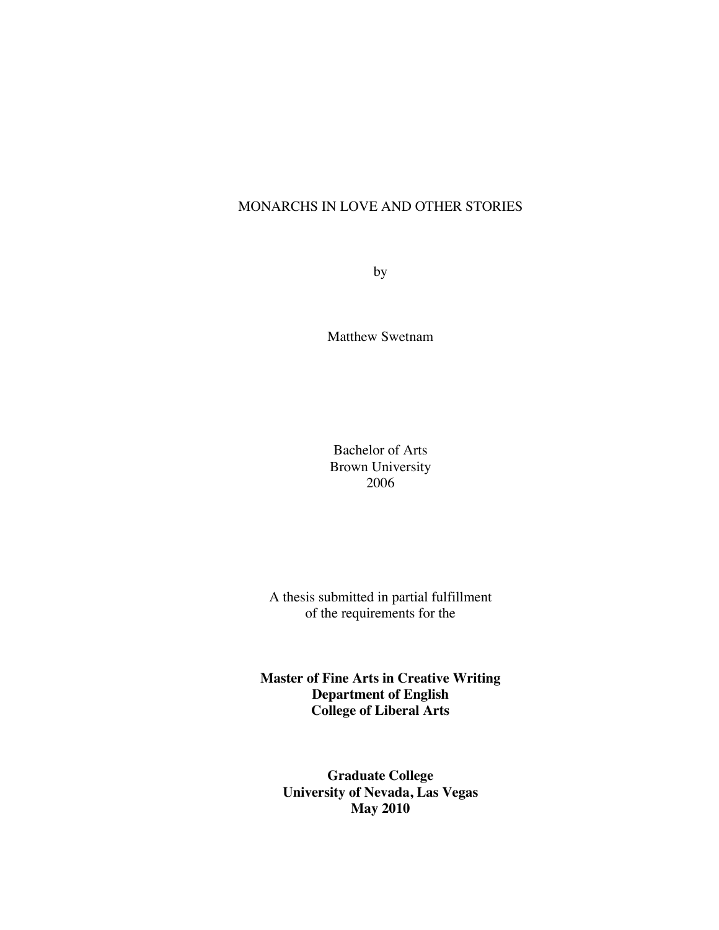### MONARCHS IN LOVE AND OTHER STORIES

by

Matthew Swetnam

Bachelor of Arts Brown University 2006

A thesis submitted in partial fulfillment of the requirements for the

**Master of Fine Arts in Creative Writing Department of English College of Liberal Arts**

**Graduate College University of Nevada, Las Vegas May 2010**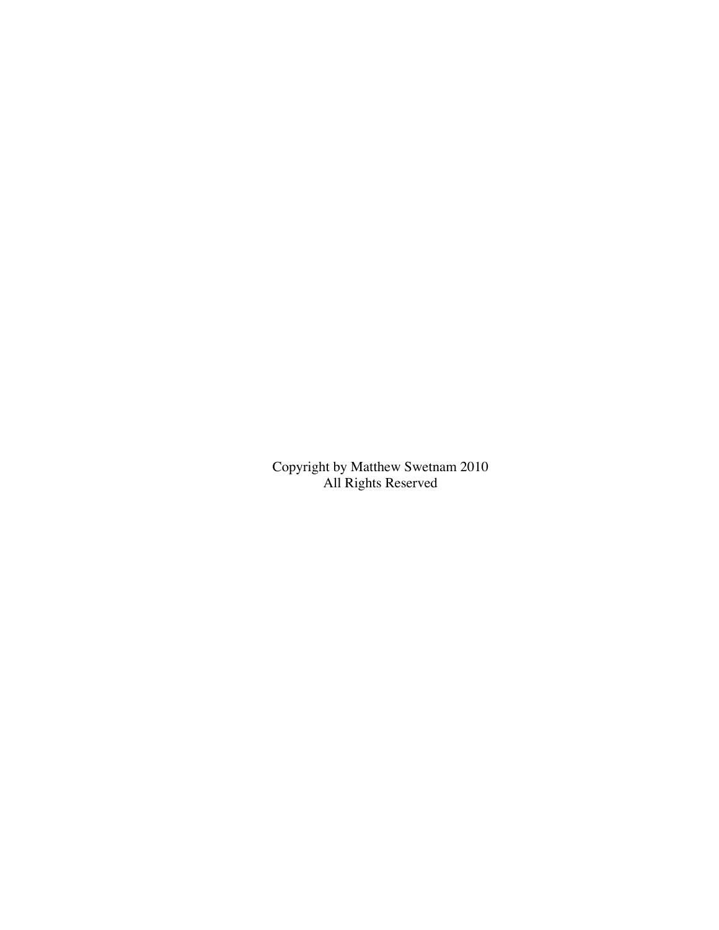Copyright by Matthew Swetnam 2010 All Rights Reserved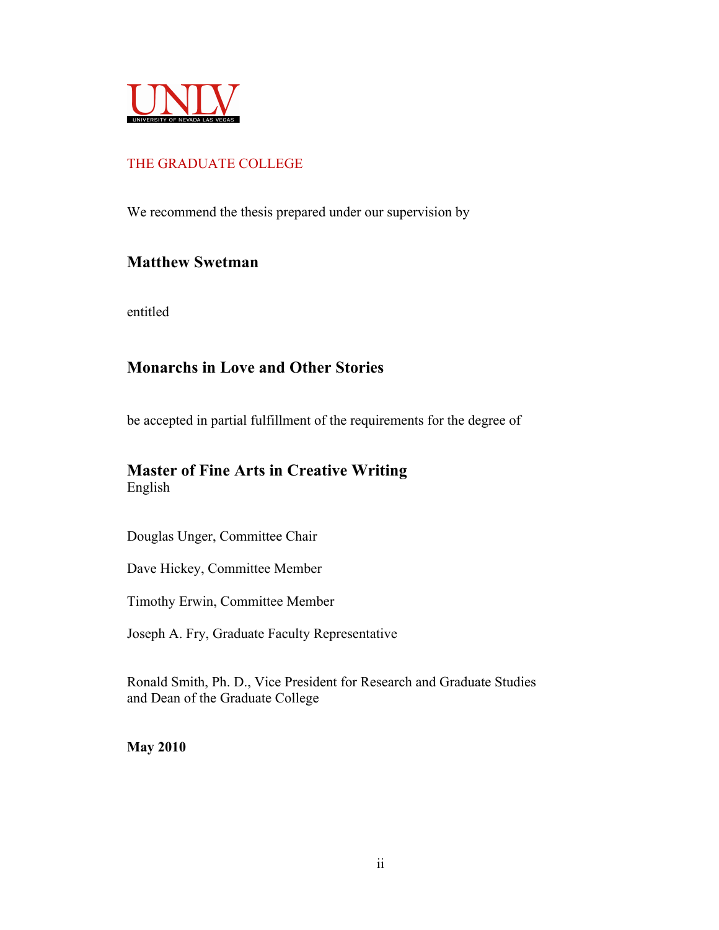

## THE GRADUATE COLLEGE

We recommend the thesis prepared under our supervision by

## **Matthew Swetman**

entitled

## **Monarchs in Love and Other Stories**

be accepted in partial fulfillment of the requirements for the degree of

## **Master of Fine Arts in Creative Writing** English

Douglas Unger, Committee Chair

Dave Hickey, Committee Member

Timothy Erwin, Committee Member

Joseph A. Fry, Graduate Faculty Representative

Ronald Smith, Ph. D., Vice President for Research and Graduate Studies and Dean of the Graduate College

**May 2010**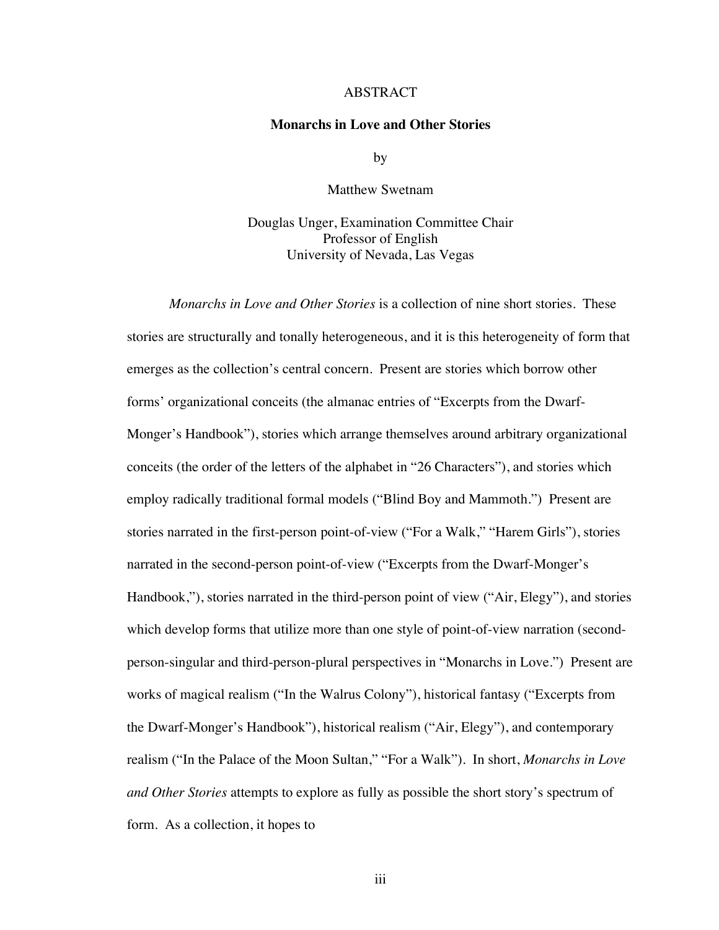#### ABSTRACT

#### **Monarchs in Love and Other Stories**

by

Matthew Swetnam

Douglas Unger, Examination Committee Chair Professor of English University of Nevada, Las Vegas

*Monarchs in Love and Other Stories* is a collection of nine short stories. These stories are structurally and tonally heterogeneous, and it is this heterogeneity of form that emerges as the collection's central concern. Present are stories which borrow other forms' organizational conceits (the almanac entries of "Excerpts from the Dwarf-Monger's Handbook"), stories which arrange themselves around arbitrary organizational conceits (the order of the letters of the alphabet in "26 Characters"), and stories which employ radically traditional formal models ("Blind Boy and Mammoth.") Present are stories narrated in the first-person point-of-view ("For a Walk," "Harem Girls"), stories narrated in the second-person point-of-view ("Excerpts from the Dwarf-Monger's Handbook,"), stories narrated in the third-person point of view ("Air, Elegy"), and stories which develop forms that utilize more than one style of point-of-view narration (secondperson-singular and third-person-plural perspectives in "Monarchs in Love.") Present are works of magical realism ("In the Walrus Colony"), historical fantasy ("Excerpts from the Dwarf-Monger's Handbook"), historical realism ("Air, Elegy"), and contemporary realism ("In the Palace of the Moon Sultan," "For a Walk"). In short, *Monarchs in Love and Other Stories* attempts to explore as fully as possible the short story's spectrum of form. As a collection, it hopes to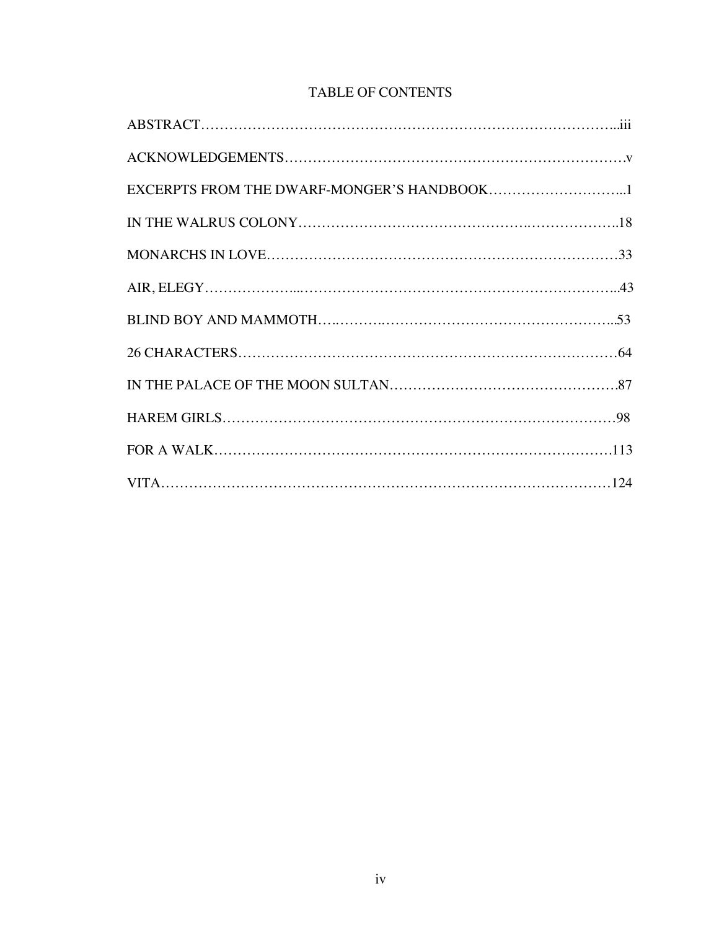## TABLE OF CONTENTS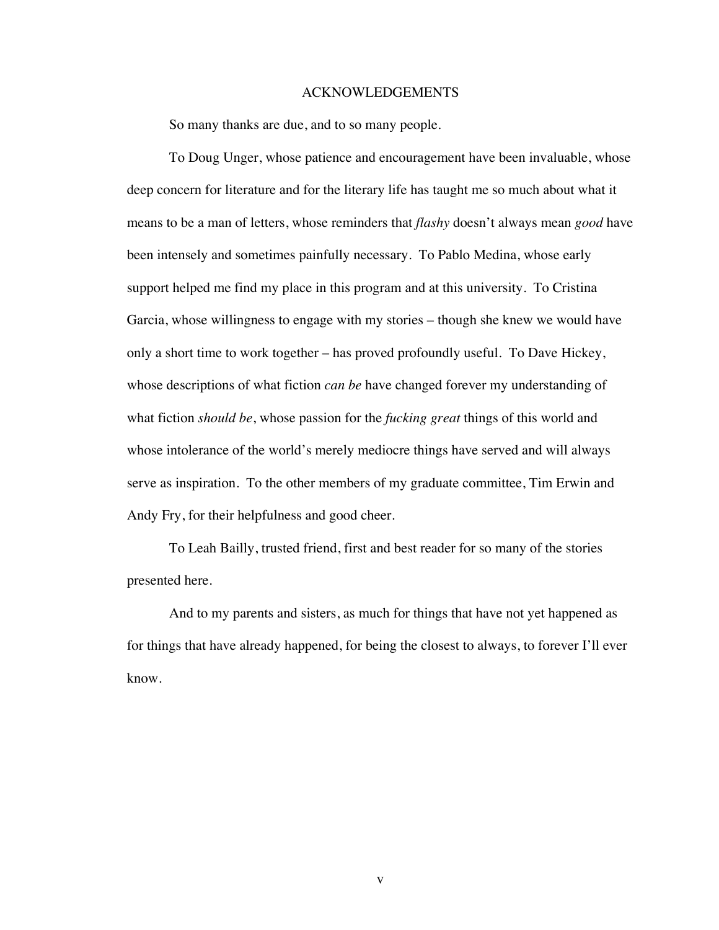#### ACKNOWLEDGEMENTS

So many thanks are due, and to so many people.

To Doug Unger, whose patience and encouragement have been invaluable, whose deep concern for literature and for the literary life has taught me so much about what it means to be a man of letters, whose reminders that *flashy* doesn't always mean *good* have been intensely and sometimes painfully necessary. To Pablo Medina, whose early support helped me find my place in this program and at this university. To Cristina Garcia, whose willingness to engage with my stories – though she knew we would have only a short time to work together – has proved profoundly useful. To Dave Hickey, whose descriptions of what fiction *can be* have changed forever my understanding of what fiction *should be*, whose passion for the *fucking great* things of this world and whose intolerance of the world's merely mediocre things have served and will always serve as inspiration. To the other members of my graduate committee, Tim Erwin and Andy Fry, for their helpfulness and good cheer.

To Leah Bailly, trusted friend, first and best reader for so many of the stories presented here.

And to my parents and sisters, as much for things that have not yet happened as for things that have already happened, for being the closest to always, to forever I'll ever know.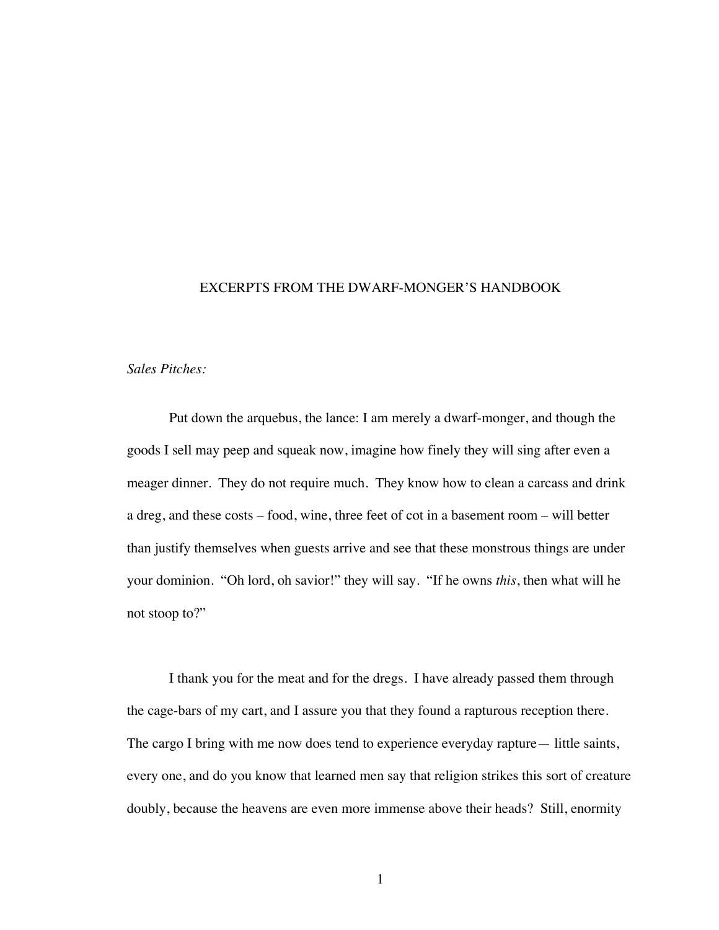#### EXCERPTS FROM THE DWARF-MONGER'S HANDBOOK

#### *Sales Pitches:*

Put down the arquebus, the lance: I am merely a dwarf-monger, and though the goods I sell may peep and squeak now, imagine how finely they will sing after even a meager dinner. They do not require much. They know how to clean a carcass and drink a dreg, and these costs – food, wine, three feet of cot in a basement room – will better than justify themselves when guests arrive and see that these monstrous things are under your dominion. "Oh lord, oh savior!" they will say. "If he owns *this*, then what will he not stoop to?"

I thank you for the meat and for the dregs. I have already passed them through the cage-bars of my cart, and I assure you that they found a rapturous reception there. The cargo I bring with me now does tend to experience everyday rapture— little saints, every one, and do you know that learned men say that religion strikes this sort of creature doubly, because the heavens are even more immense above their heads? Still, enormity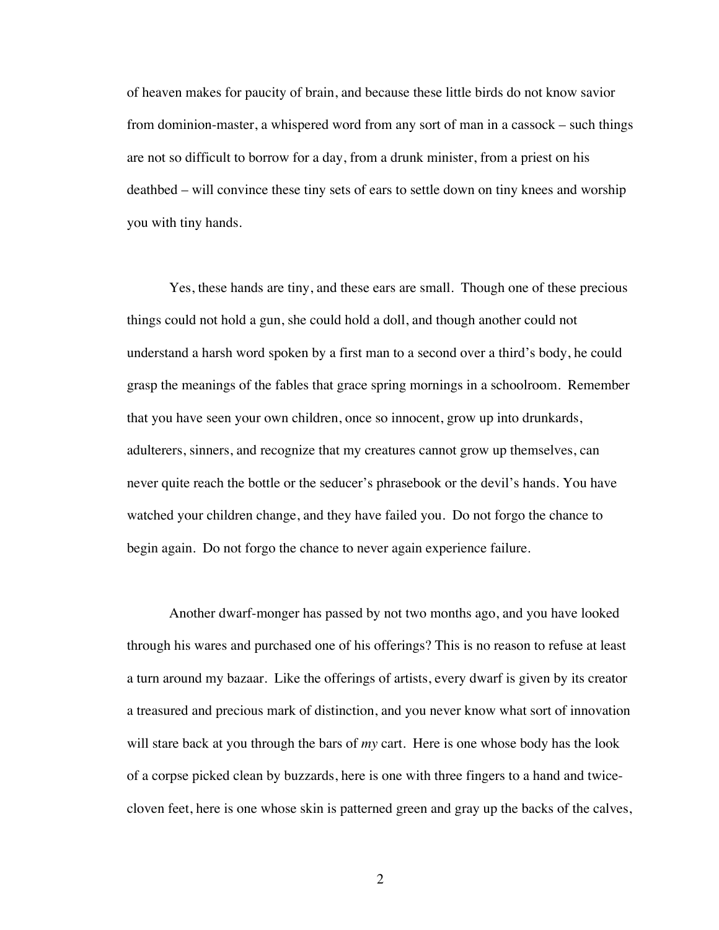of heaven makes for paucity of brain, and because these little birds do not know savior from dominion-master, a whispered word from any sort of man in a cassock – such things are not so difficult to borrow for a day, from a drunk minister, from a priest on his deathbed – will convince these tiny sets of ears to settle down on tiny knees and worship you with tiny hands.

Yes, these hands are tiny, and these ears are small. Though one of these precious things could not hold a gun, she could hold a doll, and though another could not understand a harsh word spoken by a first man to a second over a third's body, he could grasp the meanings of the fables that grace spring mornings in a schoolroom. Remember that you have seen your own children, once so innocent, grow up into drunkards, adulterers, sinners, and recognize that my creatures cannot grow up themselves, can never quite reach the bottle or the seducer's phrasebook or the devil's hands. You have watched your children change, and they have failed you. Do not forgo the chance to begin again. Do not forgo the chance to never again experience failure.

Another dwarf-monger has passed by not two months ago, and you have looked through his wares and purchased one of his offerings? This is no reason to refuse at least a turn around my bazaar. Like the offerings of artists, every dwarf is given by its creator a treasured and precious mark of distinction, and you never know what sort of innovation will stare back at you through the bars of *my* cart. Here is one whose body has the look of a corpse picked clean by buzzards, here is one with three fingers to a hand and twicecloven feet, here is one whose skin is patterned green and gray up the backs of the calves,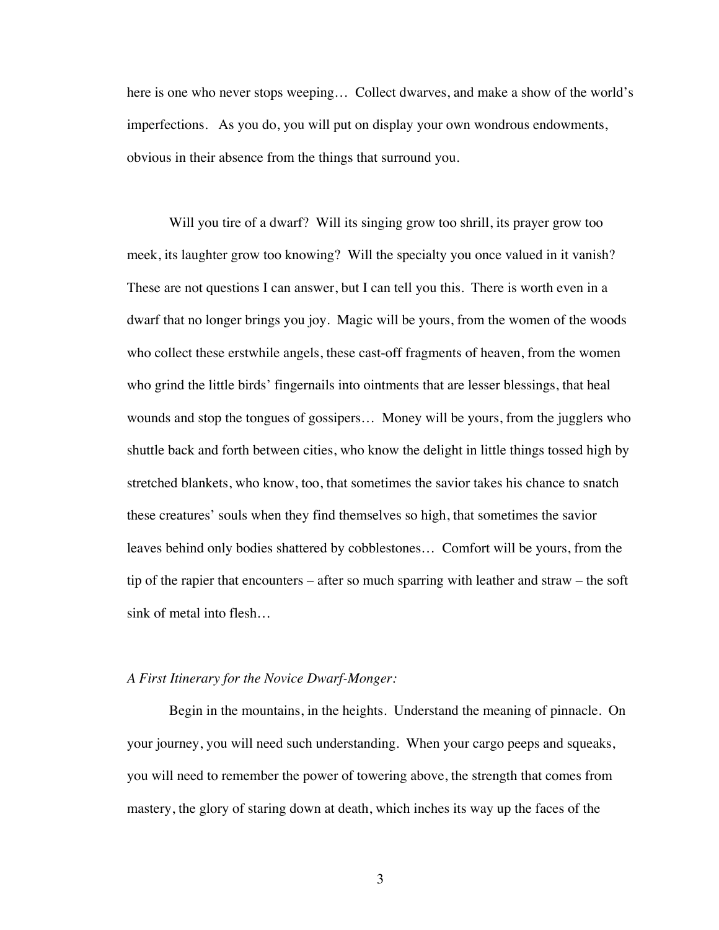here is one who never stops weeping... Collect dwarves, and make a show of the world's imperfections. As you do, you will put on display your own wondrous endowments, obvious in their absence from the things that surround you.

Will you tire of a dwarf? Will its singing grow too shrill, its prayer grow too meek, its laughter grow too knowing? Will the specialty you once valued in it vanish? These are not questions I can answer, but I can tell you this. There is worth even in a dwarf that no longer brings you joy. Magic will be yours, from the women of the woods who collect these erstwhile angels, these cast-off fragments of heaven, from the women who grind the little birds' fingernails into ointments that are lesser blessings, that heal wounds and stop the tongues of gossipers… Money will be yours, from the jugglers who shuttle back and forth between cities, who know the delight in little things tossed high by stretched blankets, who know, too, that sometimes the savior takes his chance to snatch these creatures' souls when they find themselves so high, that sometimes the savior leaves behind only bodies shattered by cobblestones… Comfort will be yours, from the tip of the rapier that encounters – after so much sparring with leather and straw – the soft sink of metal into flesh…

#### *A First Itinerary for the Novice Dwarf-Monger:*

Begin in the mountains, in the heights. Understand the meaning of pinnacle. On your journey, you will need such understanding. When your cargo peeps and squeaks, you will need to remember the power of towering above, the strength that comes from mastery, the glory of staring down at death, which inches its way up the faces of the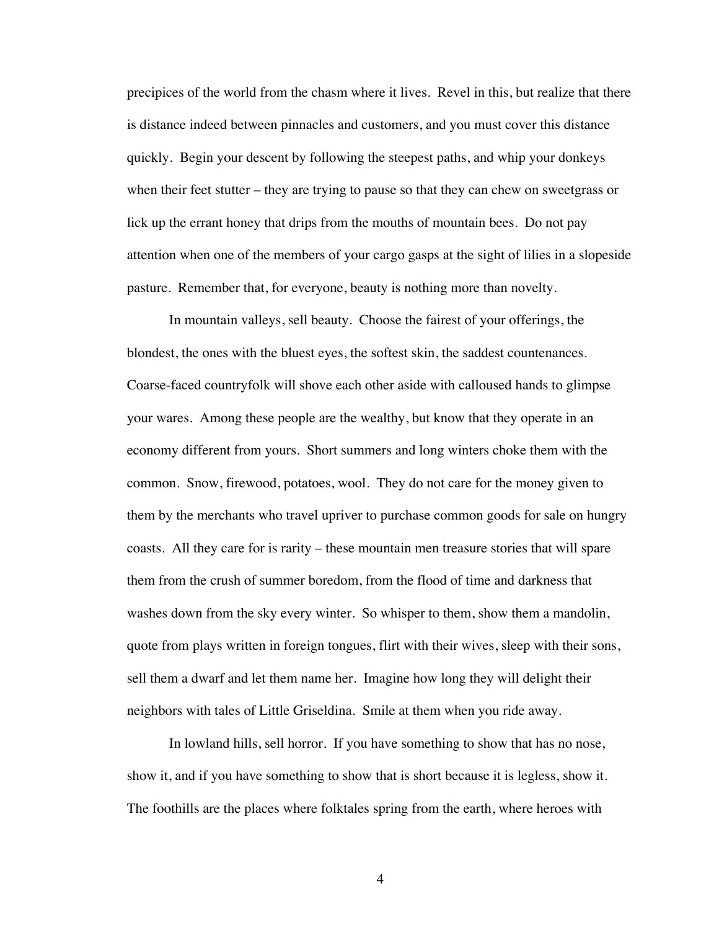precipices of the world from the chasm where it lives. Revel in this, but realize that there is distance indeed between pinnacles and customers, and you must cover this distance quickly. Begin your descent by following the steepest paths, and whip your donkeys when their feet stutter – they are trying to pause so that they can chew on sweetgrass or lick up the errant honey that drips from the mouths of mountain bees. Do not pay attention when one of the members of your cargo gasps at the sight of lilies in a slopeside pasture. Remember that, for everyone, beauty is nothing more than novelty.

In mountain valleys, sell beauty. Choose the fairest of your offerings, the blondest, the ones with the bluest eyes, the softest skin, the saddest countenances. Coarse-faced countryfolk will shove each other aside with calloused hands to glimpse your wares. Among these people are the wealthy, but know that they operate in an economy different from yours. Short summers and long winters choke them with the common. Snow, firewood, potatoes, wool. They do not care for the money given to them by the merchants who travel upriver to purchase common goods for sale on hungry coasts. All they care for is rarity – these mountain men treasure stories that will spare them from the crush of summer boredom, from the flood of time and darkness that washes down from the sky every winter. So whisper to them, show them a mandolin, quote from plays written in foreign tongues, flirt with their wives, sleep with their sons, sell them a dwarf and let them name her. Imagine how long they will delight their neighbors with tales of Little Griseldina. Smile at them when you ride away.

In lowland hills, sell horror. If you have something to show that has no nose, show it, and if you have something to show that is short because it is legless, show it. The foothills are the places where folktales spring from the earth, where heroes with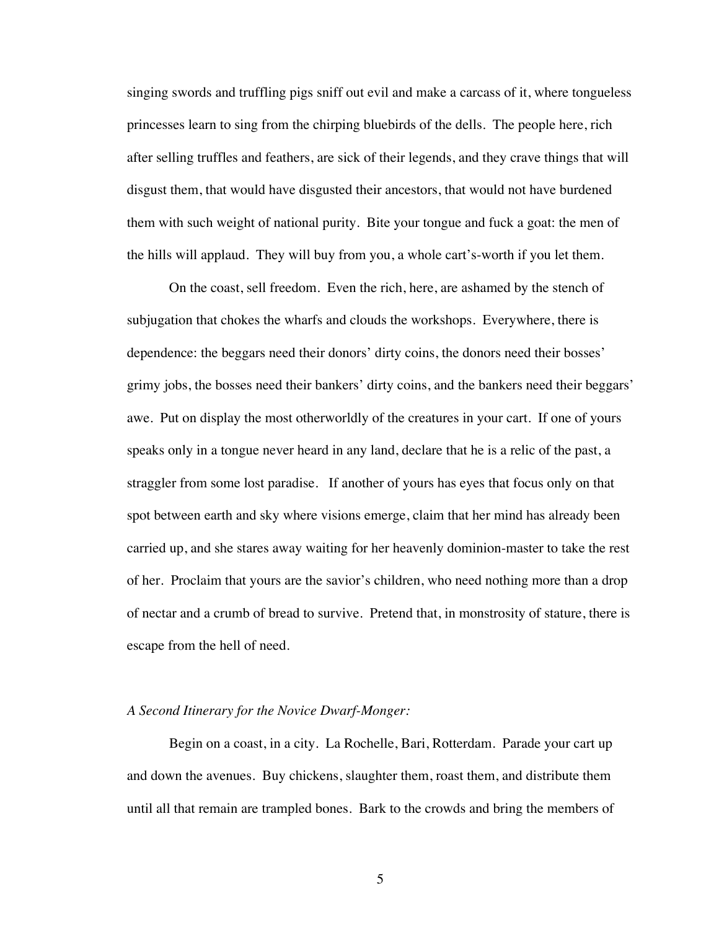singing swords and truffling pigs sniff out evil and make a carcass of it, where tongueless princesses learn to sing from the chirping bluebirds of the dells. The people here, rich after selling truffles and feathers, are sick of their legends, and they crave things that will disgust them, that would have disgusted their ancestors, that would not have burdened them with such weight of national purity. Bite your tongue and fuck a goat: the men of the hills will applaud. They will buy from you, a whole cart's-worth if you let them.

On the coast, sell freedom. Even the rich, here, are ashamed by the stench of subjugation that chokes the wharfs and clouds the workshops. Everywhere, there is dependence: the beggars need their donors' dirty coins, the donors need their bosses' grimy jobs, the bosses need their bankers' dirty coins, and the bankers need their beggars' awe. Put on display the most otherworldly of the creatures in your cart. If one of yours speaks only in a tongue never heard in any land, declare that he is a relic of the past, a straggler from some lost paradise. If another of yours has eyes that focus only on that spot between earth and sky where visions emerge, claim that her mind has already been carried up, and she stares away waiting for her heavenly dominion-master to take the rest of her. Proclaim that yours are the savior's children, who need nothing more than a drop of nectar and a crumb of bread to survive. Pretend that, in monstrosity of stature, there is escape from the hell of need.

#### *A Second Itinerary for the Novice Dwarf-Monger:*

Begin on a coast, in a city. La Rochelle, Bari, Rotterdam. Parade your cart up and down the avenues. Buy chickens, slaughter them, roast them, and distribute them until all that remain are trampled bones. Bark to the crowds and bring the members of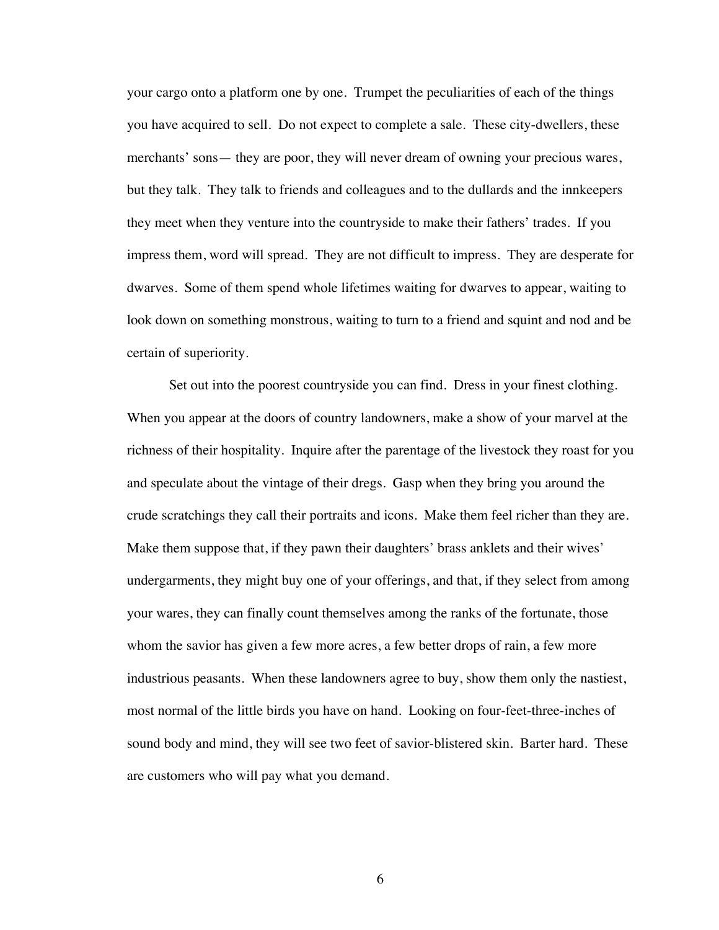your cargo onto a platform one by one. Trumpet the peculiarities of each of the things you have acquired to sell. Do not expect to complete a sale. These city-dwellers, these merchants' sons— they are poor, they will never dream of owning your precious wares, but they talk. They talk to friends and colleagues and to the dullards and the innkeepers they meet when they venture into the countryside to make their fathers' trades. If you impress them, word will spread. They are not difficult to impress. They are desperate for dwarves. Some of them spend whole lifetimes waiting for dwarves to appear, waiting to look down on something monstrous, waiting to turn to a friend and squint and nod and be certain of superiority.

Set out into the poorest countryside you can find. Dress in your finest clothing. When you appear at the doors of country landowners, make a show of your marvel at the richness of their hospitality. Inquire after the parentage of the livestock they roast for you and speculate about the vintage of their dregs. Gasp when they bring you around the crude scratchings they call their portraits and icons. Make them feel richer than they are. Make them suppose that, if they pawn their daughters' brass anklets and their wives' undergarments, they might buy one of your offerings, and that, if they select from among your wares, they can finally count themselves among the ranks of the fortunate, those whom the savior has given a few more acres, a few better drops of rain, a few more industrious peasants. When these landowners agree to buy, show them only the nastiest, most normal of the little birds you have on hand. Looking on four-feet-three-inches of sound body and mind, they will see two feet of savior-blistered skin. Barter hard. These are customers who will pay what you demand.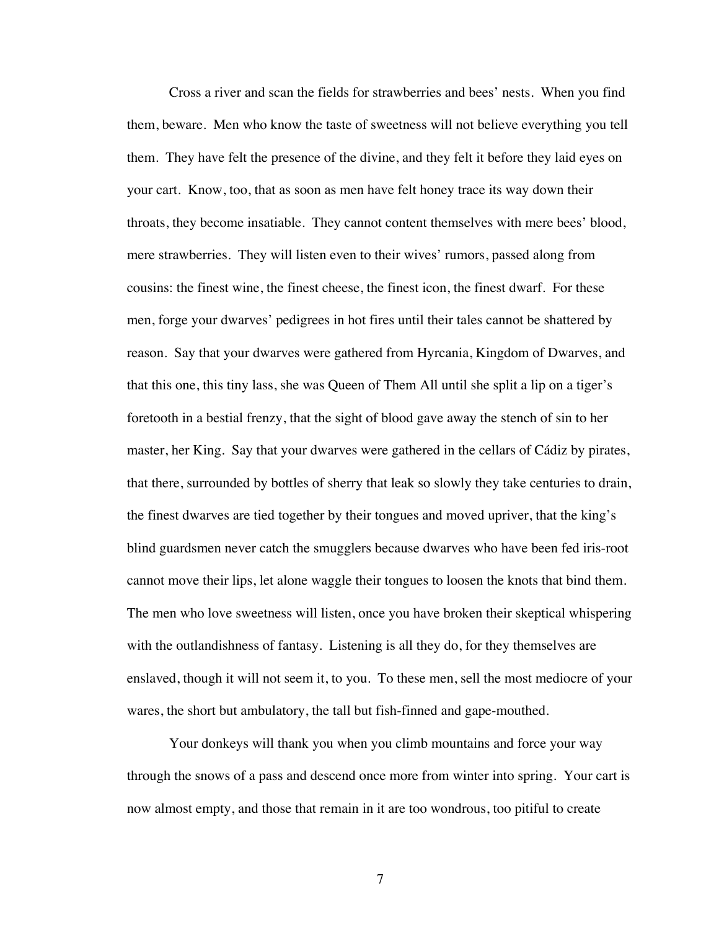Cross a river and scan the fields for strawberries and bees' nests. When you find them, beware. Men who know the taste of sweetness will not believe everything you tell them. They have felt the presence of the divine, and they felt it before they laid eyes on your cart. Know, too, that as soon as men have felt honey trace its way down their throats, they become insatiable. They cannot content themselves with mere bees' blood, mere strawberries. They will listen even to their wives' rumors, passed along from cousins: the finest wine, the finest cheese, the finest icon, the finest dwarf. For these men, forge your dwarves' pedigrees in hot fires until their tales cannot be shattered by reason. Say that your dwarves were gathered from Hyrcania, Kingdom of Dwarves, and that this one, this tiny lass, she was Queen of Them All until she split a lip on a tiger's foretooth in a bestial frenzy, that the sight of blood gave away the stench of sin to her master, her King. Say that your dwarves were gathered in the cellars of Cádiz by pirates, that there, surrounded by bottles of sherry that leak so slowly they take centuries to drain, the finest dwarves are tied together by their tongues and moved upriver, that the king's blind guardsmen never catch the smugglers because dwarves who have been fed iris-root cannot move their lips, let alone waggle their tongues to loosen the knots that bind them. The men who love sweetness will listen, once you have broken their skeptical whispering with the outlandishness of fantasy. Listening is all they do, for they themselves are enslaved, though it will not seem it, to you. To these men, sell the most mediocre of your wares, the short but ambulatory, the tall but fish-finned and gape-mouthed.

Your donkeys will thank you when you climb mountains and force your way through the snows of a pass and descend once more from winter into spring. Your cart is now almost empty, and those that remain in it are too wondrous, too pitiful to create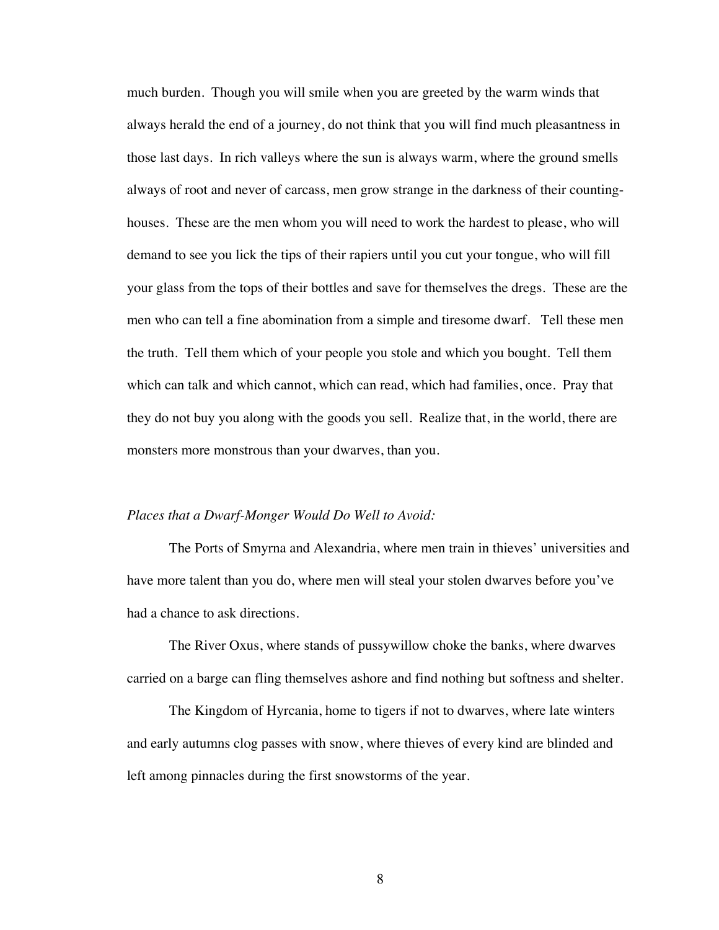much burden. Though you will smile when you are greeted by the warm winds that always herald the end of a journey, do not think that you will find much pleasantness in those last days. In rich valleys where the sun is always warm, where the ground smells always of root and never of carcass, men grow strange in the darkness of their countinghouses. These are the men whom you will need to work the hardest to please, who will demand to see you lick the tips of their rapiers until you cut your tongue, who will fill your glass from the tops of their bottles and save for themselves the dregs. These are the men who can tell a fine abomination from a simple and tiresome dwarf. Tell these men the truth. Tell them which of your people you stole and which you bought. Tell them which can talk and which cannot, which can read, which had families, once. Pray that they do not buy you along with the goods you sell. Realize that, in the world, there are monsters more monstrous than your dwarves, than you.

#### *Places that a Dwarf-Monger Would Do Well to Avoid:*

The Ports of Smyrna and Alexandria, where men train in thieves' universities and have more talent than you do, where men will steal your stolen dwarves before you've had a chance to ask directions.

The River Oxus, where stands of pussywillow choke the banks, where dwarves carried on a barge can fling themselves ashore and find nothing but softness and shelter.

The Kingdom of Hyrcania, home to tigers if not to dwarves, where late winters and early autumns clog passes with snow, where thieves of every kind are blinded and left among pinnacles during the first snowstorms of the year.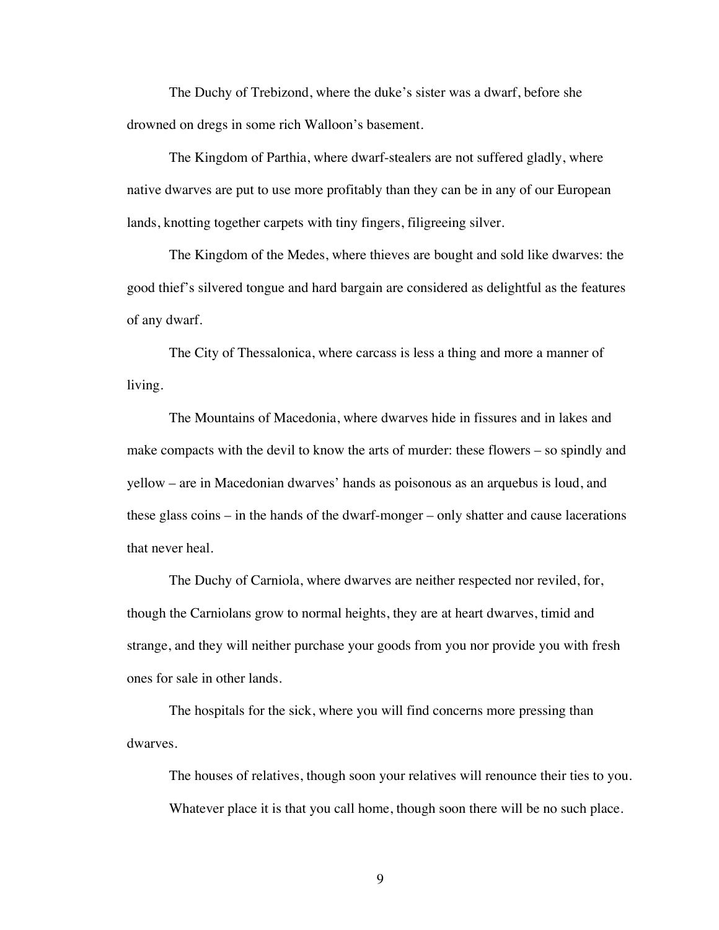The Duchy of Trebizond, where the duke's sister was a dwarf, before she drowned on dregs in some rich Walloon's basement.

The Kingdom of Parthia, where dwarf-stealers are not suffered gladly, where native dwarves are put to use more profitably than they can be in any of our European lands, knotting together carpets with tiny fingers, filigreeing silver.

The Kingdom of the Medes, where thieves are bought and sold like dwarves: the good thief's silvered tongue and hard bargain are considered as delightful as the features of any dwarf.

The City of Thessalonica, where carcass is less a thing and more a manner of living.

The Mountains of Macedonia, where dwarves hide in fissures and in lakes and make compacts with the devil to know the arts of murder: these flowers – so spindly and yellow – are in Macedonian dwarves' hands as poisonous as an arquebus is loud, and these glass coins – in the hands of the dwarf-monger – only shatter and cause lacerations that never heal.

The Duchy of Carniola, where dwarves are neither respected nor reviled, for, though the Carniolans grow to normal heights, they are at heart dwarves, timid and strange, and they will neither purchase your goods from you nor provide you with fresh ones for sale in other lands.

The hospitals for the sick, where you will find concerns more pressing than dwarves.

The houses of relatives, though soon your relatives will renounce their ties to you. Whatever place it is that you call home, though soon there will be no such place.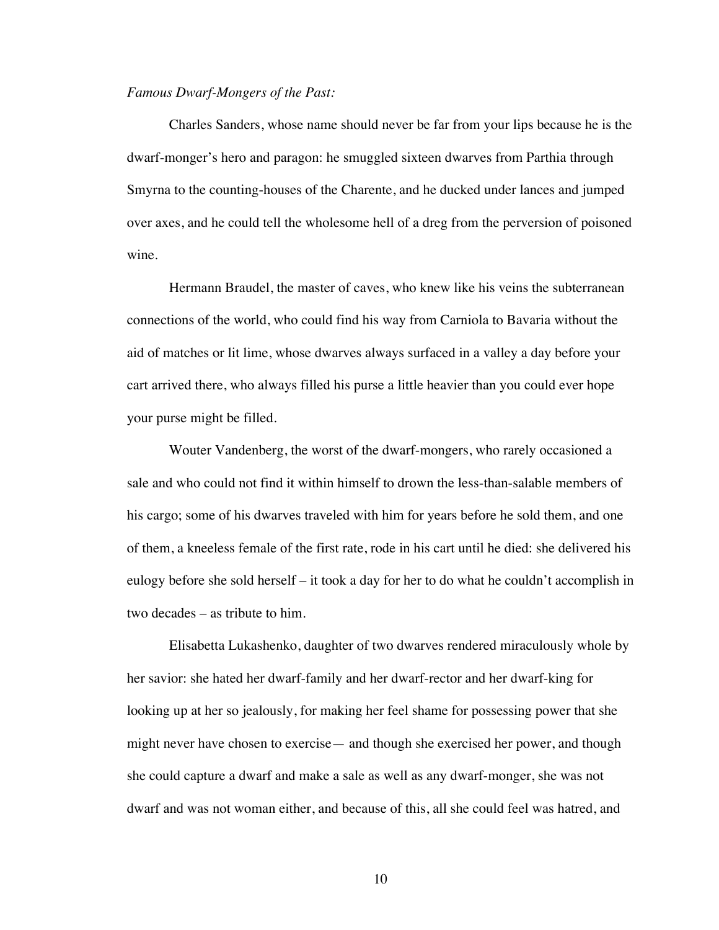#### *Famous Dwarf-Mongers of the Past:*

Charles Sanders, whose name should never be far from your lips because he is the dwarf-monger's hero and paragon: he smuggled sixteen dwarves from Parthia through Smyrna to the counting-houses of the Charente, and he ducked under lances and jumped over axes, and he could tell the wholesome hell of a dreg from the perversion of poisoned wine.

Hermann Braudel, the master of caves, who knew like his veins the subterranean connections of the world, who could find his way from Carniola to Bavaria without the aid of matches or lit lime, whose dwarves always surfaced in a valley a day before your cart arrived there, who always filled his purse a little heavier than you could ever hope your purse might be filled.

Wouter Vandenberg, the worst of the dwarf-mongers, who rarely occasioned a sale and who could not find it within himself to drown the less-than-salable members of his cargo; some of his dwarves traveled with him for years before he sold them, and one of them, a kneeless female of the first rate, rode in his cart until he died: she delivered his eulogy before she sold herself – it took a day for her to do what he couldn't accomplish in two decades – as tribute to him.

Elisabetta Lukashenko, daughter of two dwarves rendered miraculously whole by her savior: she hated her dwarf-family and her dwarf-rector and her dwarf-king for looking up at her so jealously, for making her feel shame for possessing power that she might never have chosen to exercise— and though she exercised her power, and though she could capture a dwarf and make a sale as well as any dwarf-monger, she was not dwarf and was not woman either, and because of this, all she could feel was hatred, and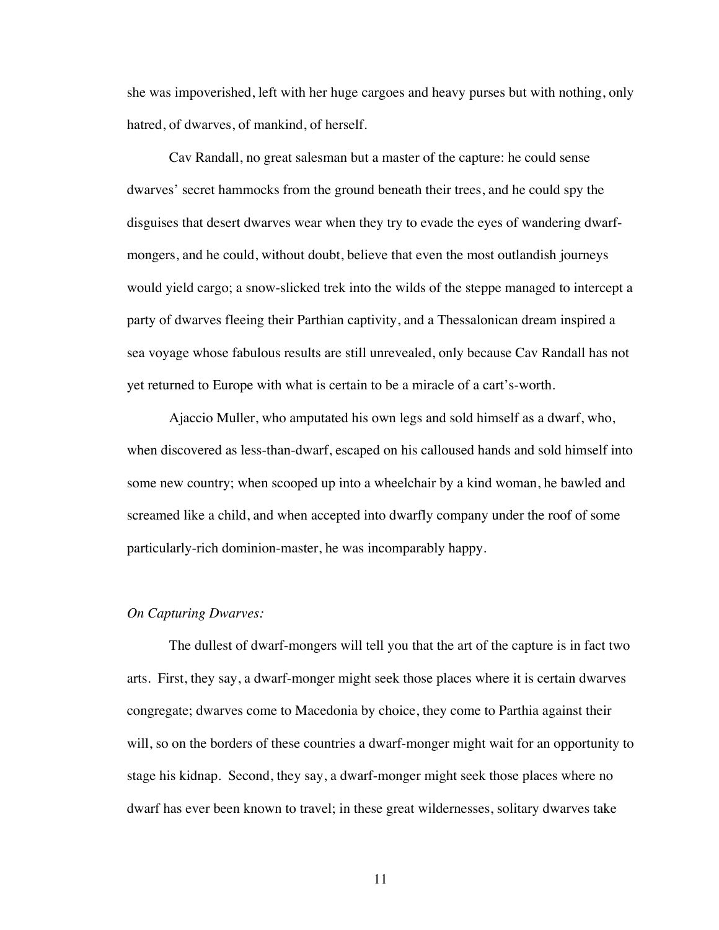she was impoverished, left with her huge cargoes and heavy purses but with nothing, only hatred, of dwarves, of mankind, of herself.

Cav Randall, no great salesman but a master of the capture: he could sense dwarves' secret hammocks from the ground beneath their trees, and he could spy the disguises that desert dwarves wear when they try to evade the eyes of wandering dwarfmongers, and he could, without doubt, believe that even the most outlandish journeys would yield cargo; a snow-slicked trek into the wilds of the steppe managed to intercept a party of dwarves fleeing their Parthian captivity, and a Thessalonican dream inspired a sea voyage whose fabulous results are still unrevealed, only because Cav Randall has not yet returned to Europe with what is certain to be a miracle of a cart's-worth.

Ajaccio Muller, who amputated his own legs and sold himself as a dwarf, who, when discovered as less-than-dwarf, escaped on his calloused hands and sold himself into some new country; when scooped up into a wheelchair by a kind woman, he bawled and screamed like a child, and when accepted into dwarfly company under the roof of some particularly-rich dominion-master, he was incomparably happy.

#### *On Capturing Dwarves:*

The dullest of dwarf-mongers will tell you that the art of the capture is in fact two arts. First, they say, a dwarf-monger might seek those places where it is certain dwarves congregate; dwarves come to Macedonia by choice, they come to Parthia against their will, so on the borders of these countries a dwarf-monger might wait for an opportunity to stage his kidnap. Second, they say, a dwarf-monger might seek those places where no dwarf has ever been known to travel; in these great wildernesses, solitary dwarves take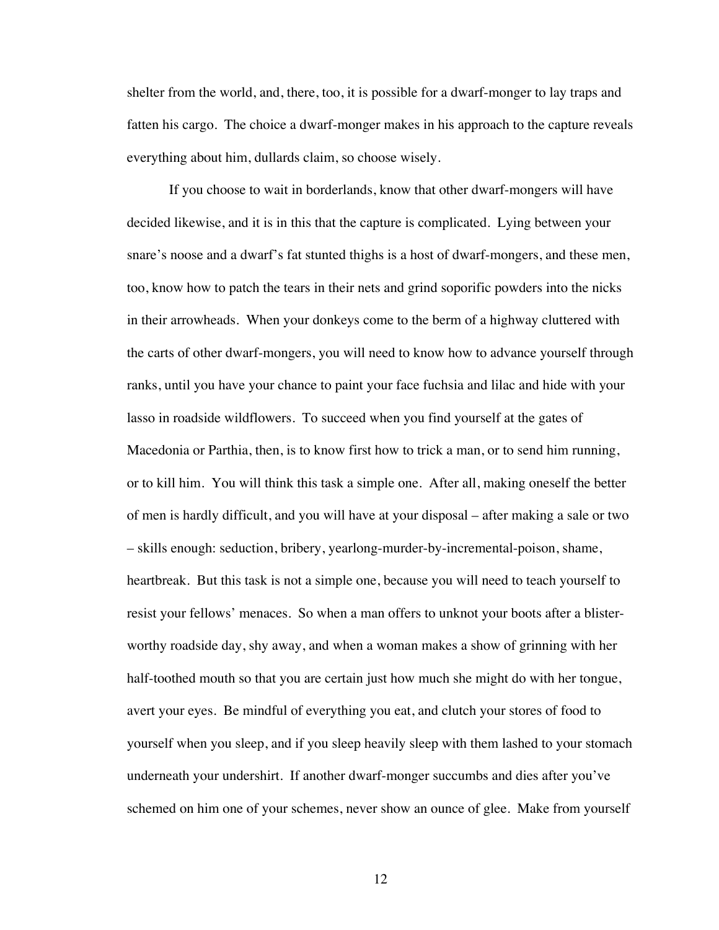shelter from the world, and, there, too, it is possible for a dwarf-monger to lay traps and fatten his cargo. The choice a dwarf-monger makes in his approach to the capture reveals everything about him, dullards claim, so choose wisely.

If you choose to wait in borderlands, know that other dwarf-mongers will have decided likewise, and it is in this that the capture is complicated. Lying between your snare's noose and a dwarf's fat stunted thighs is a host of dwarf-mongers, and these men, too, know how to patch the tears in their nets and grind soporific powders into the nicks in their arrowheads. When your donkeys come to the berm of a highway cluttered with the carts of other dwarf-mongers, you will need to know how to advance yourself through ranks, until you have your chance to paint your face fuchsia and lilac and hide with your lasso in roadside wildflowers. To succeed when you find yourself at the gates of Macedonia or Parthia, then, is to know first how to trick a man, or to send him running, or to kill him. You will think this task a simple one. After all, making oneself the better of men is hardly difficult, and you will have at your disposal – after making a sale or two – skills enough: seduction, bribery, yearlong-murder-by-incremental-poison, shame, heartbreak. But this task is not a simple one, because you will need to teach yourself to resist your fellows' menaces. So when a man offers to unknot your boots after a blisterworthy roadside day, shy away, and when a woman makes a show of grinning with her half-toothed mouth so that you are certain just how much she might do with her tongue, avert your eyes. Be mindful of everything you eat, and clutch your stores of food to yourself when you sleep, and if you sleep heavily sleep with them lashed to your stomach underneath your undershirt. If another dwarf-monger succumbs and dies after you've schemed on him one of your schemes, never show an ounce of glee. Make from yourself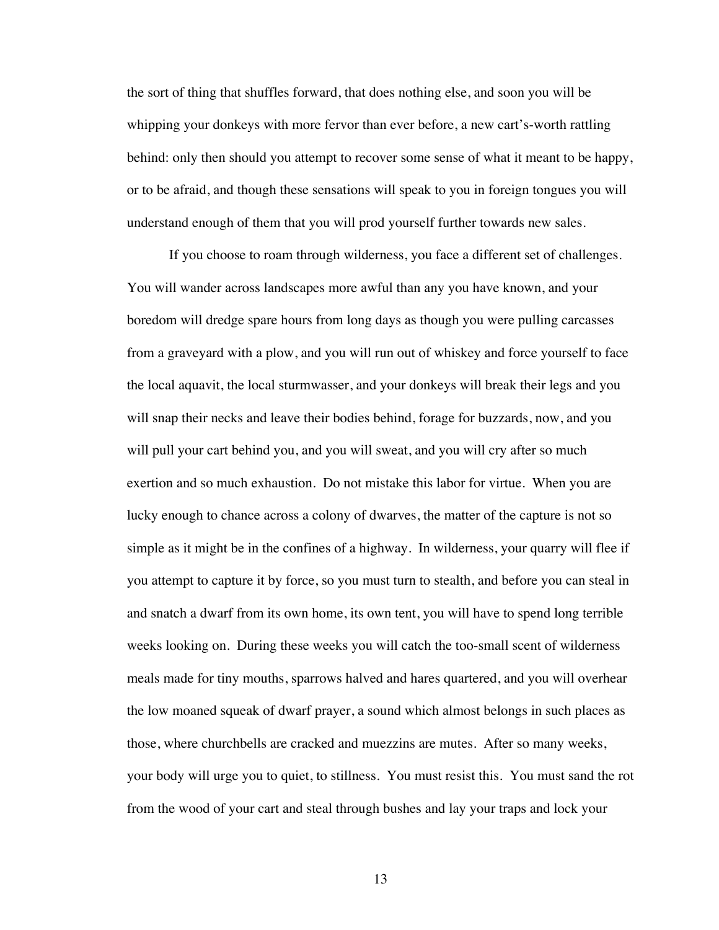the sort of thing that shuffles forward, that does nothing else, and soon you will be whipping your donkeys with more fervor than ever before, a new cart's-worth rattling behind: only then should you attempt to recover some sense of what it meant to be happy, or to be afraid, and though these sensations will speak to you in foreign tongues you will understand enough of them that you will prod yourself further towards new sales.

If you choose to roam through wilderness, you face a different set of challenges. You will wander across landscapes more awful than any you have known, and your boredom will dredge spare hours from long days as though you were pulling carcasses from a graveyard with a plow, and you will run out of whiskey and force yourself to face the local aquavit, the local sturmwasser, and your donkeys will break their legs and you will snap their necks and leave their bodies behind, forage for buzzards, now, and you will pull your cart behind you, and you will sweat, and you will cry after so much exertion and so much exhaustion. Do not mistake this labor for virtue. When you are lucky enough to chance across a colony of dwarves, the matter of the capture is not so simple as it might be in the confines of a highway. In wilderness, your quarry will flee if you attempt to capture it by force, so you must turn to stealth, and before you can steal in and snatch a dwarf from its own home, its own tent, you will have to spend long terrible weeks looking on. During these weeks you will catch the too-small scent of wilderness meals made for tiny mouths, sparrows halved and hares quartered, and you will overhear the low moaned squeak of dwarf prayer, a sound which almost belongs in such places as those, where churchbells are cracked and muezzins are mutes. After so many weeks, your body will urge you to quiet, to stillness. You must resist this. You must sand the rot from the wood of your cart and steal through bushes and lay your traps and lock your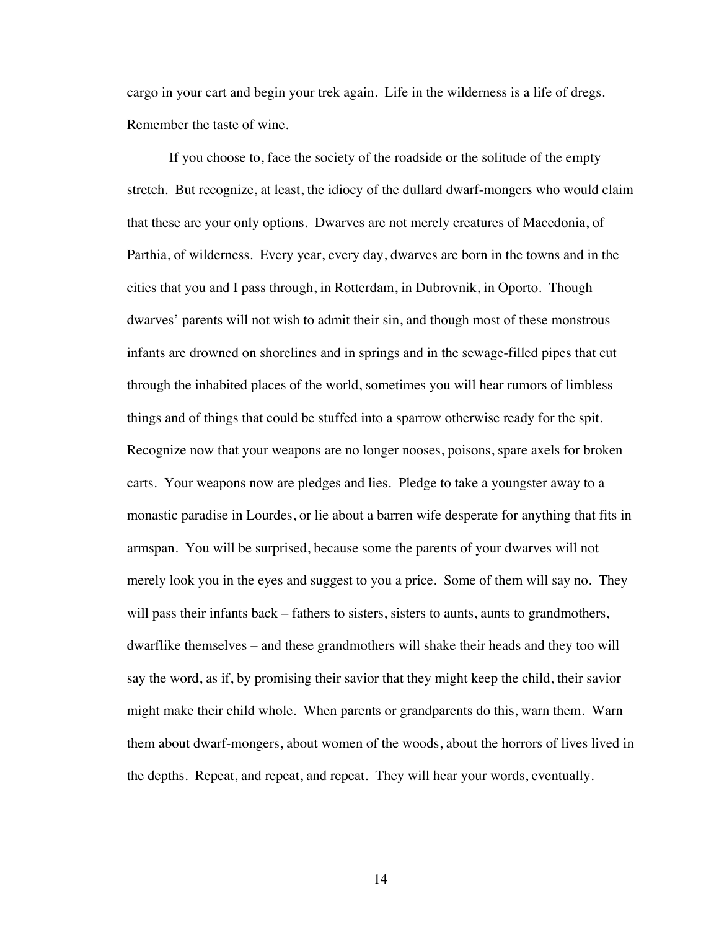cargo in your cart and begin your trek again. Life in the wilderness is a life of dregs. Remember the taste of wine.

If you choose to, face the society of the roadside or the solitude of the empty stretch. But recognize, at least, the idiocy of the dullard dwarf-mongers who would claim that these are your only options. Dwarves are not merely creatures of Macedonia, of Parthia, of wilderness. Every year, every day, dwarves are born in the towns and in the cities that you and I pass through, in Rotterdam, in Dubrovnik, in Oporto. Though dwarves' parents will not wish to admit their sin, and though most of these monstrous infants are drowned on shorelines and in springs and in the sewage-filled pipes that cut through the inhabited places of the world, sometimes you will hear rumors of limbless things and of things that could be stuffed into a sparrow otherwise ready for the spit. Recognize now that your weapons are no longer nooses, poisons, spare axels for broken carts. Your weapons now are pledges and lies. Pledge to take a youngster away to a monastic paradise in Lourdes, or lie about a barren wife desperate for anything that fits in armspan. You will be surprised, because some the parents of your dwarves will not merely look you in the eyes and suggest to you a price. Some of them will say no. They will pass their infants back – fathers to sisters, sisters to aunts, aunts to grandmothers, dwarflike themselves – and these grandmothers will shake their heads and they too will say the word, as if, by promising their savior that they might keep the child, their savior might make their child whole. When parents or grandparents do this, warn them. Warn them about dwarf-mongers, about women of the woods, about the horrors of lives lived in the depths. Repeat, and repeat, and repeat. They will hear your words, eventually.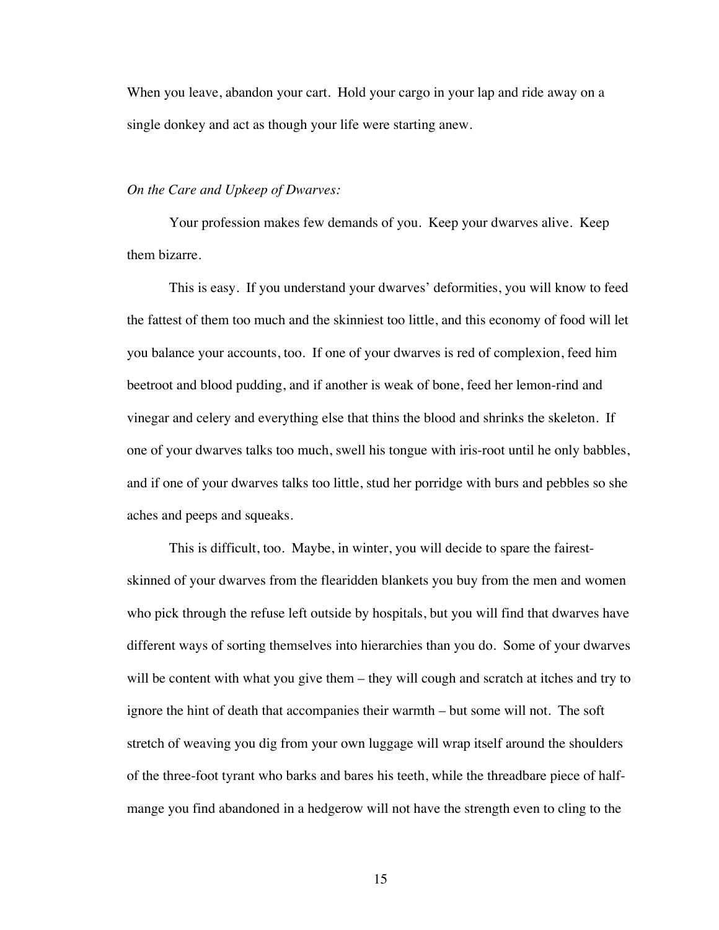When you leave, abandon your cart. Hold your cargo in your lap and ride away on a single donkey and act as though your life were starting anew.

#### *On the Care and Upkeep of Dwarves:*

Your profession makes few demands of you. Keep your dwarves alive. Keep them bizarre.

This is easy. If you understand your dwarves' deformities, you will know to feed the fattest of them too much and the skinniest too little, and this economy of food will let you balance your accounts, too. If one of your dwarves is red of complexion, feed him beetroot and blood pudding, and if another is weak of bone, feed her lemon-rind and vinegar and celery and everything else that thins the blood and shrinks the skeleton. If one of your dwarves talks too much, swell his tongue with iris-root until he only babbles, and if one of your dwarves talks too little, stud her porridge with burs and pebbles so she aches and peeps and squeaks.

This is difficult, too. Maybe, in winter, you will decide to spare the fairestskinned of your dwarves from the flearidden blankets you buy from the men and women who pick through the refuse left outside by hospitals, but you will find that dwarves have different ways of sorting themselves into hierarchies than you do. Some of your dwarves will be content with what you give them – they will cough and scratch at itches and try to ignore the hint of death that accompanies their warmth – but some will not. The soft stretch of weaving you dig from your own luggage will wrap itself around the shoulders of the three-foot tyrant who barks and bares his teeth, while the threadbare piece of halfmange you find abandoned in a hedgerow will not have the strength even to cling to the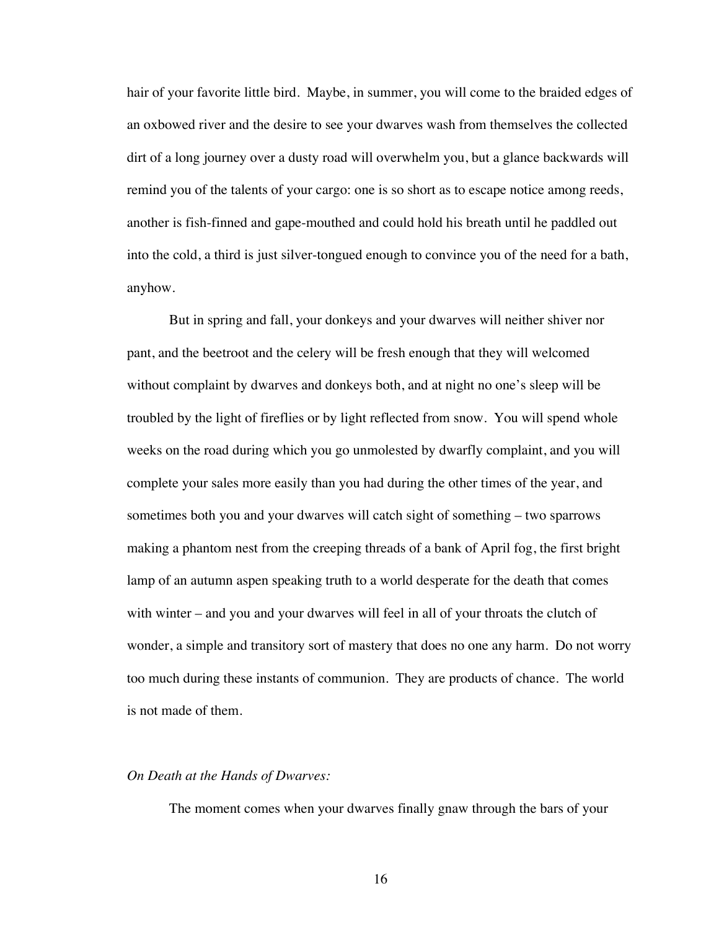hair of your favorite little bird. Maybe, in summer, you will come to the braided edges of an oxbowed river and the desire to see your dwarves wash from themselves the collected dirt of a long journey over a dusty road will overwhelm you, but a glance backwards will remind you of the talents of your cargo: one is so short as to escape notice among reeds, another is fish-finned and gape-mouthed and could hold his breath until he paddled out into the cold, a third is just silver-tongued enough to convince you of the need for a bath, anyhow.

But in spring and fall, your donkeys and your dwarves will neither shiver nor pant, and the beetroot and the celery will be fresh enough that they will welcomed without complaint by dwarves and donkeys both, and at night no one's sleep will be troubled by the light of fireflies or by light reflected from snow. You will spend whole weeks on the road during which you go unmolested by dwarfly complaint, and you will complete your sales more easily than you had during the other times of the year, and sometimes both you and your dwarves will catch sight of something – two sparrows making a phantom nest from the creeping threads of a bank of April fog, the first bright lamp of an autumn aspen speaking truth to a world desperate for the death that comes with winter – and you and your dwarves will feel in all of your throats the clutch of wonder, a simple and transitory sort of mastery that does no one any harm. Do not worry too much during these instants of communion. They are products of chance. The world is not made of them.

#### *On Death at the Hands of Dwarves:*

The moment comes when your dwarves finally gnaw through the bars of your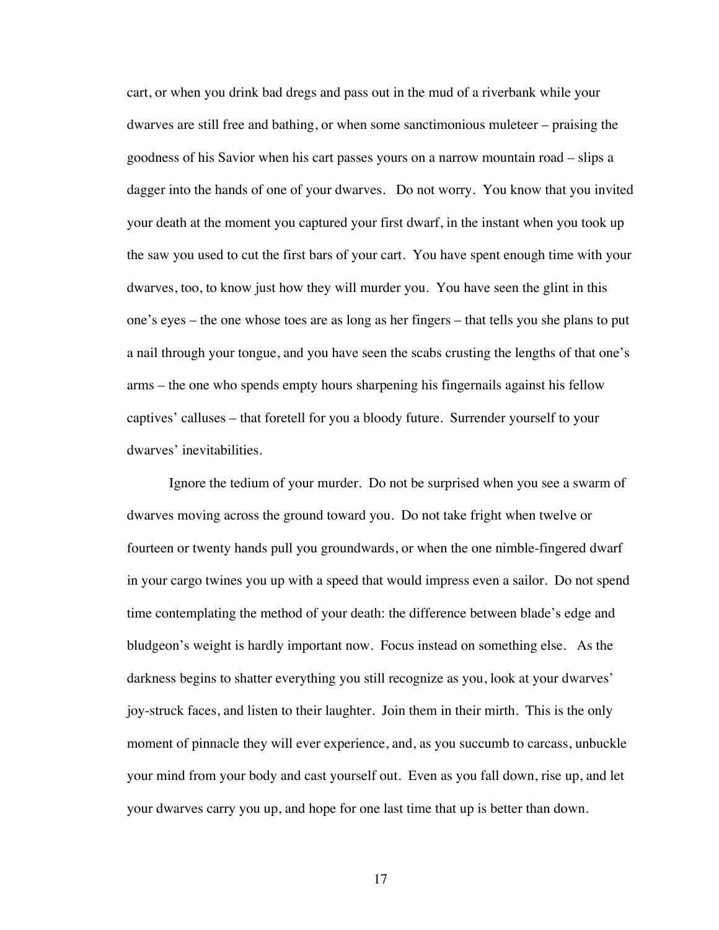cart, or when you drink bad dregs and pass out in the mud of a riverbank while your dwarves are still free and bathing, or when some sanctimonious muleteer – praising the goodness of his Savior when his cart passes yours on a narrow mountain road – slips a dagger into the hands of one of your dwarves. Do not worry. You know that you invited your death at the moment you captured your first dwarf, in the instant when you took up the saw you used to cut the first bars of your cart. You have spent enough time with your dwarves, too, to know just how they will murder you. You have seen the glint in this one's eyes – the one whose toes are as long as her fingers – that tells you she plans to put a nail through your tongue, and you have seen the scabs crusting the lengths of that one's arms – the one who spends empty hours sharpening his fingernails against his fellow captives' calluses – that foretell for you a bloody future. Surrender yourself to your dwarves' inevitabilities.

Ignore the tedium of your murder. Do not be surprised when you see a swarm of dwarves moving across the ground toward you. Do not take fright when twelve or fourteen or twenty hands pull you groundwards, or when the one nimble-fingered dwarf in your cargo twines you up with a speed that would impress even a sailor. Do not spend time contemplating the method of your death: the difference between blade's edge and bludgeon's weight is hardly important now. Focus instead on something else. As the darkness begins to shatter everything you still recognize as you, look at your dwarves' joy-struck faces, and listen to their laughter. Join them in their mirth. This is the only moment of pinnacle they will ever experience, and, as you succumb to carcass, unbuckle your mind from your body and cast yourself out. Even as you fall down, rise up, and let your dwarves carry you up, and hope for one last time that up is better than down.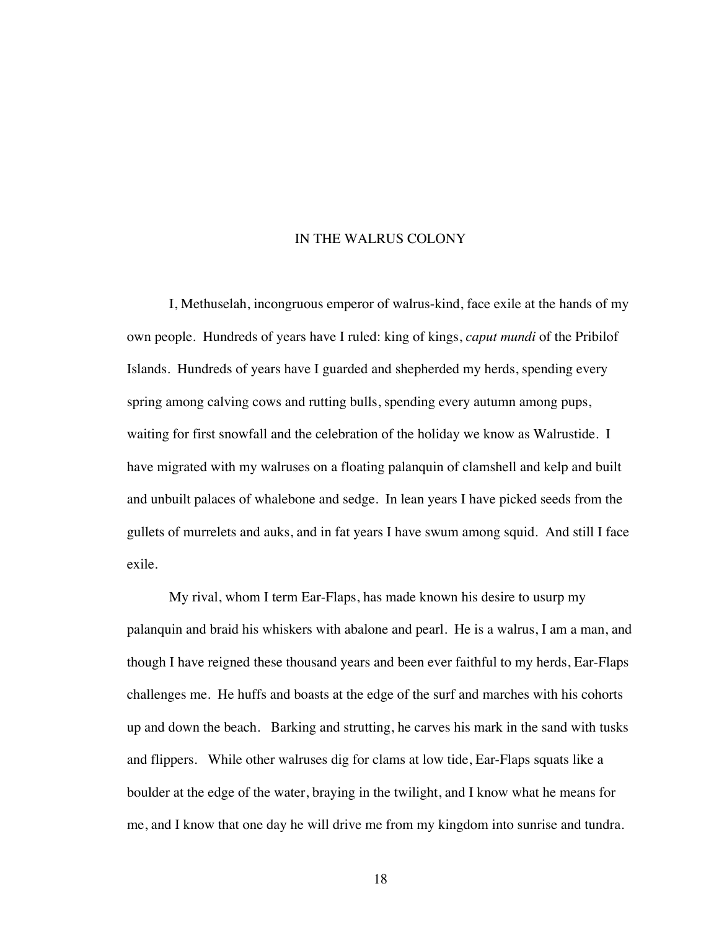#### IN THE WALRUS COLONY

I, Methuselah, incongruous emperor of walrus-kind, face exile at the hands of my own people. Hundreds of years have I ruled: king of kings, *caput mundi* of the Pribilof Islands. Hundreds of years have I guarded and shepherded my herds, spending every spring among calving cows and rutting bulls, spending every autumn among pups, waiting for first snowfall and the celebration of the holiday we know as Walrustide. I have migrated with my walruses on a floating palanquin of clamshell and kelp and built and unbuilt palaces of whalebone and sedge. In lean years I have picked seeds from the gullets of murrelets and auks, and in fat years I have swum among squid. And still I face exile.

My rival, whom I term Ear-Flaps, has made known his desire to usurp my palanquin and braid his whiskers with abalone and pearl. He is a walrus, I am a man, and though I have reigned these thousand years and been ever faithful to my herds, Ear-Flaps challenges me. He huffs and boasts at the edge of the surf and marches with his cohorts up and down the beach. Barking and strutting, he carves his mark in the sand with tusks and flippers. While other walruses dig for clams at low tide, Ear-Flaps squats like a boulder at the edge of the water, braying in the twilight, and I know what he means for me, and I know that one day he will drive me from my kingdom into sunrise and tundra.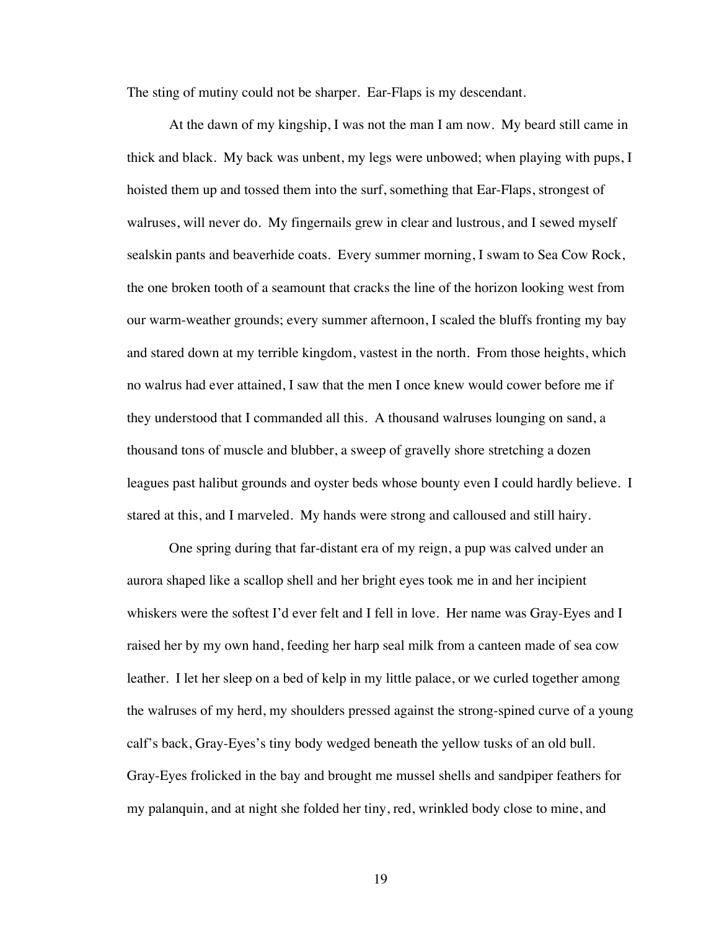The sting of mutiny could not be sharper. Ear-Flaps is my descendant.

At the dawn of my kingship, I was not the man I am now. My beard still came in thick and black. My back was unbent, my legs were unbowed; when playing with pups, I hoisted them up and tossed them into the surf, something that Ear-Flaps, strongest of walruses, will never do. My fingernails grew in clear and lustrous, and I sewed myself sealskin pants and beaverhide coats. Every summer morning, I swam to Sea Cow Rock, the one broken tooth of a seamount that cracks the line of the horizon looking west from our warm-weather grounds; every summer afternoon, I scaled the bluffs fronting my bay and stared down at my terrible kingdom, vastest in the north. From those heights, which no walrus had ever attained, I saw that the men I once knew would cower before me if they understood that I commanded all this. A thousand walruses lounging on sand, a thousand tons of muscle and blubber, a sweep of gravelly shore stretching a dozen leagues past halibut grounds and oyster beds whose bounty even I could hardly believe. I stared at this, and I marveled. My hands were strong and calloused and still hairy.

One spring during that far-distant era of my reign, a pup was calved under an aurora shaped like a scallop shell and her bright eyes took me in and her incipient whiskers were the softest I'd ever felt and I fell in love. Her name was Gray-Eyes and I raised her by my own hand, feeding her harp seal milk from a canteen made of sea cow leather. I let her sleep on a bed of kelp in my little palace, or we curled together among the walruses of my herd, my shoulders pressed against the strong-spined curve of a young calf's back, Gray-Eyes's tiny body wedged beneath the yellow tusks of an old bull. Gray-Eyes frolicked in the bay and brought me mussel shells and sandpiper feathers for my palanquin, and at night she folded her tiny, red, wrinkled body close to mine, and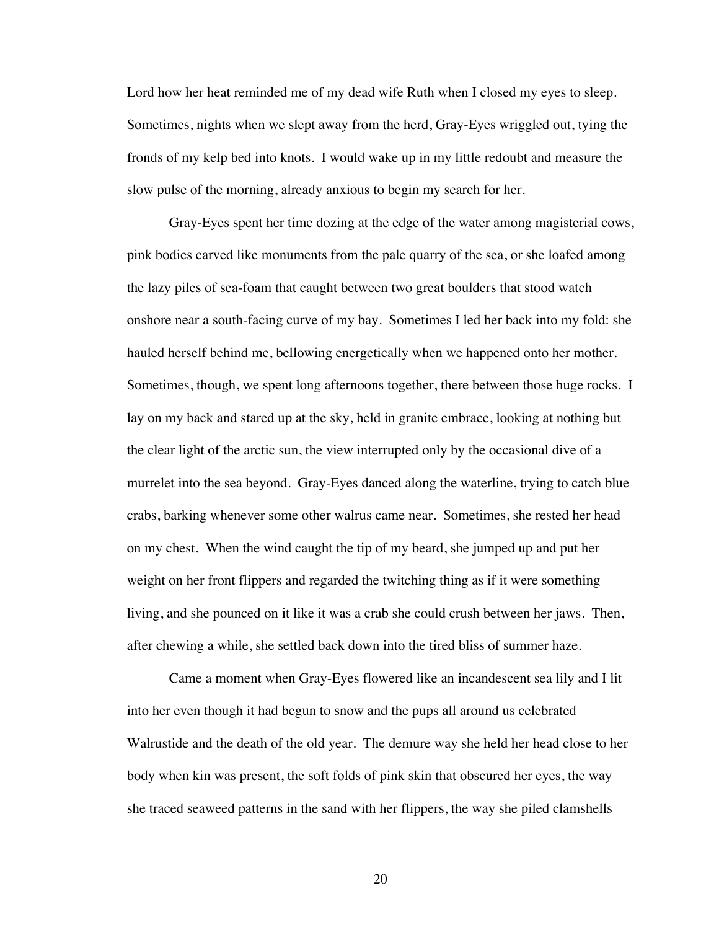Lord how her heat reminded me of my dead wife Ruth when I closed my eyes to sleep. Sometimes, nights when we slept away from the herd, Gray-Eyes wriggled out, tying the fronds of my kelp bed into knots. I would wake up in my little redoubt and measure the slow pulse of the morning, already anxious to begin my search for her.

Gray-Eyes spent her time dozing at the edge of the water among magisterial cows, pink bodies carved like monuments from the pale quarry of the sea, or she loafed among the lazy piles of sea-foam that caught between two great boulders that stood watch onshore near a south-facing curve of my bay. Sometimes I led her back into my fold: she hauled herself behind me, bellowing energetically when we happened onto her mother. Sometimes, though, we spent long afternoons together, there between those huge rocks. I lay on my back and stared up at the sky, held in granite embrace, looking at nothing but the clear light of the arctic sun, the view interrupted only by the occasional dive of a murrelet into the sea beyond. Gray-Eyes danced along the waterline, trying to catch blue crabs, barking whenever some other walrus came near. Sometimes, she rested her head on my chest. When the wind caught the tip of my beard, she jumped up and put her weight on her front flippers and regarded the twitching thing as if it were something living, and she pounced on it like it was a crab she could crush between her jaws. Then, after chewing a while, she settled back down into the tired bliss of summer haze.

Came a moment when Gray-Eyes flowered like an incandescent sea lily and I lit into her even though it had begun to snow and the pups all around us celebrated Walrustide and the death of the old year. The demure way she held her head close to her body when kin was present, the soft folds of pink skin that obscured her eyes, the way she traced seaweed patterns in the sand with her flippers, the way she piled clamshells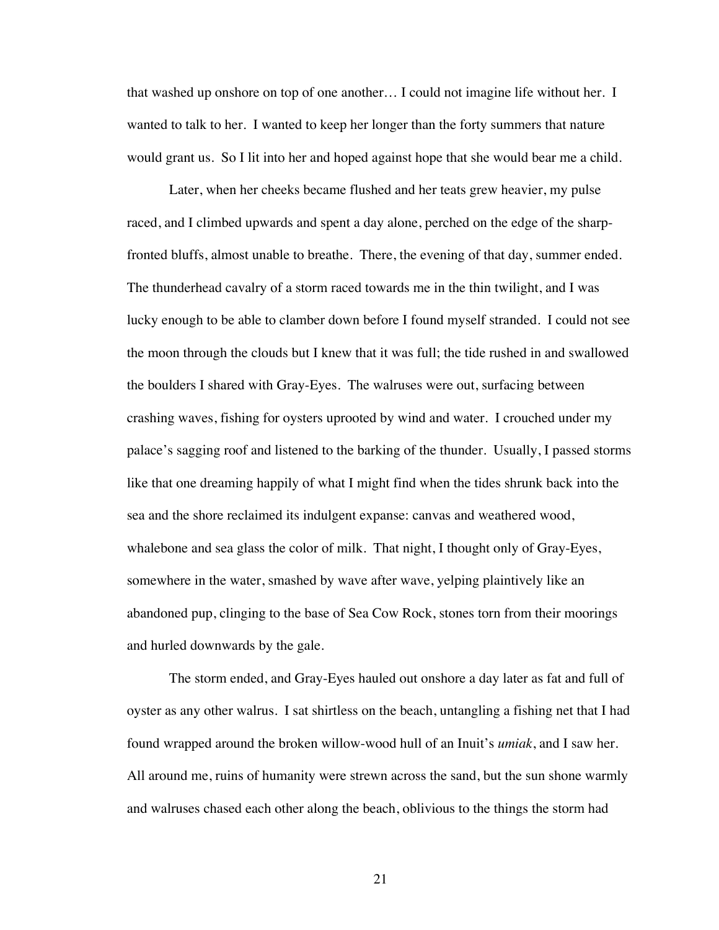that washed up onshore on top of one another… I could not imagine life without her. I wanted to talk to her. I wanted to keep her longer than the forty summers that nature would grant us. So I lit into her and hoped against hope that she would bear me a child.

Later, when her cheeks became flushed and her teats grew heavier, my pulse raced, and I climbed upwards and spent a day alone, perched on the edge of the sharpfronted bluffs, almost unable to breathe. There, the evening of that day, summer ended. The thunderhead cavalry of a storm raced towards me in the thin twilight, and I was lucky enough to be able to clamber down before I found myself stranded. I could not see the moon through the clouds but I knew that it was full; the tide rushed in and swallowed the boulders I shared with Gray-Eyes. The walruses were out, surfacing between crashing waves, fishing for oysters uprooted by wind and water. I crouched under my palace's sagging roof and listened to the barking of the thunder. Usually, I passed storms like that one dreaming happily of what I might find when the tides shrunk back into the sea and the shore reclaimed its indulgent expanse: canvas and weathered wood, whalebone and sea glass the color of milk. That night, I thought only of Gray-Eyes, somewhere in the water, smashed by wave after wave, yelping plaintively like an abandoned pup, clinging to the base of Sea Cow Rock, stones torn from their moorings and hurled downwards by the gale.

The storm ended, and Gray-Eyes hauled out onshore a day later as fat and full of oyster as any other walrus. I sat shirtless on the beach, untangling a fishing net that I had found wrapped around the broken willow-wood hull of an Inuit's *umiak*, and I saw her. All around me, ruins of humanity were strewn across the sand, but the sun shone warmly and walruses chased each other along the beach, oblivious to the things the storm had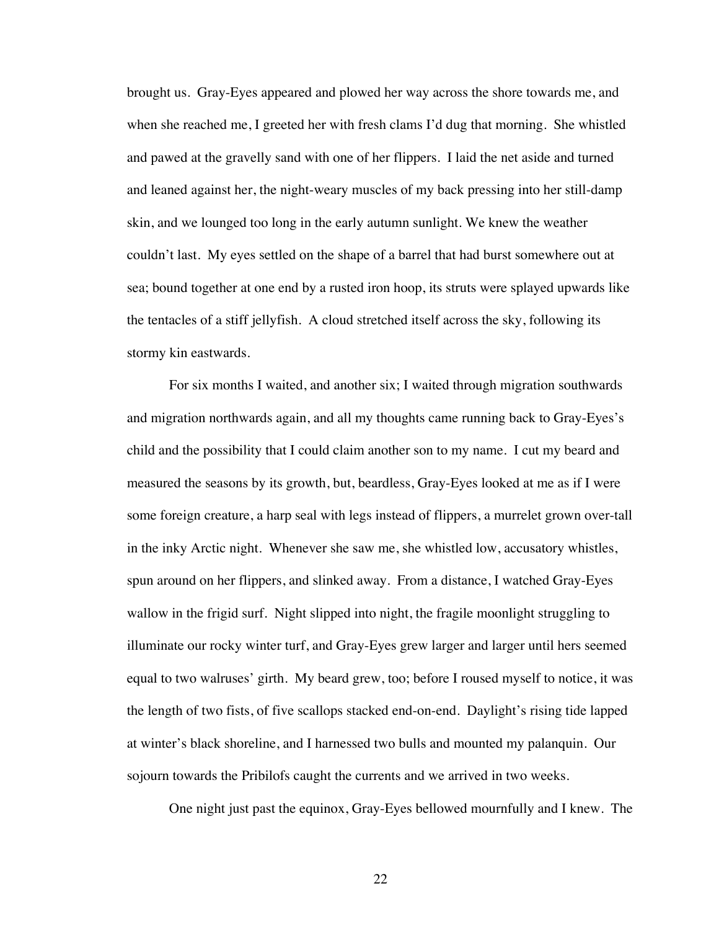brought us. Gray-Eyes appeared and plowed her way across the shore towards me, and when she reached me, I greeted her with fresh clams I'd dug that morning. She whistled and pawed at the gravelly sand with one of her flippers. I laid the net aside and turned and leaned against her, the night-weary muscles of my back pressing into her still-damp skin, and we lounged too long in the early autumn sunlight. We knew the weather couldn't last. My eyes settled on the shape of a barrel that had burst somewhere out at sea; bound together at one end by a rusted iron hoop, its struts were splayed upwards like the tentacles of a stiff jellyfish. A cloud stretched itself across the sky, following its stormy kin eastwards.

For six months I waited, and another six; I waited through migration southwards and migration northwards again, and all my thoughts came running back to Gray-Eyes's child and the possibility that I could claim another son to my name. I cut my beard and measured the seasons by its growth, but, beardless, Gray-Eyes looked at me as if I were some foreign creature, a harp seal with legs instead of flippers, a murrelet grown over-tall in the inky Arctic night. Whenever she saw me, she whistled low, accusatory whistles, spun around on her flippers, and slinked away. From a distance, I watched Gray-Eyes wallow in the frigid surf. Night slipped into night, the fragile moonlight struggling to illuminate our rocky winter turf, and Gray-Eyes grew larger and larger until hers seemed equal to two walruses' girth. My beard grew, too; before I roused myself to notice, it was the length of two fists, of five scallops stacked end-on-end. Daylight's rising tide lapped at winter's black shoreline, and I harnessed two bulls and mounted my palanquin. Our sojourn towards the Pribilofs caught the currents and we arrived in two weeks.

One night just past the equinox, Gray-Eyes bellowed mournfully and I knew. The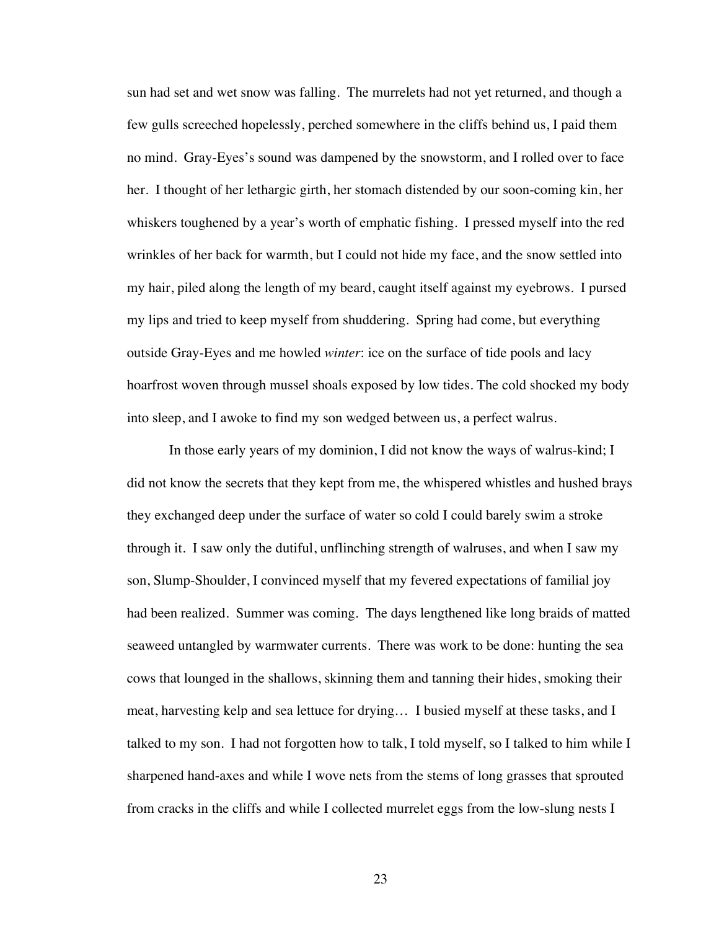sun had set and wet snow was falling. The murrelets had not yet returned, and though a few gulls screeched hopelessly, perched somewhere in the cliffs behind us, I paid them no mind. Gray-Eyes's sound was dampened by the snowstorm, and I rolled over to face her. I thought of her lethargic girth, her stomach distended by our soon-coming kin, her whiskers toughened by a year's worth of emphatic fishing. I pressed myself into the red wrinkles of her back for warmth, but I could not hide my face, and the snow settled into my hair, piled along the length of my beard, caught itself against my eyebrows. I pursed my lips and tried to keep myself from shuddering. Spring had come, but everything outside Gray-Eyes and me howled *winter*: ice on the surface of tide pools and lacy hoarfrost woven through mussel shoals exposed by low tides. The cold shocked my body into sleep, and I awoke to find my son wedged between us, a perfect walrus.

In those early years of my dominion, I did not know the ways of walrus-kind; I did not know the secrets that they kept from me, the whispered whistles and hushed brays they exchanged deep under the surface of water so cold I could barely swim a stroke through it. I saw only the dutiful, unflinching strength of walruses, and when I saw my son, Slump-Shoulder, I convinced myself that my fevered expectations of familial joy had been realized. Summer was coming. The days lengthened like long braids of matted seaweed untangled by warmwater currents. There was work to be done: hunting the sea cows that lounged in the shallows, skinning them and tanning their hides, smoking their meat, harvesting kelp and sea lettuce for drying… I busied myself at these tasks, and I talked to my son. I had not forgotten how to talk, I told myself, so I talked to him while I sharpened hand-axes and while I wove nets from the stems of long grasses that sprouted from cracks in the cliffs and while I collected murrelet eggs from the low-slung nests I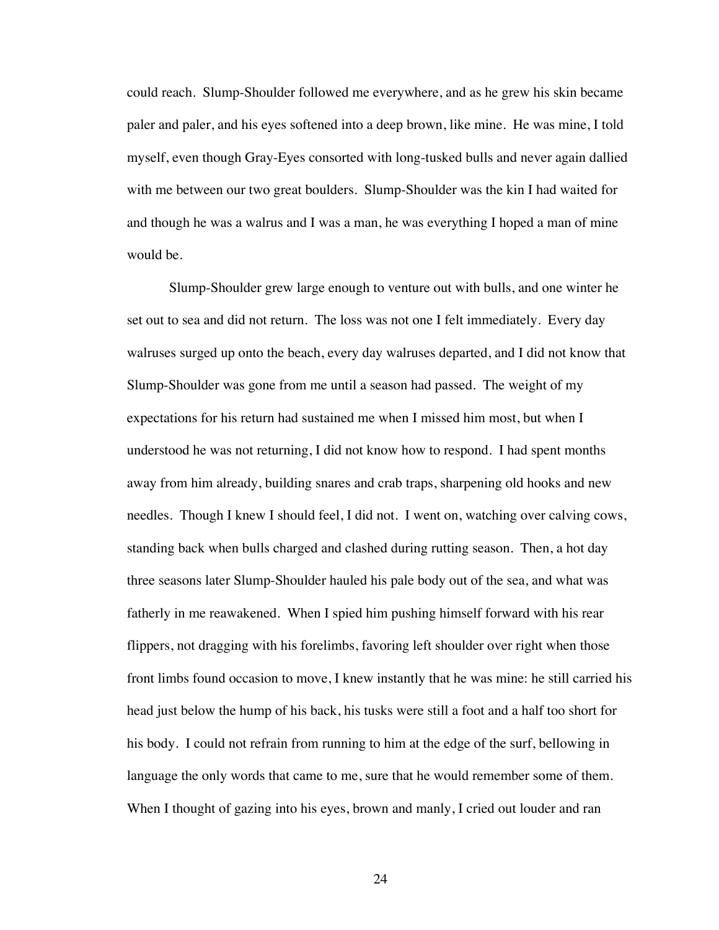could reach. Slump-Shoulder followed me everywhere, and as he grew his skin became paler and paler, and his eyes softened into a deep brown, like mine. He was mine, I told myself, even though Gray-Eyes consorted with long-tusked bulls and never again dallied with me between our two great boulders. Slump-Shoulder was the kin I had waited for and though he was a walrus and I was a man, he was everything I hoped a man of mine would be.

Slump-Shoulder grew large enough to venture out with bulls, and one winter he set out to sea and did not return. The loss was not one I felt immediately. Every day walruses surged up onto the beach, every day walruses departed, and I did not know that Slump-Shoulder was gone from me until a season had passed. The weight of my expectations for his return had sustained me when I missed him most, but when I understood he was not returning, I did not know how to respond. I had spent months away from him already, building snares and crab traps, sharpening old hooks and new needles. Though I knew I should feel, I did not. I went on, watching over calving cows, standing back when bulls charged and clashed during rutting season. Then, a hot day three seasons later Slump-Shoulder hauled his pale body out of the sea, and what was fatherly in me reawakened. When I spied him pushing himself forward with his rear flippers, not dragging with his forelimbs, favoring left shoulder over right when those front limbs found occasion to move, I knew instantly that he was mine: he still carried his head just below the hump of his back, his tusks were still a foot and a half too short for his body. I could not refrain from running to him at the edge of the surf, bellowing in language the only words that came to me, sure that he would remember some of them. When I thought of gazing into his eyes, brown and manly, I cried out louder and ran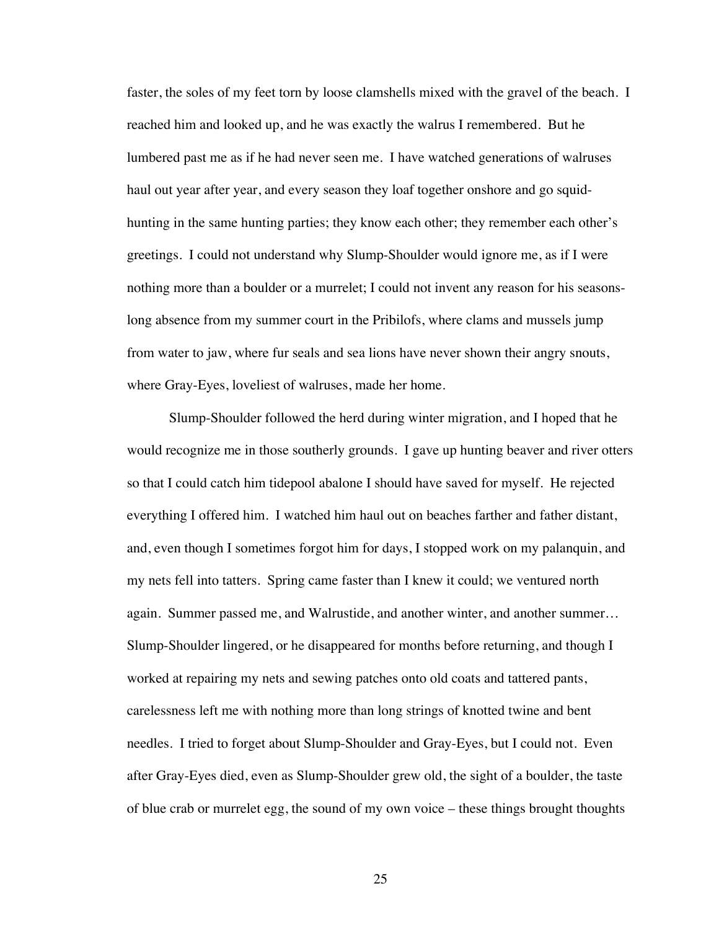faster, the soles of my feet torn by loose clamshells mixed with the gravel of the beach. I reached him and looked up, and he was exactly the walrus I remembered. But he lumbered past me as if he had never seen me. I have watched generations of walruses haul out year after year, and every season they loaf together onshore and go squidhunting in the same hunting parties; they know each other; they remember each other's greetings. I could not understand why Slump-Shoulder would ignore me, as if I were nothing more than a boulder or a murrelet; I could not invent any reason for his seasonslong absence from my summer court in the Pribilofs, where clams and mussels jump from water to jaw, where fur seals and sea lions have never shown their angry snouts, where Gray-Eyes, loveliest of walruses, made her home.

Slump-Shoulder followed the herd during winter migration, and I hoped that he would recognize me in those southerly grounds. I gave up hunting beaver and river otters so that I could catch him tidepool abalone I should have saved for myself. He rejected everything I offered him. I watched him haul out on beaches farther and father distant, and, even though I sometimes forgot him for days, I stopped work on my palanquin, and my nets fell into tatters. Spring came faster than I knew it could; we ventured north again. Summer passed me, and Walrustide, and another winter, and another summer… Slump-Shoulder lingered, or he disappeared for months before returning, and though I worked at repairing my nets and sewing patches onto old coats and tattered pants, carelessness left me with nothing more than long strings of knotted twine and bent needles. I tried to forget about Slump-Shoulder and Gray-Eyes, but I could not. Even after Gray-Eyes died, even as Slump-Shoulder grew old, the sight of a boulder, the taste of blue crab or murrelet egg, the sound of my own voice – these things brought thoughts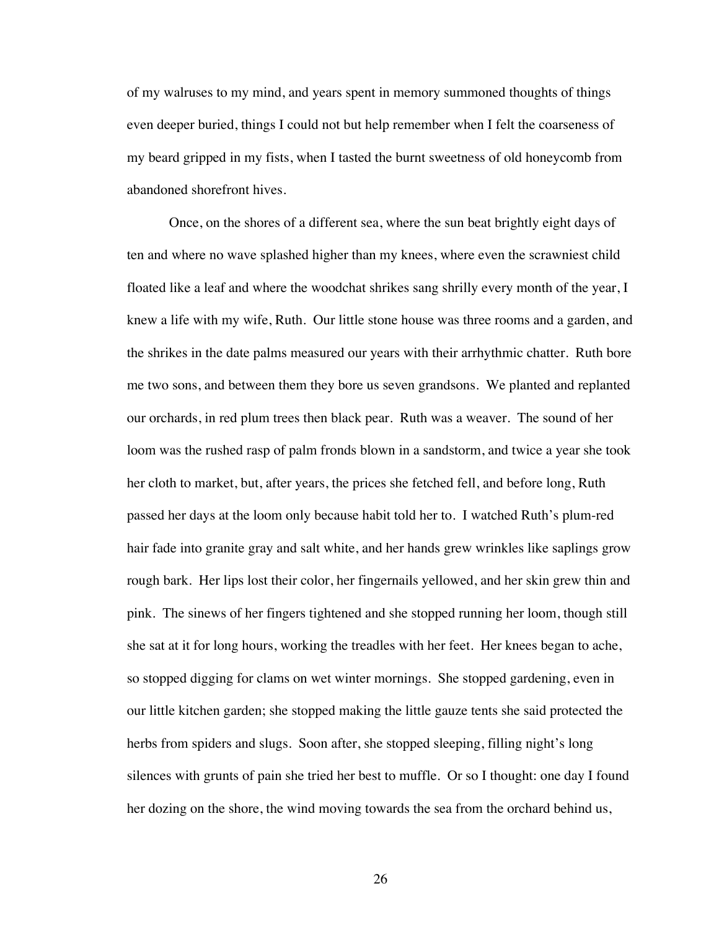of my walruses to my mind, and years spent in memory summoned thoughts of things even deeper buried, things I could not but help remember when I felt the coarseness of my beard gripped in my fists, when I tasted the burnt sweetness of old honeycomb from abandoned shorefront hives.

Once, on the shores of a different sea, where the sun beat brightly eight days of ten and where no wave splashed higher than my knees, where even the scrawniest child floated like a leaf and where the woodchat shrikes sang shrilly every month of the year, I knew a life with my wife, Ruth. Our little stone house was three rooms and a garden, and the shrikes in the date palms measured our years with their arrhythmic chatter. Ruth bore me two sons, and between them they bore us seven grandsons. We planted and replanted our orchards, in red plum trees then black pear. Ruth was a weaver. The sound of her loom was the rushed rasp of palm fronds blown in a sandstorm, and twice a year she took her cloth to market, but, after years, the prices she fetched fell, and before long, Ruth passed her days at the loom only because habit told her to. I watched Ruth's plum-red hair fade into granite gray and salt white, and her hands grew wrinkles like saplings grow rough bark. Her lips lost their color, her fingernails yellowed, and her skin grew thin and pink. The sinews of her fingers tightened and she stopped running her loom, though still she sat at it for long hours, working the treadles with her feet. Her knees began to ache, so stopped digging for clams on wet winter mornings. She stopped gardening, even in our little kitchen garden; she stopped making the little gauze tents she said protected the herbs from spiders and slugs. Soon after, she stopped sleeping, filling night's long silences with grunts of pain she tried her best to muffle. Or so I thought: one day I found her dozing on the shore, the wind moving towards the sea from the orchard behind us,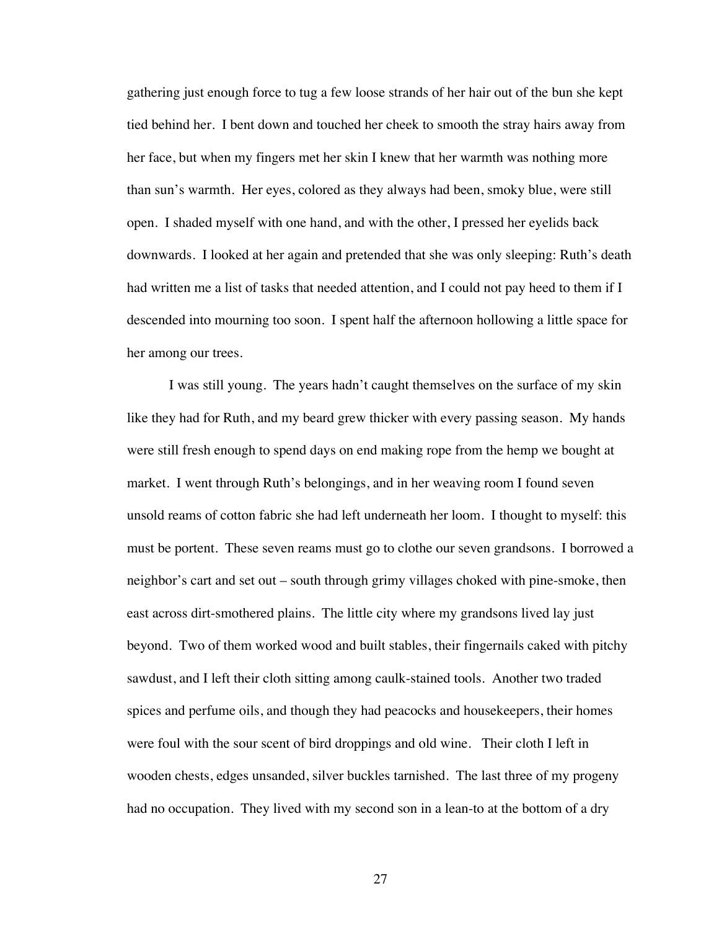gathering just enough force to tug a few loose strands of her hair out of the bun she kept tied behind her. I bent down and touched her cheek to smooth the stray hairs away from her face, but when my fingers met her skin I knew that her warmth was nothing more than sun's warmth. Her eyes, colored as they always had been, smoky blue, were still open. I shaded myself with one hand, and with the other, I pressed her eyelids back downwards. I looked at her again and pretended that she was only sleeping: Ruth's death had written me a list of tasks that needed attention, and I could not pay heed to them if I descended into mourning too soon. I spent half the afternoon hollowing a little space for her among our trees.

I was still young. The years hadn't caught themselves on the surface of my skin like they had for Ruth, and my beard grew thicker with every passing season. My hands were still fresh enough to spend days on end making rope from the hemp we bought at market. I went through Ruth's belongings, and in her weaving room I found seven unsold reams of cotton fabric she had left underneath her loom. I thought to myself: this must be portent. These seven reams must go to clothe our seven grandsons. I borrowed a neighbor's cart and set out – south through grimy villages choked with pine-smoke, then east across dirt-smothered plains. The little city where my grandsons lived lay just beyond. Two of them worked wood and built stables, their fingernails caked with pitchy sawdust, and I left their cloth sitting among caulk-stained tools. Another two traded spices and perfume oils, and though they had peacocks and housekeepers, their homes were foul with the sour scent of bird droppings and old wine. Their cloth I left in wooden chests, edges unsanded, silver buckles tarnished. The last three of my progeny had no occupation. They lived with my second son in a lean-to at the bottom of a dry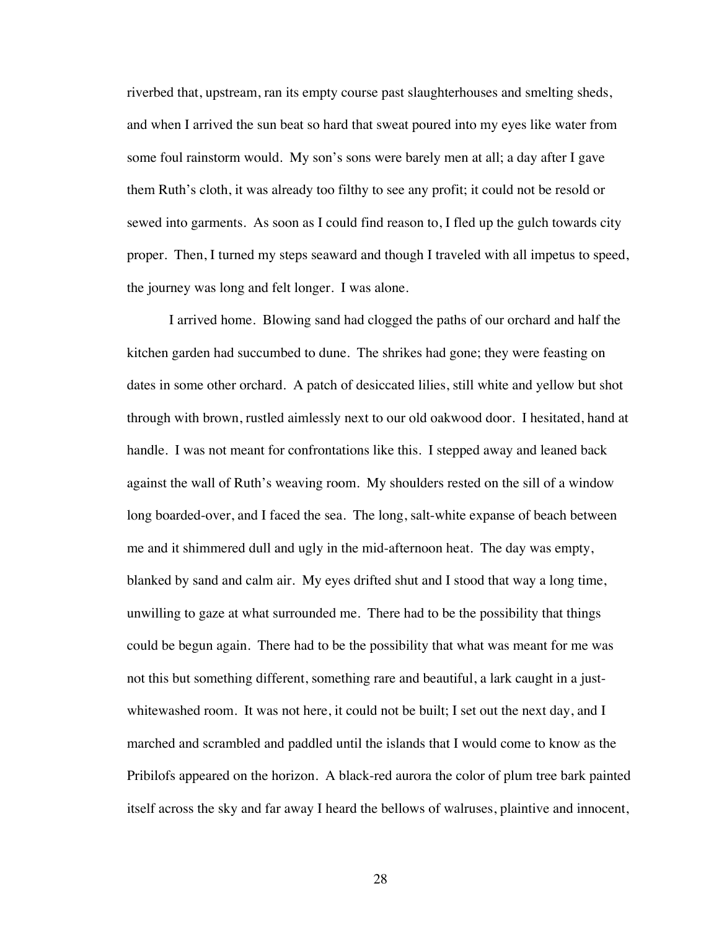riverbed that, upstream, ran its empty course past slaughterhouses and smelting sheds, and when I arrived the sun beat so hard that sweat poured into my eyes like water from some foul rainstorm would. My son's sons were barely men at all; a day after I gave them Ruth's cloth, it was already too filthy to see any profit; it could not be resold or sewed into garments. As soon as I could find reason to, I fled up the gulch towards city proper. Then, I turned my steps seaward and though I traveled with all impetus to speed, the journey was long and felt longer. I was alone.

I arrived home. Blowing sand had clogged the paths of our orchard and half the kitchen garden had succumbed to dune. The shrikes had gone; they were feasting on dates in some other orchard. A patch of desiccated lilies, still white and yellow but shot through with brown, rustled aimlessly next to our old oakwood door. I hesitated, hand at handle. I was not meant for confrontations like this. I stepped away and leaned back against the wall of Ruth's weaving room. My shoulders rested on the sill of a window long boarded-over, and I faced the sea. The long, salt-white expanse of beach between me and it shimmered dull and ugly in the mid-afternoon heat. The day was empty, blanked by sand and calm air. My eyes drifted shut and I stood that way a long time, unwilling to gaze at what surrounded me. There had to be the possibility that things could be begun again. There had to be the possibility that what was meant for me was not this but something different, something rare and beautiful, a lark caught in a justwhitewashed room. It was not here, it could not be built; I set out the next day, and I marched and scrambled and paddled until the islands that I would come to know as the Pribilofs appeared on the horizon. A black-red aurora the color of plum tree bark painted itself across the sky and far away I heard the bellows of walruses, plaintive and innocent,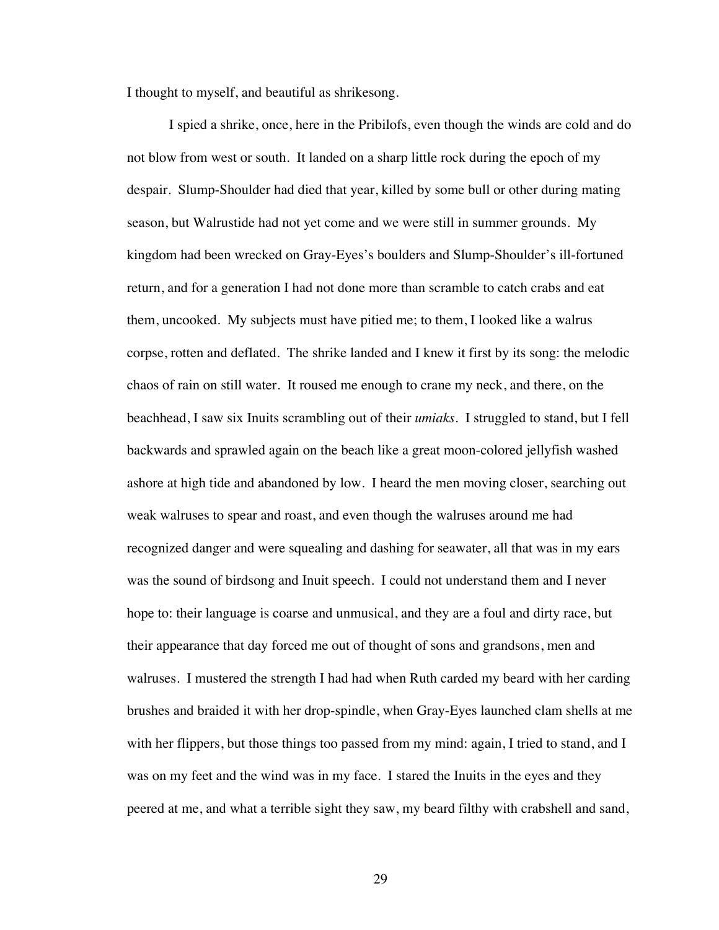I thought to myself, and beautiful as shrikesong.

I spied a shrike, once, here in the Pribilofs, even though the winds are cold and do not blow from west or south. It landed on a sharp little rock during the epoch of my despair. Slump-Shoulder had died that year, killed by some bull or other during mating season, but Walrustide had not yet come and we were still in summer grounds. My kingdom had been wrecked on Gray-Eyes's boulders and Slump-Shoulder's ill-fortuned return, and for a generation I had not done more than scramble to catch crabs and eat them, uncooked. My subjects must have pitied me; to them, I looked like a walrus corpse, rotten and deflated. The shrike landed and I knew it first by its song: the melodic chaos of rain on still water. It roused me enough to crane my neck, and there, on the beachhead, I saw six Inuits scrambling out of their *umiaks*. I struggled to stand, but I fell backwards and sprawled again on the beach like a great moon-colored jellyfish washed ashore at high tide and abandoned by low. I heard the men moving closer, searching out weak walruses to spear and roast, and even though the walruses around me had recognized danger and were squealing and dashing for seawater, all that was in my ears was the sound of birdsong and Inuit speech. I could not understand them and I never hope to: their language is coarse and unmusical, and they are a foul and dirty race, but their appearance that day forced me out of thought of sons and grandsons, men and walruses. I mustered the strength I had had when Ruth carded my beard with her carding brushes and braided it with her drop-spindle, when Gray-Eyes launched clam shells at me with her flippers, but those things too passed from my mind: again, I tried to stand, and I was on my feet and the wind was in my face. I stared the Inuits in the eyes and they peered at me, and what a terrible sight they saw, my beard filthy with crabshell and sand,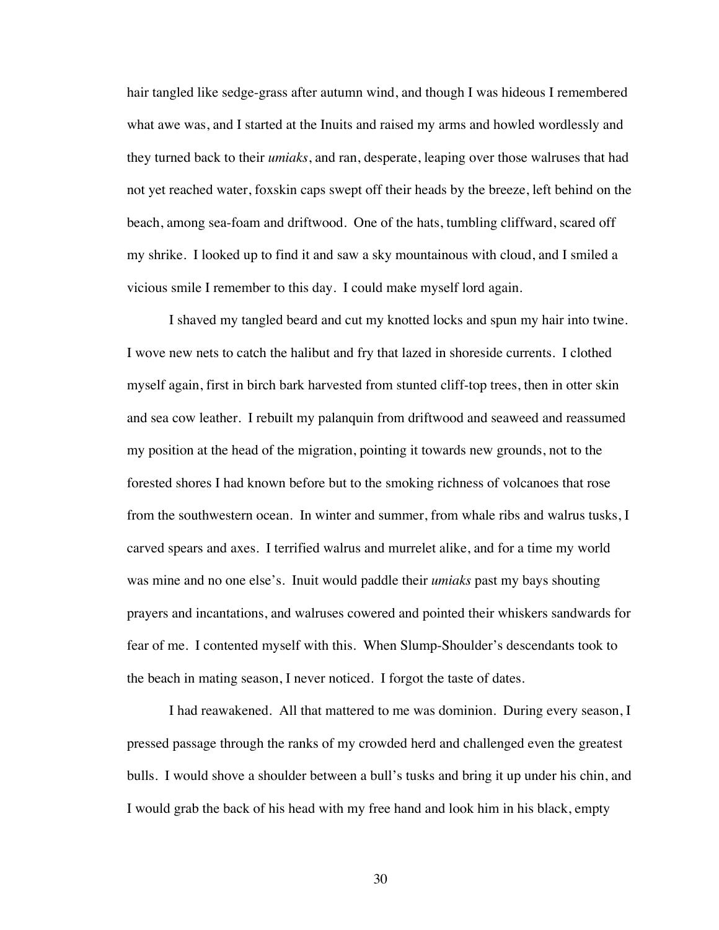hair tangled like sedge-grass after autumn wind, and though I was hideous I remembered what awe was, and I started at the Inuits and raised my arms and howled wordlessly and they turned back to their *umiaks*, and ran, desperate, leaping over those walruses that had not yet reached water, foxskin caps swept off their heads by the breeze, left behind on the beach, among sea-foam and driftwood. One of the hats, tumbling cliffward, scared off my shrike. I looked up to find it and saw a sky mountainous with cloud, and I smiled a vicious smile I remember to this day. I could make myself lord again.

I shaved my tangled beard and cut my knotted locks and spun my hair into twine. I wove new nets to catch the halibut and fry that lazed in shoreside currents. I clothed myself again, first in birch bark harvested from stunted cliff-top trees, then in otter skin and sea cow leather. I rebuilt my palanquin from driftwood and seaweed and reassumed my position at the head of the migration, pointing it towards new grounds, not to the forested shores I had known before but to the smoking richness of volcanoes that rose from the southwestern ocean. In winter and summer, from whale ribs and walrus tusks, I carved spears and axes. I terrified walrus and murrelet alike, and for a time my world was mine and no one else's. Inuit would paddle their *umiaks* past my bays shouting prayers and incantations, and walruses cowered and pointed their whiskers sandwards for fear of me. I contented myself with this. When Slump-Shoulder's descendants took to the beach in mating season, I never noticed. I forgot the taste of dates.

I had reawakened. All that mattered to me was dominion. During every season, I pressed passage through the ranks of my crowded herd and challenged even the greatest bulls. I would shove a shoulder between a bull's tusks and bring it up under his chin, and I would grab the back of his head with my free hand and look him in his black, empty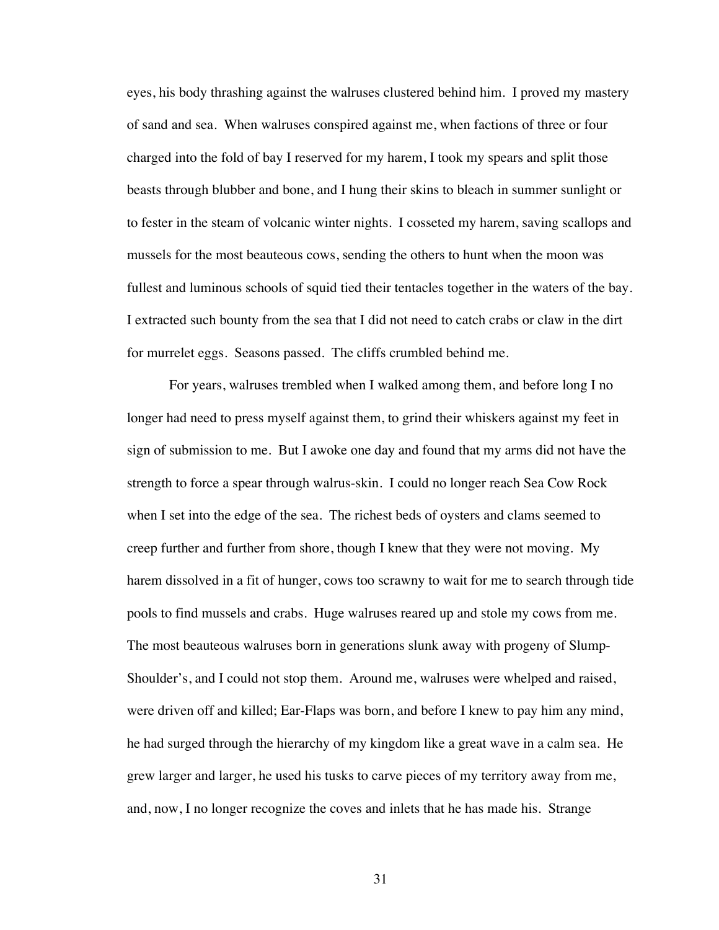eyes, his body thrashing against the walruses clustered behind him. I proved my mastery of sand and sea. When walruses conspired against me, when factions of three or four charged into the fold of bay I reserved for my harem, I took my spears and split those beasts through blubber and bone, and I hung their skins to bleach in summer sunlight or to fester in the steam of volcanic winter nights. I cosseted my harem, saving scallops and mussels for the most beauteous cows, sending the others to hunt when the moon was fullest and luminous schools of squid tied their tentacles together in the waters of the bay. I extracted such bounty from the sea that I did not need to catch crabs or claw in the dirt for murrelet eggs. Seasons passed. The cliffs crumbled behind me.

For years, walruses trembled when I walked among them, and before long I no longer had need to press myself against them, to grind their whiskers against my feet in sign of submission to me. But I awoke one day and found that my arms did not have the strength to force a spear through walrus-skin. I could no longer reach Sea Cow Rock when I set into the edge of the sea. The richest beds of oysters and clams seemed to creep further and further from shore, though I knew that they were not moving. My harem dissolved in a fit of hunger, cows too scrawny to wait for me to search through tide pools to find mussels and crabs. Huge walruses reared up and stole my cows from me. The most beauteous walruses born in generations slunk away with progeny of Slump-Shoulder's, and I could not stop them. Around me, walruses were whelped and raised, were driven off and killed; Ear-Flaps was born, and before I knew to pay him any mind, he had surged through the hierarchy of my kingdom like a great wave in a calm sea. He grew larger and larger, he used his tusks to carve pieces of my territory away from me, and, now, I no longer recognize the coves and inlets that he has made his. Strange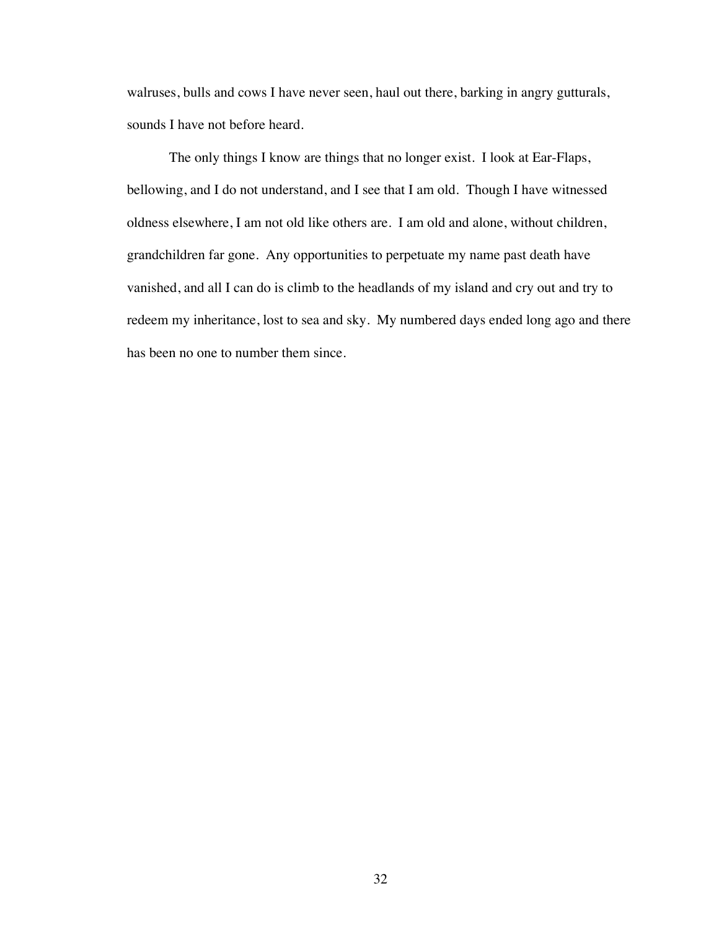walruses, bulls and cows I have never seen, haul out there, barking in angry gutturals, sounds I have not before heard.

The only things I know are things that no longer exist. I look at Ear-Flaps, bellowing, and I do not understand, and I see that I am old. Though I have witnessed oldness elsewhere, I am not old like others are. I am old and alone, without children, grandchildren far gone. Any opportunities to perpetuate my name past death have vanished, and all I can do is climb to the headlands of my island and cry out and try to redeem my inheritance, lost to sea and sky. My numbered days ended long ago and there has been no one to number them since.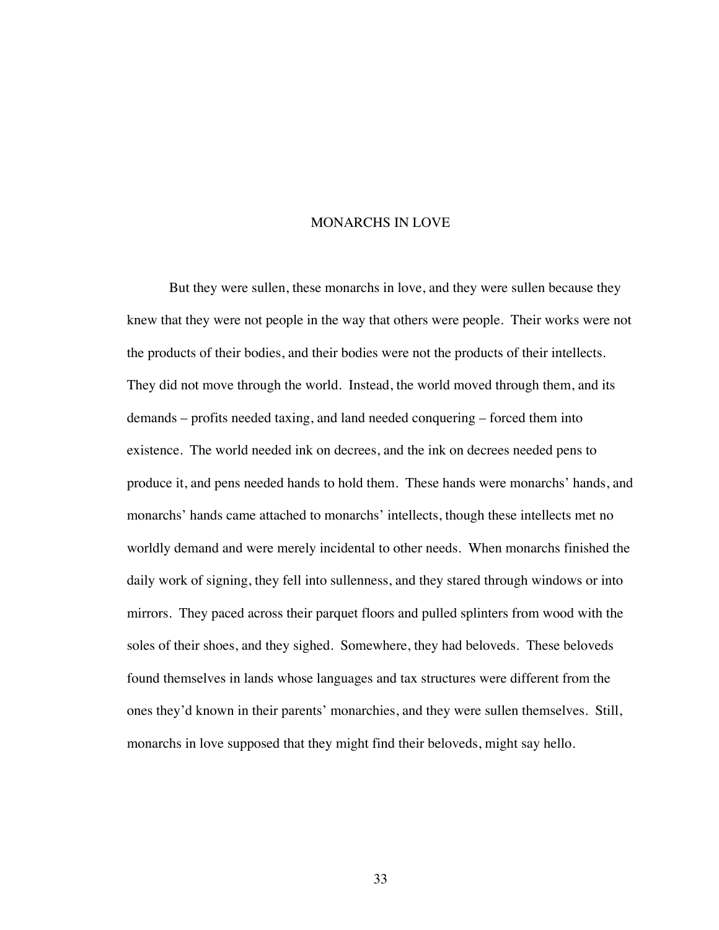## MONARCHS IN LOVE

But they were sullen, these monarchs in love, and they were sullen because they knew that they were not people in the way that others were people. Their works were not the products of their bodies, and their bodies were not the products of their intellects. They did not move through the world. Instead, the world moved through them, and its demands – profits needed taxing, and land needed conquering – forced them into existence. The world needed ink on decrees, and the ink on decrees needed pens to produce it, and pens needed hands to hold them. These hands were monarchs' hands, and monarchs' hands came attached to monarchs' intellects, though these intellects met no worldly demand and were merely incidental to other needs. When monarchs finished the daily work of signing, they fell into sullenness, and they stared through windows or into mirrors. They paced across their parquet floors and pulled splinters from wood with the soles of their shoes, and they sighed. Somewhere, they had beloveds. These beloveds found themselves in lands whose languages and tax structures were different from the ones they'd known in their parents' monarchies, and they were sullen themselves. Still, monarchs in love supposed that they might find their beloveds, might say hello.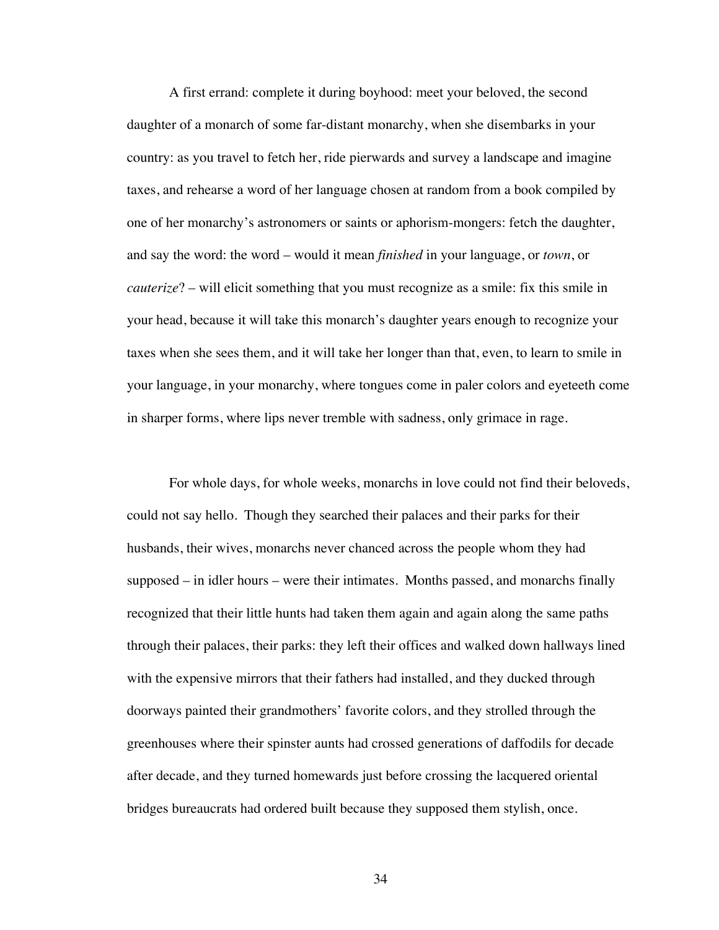A first errand: complete it during boyhood: meet your beloved, the second daughter of a monarch of some far-distant monarchy, when she disembarks in your country: as you travel to fetch her, ride pierwards and survey a landscape and imagine taxes, and rehearse a word of her language chosen at random from a book compiled by one of her monarchy's astronomers or saints or aphorism-mongers: fetch the daughter, and say the word: the word – would it mean *finished* in your language, or *town*, or *cauterize*? – will elicit something that you must recognize as a smile: fix this smile in your head, because it will take this monarch's daughter years enough to recognize your taxes when she sees them, and it will take her longer than that, even, to learn to smile in your language, in your monarchy, where tongues come in paler colors and eyeteeth come in sharper forms, where lips never tremble with sadness, only grimace in rage.

For whole days, for whole weeks, monarchs in love could not find their beloveds, could not say hello. Though they searched their palaces and their parks for their husbands, their wives, monarchs never chanced across the people whom they had supposed – in idler hours – were their intimates. Months passed, and monarchs finally recognized that their little hunts had taken them again and again along the same paths through their palaces, their parks: they left their offices and walked down hallways lined with the expensive mirrors that their fathers had installed, and they ducked through doorways painted their grandmothers' favorite colors, and they strolled through the greenhouses where their spinster aunts had crossed generations of daffodils for decade after decade, and they turned homewards just before crossing the lacquered oriental bridges bureaucrats had ordered built because they supposed them stylish, once.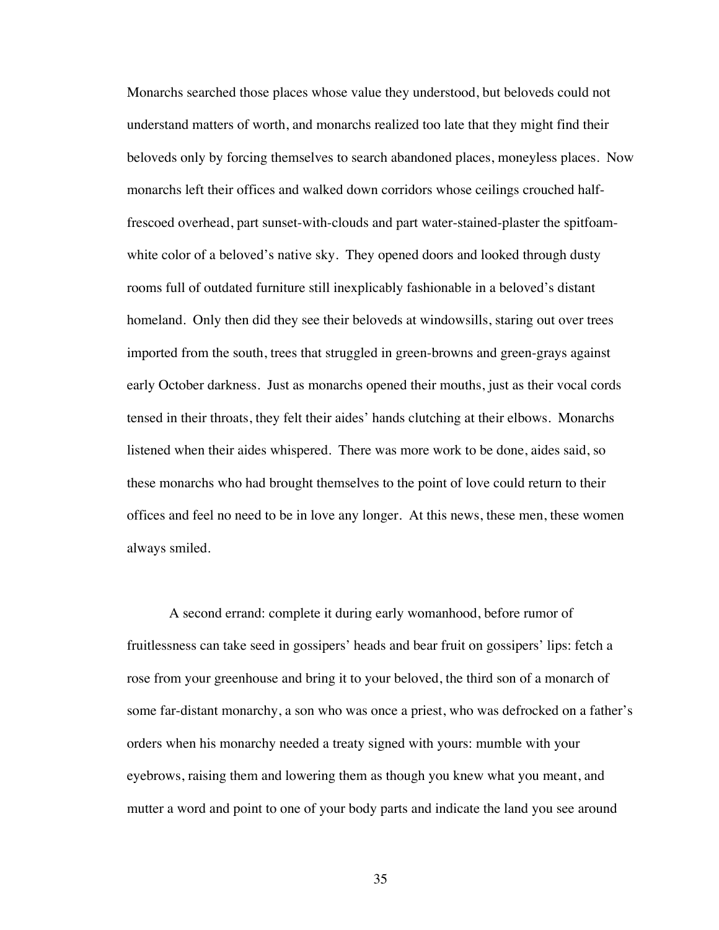Monarchs searched those places whose value they understood, but beloveds could not understand matters of worth, and monarchs realized too late that they might find their beloveds only by forcing themselves to search abandoned places, moneyless places. Now monarchs left their offices and walked down corridors whose ceilings crouched halffrescoed overhead, part sunset-with-clouds and part water-stained-plaster the spitfoamwhite color of a beloved's native sky. They opened doors and looked through dusty rooms full of outdated furniture still inexplicably fashionable in a beloved's distant homeland. Only then did they see their beloveds at windowsills, staring out over trees imported from the south, trees that struggled in green-browns and green-grays against early October darkness. Just as monarchs opened their mouths, just as their vocal cords tensed in their throats, they felt their aides' hands clutching at their elbows. Monarchs listened when their aides whispered. There was more work to be done, aides said, so these monarchs who had brought themselves to the point of love could return to their offices and feel no need to be in love any longer. At this news, these men, these women always smiled.

A second errand: complete it during early womanhood, before rumor of fruitlessness can take seed in gossipers' heads and bear fruit on gossipers' lips: fetch a rose from your greenhouse and bring it to your beloved, the third son of a monarch of some far-distant monarchy, a son who was once a priest, who was defrocked on a father's orders when his monarchy needed a treaty signed with yours: mumble with your eyebrows, raising them and lowering them as though you knew what you meant, and mutter a word and point to one of your body parts and indicate the land you see around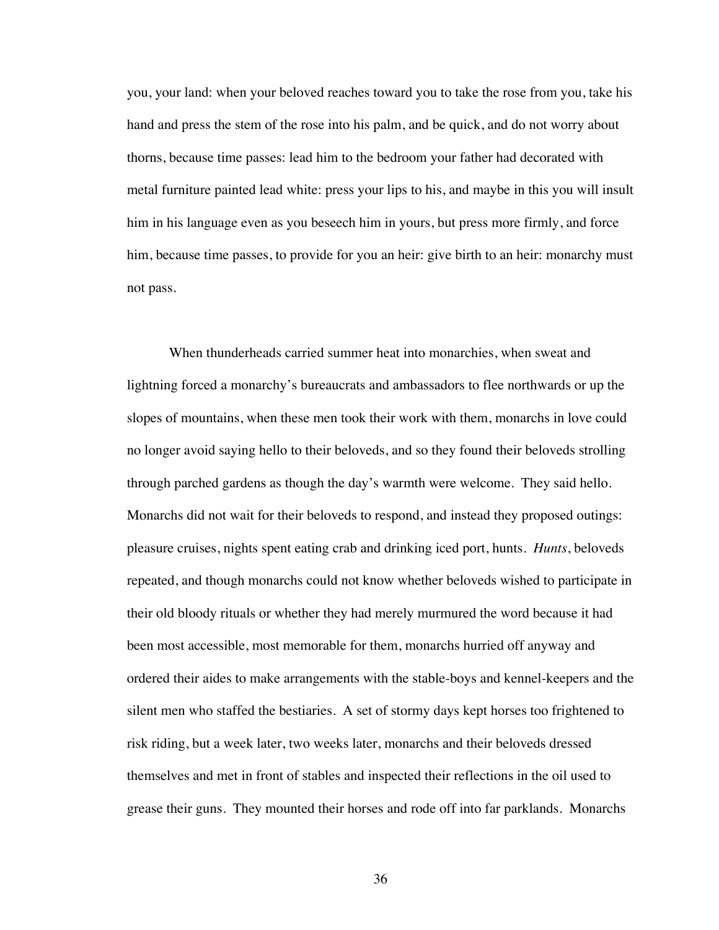you, your land: when your beloved reaches toward you to take the rose from you, take his hand and press the stem of the rose into his palm, and be quick, and do not worry about thorns, because time passes: lead him to the bedroom your father had decorated with metal furniture painted lead white: press your lips to his, and maybe in this you will insult him in his language even as you beseech him in yours, but press more firmly, and force him, because time passes, to provide for you an heir: give birth to an heir: monarchy must not pass.

When thunderheads carried summer heat into monarchies, when sweat and lightning forced a monarchy's bureaucrats and ambassadors to flee northwards or up the slopes of mountains, when these men took their work with them, monarchs in love could no longer avoid saying hello to their beloveds, and so they found their beloveds strolling through parched gardens as though the day's warmth were welcome. They said hello. Monarchs did not wait for their beloveds to respond, and instead they proposed outings: pleasure cruises, nights spent eating crab and drinking iced port, hunts. *Hunts*, beloveds repeated, and though monarchs could not know whether beloveds wished to participate in their old bloody rituals or whether they had merely murmured the word because it had been most accessible, most memorable for them, monarchs hurried off anyway and ordered their aides to make arrangements with the stable-boys and kennel-keepers and the silent men who staffed the bestiaries. A set of stormy days kept horses too frightened to risk riding, but a week later, two weeks later, monarchs and their beloveds dressed themselves and met in front of stables and inspected their reflections in the oil used to grease their guns. They mounted their horses and rode off into far parklands. Monarchs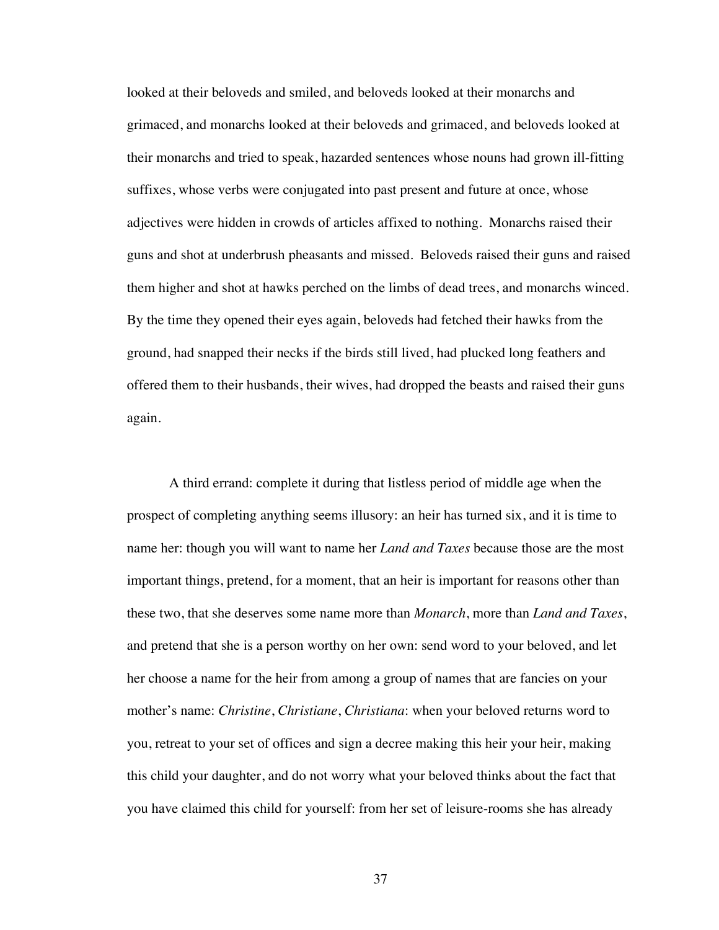looked at their beloveds and smiled, and beloveds looked at their monarchs and grimaced, and monarchs looked at their beloveds and grimaced, and beloveds looked at their monarchs and tried to speak, hazarded sentences whose nouns had grown ill-fitting suffixes, whose verbs were conjugated into past present and future at once, whose adjectives were hidden in crowds of articles affixed to nothing. Monarchs raised their guns and shot at underbrush pheasants and missed. Beloveds raised their guns and raised them higher and shot at hawks perched on the limbs of dead trees, and monarchs winced. By the time they opened their eyes again, beloveds had fetched their hawks from the ground, had snapped their necks if the birds still lived, had plucked long feathers and offered them to their husbands, their wives, had dropped the beasts and raised their guns again.

A third errand: complete it during that listless period of middle age when the prospect of completing anything seems illusory: an heir has turned six, and it is time to name her: though you will want to name her *Land and Taxes* because those are the most important things, pretend, for a moment, that an heir is important for reasons other than these two, that she deserves some name more than *Monarch*, more than *Land and Taxes*, and pretend that she is a person worthy on her own: send word to your beloved, and let her choose a name for the heir from among a group of names that are fancies on your mother's name: *Christine*, *Christiane*, *Christiana*: when your beloved returns word to you, retreat to your set of offices and sign a decree making this heir your heir, making this child your daughter, and do not worry what your beloved thinks about the fact that you have claimed this child for yourself: from her set of leisure-rooms she has already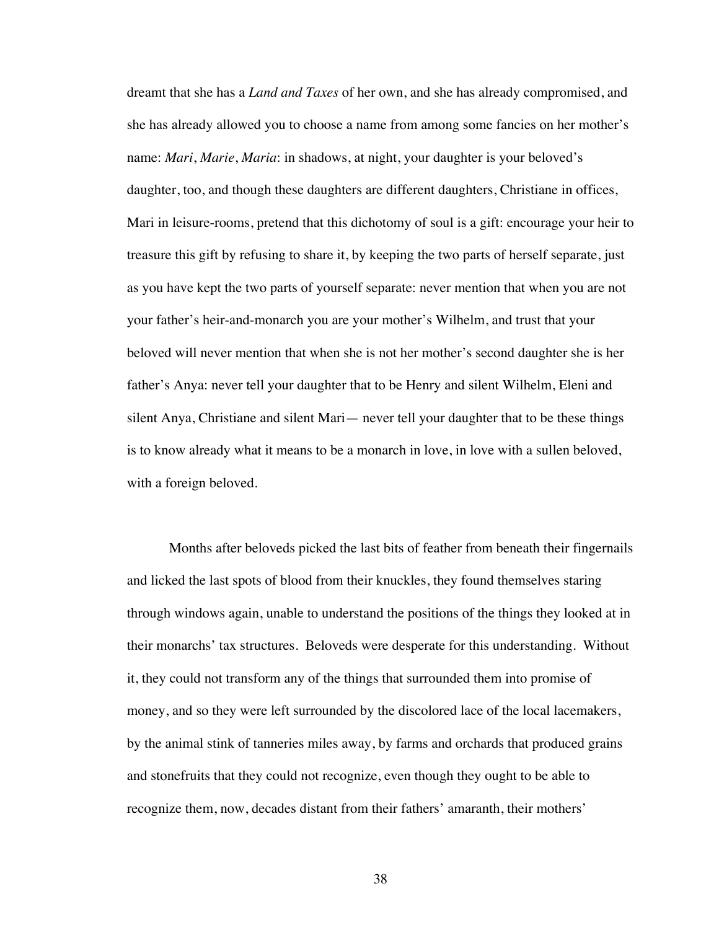dreamt that she has a *Land and Taxes* of her own, and she has already compromised, and she has already allowed you to choose a name from among some fancies on her mother's name: *Mari*, *Marie*, *Maria*: in shadows, at night, your daughter is your beloved's daughter, too, and though these daughters are different daughters, Christiane in offices, Mari in leisure-rooms, pretend that this dichotomy of soul is a gift: encourage your heir to treasure this gift by refusing to share it, by keeping the two parts of herself separate, just as you have kept the two parts of yourself separate: never mention that when you are not your father's heir-and-monarch you are your mother's Wilhelm, and trust that your beloved will never mention that when she is not her mother's second daughter she is her father's Anya: never tell your daughter that to be Henry and silent Wilhelm, Eleni and silent Anya, Christiane and silent Mari— never tell your daughter that to be these things is to know already what it means to be a monarch in love, in love with a sullen beloved, with a foreign beloved.

Months after beloveds picked the last bits of feather from beneath their fingernails and licked the last spots of blood from their knuckles, they found themselves staring through windows again, unable to understand the positions of the things they looked at in their monarchs' tax structures. Beloveds were desperate for this understanding. Without it, they could not transform any of the things that surrounded them into promise of money, and so they were left surrounded by the discolored lace of the local lacemakers, by the animal stink of tanneries miles away, by farms and orchards that produced grains and stonefruits that they could not recognize, even though they ought to be able to recognize them, now, decades distant from their fathers' amaranth, their mothers'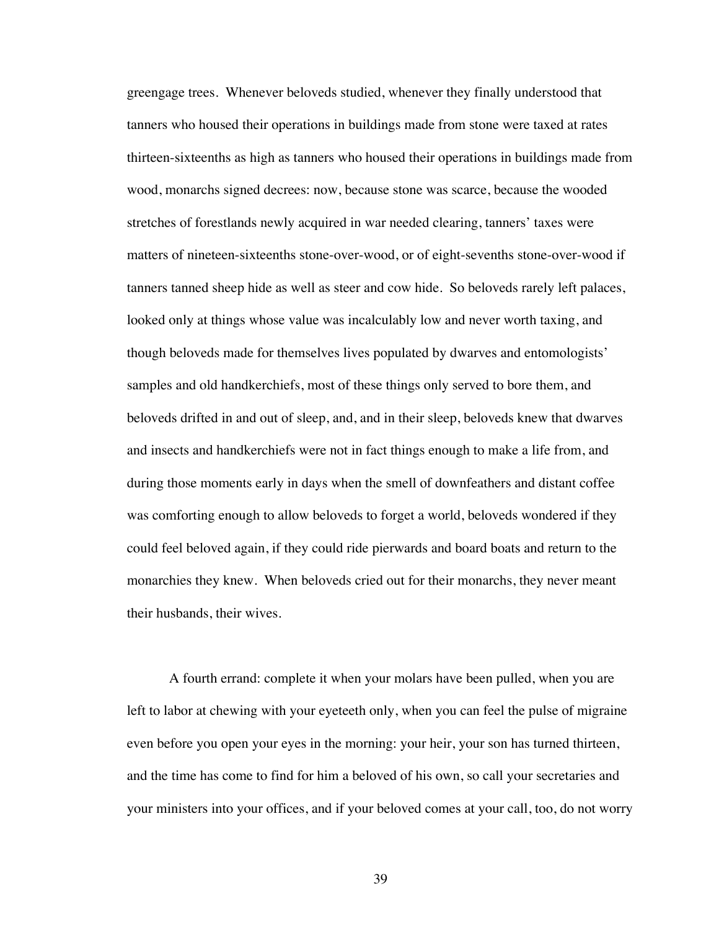greengage trees. Whenever beloveds studied, whenever they finally understood that tanners who housed their operations in buildings made from stone were taxed at rates thirteen-sixteenths as high as tanners who housed their operations in buildings made from wood, monarchs signed decrees: now, because stone was scarce, because the wooded stretches of forestlands newly acquired in war needed clearing, tanners' taxes were matters of nineteen-sixteenths stone-over-wood, or of eight-sevenths stone-over-wood if tanners tanned sheep hide as well as steer and cow hide. So beloveds rarely left palaces, looked only at things whose value was incalculably low and never worth taxing, and though beloveds made for themselves lives populated by dwarves and entomologists' samples and old handkerchiefs, most of these things only served to bore them, and beloveds drifted in and out of sleep, and, and in their sleep, beloveds knew that dwarves and insects and handkerchiefs were not in fact things enough to make a life from, and during those moments early in days when the smell of downfeathers and distant coffee was comforting enough to allow beloveds to forget a world, beloveds wondered if they could feel beloved again, if they could ride pierwards and board boats and return to the monarchies they knew. When beloveds cried out for their monarchs, they never meant their husbands, their wives.

A fourth errand: complete it when your molars have been pulled, when you are left to labor at chewing with your eyeteeth only, when you can feel the pulse of migraine even before you open your eyes in the morning: your heir, your son has turned thirteen, and the time has come to find for him a beloved of his own, so call your secretaries and your ministers into your offices, and if your beloved comes at your call, too, do not worry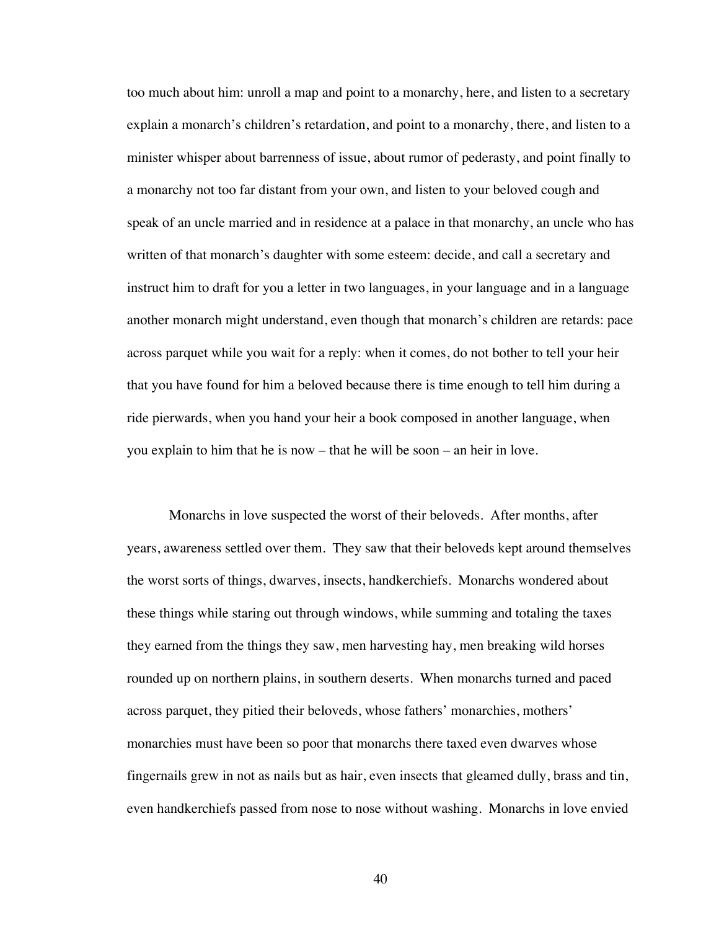too much about him: unroll a map and point to a monarchy, here, and listen to a secretary explain a monarch's children's retardation, and point to a monarchy, there, and listen to a minister whisper about barrenness of issue, about rumor of pederasty, and point finally to a monarchy not too far distant from your own, and listen to your beloved cough and speak of an uncle married and in residence at a palace in that monarchy, an uncle who has written of that monarch's daughter with some esteem: decide, and call a secretary and instruct him to draft for you a letter in two languages, in your language and in a language another monarch might understand, even though that monarch's children are retards: pace across parquet while you wait for a reply: when it comes, do not bother to tell your heir that you have found for him a beloved because there is time enough to tell him during a ride pierwards, when you hand your heir a book composed in another language, when you explain to him that he is now – that he will be soon – an heir in love.

Monarchs in love suspected the worst of their beloveds. After months, after years, awareness settled over them. They saw that their beloveds kept around themselves the worst sorts of things, dwarves, insects, handkerchiefs. Monarchs wondered about these things while staring out through windows, while summing and totaling the taxes they earned from the things they saw, men harvesting hay, men breaking wild horses rounded up on northern plains, in southern deserts. When monarchs turned and paced across parquet, they pitied their beloveds, whose fathers' monarchies, mothers' monarchies must have been so poor that monarchs there taxed even dwarves whose fingernails grew in not as nails but as hair, even insects that gleamed dully, brass and tin, even handkerchiefs passed from nose to nose without washing. Monarchs in love envied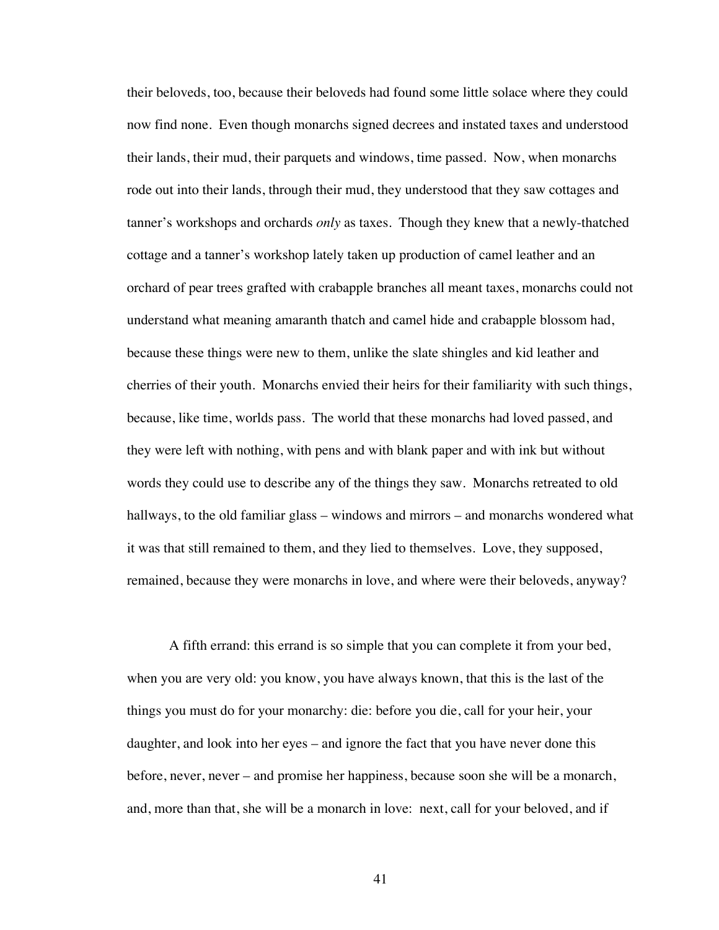their beloveds, too, because their beloveds had found some little solace where they could now find none. Even though monarchs signed decrees and instated taxes and understood their lands, their mud, their parquets and windows, time passed. Now, when monarchs rode out into their lands, through their mud, they understood that they saw cottages and tanner's workshops and orchards *only* as taxes. Though they knew that a newly-thatched cottage and a tanner's workshop lately taken up production of camel leather and an orchard of pear trees grafted with crabapple branches all meant taxes, monarchs could not understand what meaning amaranth thatch and camel hide and crabapple blossom had, because these things were new to them, unlike the slate shingles and kid leather and cherries of their youth. Monarchs envied their heirs for their familiarity with such things, because, like time, worlds pass. The world that these monarchs had loved passed, and they were left with nothing, with pens and with blank paper and with ink but without words they could use to describe any of the things they saw. Monarchs retreated to old hallways, to the old familiar glass – windows and mirrors – and monarchs wondered what it was that still remained to them, and they lied to themselves. Love, they supposed, remained, because they were monarchs in love, and where were their beloveds, anyway?

A fifth errand: this errand is so simple that you can complete it from your bed, when you are very old: you know, you have always known, that this is the last of the things you must do for your monarchy: die: before you die, call for your heir, your daughter, and look into her eyes – and ignore the fact that you have never done this before, never, never – and promise her happiness, because soon she will be a monarch, and, more than that, she will be a monarch in love: next, call for your beloved, and if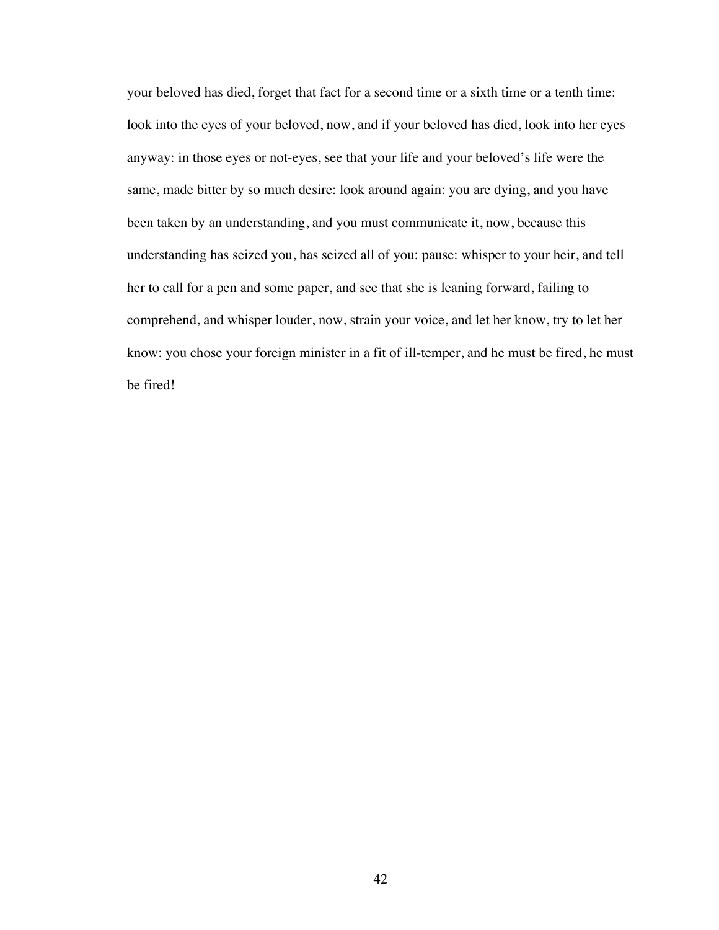your beloved has died, forget that fact for a second time or a sixth time or a tenth time: look into the eyes of your beloved, now, and if your beloved has died, look into her eyes anyway: in those eyes or not-eyes, see that your life and your beloved's life were the same, made bitter by so much desire: look around again: you are dying, and you have been taken by an understanding, and you must communicate it, now, because this understanding has seized you, has seized all of you: pause: whisper to your heir, and tell her to call for a pen and some paper, and see that she is leaning forward, failing to comprehend, and whisper louder, now, strain your voice, and let her know, try to let her know: you chose your foreign minister in a fit of ill-temper, and he must be fired, he must be fired!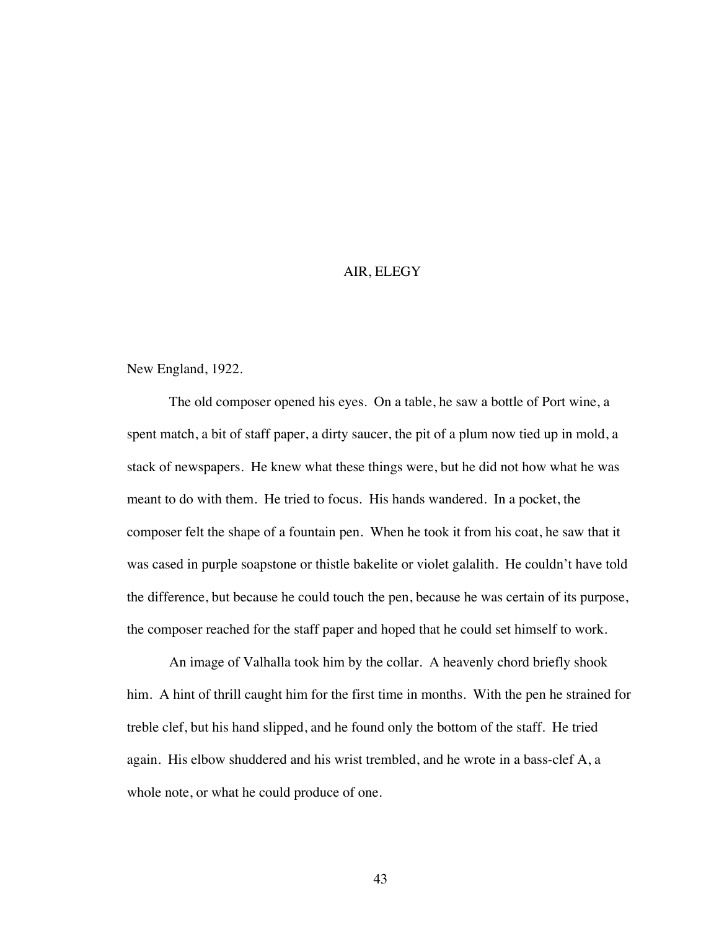# AIR, ELEGY

New England, 1922.

The old composer opened his eyes. On a table, he saw a bottle of Port wine, a spent match, a bit of staff paper, a dirty saucer, the pit of a plum now tied up in mold, a stack of newspapers. He knew what these things were, but he did not how what he was meant to do with them. He tried to focus. His hands wandered. In a pocket, the composer felt the shape of a fountain pen. When he took it from his coat, he saw that it was cased in purple soapstone or thistle bakelite or violet galalith. He couldn't have told the difference, but because he could touch the pen, because he was certain of its purpose, the composer reached for the staff paper and hoped that he could set himself to work.

An image of Valhalla took him by the collar. A heavenly chord briefly shook him. A hint of thrill caught him for the first time in months. With the pen he strained for treble clef, but his hand slipped, and he found only the bottom of the staff. He tried again. His elbow shuddered and his wrist trembled, and he wrote in a bass-clef A, a whole note, or what he could produce of one.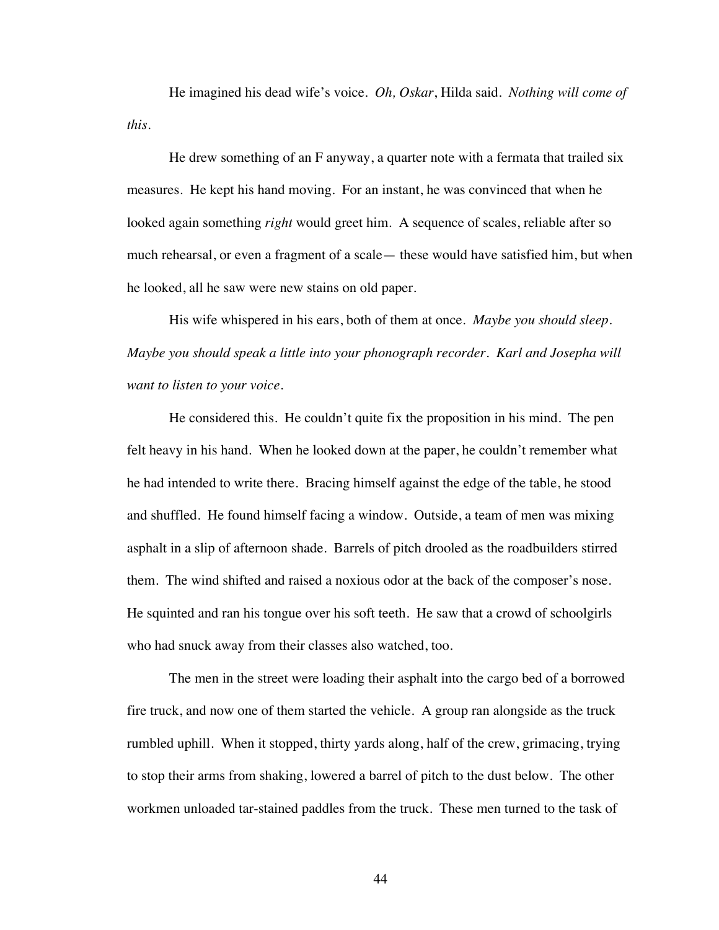He imagined his dead wife's voice. *Oh, Oskar*, Hilda said. *Nothing will come of this.*

He drew something of an F anyway, a quarter note with a fermata that trailed six measures. He kept his hand moving. For an instant, he was convinced that when he looked again something *right* would greet him. A sequence of scales, reliable after so much rehearsal, or even a fragment of a scale— these would have satisfied him, but when he looked, all he saw were new stains on old paper.

His wife whispered in his ears, both of them at once. *Maybe you should sleep. Maybe you should speak a little into your phonograph recorder. Karl and Josepha will want to listen to your voice*.

He considered this. He couldn't quite fix the proposition in his mind. The pen felt heavy in his hand. When he looked down at the paper, he couldn't remember what he had intended to write there. Bracing himself against the edge of the table, he stood and shuffled. He found himself facing a window. Outside, a team of men was mixing asphalt in a slip of afternoon shade. Barrels of pitch drooled as the roadbuilders stirred them. The wind shifted and raised a noxious odor at the back of the composer's nose. He squinted and ran his tongue over his soft teeth. He saw that a crowd of schoolgirls who had snuck away from their classes also watched, too.

The men in the street were loading their asphalt into the cargo bed of a borrowed fire truck, and now one of them started the vehicle. A group ran alongside as the truck rumbled uphill. When it stopped, thirty yards along, half of the crew, grimacing, trying to stop their arms from shaking, lowered a barrel of pitch to the dust below. The other workmen unloaded tar-stained paddles from the truck. These men turned to the task of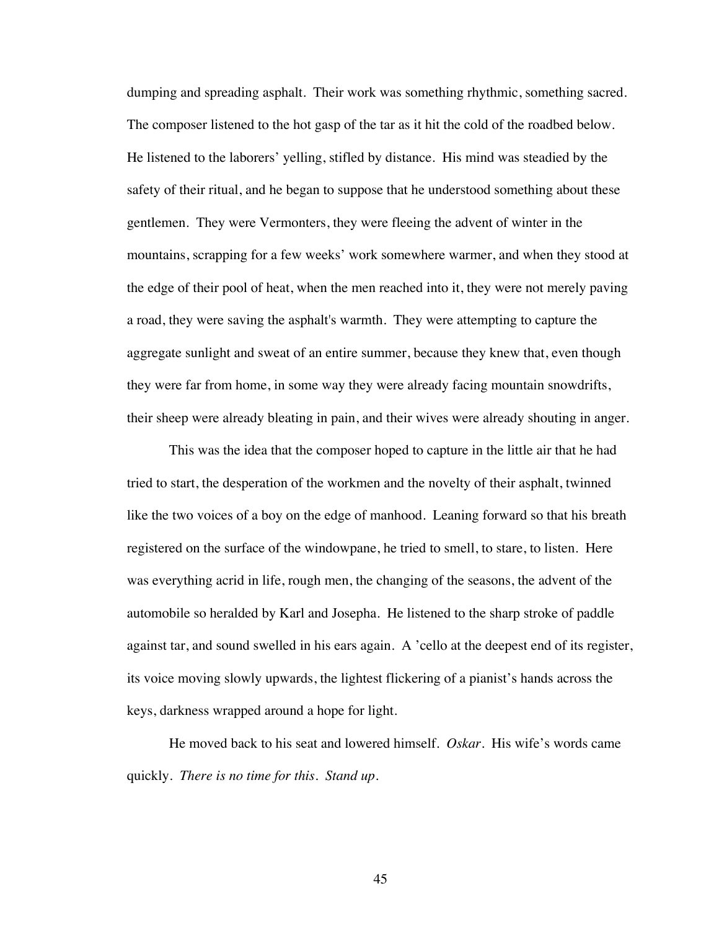dumping and spreading asphalt. Their work was something rhythmic, something sacred. The composer listened to the hot gasp of the tar as it hit the cold of the roadbed below. He listened to the laborers' yelling, stifled by distance. His mind was steadied by the safety of their ritual, and he began to suppose that he understood something about these gentlemen. They were Vermonters, they were fleeing the advent of winter in the mountains, scrapping for a few weeks' work somewhere warmer, and when they stood at the edge of their pool of heat, when the men reached into it, they were not merely paving a road, they were saving the asphalt's warmth. They were attempting to capture the aggregate sunlight and sweat of an entire summer, because they knew that, even though they were far from home, in some way they were already facing mountain snowdrifts, their sheep were already bleating in pain, and their wives were already shouting in anger.

This was the idea that the composer hoped to capture in the little air that he had tried to start, the desperation of the workmen and the novelty of their asphalt, twinned like the two voices of a boy on the edge of manhood. Leaning forward so that his breath registered on the surface of the windowpane, he tried to smell, to stare, to listen. Here was everything acrid in life, rough men, the changing of the seasons, the advent of the automobile so heralded by Karl and Josepha. He listened to the sharp stroke of paddle against tar, and sound swelled in his ears again. A 'cello at the deepest end of its register, its voice moving slowly upwards, the lightest flickering of a pianist's hands across the keys, darkness wrapped around a hope for light.

He moved back to his seat and lowered himself. *Oskar.* His wife's words came quickly. *There is no time for this. Stand up.*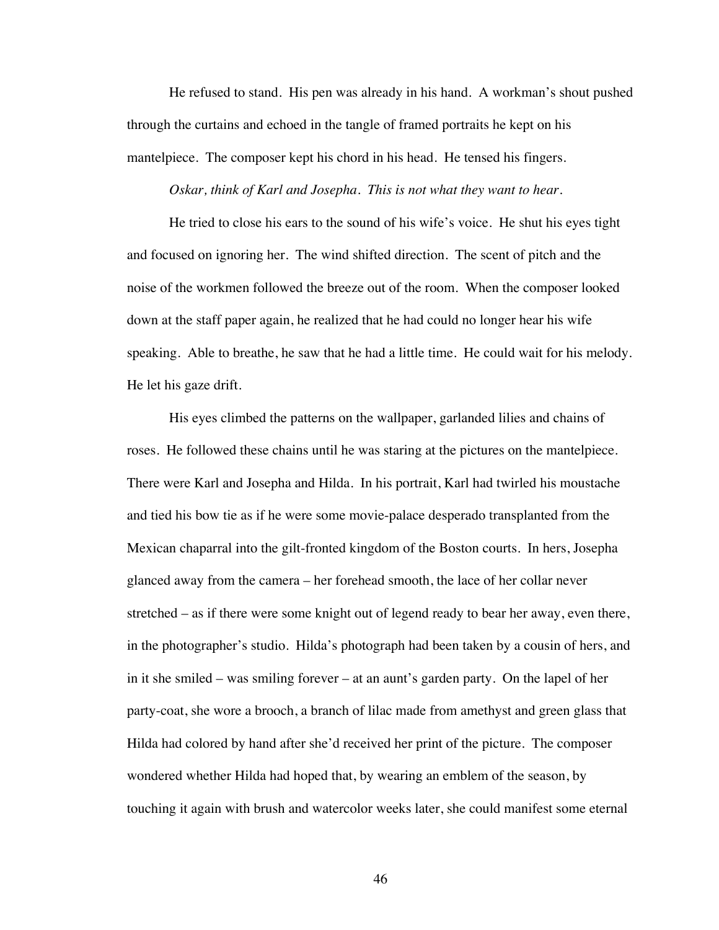He refused to stand. His pen was already in his hand. A workman's shout pushed through the curtains and echoed in the tangle of framed portraits he kept on his mantelpiece. The composer kept his chord in his head. He tensed his fingers.

### *Oskar, think of Karl and Josepha. This is not what they want to hear.*

He tried to close his ears to the sound of his wife's voice. He shut his eyes tight and focused on ignoring her. The wind shifted direction. The scent of pitch and the noise of the workmen followed the breeze out of the room. When the composer looked down at the staff paper again, he realized that he had could no longer hear his wife speaking. Able to breathe, he saw that he had a little time. He could wait for his melody. He let his gaze drift.

His eyes climbed the patterns on the wallpaper, garlanded lilies and chains of roses. He followed these chains until he was staring at the pictures on the mantelpiece. There were Karl and Josepha and Hilda. In his portrait, Karl had twirled his moustache and tied his bow tie as if he were some movie-palace desperado transplanted from the Mexican chaparral into the gilt-fronted kingdom of the Boston courts. In hers, Josepha glanced away from the camera – her forehead smooth, the lace of her collar never stretched – as if there were some knight out of legend ready to bear her away, even there, in the photographer's studio. Hilda's photograph had been taken by a cousin of hers, and in it she smiled – was smiling forever – at an aunt's garden party. On the lapel of her party-coat, she wore a brooch, a branch of lilac made from amethyst and green glass that Hilda had colored by hand after she'd received her print of the picture. The composer wondered whether Hilda had hoped that, by wearing an emblem of the season, by touching it again with brush and watercolor weeks later, she could manifest some eternal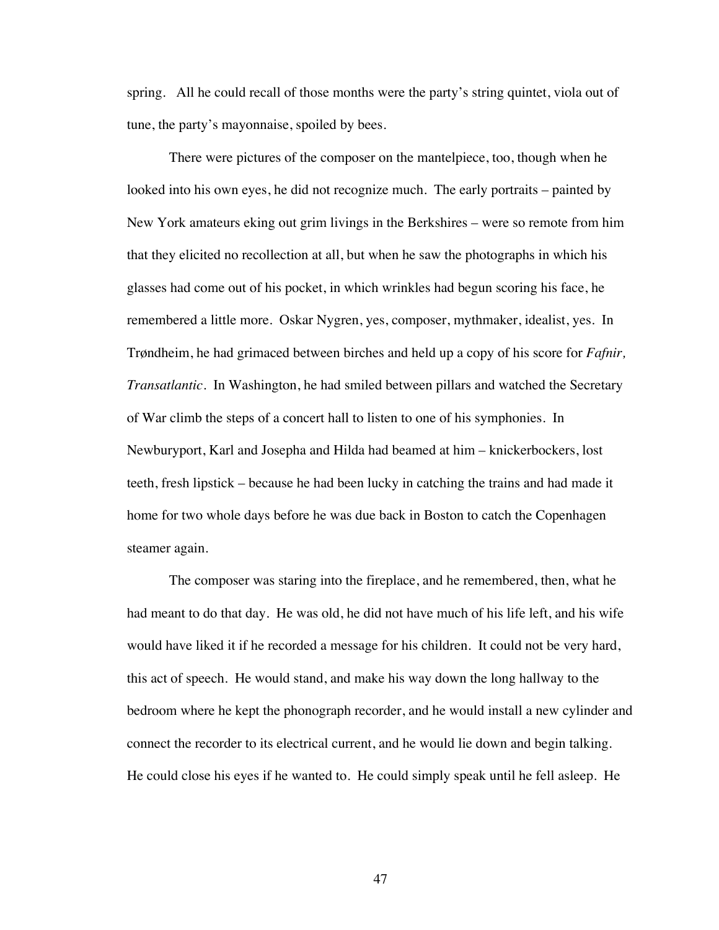spring. All he could recall of those months were the party's string quintet, viola out of tune, the party's mayonnaise, spoiled by bees.

There were pictures of the composer on the mantelpiece, too, though when he looked into his own eyes, he did not recognize much. The early portraits – painted by New York amateurs eking out grim livings in the Berkshires – were so remote from him that they elicited no recollection at all, but when he saw the photographs in which his glasses had come out of his pocket, in which wrinkles had begun scoring his face, he remembered a little more. Oskar Nygren, yes, composer, mythmaker, idealist, yes. In Trøndheim, he had grimaced between birches and held up a copy of his score for *Fafnir, Transatlantic*. In Washington, he had smiled between pillars and watched the Secretary of War climb the steps of a concert hall to listen to one of his symphonies. In Newburyport, Karl and Josepha and Hilda had beamed at him – knickerbockers, lost teeth, fresh lipstick – because he had been lucky in catching the trains and had made it home for two whole days before he was due back in Boston to catch the Copenhagen steamer again.

The composer was staring into the fireplace, and he remembered, then, what he had meant to do that day. He was old, he did not have much of his life left, and his wife would have liked it if he recorded a message for his children. It could not be very hard, this act of speech. He would stand, and make his way down the long hallway to the bedroom where he kept the phonograph recorder, and he would install a new cylinder and connect the recorder to its electrical current, and he would lie down and begin talking. He could close his eyes if he wanted to. He could simply speak until he fell asleep. He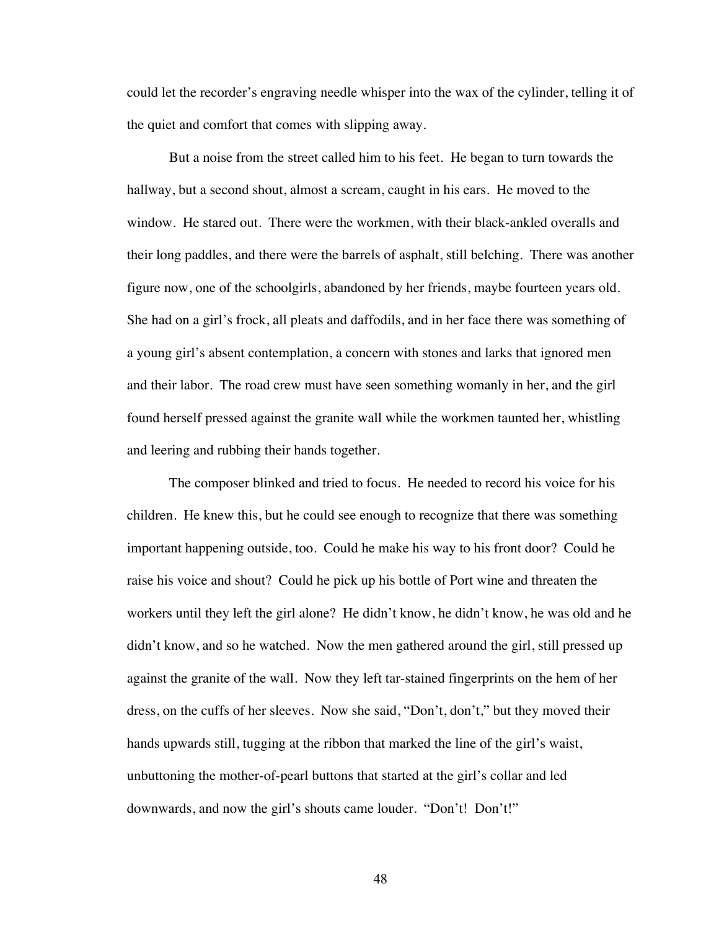could let the recorder's engraving needle whisper into the wax of the cylinder, telling it of the quiet and comfort that comes with slipping away.

But a noise from the street called him to his feet. He began to turn towards the hallway, but a second shout, almost a scream, caught in his ears. He moved to the window. He stared out. There were the workmen, with their black-ankled overalls and their long paddles, and there were the barrels of asphalt, still belching. There was another figure now, one of the schoolgirls, abandoned by her friends, maybe fourteen years old. She had on a girl's frock, all pleats and daffodils, and in her face there was something of a young girl's absent contemplation, a concern with stones and larks that ignored men and their labor. The road crew must have seen something womanly in her, and the girl found herself pressed against the granite wall while the workmen taunted her, whistling and leering and rubbing their hands together.

The composer blinked and tried to focus. He needed to record his voice for his children. He knew this, but he could see enough to recognize that there was something important happening outside, too. Could he make his way to his front door? Could he raise his voice and shout? Could he pick up his bottle of Port wine and threaten the workers until they left the girl alone? He didn't know, he didn't know, he was old and he didn't know, and so he watched. Now the men gathered around the girl, still pressed up against the granite of the wall. Now they left tar-stained fingerprints on the hem of her dress, on the cuffs of her sleeves. Now she said, "Don't, don't," but they moved their hands upwards still, tugging at the ribbon that marked the line of the girl's waist, unbuttoning the mother-of-pearl buttons that started at the girl's collar and led downwards, and now the girl's shouts came louder. "Don't! Don't!"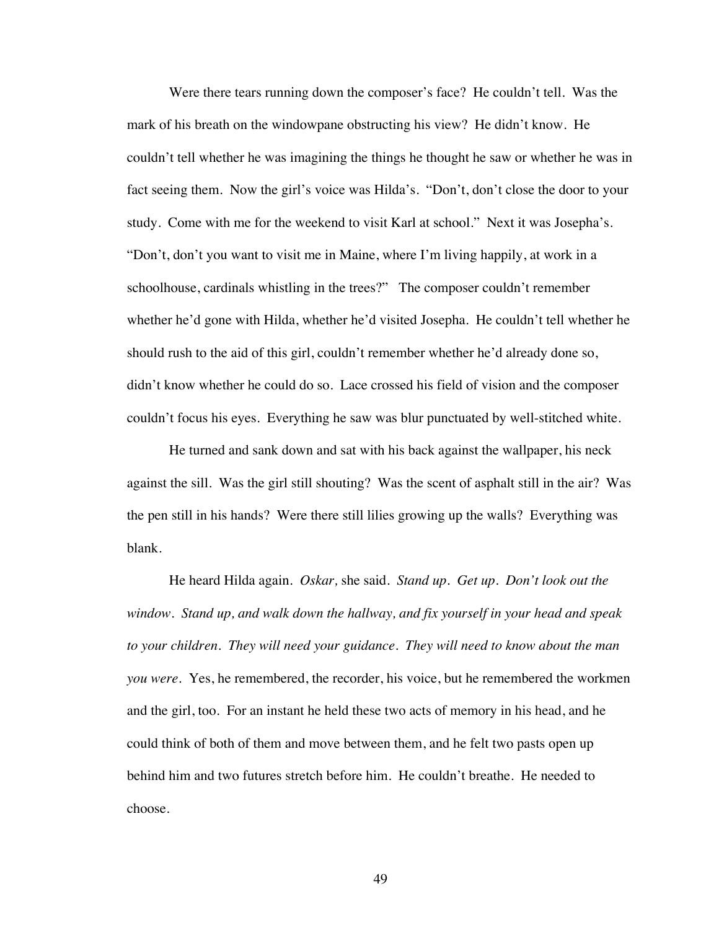Were there tears running down the composer's face? He couldn't tell. Was the mark of his breath on the windowpane obstructing his view? He didn't know. He couldn't tell whether he was imagining the things he thought he saw or whether he was in fact seeing them. Now the girl's voice was Hilda's. "Don't, don't close the door to your study. Come with me for the weekend to visit Karl at school." Next it was Josepha's. "Don't, don't you want to visit me in Maine, where I'm living happily, at work in a schoolhouse, cardinals whistling in the trees?" The composer couldn't remember whether he'd gone with Hilda, whether he'd visited Josepha. He couldn't tell whether he should rush to the aid of this girl, couldn't remember whether he'd already done so, didn't know whether he could do so. Lace crossed his field of vision and the composer couldn't focus his eyes. Everything he saw was blur punctuated by well-stitched white.

He turned and sank down and sat with his back against the wallpaper, his neck against the sill. Was the girl still shouting? Was the scent of asphalt still in the air? Was the pen still in his hands? Were there still lilies growing up the walls? Everything was blank.

He heard Hilda again. *Oskar,* she said. *Stand up. Get up. Don't look out the window. Stand up, and walk down the hallway, and fix yourself in your head and speak to your children. They will need your guidance. They will need to know about the man you were.* Yes, he remembered, the recorder, his voice, but he remembered the workmen and the girl, too. For an instant he held these two acts of memory in his head, and he could think of both of them and move between them, and he felt two pasts open up behind him and two futures stretch before him. He couldn't breathe. He needed to choose.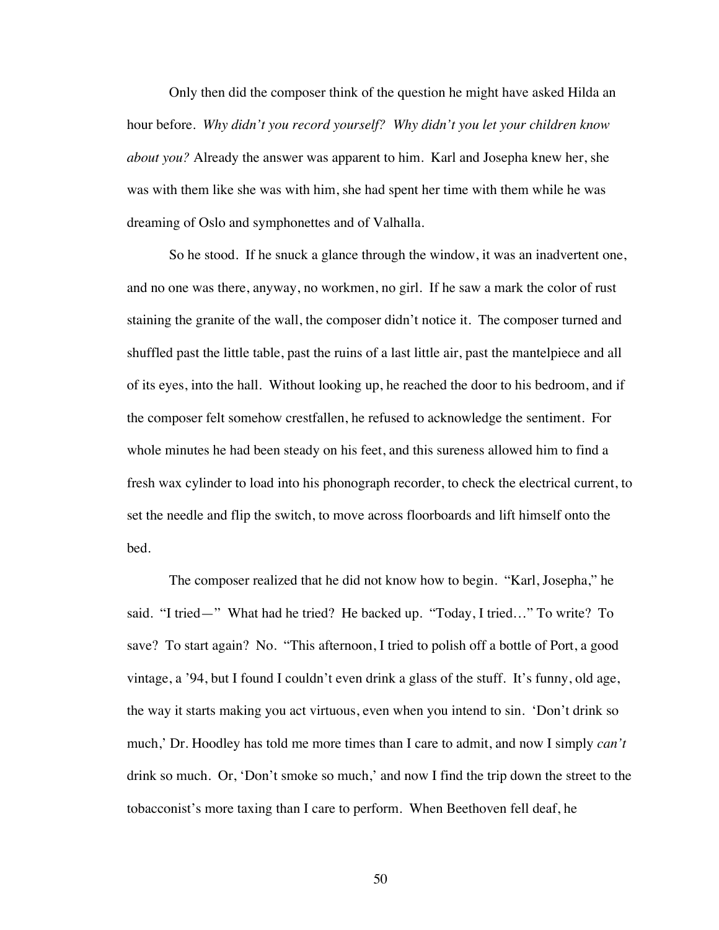Only then did the composer think of the question he might have asked Hilda an hour before. *Why didn't you record yourself? Why didn't you let your children know about you?* Already the answer was apparent to him. Karl and Josepha knew her, she was with them like she was with him, she had spent her time with them while he was dreaming of Oslo and symphonettes and of Valhalla.

So he stood. If he snuck a glance through the window, it was an inadvertent one, and no one was there, anyway, no workmen, no girl. If he saw a mark the color of rust staining the granite of the wall, the composer didn't notice it. The composer turned and shuffled past the little table, past the ruins of a last little air, past the mantelpiece and all of its eyes, into the hall. Without looking up, he reached the door to his bedroom, and if the composer felt somehow crestfallen, he refused to acknowledge the sentiment. For whole minutes he had been steady on his feet, and this sureness allowed him to find a fresh wax cylinder to load into his phonograph recorder, to check the electrical current, to set the needle and flip the switch, to move across floorboards and lift himself onto the bed.

The composer realized that he did not know how to begin. "Karl, Josepha," he said. "I tried—" What had he tried? He backed up. "Today, I tried…" To write? To save? To start again? No. "This afternoon, I tried to polish off a bottle of Port, a good vintage, a '94, but I found I couldn't even drink a glass of the stuff. It's funny, old age, the way it starts making you act virtuous, even when you intend to sin. 'Don't drink so much,' Dr. Hoodley has told me more times than I care to admit, and now I simply *can't* drink so much. Or, 'Don't smoke so much,' and now I find the trip down the street to the tobacconist's more taxing than I care to perform. When Beethoven fell deaf, he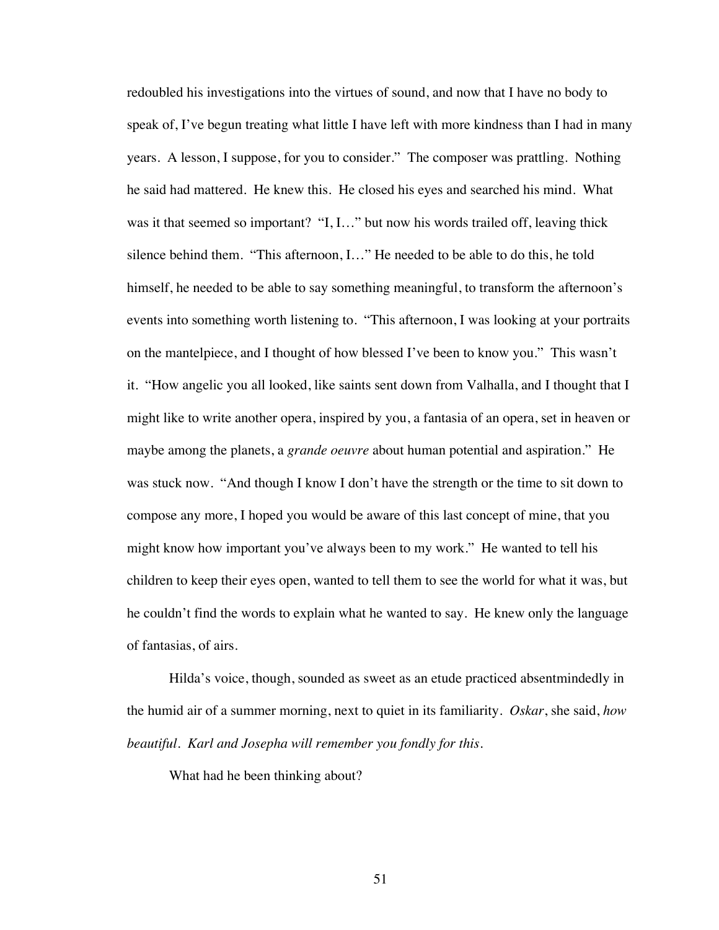redoubled his investigations into the virtues of sound, and now that I have no body to speak of, I've begun treating what little I have left with more kindness than I had in many years. A lesson, I suppose, for you to consider." The composer was prattling. Nothing he said had mattered. He knew this. He closed his eyes and searched his mind. What was it that seemed so important? "I, I..." but now his words trailed off, leaving thick silence behind them. "This afternoon, I…" He needed to be able to do this, he told himself, he needed to be able to say something meaningful, to transform the afternoon's events into something worth listening to. "This afternoon, I was looking at your portraits on the mantelpiece, and I thought of how blessed I've been to know you." This wasn't it. "How angelic you all looked, like saints sent down from Valhalla, and I thought that I might like to write another opera, inspired by you, a fantasia of an opera, set in heaven or maybe among the planets, a *grande oeuvre* about human potential and aspiration." He was stuck now. "And though I know I don't have the strength or the time to sit down to compose any more, I hoped you would be aware of this last concept of mine, that you might know how important you've always been to my work." He wanted to tell his children to keep their eyes open, wanted to tell them to see the world for what it was, but he couldn't find the words to explain what he wanted to say. He knew only the language of fantasias, of airs.

Hilda's voice, though, sounded as sweet as an etude practiced absentmindedly in the humid air of a summer morning, next to quiet in its familiarity. *Oskar*, she said, *how beautiful. Karl and Josepha will remember you fondly for this.*

What had he been thinking about?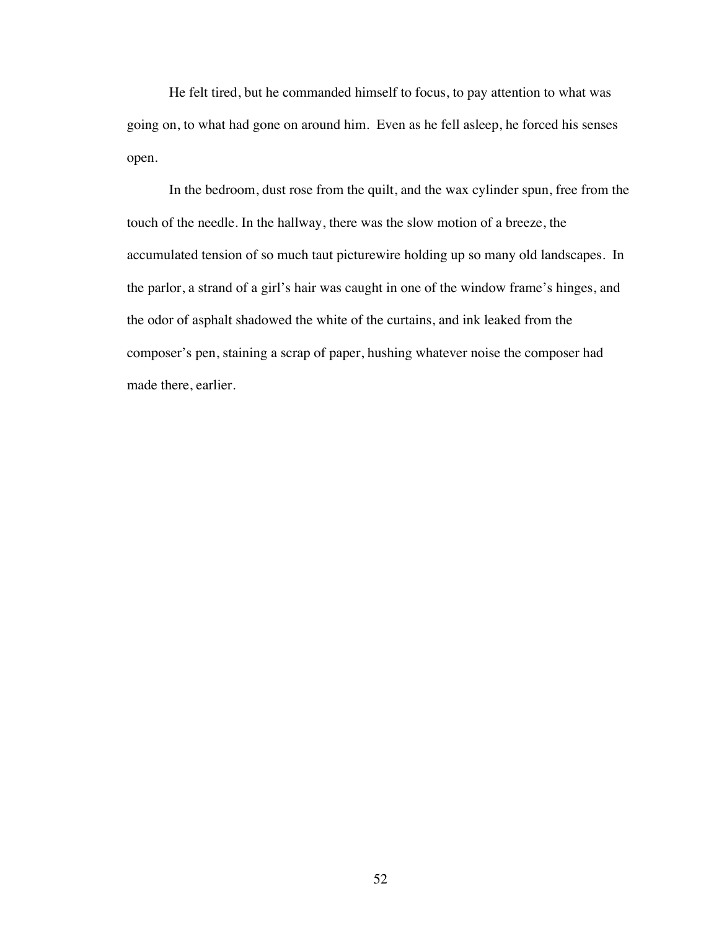He felt tired, but he commanded himself to focus, to pay attention to what was going on, to what had gone on around him. Even as he fell asleep, he forced his senses open.

In the bedroom, dust rose from the quilt, and the wax cylinder spun, free from the touch of the needle. In the hallway, there was the slow motion of a breeze, the accumulated tension of so much taut picturewire holding up so many old landscapes. In the parlor, a strand of a girl's hair was caught in one of the window frame's hinges, and the odor of asphalt shadowed the white of the curtains, and ink leaked from the composer's pen, staining a scrap of paper, hushing whatever noise the composer had made there, earlier.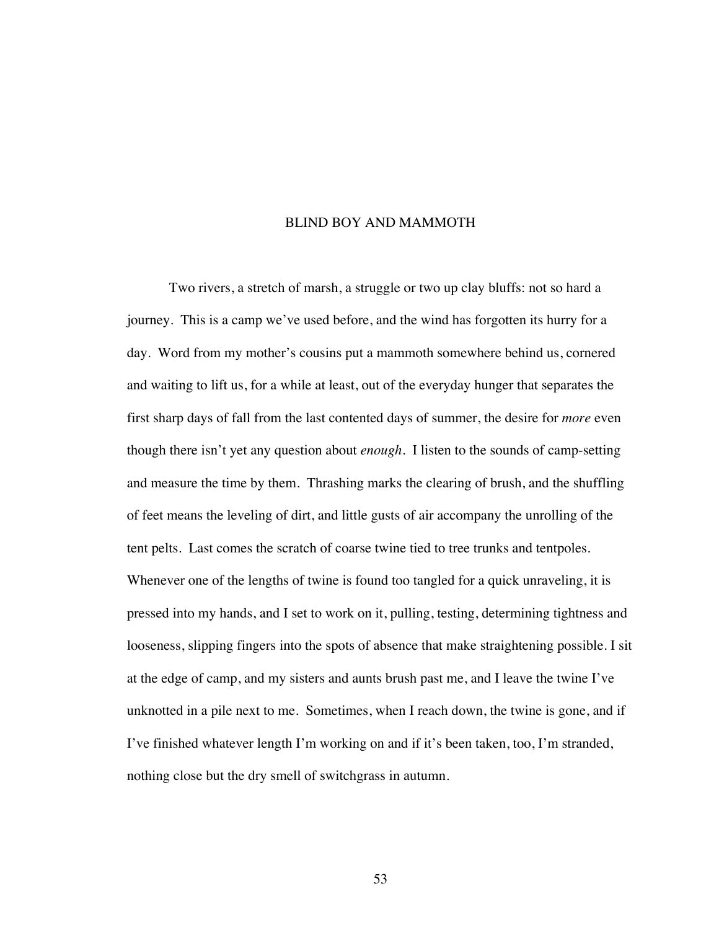#### BLIND BOY AND MAMMOTH

Two rivers, a stretch of marsh, a struggle or two up clay bluffs: not so hard a journey. This is a camp we've used before, and the wind has forgotten its hurry for a day. Word from my mother's cousins put a mammoth somewhere behind us, cornered and waiting to lift us, for a while at least, out of the everyday hunger that separates the first sharp days of fall from the last contented days of summer, the desire for *more* even though there isn't yet any question about *enough*. I listen to the sounds of camp-setting and measure the time by them. Thrashing marks the clearing of brush, and the shuffling of feet means the leveling of dirt, and little gusts of air accompany the unrolling of the tent pelts. Last comes the scratch of coarse twine tied to tree trunks and tentpoles. Whenever one of the lengths of twine is found too tangled for a quick unraveling, it is pressed into my hands, and I set to work on it, pulling, testing, determining tightness and looseness, slipping fingers into the spots of absence that make straightening possible. I sit at the edge of camp, and my sisters and aunts brush past me, and I leave the twine I've unknotted in a pile next to me. Sometimes, when I reach down, the twine is gone, and if I've finished whatever length I'm working on and if it's been taken, too, I'm stranded, nothing close but the dry smell of switchgrass in autumn.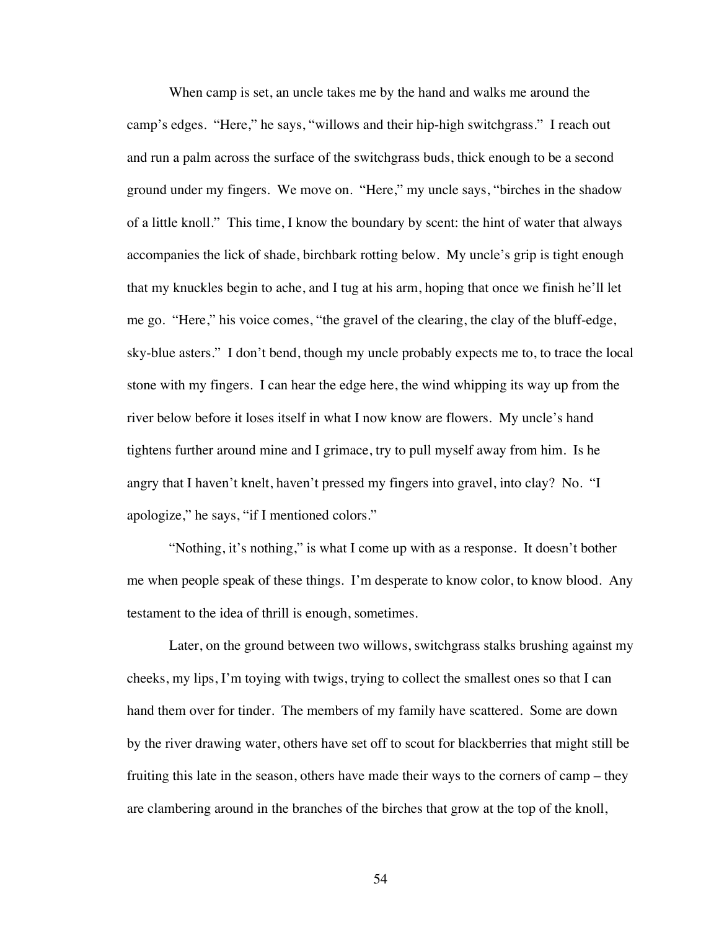When camp is set, an uncle takes me by the hand and walks me around the camp's edges. "Here," he says, "willows and their hip-high switchgrass." I reach out and run a palm across the surface of the switchgrass buds, thick enough to be a second ground under my fingers. We move on. "Here," my uncle says, "birches in the shadow of a little knoll." This time, I know the boundary by scent: the hint of water that always accompanies the lick of shade, birchbark rotting below. My uncle's grip is tight enough that my knuckles begin to ache, and I tug at his arm, hoping that once we finish he'll let me go. "Here," his voice comes, "the gravel of the clearing, the clay of the bluff-edge, sky-blue asters." I don't bend, though my uncle probably expects me to, to trace the local stone with my fingers. I can hear the edge here, the wind whipping its way up from the river below before it loses itself in what I now know are flowers. My uncle's hand tightens further around mine and I grimace, try to pull myself away from him. Is he angry that I haven't knelt, haven't pressed my fingers into gravel, into clay? No. "I apologize," he says, "if I mentioned colors."

"Nothing, it's nothing," is what I come up with as a response. It doesn't bother me when people speak of these things. I'm desperate to know color, to know blood. Any testament to the idea of thrill is enough, sometimes.

Later, on the ground between two willows, switchgrass stalks brushing against my cheeks, my lips, I'm toying with twigs, trying to collect the smallest ones so that I can hand them over for tinder. The members of my family have scattered. Some are down by the river drawing water, others have set off to scout for blackberries that might still be fruiting this late in the season, others have made their ways to the corners of camp – they are clambering around in the branches of the birches that grow at the top of the knoll,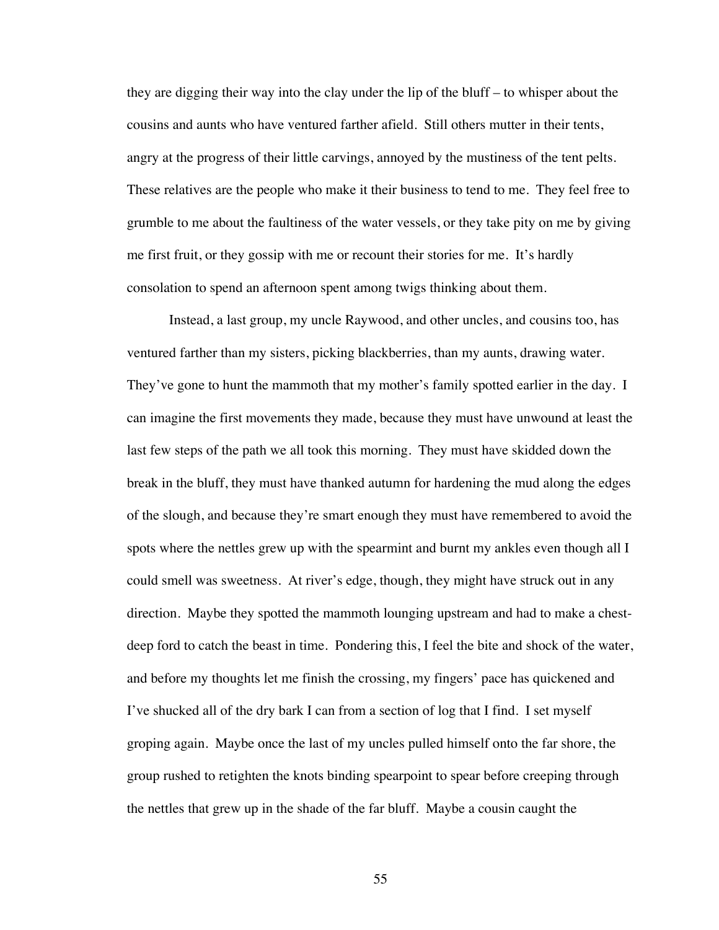they are digging their way into the clay under the lip of the bluff – to whisper about the cousins and aunts who have ventured farther afield. Still others mutter in their tents, angry at the progress of their little carvings, annoyed by the mustiness of the tent pelts. These relatives are the people who make it their business to tend to me. They feel free to grumble to me about the faultiness of the water vessels, or they take pity on me by giving me first fruit, or they gossip with me or recount their stories for me. It's hardly consolation to spend an afternoon spent among twigs thinking about them.

Instead, a last group, my uncle Raywood, and other uncles, and cousins too, has ventured farther than my sisters, picking blackberries, than my aunts, drawing water. They've gone to hunt the mammoth that my mother's family spotted earlier in the day. I can imagine the first movements they made, because they must have unwound at least the last few steps of the path we all took this morning. They must have skidded down the break in the bluff, they must have thanked autumn for hardening the mud along the edges of the slough, and because they're smart enough they must have remembered to avoid the spots where the nettles grew up with the spearmint and burnt my ankles even though all I could smell was sweetness. At river's edge, though, they might have struck out in any direction. Maybe they spotted the mammoth lounging upstream and had to make a chestdeep ford to catch the beast in time. Pondering this, I feel the bite and shock of the water, and before my thoughts let me finish the crossing, my fingers' pace has quickened and I've shucked all of the dry bark I can from a section of log that I find. I set myself groping again. Maybe once the last of my uncles pulled himself onto the far shore, the group rushed to retighten the knots binding spearpoint to spear before creeping through the nettles that grew up in the shade of the far bluff. Maybe a cousin caught the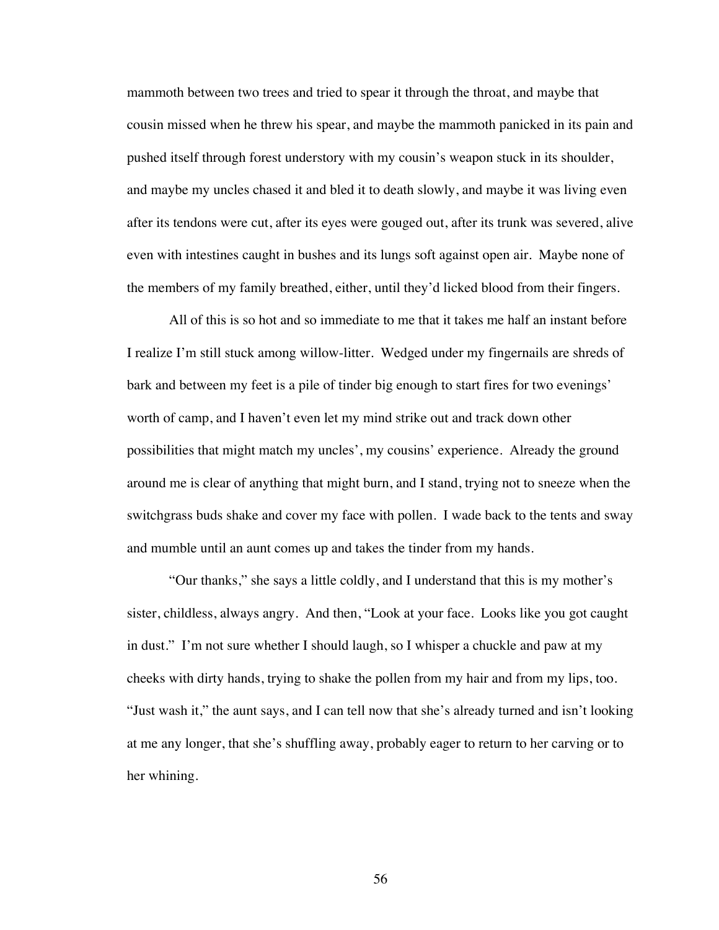mammoth between two trees and tried to spear it through the throat, and maybe that cousin missed when he threw his spear, and maybe the mammoth panicked in its pain and pushed itself through forest understory with my cousin's weapon stuck in its shoulder, and maybe my uncles chased it and bled it to death slowly, and maybe it was living even after its tendons were cut, after its eyes were gouged out, after its trunk was severed, alive even with intestines caught in bushes and its lungs soft against open air. Maybe none of the members of my family breathed, either, until they'd licked blood from their fingers.

All of this is so hot and so immediate to me that it takes me half an instant before I realize I'm still stuck among willow-litter. Wedged under my fingernails are shreds of bark and between my feet is a pile of tinder big enough to start fires for two evenings' worth of camp, and I haven't even let my mind strike out and track down other possibilities that might match my uncles', my cousins' experience. Already the ground around me is clear of anything that might burn, and I stand, trying not to sneeze when the switchgrass buds shake and cover my face with pollen. I wade back to the tents and sway and mumble until an aunt comes up and takes the tinder from my hands.

"Our thanks," she says a little coldly, and I understand that this is my mother's sister, childless, always angry. And then, "Look at your face. Looks like you got caught in dust." I'm not sure whether I should laugh, so I whisper a chuckle and paw at my cheeks with dirty hands, trying to shake the pollen from my hair and from my lips, too. "Just wash it," the aunt says, and I can tell now that she's already turned and isn't looking at me any longer, that she's shuffling away, probably eager to return to her carving or to her whining.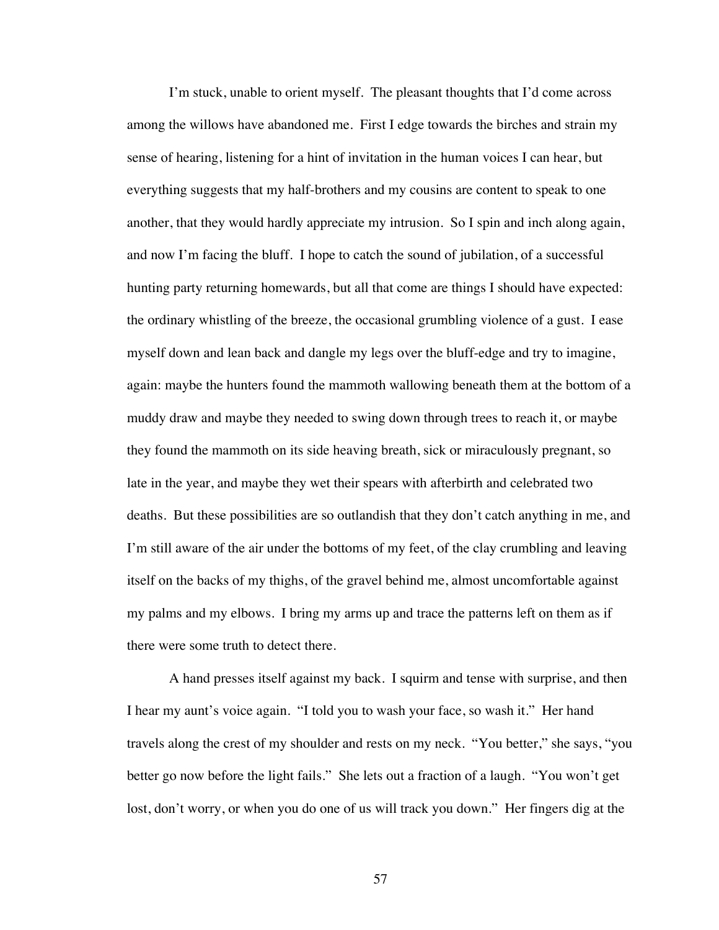I'm stuck, unable to orient myself. The pleasant thoughts that I'd come across among the willows have abandoned me. First I edge towards the birches and strain my sense of hearing, listening for a hint of invitation in the human voices I can hear, but everything suggests that my half-brothers and my cousins are content to speak to one another, that they would hardly appreciate my intrusion. So I spin and inch along again, and now I'm facing the bluff. I hope to catch the sound of jubilation, of a successful hunting party returning homewards, but all that come are things I should have expected: the ordinary whistling of the breeze, the occasional grumbling violence of a gust. I ease myself down and lean back and dangle my legs over the bluff-edge and try to imagine, again: maybe the hunters found the mammoth wallowing beneath them at the bottom of a muddy draw and maybe they needed to swing down through trees to reach it, or maybe they found the mammoth on its side heaving breath, sick or miraculously pregnant, so late in the year, and maybe they wet their spears with afterbirth and celebrated two deaths. But these possibilities are so outlandish that they don't catch anything in me, and I'm still aware of the air under the bottoms of my feet, of the clay crumbling and leaving itself on the backs of my thighs, of the gravel behind me, almost uncomfortable against my palms and my elbows. I bring my arms up and trace the patterns left on them as if there were some truth to detect there.

A hand presses itself against my back. I squirm and tense with surprise, and then I hear my aunt's voice again. "I told you to wash your face, so wash it." Her hand travels along the crest of my shoulder and rests on my neck. "You better," she says, "you better go now before the light fails." She lets out a fraction of a laugh. "You won't get lost, don't worry, or when you do one of us will track you down." Her fingers dig at the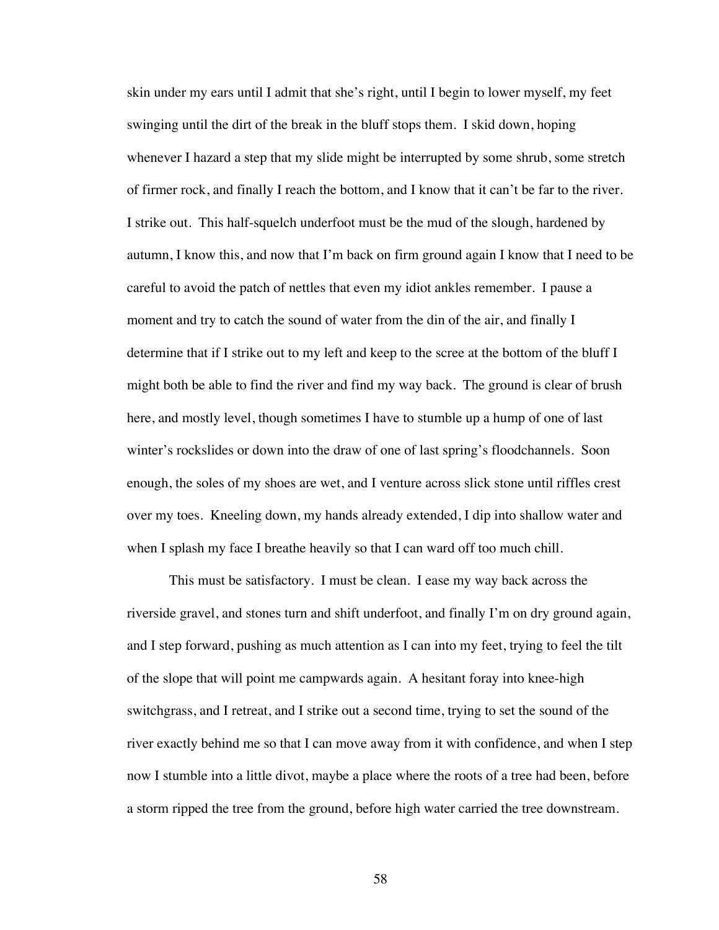skin under my ears until I admit that she's right, until I begin to lower myself, my feet swinging until the dirt of the break in the bluff stops them. I skid down, hoping whenever I hazard a step that my slide might be interrupted by some shrub, some stretch of firmer rock, and finally I reach the bottom, and I know that it can't be far to the river. I strike out. This half-squelch underfoot must be the mud of the slough, hardened by autumn, I know this, and now that I'm back on firm ground again I know that I need to be careful to avoid the patch of nettles that even my idiot ankles remember. I pause a moment and try to catch the sound of water from the din of the air, and finally I determine that if I strike out to my left and keep to the scree at the bottom of the bluff I might both be able to find the river and find my way back. The ground is clear of brush here, and mostly level, though sometimes I have to stumble up a hump of one of last winter's rockslides or down into the draw of one of last spring's floodchannels. Soon enough, the soles of my shoes are wet, and I venture across slick stone until riffles crest over my toes. Kneeling down, my hands already extended, I dip into shallow water and when I splash my face I breathe heavily so that I can ward off too much chill.

This must be satisfactory. I must be clean. I ease my way back across the riverside gravel, and stones turn and shift underfoot, and finally I'm on dry ground again, and I step forward, pushing as much attention as I can into my feet, trying to feel the tilt of the slope that will point me campwards again. A hesitant foray into knee-high switchgrass, and I retreat, and I strike out a second time, trying to set the sound of the river exactly behind me so that I can move away from it with confidence, and when I step now I stumble into a little divot, maybe a place where the roots of a tree had been, before a storm ripped the tree from the ground, before high water carried the tree downstream.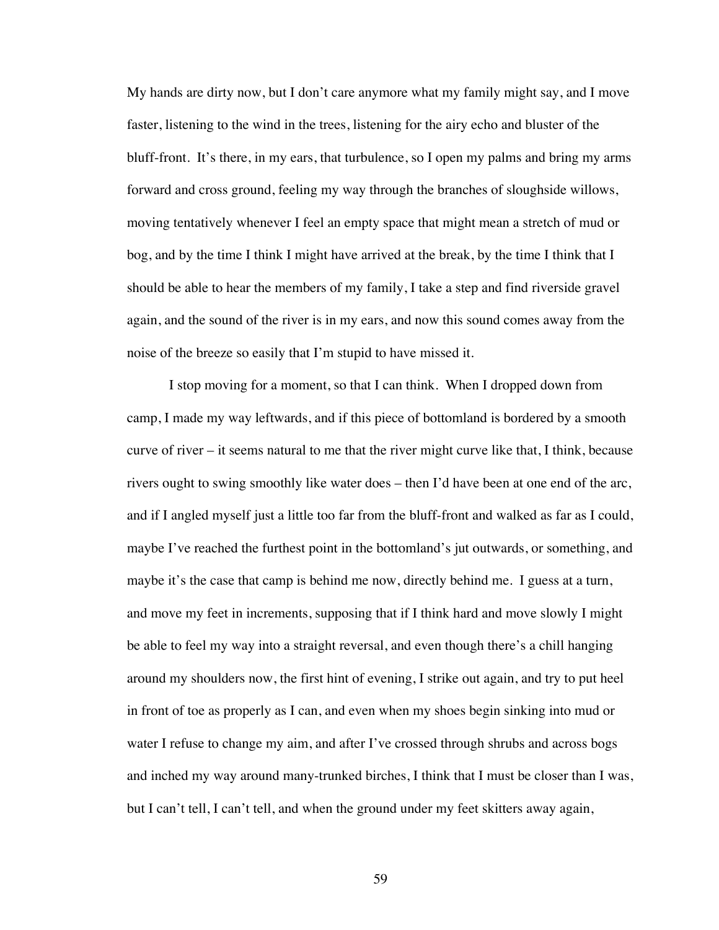My hands are dirty now, but I don't care anymore what my family might say, and I move faster, listening to the wind in the trees, listening for the airy echo and bluster of the bluff-front. It's there, in my ears, that turbulence, so I open my palms and bring my arms forward and cross ground, feeling my way through the branches of sloughside willows, moving tentatively whenever I feel an empty space that might mean a stretch of mud or bog, and by the time I think I might have arrived at the break, by the time I think that I should be able to hear the members of my family, I take a step and find riverside gravel again, and the sound of the river is in my ears, and now this sound comes away from the noise of the breeze so easily that I'm stupid to have missed it.

I stop moving for a moment, so that I can think. When I dropped down from camp, I made my way leftwards, and if this piece of bottomland is bordered by a smooth curve of river – it seems natural to me that the river might curve like that, I think, because rivers ought to swing smoothly like water does – then I'd have been at one end of the arc, and if I angled myself just a little too far from the bluff-front and walked as far as I could, maybe I've reached the furthest point in the bottomland's jut outwards, or something, and maybe it's the case that camp is behind me now, directly behind me. I guess at a turn, and move my feet in increments, supposing that if I think hard and move slowly I might be able to feel my way into a straight reversal, and even though there's a chill hanging around my shoulders now, the first hint of evening, I strike out again, and try to put heel in front of toe as properly as I can, and even when my shoes begin sinking into mud or water I refuse to change my aim, and after I've crossed through shrubs and across bogs and inched my way around many-trunked birches, I think that I must be closer than I was, but I can't tell, I can't tell, and when the ground under my feet skitters away again,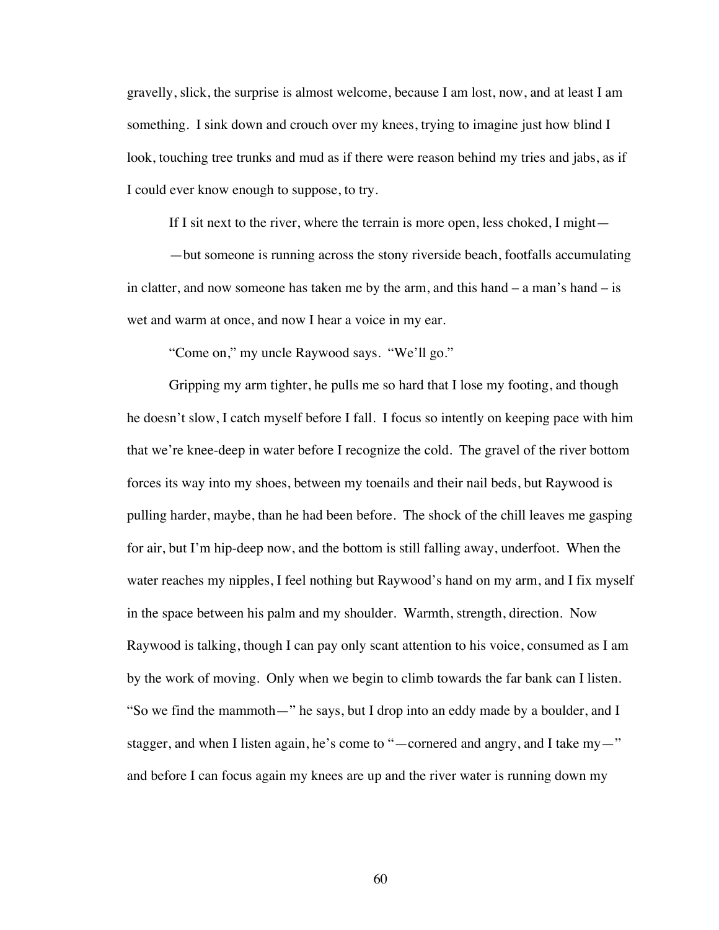gravelly, slick, the surprise is almost welcome, because I am lost, now, and at least I am something. I sink down and crouch over my knees, trying to imagine just how blind I look, touching tree trunks and mud as if there were reason behind my tries and jabs, as if I could ever know enough to suppose, to try.

If I sit next to the river, where the terrain is more open, less choked, I might—

—but someone is running across the stony riverside beach, footfalls accumulating in clatter, and now someone has taken me by the arm, and this hand – a man's hand – is wet and warm at once, and now I hear a voice in my ear.

"Come on," my uncle Raywood says. "We'll go."

Gripping my arm tighter, he pulls me so hard that I lose my footing, and though he doesn't slow, I catch myself before I fall. I focus so intently on keeping pace with him that we're knee-deep in water before I recognize the cold. The gravel of the river bottom forces its way into my shoes, between my toenails and their nail beds, but Raywood is pulling harder, maybe, than he had been before. The shock of the chill leaves me gasping for air, but I'm hip-deep now, and the bottom is still falling away, underfoot. When the water reaches my nipples, I feel nothing but Raywood's hand on my arm, and I fix myself in the space between his palm and my shoulder. Warmth, strength, direction. Now Raywood is talking, though I can pay only scant attention to his voice, consumed as I am by the work of moving. Only when we begin to climb towards the far bank can I listen. "So we find the mammoth—" he says, but I drop into an eddy made by a boulder, and I stagger, and when I listen again, he's come to "—cornered and angry, and I take my—" and before I can focus again my knees are up and the river water is running down my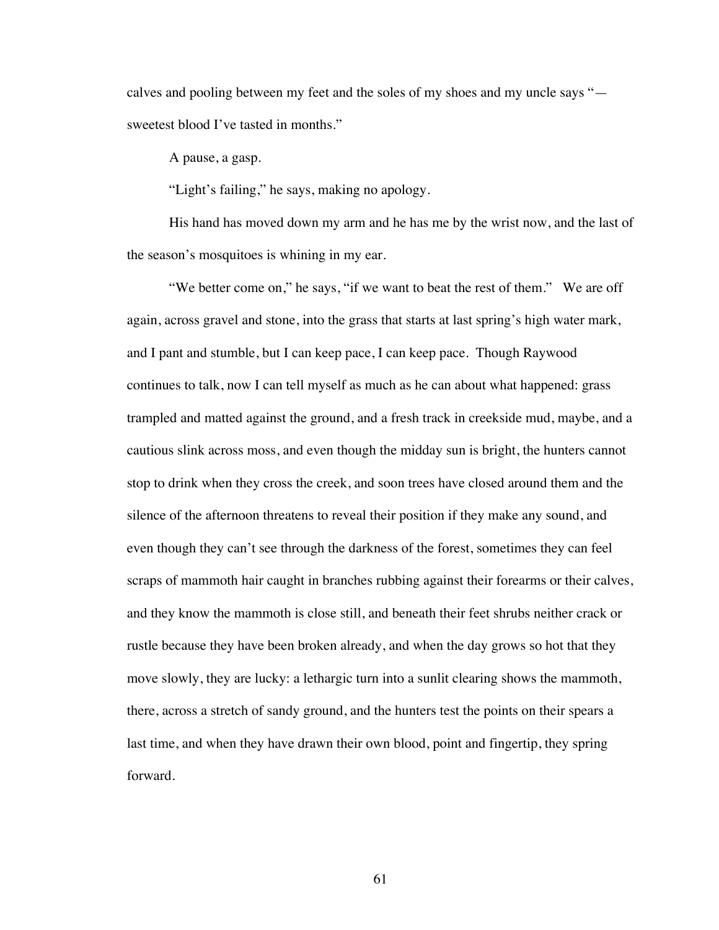calves and pooling between my feet and the soles of my shoes and my uncle says " sweetest blood I've tasted in months."

A pause, a gasp.

"Light's failing," he says, making no apology.

His hand has moved down my arm and he has me by the wrist now, and the last of the season's mosquitoes is whining in my ear.

"We better come on," he says, "if we want to beat the rest of them." We are off again, across gravel and stone, into the grass that starts at last spring's high water mark, and I pant and stumble, but I can keep pace, I can keep pace. Though Raywood continues to talk, now I can tell myself as much as he can about what happened: grass trampled and matted against the ground, and a fresh track in creekside mud, maybe, and a cautious slink across moss, and even though the midday sun is bright, the hunters cannot stop to drink when they cross the creek, and soon trees have closed around them and the silence of the afternoon threatens to reveal their position if they make any sound, and even though they can't see through the darkness of the forest, sometimes they can feel scraps of mammoth hair caught in branches rubbing against their forearms or their calves, and they know the mammoth is close still, and beneath their feet shrubs neither crack or rustle because they have been broken already, and when the day grows so hot that they move slowly, they are lucky: a lethargic turn into a sunlit clearing shows the mammoth, there, across a stretch of sandy ground, and the hunters test the points on their spears a last time, and when they have drawn their own blood, point and fingertip, they spring forward.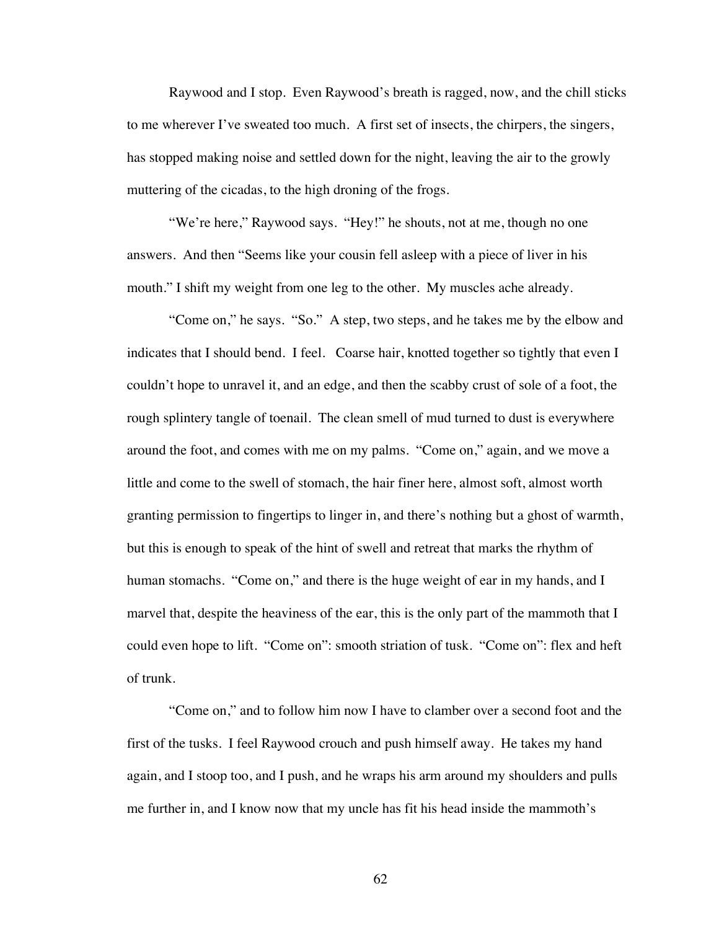Raywood and I stop. Even Raywood's breath is ragged, now, and the chill sticks to me wherever I've sweated too much. A first set of insects, the chirpers, the singers, has stopped making noise and settled down for the night, leaving the air to the growly muttering of the cicadas, to the high droning of the frogs.

"We're here," Raywood says. "Hey!" he shouts, not at me, though no one answers. And then "Seems like your cousin fell asleep with a piece of liver in his mouth." I shift my weight from one leg to the other. My muscles ache already.

"Come on," he says. "So." A step, two steps, and he takes me by the elbow and indicates that I should bend. I feel. Coarse hair, knotted together so tightly that even I couldn't hope to unravel it, and an edge, and then the scabby crust of sole of a foot, the rough splintery tangle of toenail. The clean smell of mud turned to dust is everywhere around the foot, and comes with me on my palms. "Come on," again, and we move a little and come to the swell of stomach, the hair finer here, almost soft, almost worth granting permission to fingertips to linger in, and there's nothing but a ghost of warmth, but this is enough to speak of the hint of swell and retreat that marks the rhythm of human stomachs. "Come on," and there is the huge weight of ear in my hands, and I marvel that, despite the heaviness of the ear, this is the only part of the mammoth that I could even hope to lift. "Come on": smooth striation of tusk. "Come on": flex and heft of trunk.

"Come on," and to follow him now I have to clamber over a second foot and the first of the tusks. I feel Raywood crouch and push himself away. He takes my hand again, and I stoop too, and I push, and he wraps his arm around my shoulders and pulls me further in, and I know now that my uncle has fit his head inside the mammoth's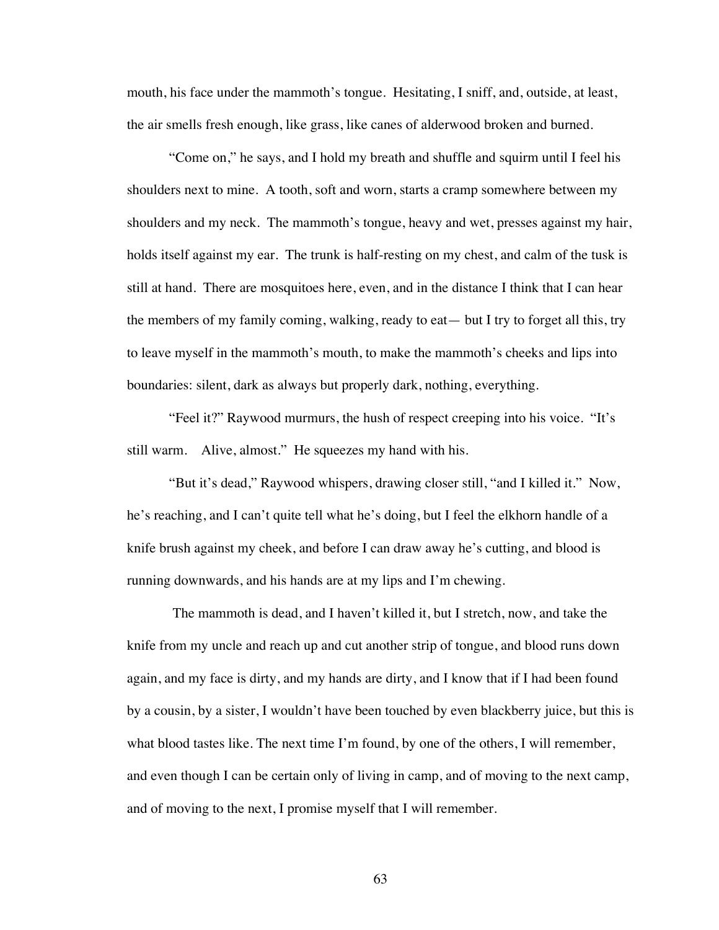mouth, his face under the mammoth's tongue. Hesitating, I sniff, and, outside, at least, the air smells fresh enough, like grass, like canes of alderwood broken and burned.

"Come on," he says, and I hold my breath and shuffle and squirm until I feel his shoulders next to mine. A tooth, soft and worn, starts a cramp somewhere between my shoulders and my neck. The mammoth's tongue, heavy and wet, presses against my hair, holds itself against my ear. The trunk is half-resting on my chest, and calm of the tusk is still at hand. There are mosquitoes here, even, and in the distance I think that I can hear the members of my family coming, walking, ready to eat— but I try to forget all this, try to leave myself in the mammoth's mouth, to make the mammoth's cheeks and lips into boundaries: silent, dark as always but properly dark, nothing, everything.

"Feel it?" Raywood murmurs, the hush of respect creeping into his voice. "It's still warm. Alive, almost." He squeezes my hand with his.

"But it's dead," Raywood whispers, drawing closer still, "and I killed it." Now, he's reaching, and I can't quite tell what he's doing, but I feel the elkhorn handle of a knife brush against my cheek, and before I can draw away he's cutting, and blood is running downwards, and his hands are at my lips and I'm chewing.

 The mammoth is dead, and I haven't killed it, but I stretch, now, and take the knife from my uncle and reach up and cut another strip of tongue, and blood runs down again, and my face is dirty, and my hands are dirty, and I know that if I had been found by a cousin, by a sister, I wouldn't have been touched by even blackberry juice, but this is what blood tastes like. The next time I'm found, by one of the others, I will remember, and even though I can be certain only of living in camp, and of moving to the next camp, and of moving to the next, I promise myself that I will remember.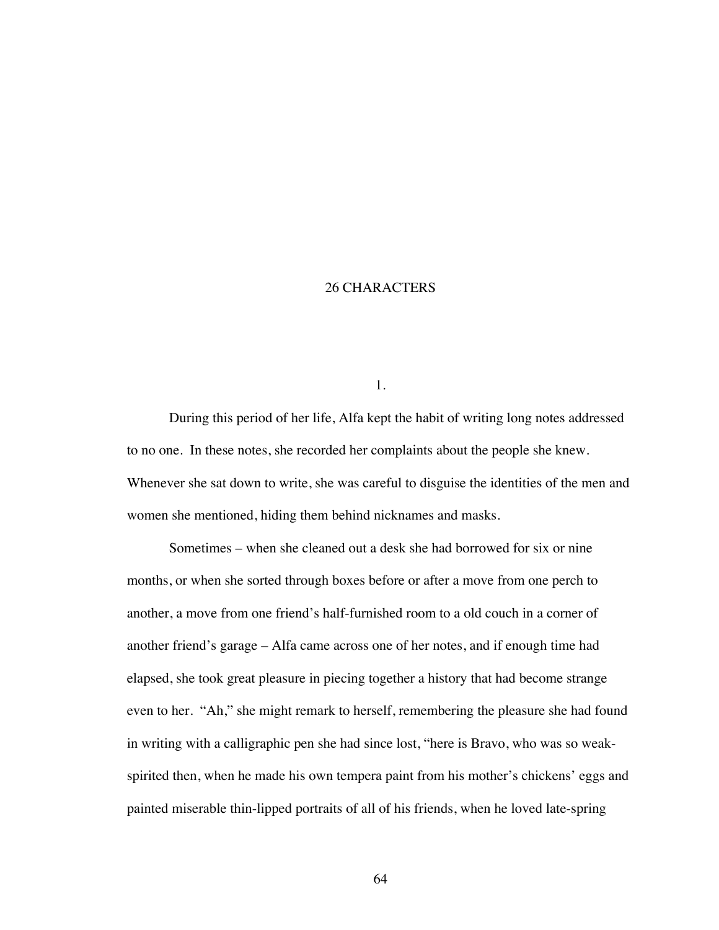## 26 CHARACTERS

1.

During this period of her life, Alfa kept the habit of writing long notes addressed to no one. In these notes, she recorded her complaints about the people she knew. Whenever she sat down to write, she was careful to disguise the identities of the men and women she mentioned, hiding them behind nicknames and masks.

Sometimes – when she cleaned out a desk she had borrowed for six or nine months, or when she sorted through boxes before or after a move from one perch to another, a move from one friend's half-furnished room to a old couch in a corner of another friend's garage – Alfa came across one of her notes, and if enough time had elapsed, she took great pleasure in piecing together a history that had become strange even to her. "Ah," she might remark to herself, remembering the pleasure she had found in writing with a calligraphic pen she had since lost, "here is Bravo, who was so weakspirited then, when he made his own tempera paint from his mother's chickens' eggs and painted miserable thin-lipped portraits of all of his friends, when he loved late-spring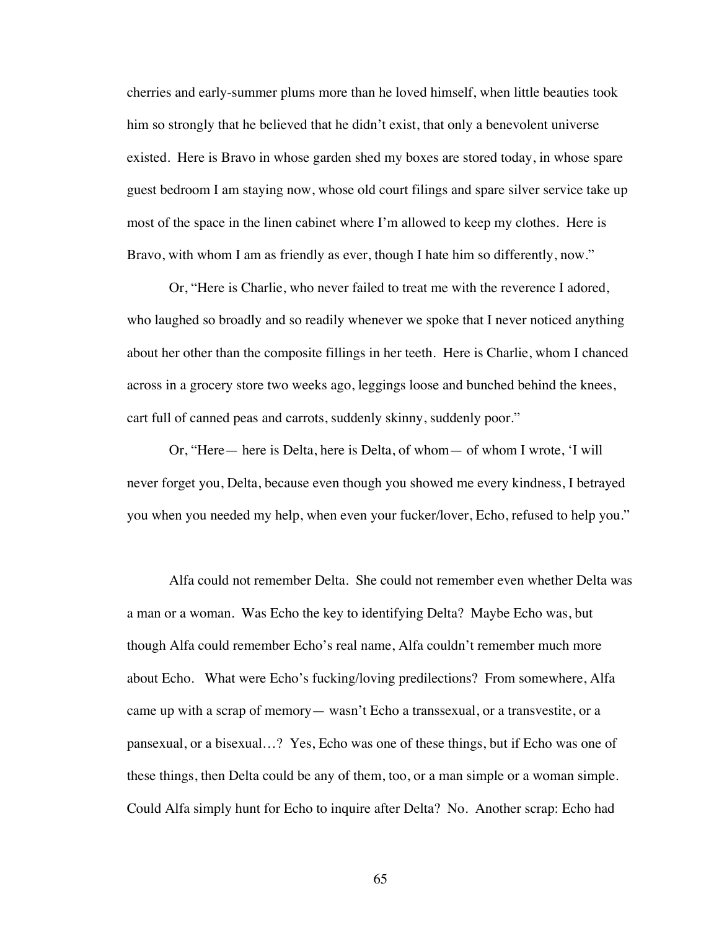cherries and early-summer plums more than he loved himself, when little beauties took him so strongly that he believed that he didn't exist, that only a benevolent universe existed. Here is Bravo in whose garden shed my boxes are stored today, in whose spare guest bedroom I am staying now, whose old court filings and spare silver service take up most of the space in the linen cabinet where I'm allowed to keep my clothes. Here is Bravo, with whom I am as friendly as ever, though I hate him so differently, now."

Or, "Here is Charlie, who never failed to treat me with the reverence I adored, who laughed so broadly and so readily whenever we spoke that I never noticed anything about her other than the composite fillings in her teeth. Here is Charlie, whom I chanced across in a grocery store two weeks ago, leggings loose and bunched behind the knees, cart full of canned peas and carrots, suddenly skinny, suddenly poor."

Or, "Here— here is Delta, here is Delta, of whom— of whom I wrote, 'I will never forget you, Delta, because even though you showed me every kindness, I betrayed you when you needed my help, when even your fucker/lover, Echo, refused to help you."

Alfa could not remember Delta. She could not remember even whether Delta was a man or a woman. Was Echo the key to identifying Delta? Maybe Echo was, but though Alfa could remember Echo's real name, Alfa couldn't remember much more about Echo. What were Echo's fucking/loving predilections? From somewhere, Alfa came up with a scrap of memory— wasn't Echo a transsexual, or a transvestite, or a pansexual, or a bisexual…? Yes, Echo was one of these things, but if Echo was one of these things, then Delta could be any of them, too, or a man simple or a woman simple. Could Alfa simply hunt for Echo to inquire after Delta? No. Another scrap: Echo had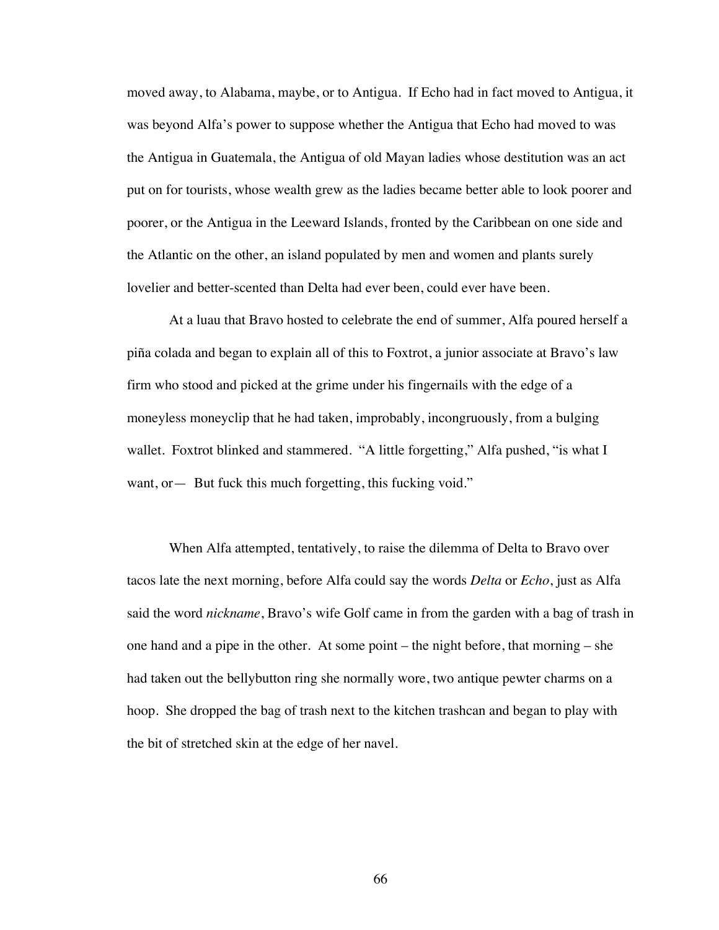moved away, to Alabama, maybe, or to Antigua. If Echo had in fact moved to Antigua, it was beyond Alfa's power to suppose whether the Antigua that Echo had moved to was the Antigua in Guatemala, the Antigua of old Mayan ladies whose destitution was an act put on for tourists, whose wealth grew as the ladies became better able to look poorer and poorer, or the Antigua in the Leeward Islands, fronted by the Caribbean on one side and the Atlantic on the other, an island populated by men and women and plants surely lovelier and better-scented than Delta had ever been, could ever have been.

At a luau that Bravo hosted to celebrate the end of summer, Alfa poured herself a piña colada and began to explain all of this to Foxtrot, a junior associate at Bravo's law firm who stood and picked at the grime under his fingernails with the edge of a moneyless moneyclip that he had taken, improbably, incongruously, from a bulging wallet. Foxtrot blinked and stammered. "A little forgetting," Alfa pushed, "is what I want, or — But fuck this much forgetting, this fucking void."

When Alfa attempted, tentatively, to raise the dilemma of Delta to Bravo over tacos late the next morning, before Alfa could say the words *Delta* or *Echo*, just as Alfa said the word *nickname*, Bravo's wife Golf came in from the garden with a bag of trash in one hand and a pipe in the other. At some point – the night before, that morning – she had taken out the bellybutton ring she normally wore, two antique pewter charms on a hoop. She dropped the bag of trash next to the kitchen trashcan and began to play with the bit of stretched skin at the edge of her navel.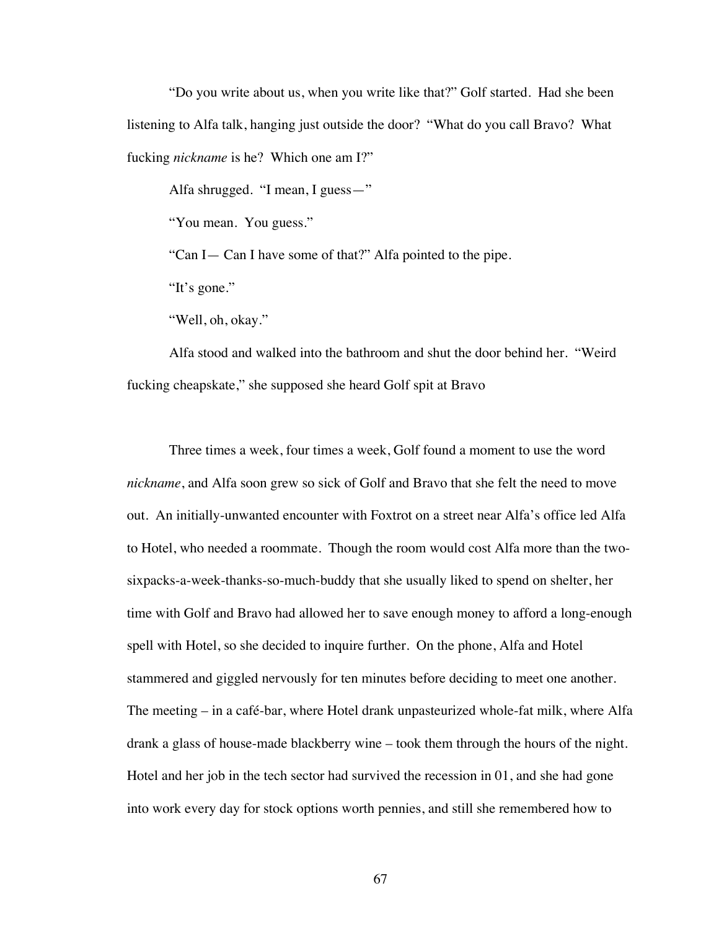"Do you write about us, when you write like that?" Golf started. Had she been listening to Alfa talk, hanging just outside the door? "What do you call Bravo? What fucking *nickname* is he? Which one am I?"

Alfa shrugged. "I mean, I guess—"

"You mean. You guess."

"Can I— Can I have some of that?" Alfa pointed to the pipe.

"It's gone."

"Well, oh, okay."

Alfa stood and walked into the bathroom and shut the door behind her. "Weird fucking cheapskate," she supposed she heard Golf spit at Bravo

Three times a week, four times a week, Golf found a moment to use the word *nickname*, and Alfa soon grew so sick of Golf and Bravo that she felt the need to move out. An initially-unwanted encounter with Foxtrot on a street near Alfa's office led Alfa to Hotel, who needed a roommate. Though the room would cost Alfa more than the twosixpacks-a-week-thanks-so-much-buddy that she usually liked to spend on shelter, her time with Golf and Bravo had allowed her to save enough money to afford a long-enough spell with Hotel, so she decided to inquire further. On the phone, Alfa and Hotel stammered and giggled nervously for ten minutes before deciding to meet one another. The meeting – in a café-bar, where Hotel drank unpasteurized whole-fat milk, where Alfa drank a glass of house-made blackberry wine – took them through the hours of the night. Hotel and her job in the tech sector had survived the recession in 01, and she had gone into work every day for stock options worth pennies, and still she remembered how to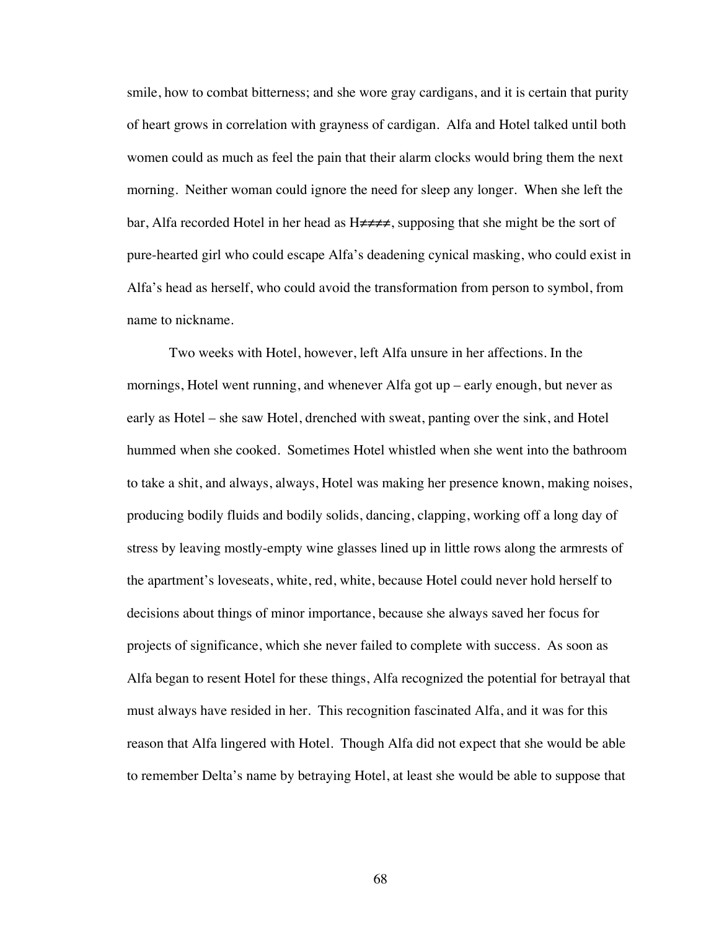smile, how to combat bitterness; and she wore gray cardigans, and it is certain that purity of heart grows in correlation with grayness of cardigan. Alfa and Hotel talked until both women could as much as feel the pain that their alarm clocks would bring them the next morning. Neither woman could ignore the need for sleep any longer. When she left the bar, Alfa recorded Hotel in her head as H≠≠≠≠, supposing that she might be the sort of pure-hearted girl who could escape Alfa's deadening cynical masking, who could exist in Alfa's head as herself, who could avoid the transformation from person to symbol, from name to nickname.

Two weeks with Hotel, however, left Alfa unsure in her affections. In the mornings, Hotel went running, and whenever Alfa got up – early enough, but never as early as Hotel – she saw Hotel, drenched with sweat, panting over the sink, and Hotel hummed when she cooked. Sometimes Hotel whistled when she went into the bathroom to take a shit, and always, always, Hotel was making her presence known, making noises, producing bodily fluids and bodily solids, dancing, clapping, working off a long day of stress by leaving mostly-empty wine glasses lined up in little rows along the armrests of the apartment's loveseats, white, red, white, because Hotel could never hold herself to decisions about things of minor importance, because she always saved her focus for projects of significance, which she never failed to complete with success. As soon as Alfa began to resent Hotel for these things, Alfa recognized the potential for betrayal that must always have resided in her. This recognition fascinated Alfa, and it was for this reason that Alfa lingered with Hotel. Though Alfa did not expect that she would be able to remember Delta's name by betraying Hotel, at least she would be able to suppose that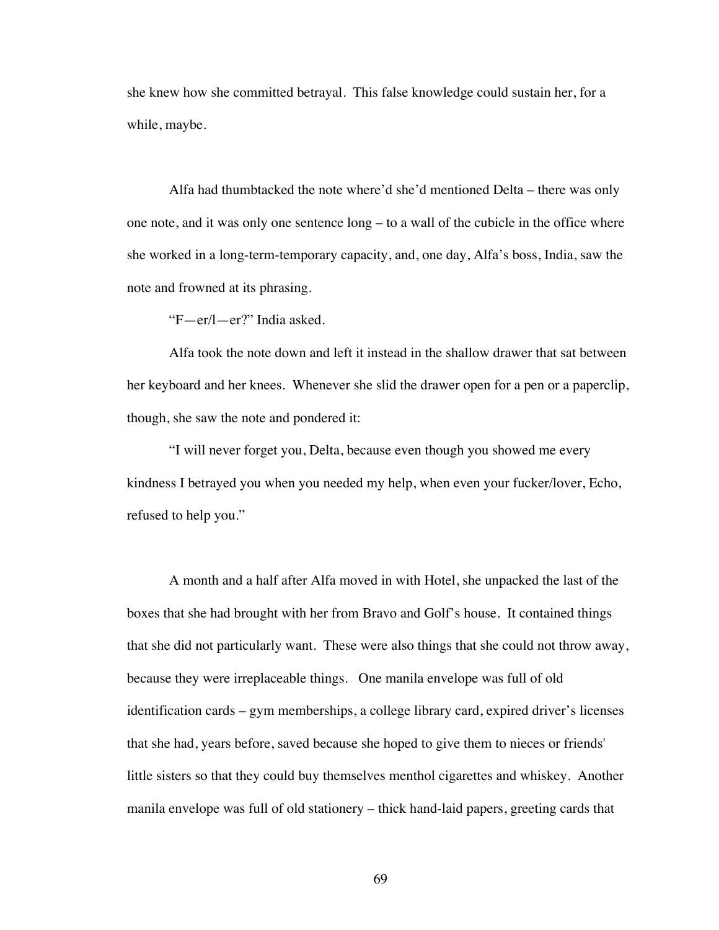she knew how she committed betrayal. This false knowledge could sustain her, for a while, maybe.

Alfa had thumbtacked the note where'd she'd mentioned Delta – there was only one note, and it was only one sentence long – to a wall of the cubicle in the office where she worked in a long-term-temporary capacity, and, one day, Alfa's boss, India, saw the note and frowned at its phrasing.

"F—er/l—er?" India asked.

Alfa took the note down and left it instead in the shallow drawer that sat between her keyboard and her knees. Whenever she slid the drawer open for a pen or a paperclip, though, she saw the note and pondered it:

"I will never forget you, Delta, because even though you showed me every kindness I betrayed you when you needed my help, when even your fucker/lover, Echo, refused to help you."

A month and a half after Alfa moved in with Hotel, she unpacked the last of the boxes that she had brought with her from Bravo and Golf's house. It contained things that she did not particularly want. These were also things that she could not throw away, because they were irreplaceable things. One manila envelope was full of old identification cards – gym memberships, a college library card, expired driver's licenses that she had, years before, saved because she hoped to give them to nieces or friends' little sisters so that they could buy themselves menthol cigarettes and whiskey. Another manila envelope was full of old stationery – thick hand-laid papers, greeting cards that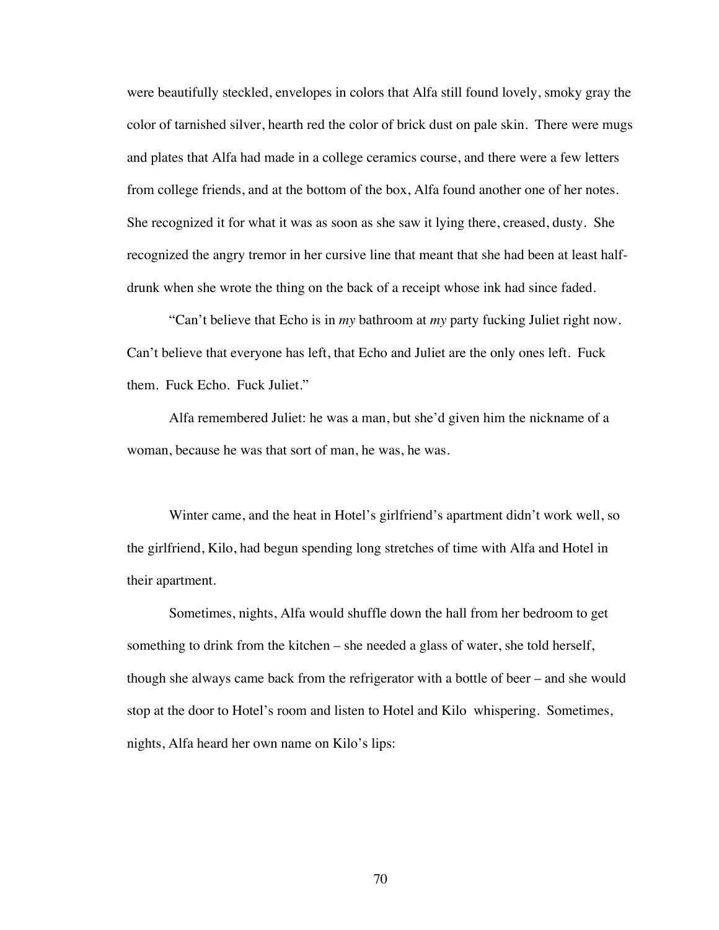were beautifully steckled, envelopes in colors that Alfa still found lovely, smoky gray the color of tarnished silver, hearth red the color of brick dust on pale skin. There were mugs and plates that Alfa had made in a college ceramics course, and there were a few letters from college friends, and at the bottom of the box, Alfa found another one of her notes. She recognized it for what it was as soon as she saw it lying there, creased, dusty. She recognized the angry tremor in her cursive line that meant that she had been at least halfdrunk when she wrote the thing on the back of a receipt whose ink had since faded.

"Can't believe that Echo is in *my* bathroom at *my* party fucking Juliet right now. Can't believe that everyone has left, that Echo and Juliet are the only ones left. Fuck them. Fuck Echo. Fuck Juliet."

Alfa remembered Juliet: he was a man, but she'd given him the nickname of a woman, because he was that sort of man, he was, he was.

Winter came, and the heat in Hotel's girlfriend's apartment didn't work well, so the girlfriend, Kilo, had begun spending long stretches of time with Alfa and Hotel in their apartment.

Sometimes, nights, Alfa would shuffle down the hall from her bedroom to get something to drink from the kitchen – she needed a glass of water, she told herself, though she always came back from the refrigerator with a bottle of beer – and she would stop at the door to Hotel's room and listen to Hotel and Kilo whispering. Sometimes, nights, Alfa heard her own name on Kilo's lips: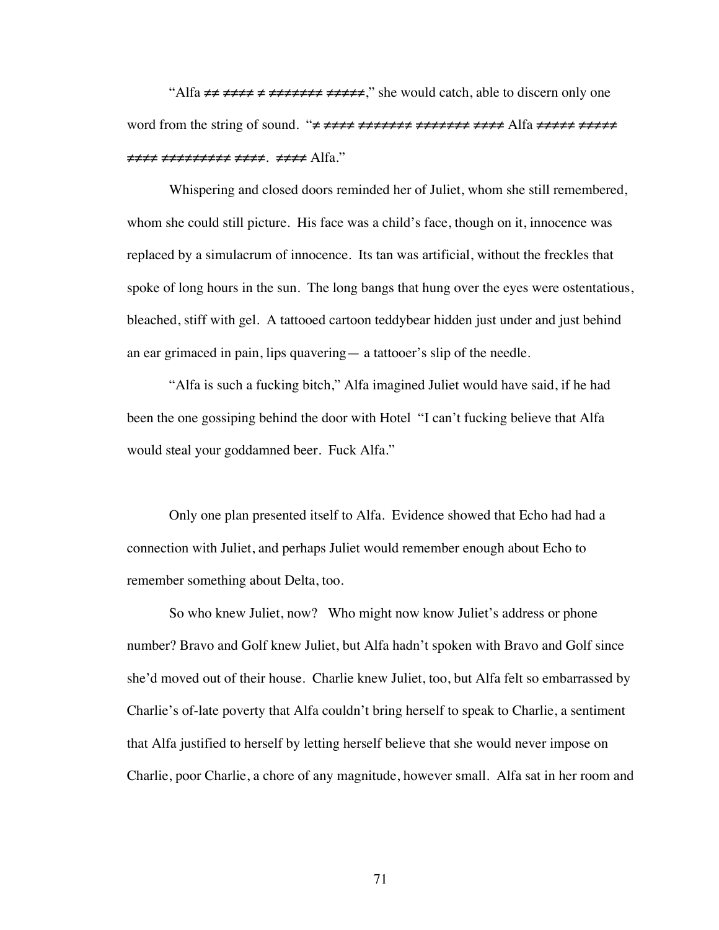"Alfa ≠≠ ≠≠≠≠ ≠ ≠≠≠≠≠≠ ≠≠≠≠≠," she would catch, able to discern only one word from the string of sound. "≠ ≠≠≠≠ ≠≠≠≠≠≠≠ ≠≠≠≠≠≠ ≠≠≠≠ Alfa ≠≠≠≠≠ ≠≠≠≠≠ ≠≠≠≠ ≠≠≠≠≠≠≠≠≠ ≠≠≠≠. ≠≠≠≠ Alfa."

Whispering and closed doors reminded her of Juliet, whom she still remembered, whom she could still picture. His face was a child's face, though on it, innocence was replaced by a simulacrum of innocence. Its tan was artificial, without the freckles that spoke of long hours in the sun. The long bangs that hung over the eyes were ostentatious, bleached, stiff with gel. A tattooed cartoon teddybear hidden just under and just behind an ear grimaced in pain, lips quavering— a tattooer's slip of the needle.

"Alfa is such a fucking bitch," Alfa imagined Juliet would have said, if he had been the one gossiping behind the door with Hotel "I can't fucking believe that Alfa would steal your goddamned beer. Fuck Alfa."

Only one plan presented itself to Alfa. Evidence showed that Echo had had a connection with Juliet, and perhaps Juliet would remember enough about Echo to remember something about Delta, too.

So who knew Juliet, now? Who might now know Juliet's address or phone number? Bravo and Golf knew Juliet, but Alfa hadn't spoken with Bravo and Golf since she'd moved out of their house. Charlie knew Juliet, too, but Alfa felt so embarrassed by Charlie's of-late poverty that Alfa couldn't bring herself to speak to Charlie, a sentiment that Alfa justified to herself by letting herself believe that she would never impose on Charlie, poor Charlie, a chore of any magnitude, however small. Alfa sat in her room and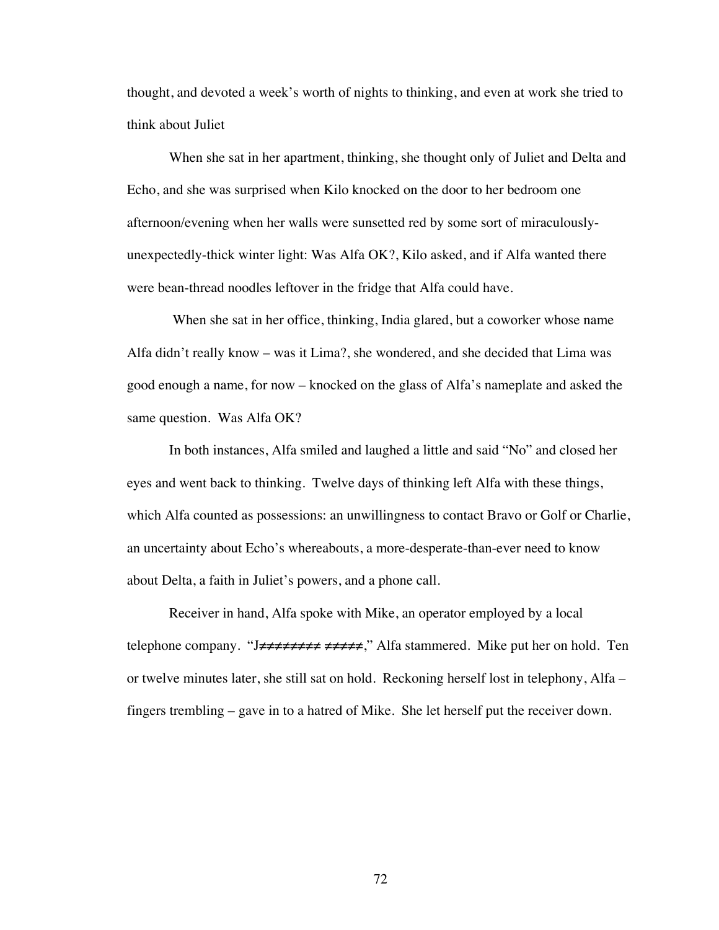thought, and devoted a week's worth of nights to thinking, and even at work she tried to think about Juliet

When she sat in her apartment, thinking, she thought only of Juliet and Delta and Echo, and she was surprised when Kilo knocked on the door to her bedroom one afternoon/evening when her walls were sunsetted red by some sort of miraculouslyunexpectedly-thick winter light: Was Alfa OK?, Kilo asked, and if Alfa wanted there were bean-thread noodles leftover in the fridge that Alfa could have.

 When she sat in her office, thinking, India glared, but a coworker whose name Alfa didn't really know – was it Lima?, she wondered, and she decided that Lima was good enough a name, for now – knocked on the glass of Alfa's nameplate and asked the same question. Was Alfa OK?

In both instances, Alfa smiled and laughed a little and said "No" and closed her eyes and went back to thinking. Twelve days of thinking left Alfa with these things, which Alfa counted as possessions: an unwillingness to contact Bravo or Golf or Charlie, an uncertainty about Echo's whereabouts, a more-desperate-than-ever need to know about Delta, a faith in Juliet's powers, and a phone call.

Receiver in hand, Alfa spoke with Mike, an operator employed by a local telephone company. "J≠≠≠≠≠≠≠≠ ≠≠≠≠≠," Alfa stammered. Mike put her on hold. Ten or twelve minutes later, she still sat on hold. Reckoning herself lost in telephony, Alfa – fingers trembling – gave in to a hatred of Mike. She let herself put the receiver down.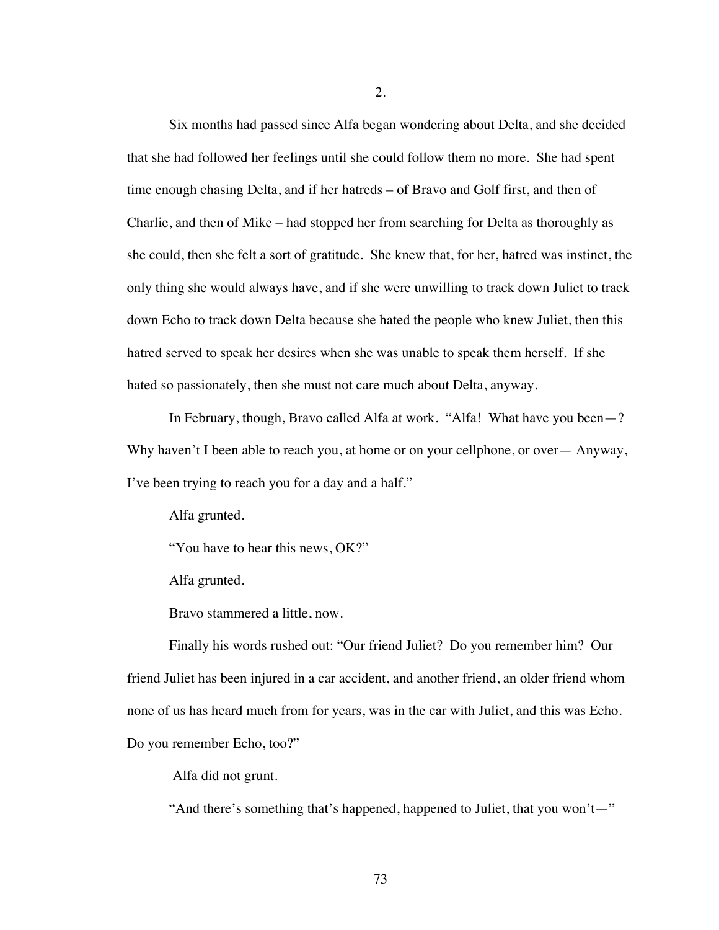Six months had passed since Alfa began wondering about Delta, and she decided that she had followed her feelings until she could follow them no more. She had spent time enough chasing Delta, and if her hatreds – of Bravo and Golf first, and then of Charlie, and then of Mike – had stopped her from searching for Delta as thoroughly as she could, then she felt a sort of gratitude. She knew that, for her, hatred was instinct, the only thing she would always have, and if she were unwilling to track down Juliet to track down Echo to track down Delta because she hated the people who knew Juliet, then this hatred served to speak her desires when she was unable to speak them herself. If she hated so passionately, then she must not care much about Delta, anyway.

In February, though, Bravo called Alfa at work. "Alfa! What have you been—? Why haven't I been able to reach you, at home or on your cellphone, or over— Anyway, I've been trying to reach you for a day and a half."

Alfa grunted.

"You have to hear this news, OK?"

Alfa grunted.

Bravo stammered a little, now.

Finally his words rushed out: "Our friend Juliet? Do you remember him? Our friend Juliet has been injured in a car accident, and another friend, an older friend whom none of us has heard much from for years, was in the car with Juliet, and this was Echo. Do you remember Echo, too?"

Alfa did not grunt.

"And there's something that's happened, happened to Juliet, that you won't—"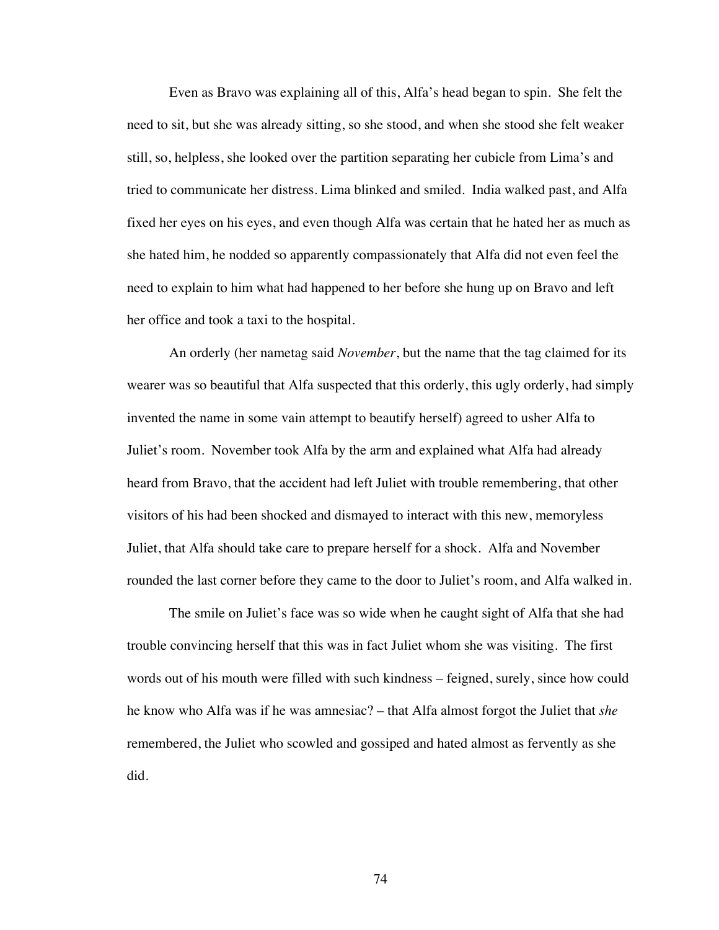Even as Bravo was explaining all of this, Alfa's head began to spin. She felt the need to sit, but she was already sitting, so she stood, and when she stood she felt weaker still, so, helpless, she looked over the partition separating her cubicle from Lima's and tried to communicate her distress. Lima blinked and smiled. India walked past, and Alfa fixed her eyes on his eyes, and even though Alfa was certain that he hated her as much as she hated him, he nodded so apparently compassionately that Alfa did not even feel the need to explain to him what had happened to her before she hung up on Bravo and left her office and took a taxi to the hospital.

An orderly (her nametag said *November*, but the name that the tag claimed for its wearer was so beautiful that Alfa suspected that this orderly, this ugly orderly, had simply invented the name in some vain attempt to beautify herself) agreed to usher Alfa to Juliet's room. November took Alfa by the arm and explained what Alfa had already heard from Bravo, that the accident had left Juliet with trouble remembering, that other visitors of his had been shocked and dismayed to interact with this new, memoryless Juliet, that Alfa should take care to prepare herself for a shock. Alfa and November rounded the last corner before they came to the door to Juliet's room, and Alfa walked in.

The smile on Juliet's face was so wide when he caught sight of Alfa that she had trouble convincing herself that this was in fact Juliet whom she was visiting. The first words out of his mouth were filled with such kindness – feigned, surely, since how could he know who Alfa was if he was amnesiac? – that Alfa almost forgot the Juliet that *she*  remembered, the Juliet who scowled and gossiped and hated almost as fervently as she did.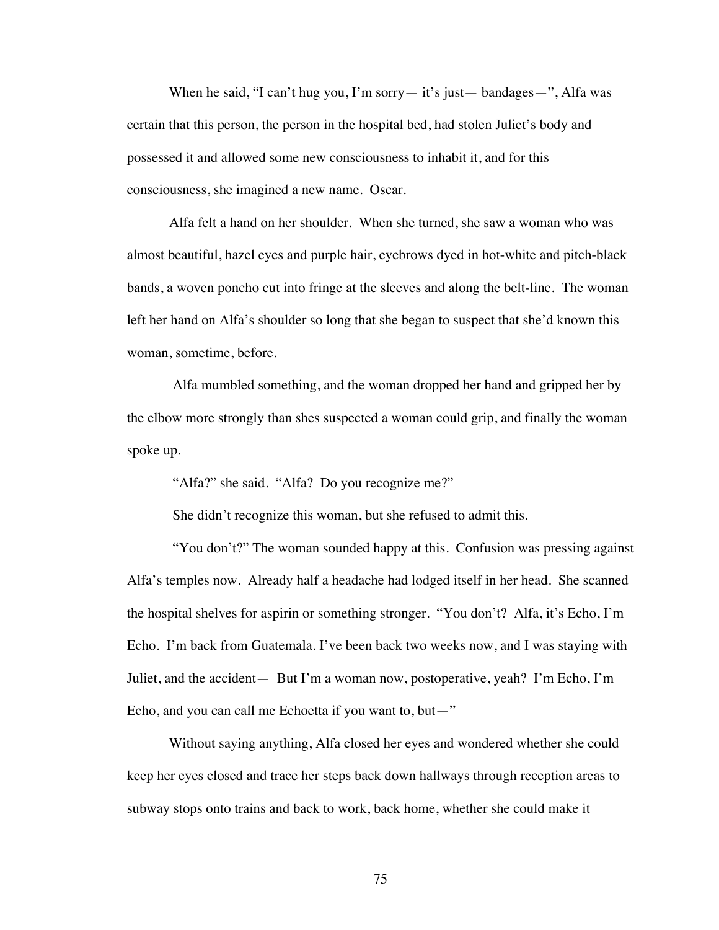When he said, "I can't hug you, I'm sorry— it's just— bandages—", Alfa was certain that this person, the person in the hospital bed, had stolen Juliet's body and possessed it and allowed some new consciousness to inhabit it, and for this consciousness, she imagined a new name. Oscar.

Alfa felt a hand on her shoulder. When she turned, she saw a woman who was almost beautiful, hazel eyes and purple hair, eyebrows dyed in hot-white and pitch-black bands, a woven poncho cut into fringe at the sleeves and along the belt-line. The woman left her hand on Alfa's shoulder so long that she began to suspect that she'd known this woman, sometime, before.

 Alfa mumbled something, and the woman dropped her hand and gripped her by the elbow more strongly than shes suspected a woman could grip, and finally the woman spoke up.

"Alfa?" she said. "Alfa? Do you recognize me?"

She didn't recognize this woman, but she refused to admit this.

"You don't?" The woman sounded happy at this. Confusion was pressing against Alfa's temples now. Already half a headache had lodged itself in her head. She scanned the hospital shelves for aspirin or something stronger. "You don't? Alfa, it's Echo, I'm Echo. I'm back from Guatemala. I've been back two weeks now, and I was staying with Juliet, and the accident— But I'm a woman now, postoperative, yeah? I'm Echo, I'm Echo, and you can call me Echoetta if you want to, but—"

Without saying anything, Alfa closed her eyes and wondered whether she could keep her eyes closed and trace her steps back down hallways through reception areas to subway stops onto trains and back to work, back home, whether she could make it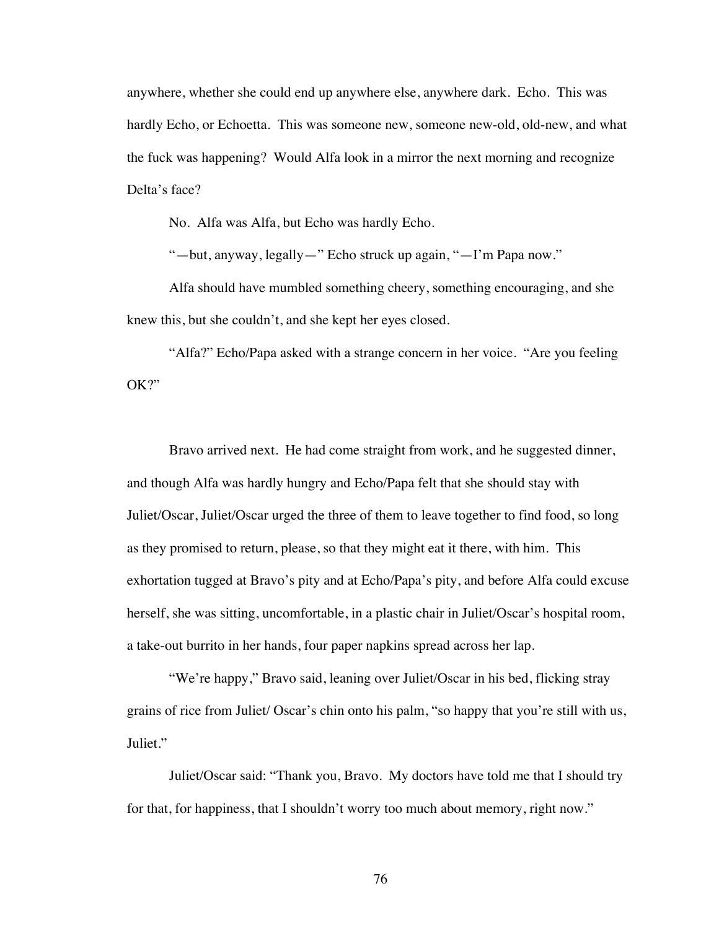anywhere, whether she could end up anywhere else, anywhere dark. Echo. This was hardly Echo, or Echoetta. This was someone new, someone new-old, old-new, and what the fuck was happening? Would Alfa look in a mirror the next morning and recognize Delta's face?

No. Alfa was Alfa, but Echo was hardly Echo.

"—but, anyway, legally—" Echo struck up again, "—I'm Papa now."

Alfa should have mumbled something cheery, something encouraging, and she knew this, but she couldn't, and she kept her eyes closed.

 "Alfa?" Echo/Papa asked with a strange concern in her voice. "Are you feeling OK?"

Bravo arrived next. He had come straight from work, and he suggested dinner, and though Alfa was hardly hungry and Echo/Papa felt that she should stay with Juliet/Oscar, Juliet/Oscar urged the three of them to leave together to find food, so long as they promised to return, please, so that they might eat it there, with him. This exhortation tugged at Bravo's pity and at Echo/Papa's pity, and before Alfa could excuse herself, she was sitting, uncomfortable, in a plastic chair in Juliet/Oscar's hospital room, a take-out burrito in her hands, four paper napkins spread across her lap.

"We're happy," Bravo said, leaning over Juliet/Oscar in his bed, flicking stray grains of rice from Juliet/ Oscar's chin onto his palm, "so happy that you're still with us, Juliet."

Juliet/Oscar said: "Thank you, Bravo. My doctors have told me that I should try for that, for happiness, that I shouldn't worry too much about memory, right now."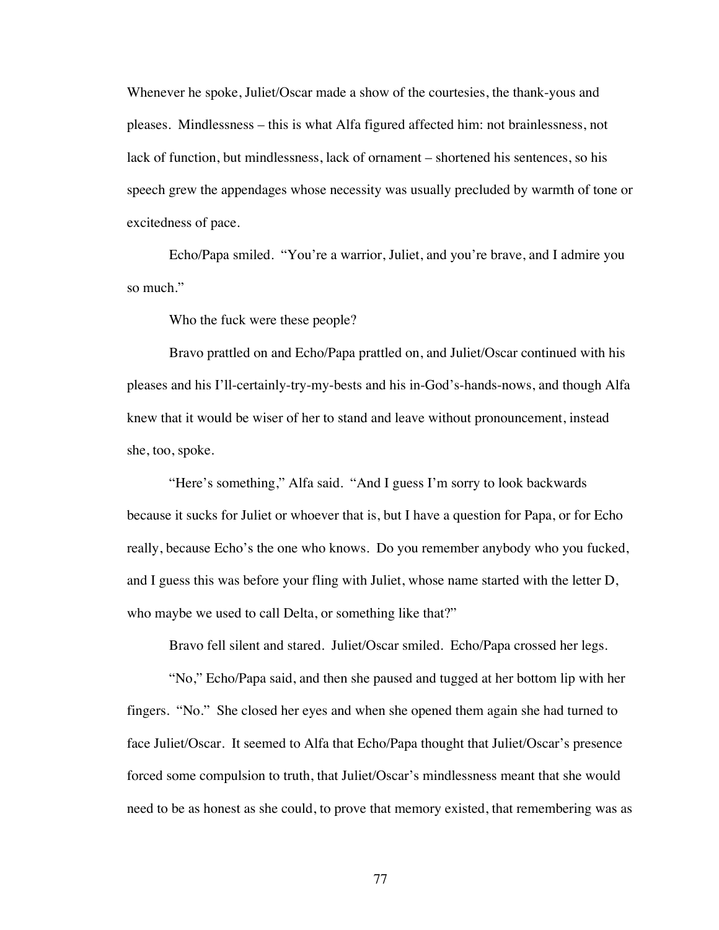Whenever he spoke, Juliet/Oscar made a show of the courtesies, the thank-yous and pleases. Mindlessness – this is what Alfa figured affected him: not brainlessness, not lack of function, but mindlessness, lack of ornament – shortened his sentences, so his speech grew the appendages whose necessity was usually precluded by warmth of tone or excitedness of pace.

Echo/Papa smiled. "You're a warrior, Juliet, and you're brave, and I admire you so much."

Who the fuck were these people?

Bravo prattled on and Echo/Papa prattled on, and Juliet/Oscar continued with his pleases and his I'll-certainly-try-my-bests and his in-God's-hands-nows, and though Alfa knew that it would be wiser of her to stand and leave without pronouncement, instead she, too, spoke.

"Here's something," Alfa said. "And I guess I'm sorry to look backwards because it sucks for Juliet or whoever that is, but I have a question for Papa, or for Echo really, because Echo's the one who knows. Do you remember anybody who you fucked, and I guess this was before your fling with Juliet, whose name started with the letter D, who maybe we used to call Delta, or something like that?"

Bravo fell silent and stared. Juliet/Oscar smiled. Echo/Papa crossed her legs.

"No," Echo/Papa said, and then she paused and tugged at her bottom lip with her fingers. "No." She closed her eyes and when she opened them again she had turned to face Juliet/Oscar. It seemed to Alfa that Echo/Papa thought that Juliet/Oscar's presence forced some compulsion to truth, that Juliet/Oscar's mindlessness meant that she would need to be as honest as she could, to prove that memory existed, that remembering was as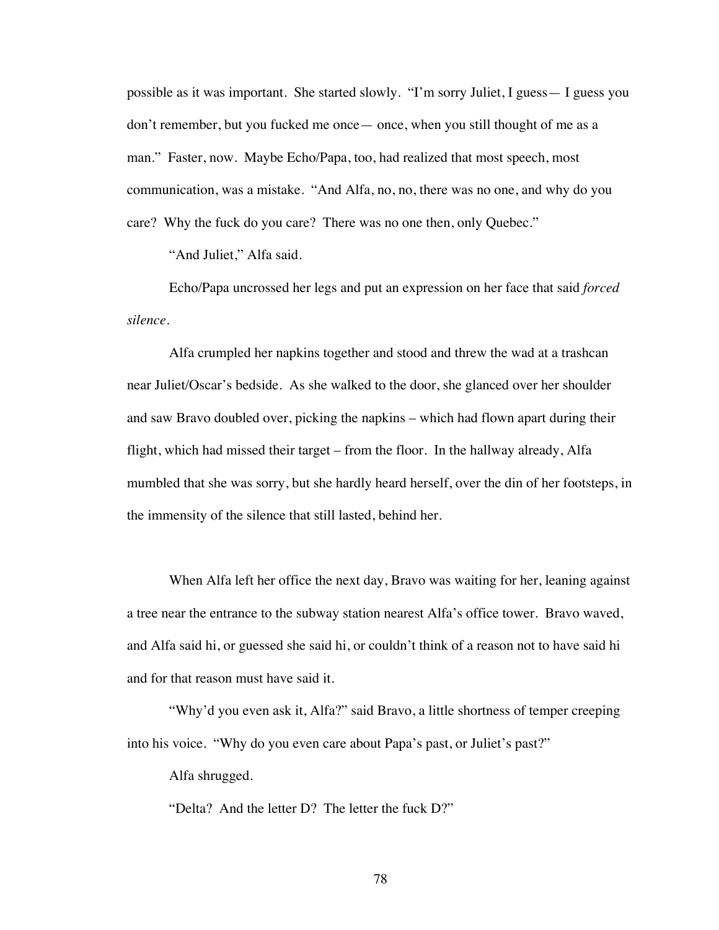possible as it was important. She started slowly. "I'm sorry Juliet, I guess— I guess you don't remember, but you fucked me once— once, when you still thought of me as a man." Faster, now. Maybe Echo/Papa, too, had realized that most speech, most communication, was a mistake. "And Alfa, no, no, there was no one, and why do you care? Why the fuck do you care? There was no one then, only Quebec."

"And Juliet," Alfa said.

Echo/Papa uncrossed her legs and put an expression on her face that said *forced silence*.

Alfa crumpled her napkins together and stood and threw the wad at a trashcan near Juliet/Oscar's bedside. As she walked to the door, she glanced over her shoulder and saw Bravo doubled over, picking the napkins – which had flown apart during their flight, which had missed their target – from the floor. In the hallway already, Alfa mumbled that she was sorry, but she hardly heard herself, over the din of her footsteps, in the immensity of the silence that still lasted, behind her.

When Alfa left her office the next day, Bravo was waiting for her, leaning against a tree near the entrance to the subway station nearest Alfa's office tower. Bravo waved, and Alfa said hi, or guessed she said hi, or couldn't think of a reason not to have said hi and for that reason must have said it.

"Why'd you even ask it, Alfa?" said Bravo, a little shortness of temper creeping into his voice. "Why do you even care about Papa's past, or Juliet's past?"

Alfa shrugged.

"Delta? And the letter D? The letter the fuck D?"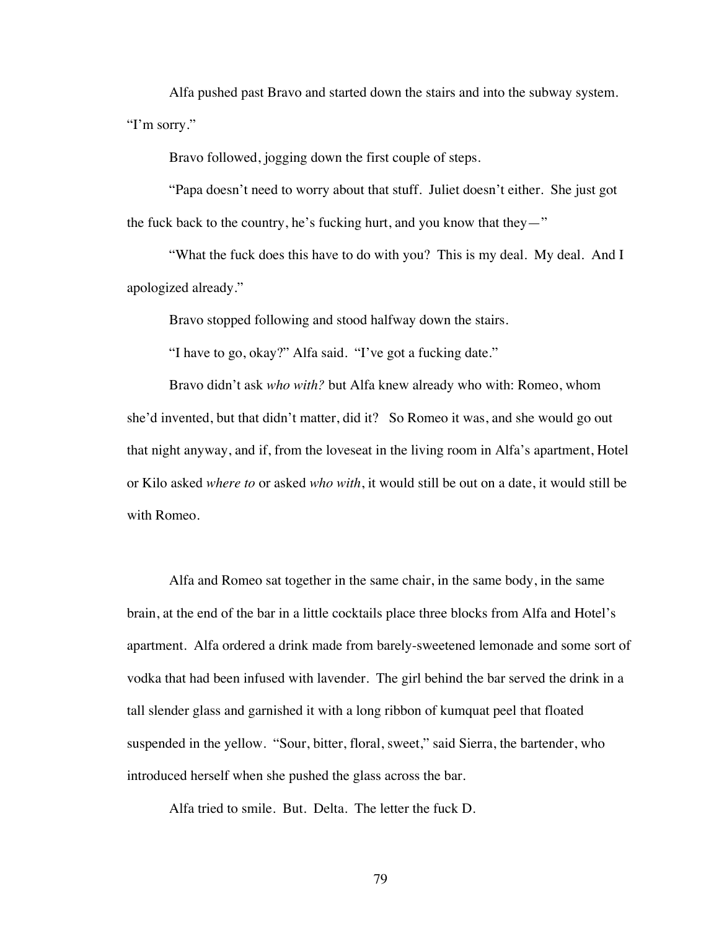Alfa pushed past Bravo and started down the stairs and into the subway system. "I'm sorry."

Bravo followed, jogging down the first couple of steps.

"Papa doesn't need to worry about that stuff. Juliet doesn't either. She just got the fuck back to the country, he's fucking hurt, and you know that they—"

"What the fuck does this have to do with you? This is my deal. My deal. And I apologized already."

Bravo stopped following and stood halfway down the stairs.

"I have to go, okay?" Alfa said. "I've got a fucking date."

Bravo didn't ask *who with?* but Alfa knew already who with: Romeo, whom she'd invented, but that didn't matter, did it? So Romeo it was, and she would go out that night anyway, and if, from the loveseat in the living room in Alfa's apartment, Hotel or Kilo asked *where to* or asked *who with*, it would still be out on a date, it would still be with Romeo.

Alfa and Romeo sat together in the same chair, in the same body, in the same brain, at the end of the bar in a little cocktails place three blocks from Alfa and Hotel's apartment. Alfa ordered a drink made from barely-sweetened lemonade and some sort of vodka that had been infused with lavender. The girl behind the bar served the drink in a tall slender glass and garnished it with a long ribbon of kumquat peel that floated suspended in the yellow. "Sour, bitter, floral, sweet," said Sierra, the bartender, who introduced herself when she pushed the glass across the bar.

Alfa tried to smile. But. Delta. The letter the fuck D.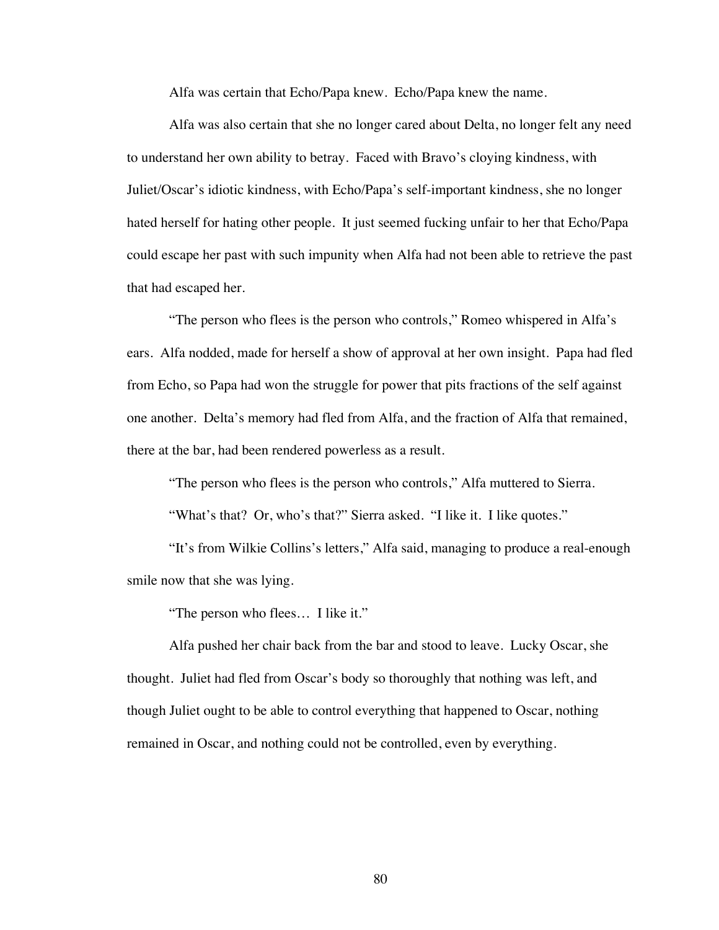Alfa was certain that Echo/Papa knew. Echo/Papa knew the name.

Alfa was also certain that she no longer cared about Delta, no longer felt any need to understand her own ability to betray. Faced with Bravo's cloying kindness, with Juliet/Oscar's idiotic kindness, with Echo/Papa's self-important kindness, she no longer hated herself for hating other people. It just seemed fucking unfair to her that Echo/Papa could escape her past with such impunity when Alfa had not been able to retrieve the past that had escaped her.

"The person who flees is the person who controls," Romeo whispered in Alfa's ears. Alfa nodded, made for herself a show of approval at her own insight. Papa had fled from Echo, so Papa had won the struggle for power that pits fractions of the self against one another. Delta's memory had fled from Alfa, and the fraction of Alfa that remained, there at the bar, had been rendered powerless as a result.

"The person who flees is the person who controls," Alfa muttered to Sierra.

"What's that? Or, who's that?" Sierra asked. "I like it. I like quotes."

"It's from Wilkie Collins's letters," Alfa said, managing to produce a real-enough smile now that she was lying.

"The person who flees… I like it."

Alfa pushed her chair back from the bar and stood to leave. Lucky Oscar, she thought. Juliet had fled from Oscar's body so thoroughly that nothing was left, and though Juliet ought to be able to control everything that happened to Oscar, nothing remained in Oscar, and nothing could not be controlled, even by everything.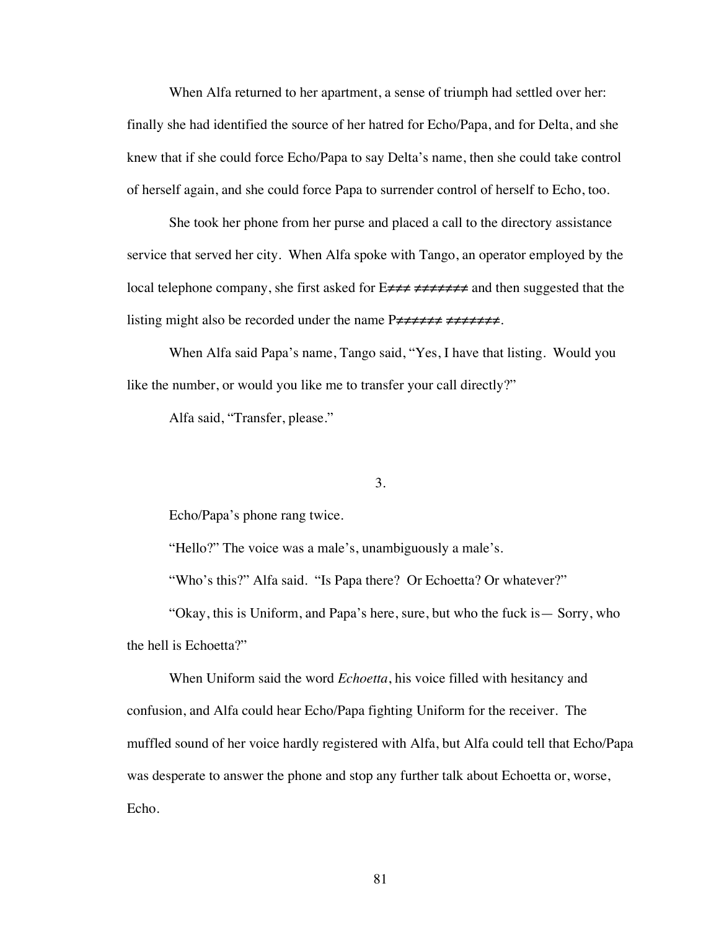When Alfa returned to her apartment, a sense of triumph had settled over her: finally she had identified the source of her hatred for Echo/Papa, and for Delta, and she knew that if she could force Echo/Papa to say Delta's name, then she could take control of herself again, and she could force Papa to surrender control of herself to Echo, too.

She took her phone from her purse and placed a call to the directory assistance service that served her city. When Alfa spoke with Tango, an operator employed by the local telephone company, she first asked for E≠≠≠ ≠≠≠≠≠≠≠ and then suggested that the listing might also be recorded under the name P≠≠≠≠≠≠ ≠≠≠≠≠≠≠.

When Alfa said Papa's name, Tango said, "Yes, I have that listing. Would you like the number, or would you like me to transfer your call directly?"

Alfa said, "Transfer, please."

3.

Echo/Papa's phone rang twice.

"Hello?" The voice was a male's, unambiguously a male's.

"Who's this?" Alfa said. "Is Papa there? Or Echoetta? Or whatever?"

"Okay, this is Uniform, and Papa's here, sure, but who the fuck is— Sorry, who the hell is Echoetta?"

When Uniform said the word *Echoetta*, his voice filled with hesitancy and confusion, and Alfa could hear Echo/Papa fighting Uniform for the receiver. The muffled sound of her voice hardly registered with Alfa, but Alfa could tell that Echo/Papa was desperate to answer the phone and stop any further talk about Echoetta or, worse, Echo.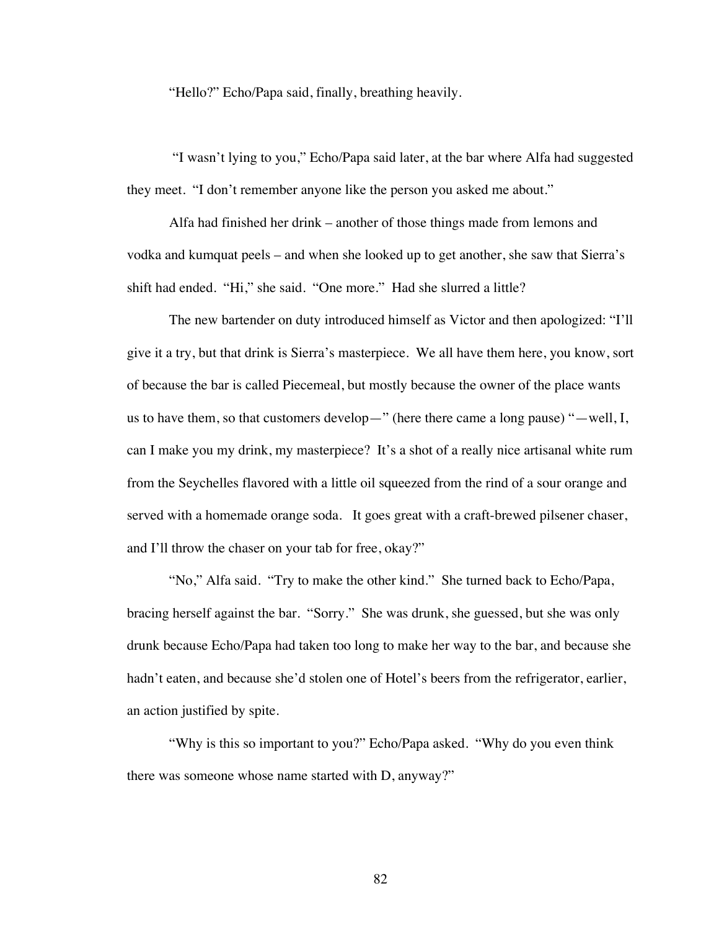"Hello?" Echo/Papa said, finally, breathing heavily.

 "I wasn't lying to you," Echo/Papa said later, at the bar where Alfa had suggested they meet. "I don't remember anyone like the person you asked me about."

Alfa had finished her drink – another of those things made from lemons and vodka and kumquat peels – and when she looked up to get another, she saw that Sierra's shift had ended. "Hi," she said. "One more." Had she slurred a little?

The new bartender on duty introduced himself as Victor and then apologized: "I'll give it a try, but that drink is Sierra's masterpiece. We all have them here, you know, sort of because the bar is called Piecemeal, but mostly because the owner of the place wants us to have them, so that customers develop—" (here there came a long pause) "—well,  $I$ , can I make you my drink, my masterpiece? It's a shot of a really nice artisanal white rum from the Seychelles flavored with a little oil squeezed from the rind of a sour orange and served with a homemade orange soda. It goes great with a craft-brewed pilsener chaser, and I'll throw the chaser on your tab for free, okay?"

"No," Alfa said. "Try to make the other kind." She turned back to Echo/Papa, bracing herself against the bar. "Sorry." She was drunk, she guessed, but she was only drunk because Echo/Papa had taken too long to make her way to the bar, and because she hadn't eaten, and because she'd stolen one of Hotel's beers from the refrigerator, earlier, an action justified by spite.

"Why is this so important to you?" Echo/Papa asked. "Why do you even think there was someone whose name started with D, anyway?"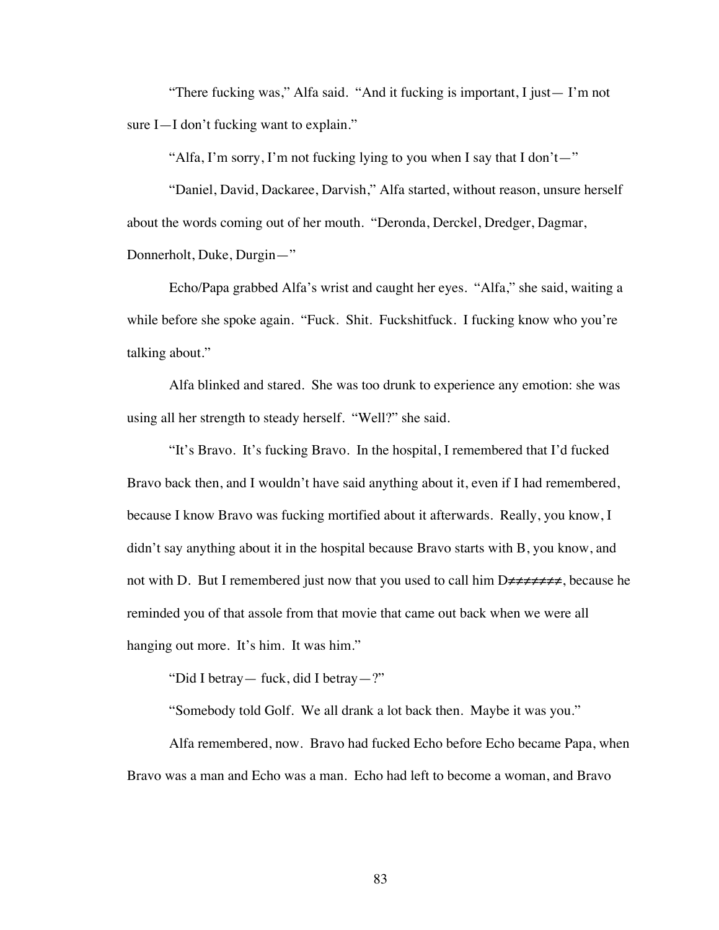"There fucking was," Alfa said. "And it fucking is important, I just— I'm not sure I—I don't fucking want to explain."

"Alfa, I'm sorry, I'm not fucking lying to you when I say that I don't—"

"Daniel, David, Dackaree, Darvish," Alfa started, without reason, unsure herself about the words coming out of her mouth. "Deronda, Derckel, Dredger, Dagmar, Donnerholt, Duke, Durgin—"

Echo/Papa grabbed Alfa's wrist and caught her eyes. "Alfa," she said, waiting a while before she spoke again. "Fuck. Shit. Fuckshitfuck. I fucking know who you're talking about."

Alfa blinked and stared. She was too drunk to experience any emotion: she was using all her strength to steady herself. "Well?" she said.

"It's Bravo. It's fucking Bravo. In the hospital, I remembered that I'd fucked Bravo back then, and I wouldn't have said anything about it, even if I had remembered, because I know Bravo was fucking mortified about it afterwards. Really, you know, I didn't say anything about it in the hospital because Bravo starts with B, you know, and not with D. But I remembered just now that you used to call him D≠≠≠≠≠≠≠, because he reminded you of that assole from that movie that came out back when we were all hanging out more. It's him. It was him."

"Did I betray— fuck, did I betray—?"

"Somebody told Golf. We all drank a lot back then. Maybe it was you."

Alfa remembered, now. Bravo had fucked Echo before Echo became Papa, when Bravo was a man and Echo was a man. Echo had left to become a woman, and Bravo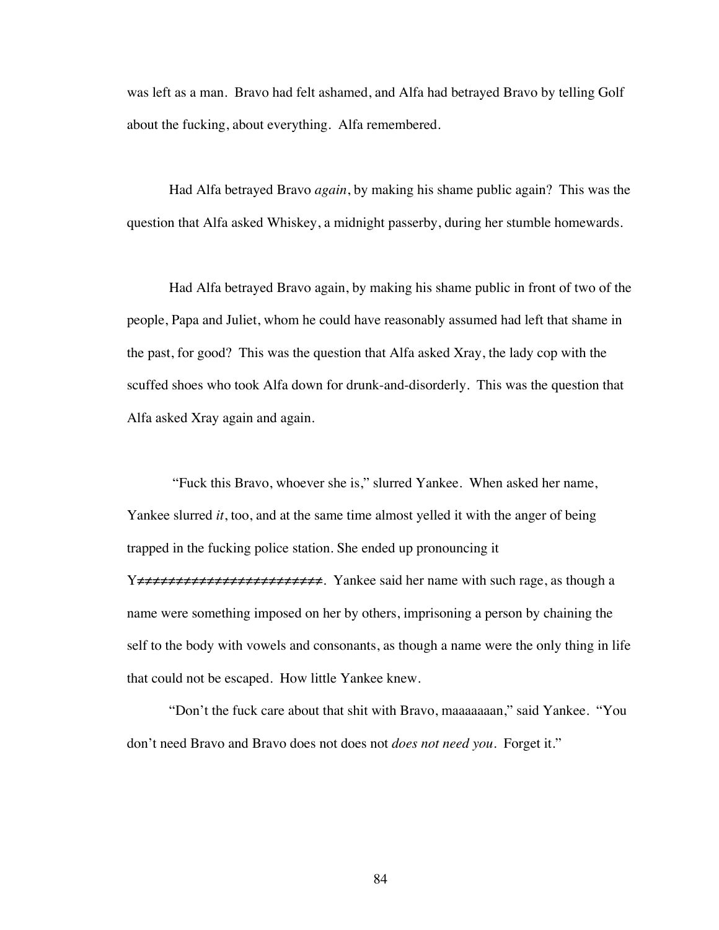was left as a man. Bravo had felt ashamed, and Alfa had betrayed Bravo by telling Golf about the fucking, about everything. Alfa remembered.

Had Alfa betrayed Bravo *again*, by making his shame public again? This was the question that Alfa asked Whiskey, a midnight passerby, during her stumble homewards.

Had Alfa betrayed Bravo again, by making his shame public in front of two of the people, Papa and Juliet, whom he could have reasonably assumed had left that shame in the past, for good? This was the question that Alfa asked Xray, the lady cop with the scuffed shoes who took Alfa down for drunk-and-disorderly. This was the question that Alfa asked Xray again and again.

 "Fuck this Bravo, whoever she is," slurred Yankee. When asked her name, Yankee slurred *it*, too, and at the same time almost yelled it with the anger of being trapped in the fucking police station. She ended up pronouncing it Y≠≠≠≠≠≠≠≠≠≠≠≠≠≠≠≠≠≠≠≠≠≠≠≠. Yankee said her name with such rage, as though a name were something imposed on her by others, imprisoning a person by chaining the self to the body with vowels and consonants, as though a name were the only thing in life

that could not be escaped. How little Yankee knew.

"Don't the fuck care about that shit with Bravo, maaaaaaan," said Yankee. "You don't need Bravo and Bravo does not does not *does not need you*. Forget it."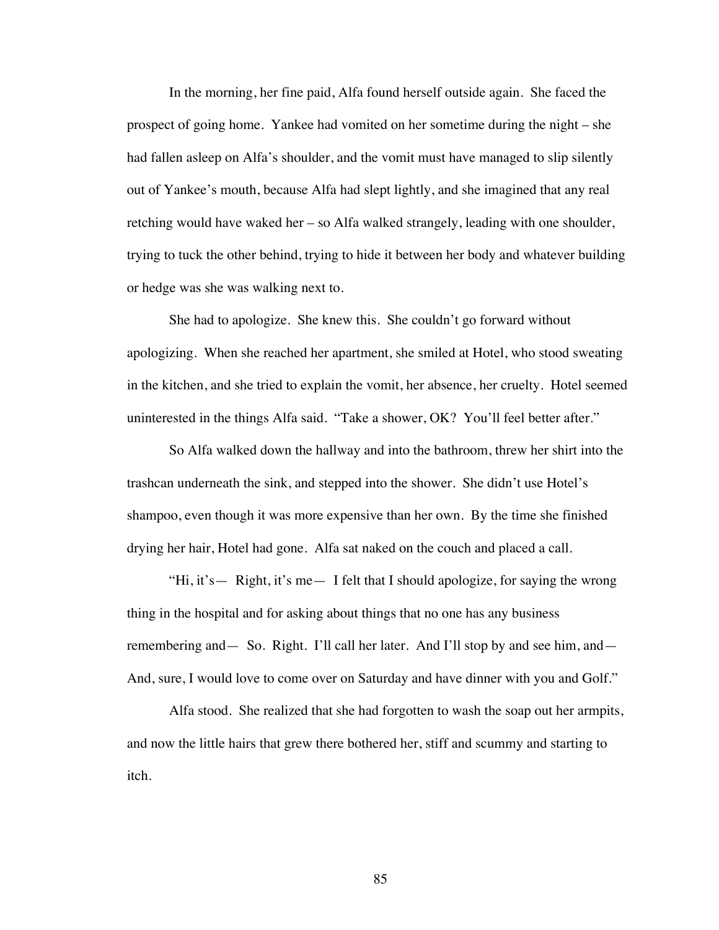In the morning, her fine paid, Alfa found herself outside again. She faced the prospect of going home. Yankee had vomited on her sometime during the night – she had fallen asleep on Alfa's shoulder, and the vomit must have managed to slip silently out of Yankee's mouth, because Alfa had slept lightly, and she imagined that any real retching would have waked her – so Alfa walked strangely, leading with one shoulder, trying to tuck the other behind, trying to hide it between her body and whatever building or hedge was she was walking next to.

She had to apologize. She knew this. She couldn't go forward without apologizing. When she reached her apartment, she smiled at Hotel, who stood sweating in the kitchen, and she tried to explain the vomit, her absence, her cruelty. Hotel seemed uninterested in the things Alfa said. "Take a shower, OK? You'll feel better after."

So Alfa walked down the hallway and into the bathroom, threw her shirt into the trashcan underneath the sink, and stepped into the shower. She didn't use Hotel's shampoo, even though it was more expensive than her own. By the time she finished drying her hair, Hotel had gone. Alfa sat naked on the couch and placed a call.

"Hi, it's— Right, it's me— I felt that I should apologize, for saying the wrong thing in the hospital and for asking about things that no one has any business remembering and— So. Right. I'll call her later. And I'll stop by and see him, and— And, sure, I would love to come over on Saturday and have dinner with you and Golf."

Alfa stood. She realized that she had forgotten to wash the soap out her armpits, and now the little hairs that grew there bothered her, stiff and scummy and starting to itch.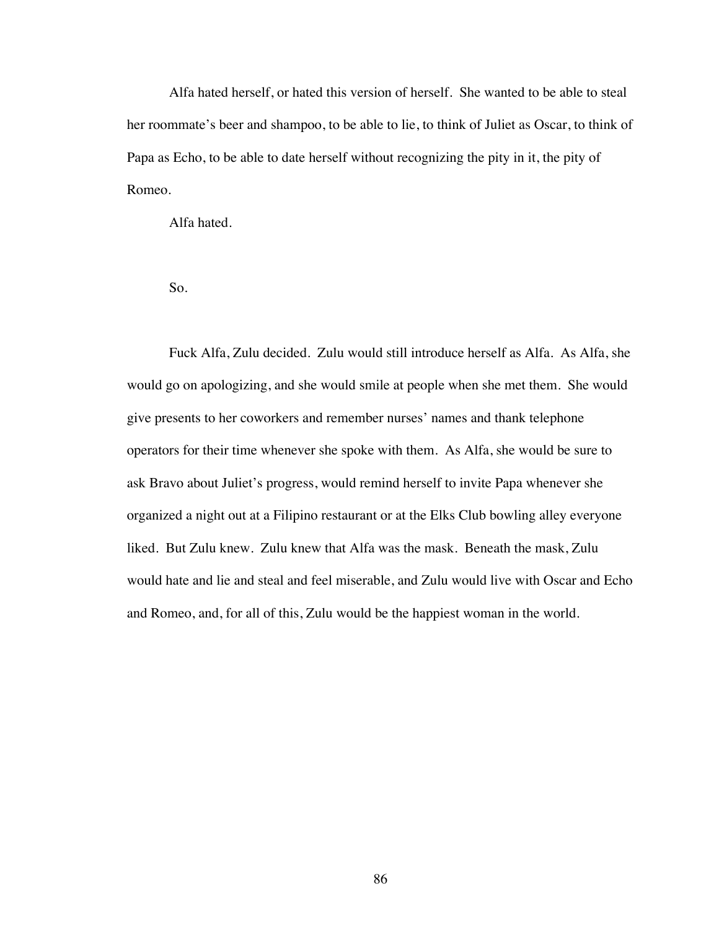Alfa hated herself, or hated this version of herself. She wanted to be able to steal her roommate's beer and shampoo, to be able to lie, to think of Juliet as Oscar, to think of Papa as Echo, to be able to date herself without recognizing the pity in it, the pity of Romeo.

Alfa hated.

So.

Fuck Alfa, Zulu decided. Zulu would still introduce herself as Alfa. As Alfa, she would go on apologizing, and she would smile at people when she met them. She would give presents to her coworkers and remember nurses' names and thank telephone operators for their time whenever she spoke with them. As Alfa, she would be sure to ask Bravo about Juliet's progress, would remind herself to invite Papa whenever she organized a night out at a Filipino restaurant or at the Elks Club bowling alley everyone liked. But Zulu knew. Zulu knew that Alfa was the mask. Beneath the mask, Zulu would hate and lie and steal and feel miserable, and Zulu would live with Oscar and Echo and Romeo, and, for all of this, Zulu would be the happiest woman in the world.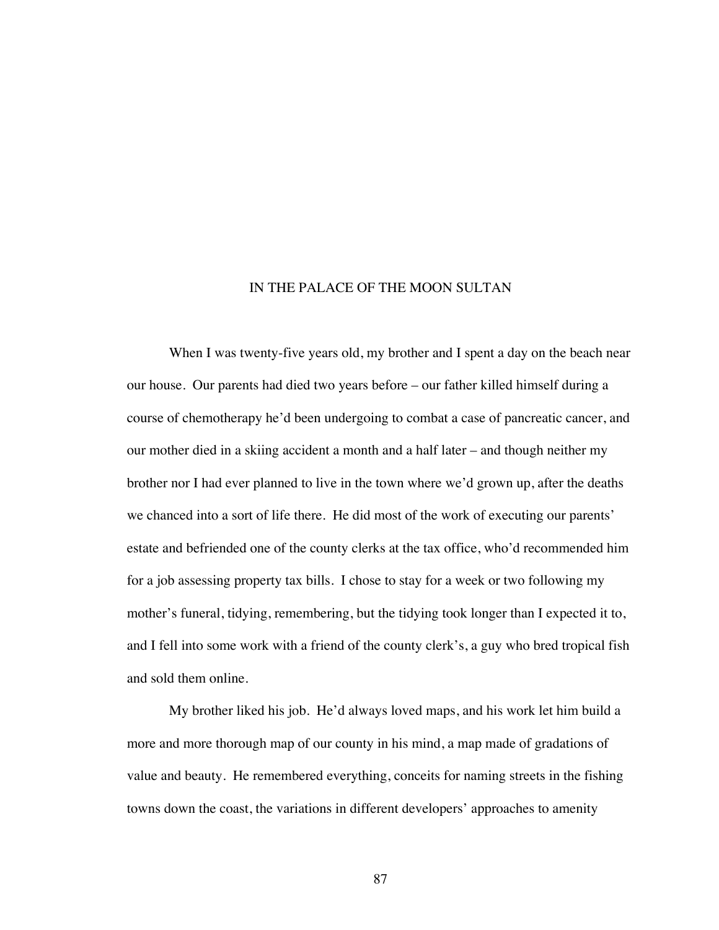## IN THE PALACE OF THE MOON SULTAN

When I was twenty-five years old, my brother and I spent a day on the beach near our house. Our parents had died two years before – our father killed himself during a course of chemotherapy he'd been undergoing to combat a case of pancreatic cancer, and our mother died in a skiing accident a month and a half later – and though neither my brother nor I had ever planned to live in the town where we'd grown up, after the deaths we chanced into a sort of life there. He did most of the work of executing our parents' estate and befriended one of the county clerks at the tax office, who'd recommended him for a job assessing property tax bills. I chose to stay for a week or two following my mother's funeral, tidying, remembering, but the tidying took longer than I expected it to, and I fell into some work with a friend of the county clerk's, a guy who bred tropical fish and sold them online.

My brother liked his job. He'd always loved maps, and his work let him build a more and more thorough map of our county in his mind, a map made of gradations of value and beauty. He remembered everything, conceits for naming streets in the fishing towns down the coast, the variations in different developers' approaches to amenity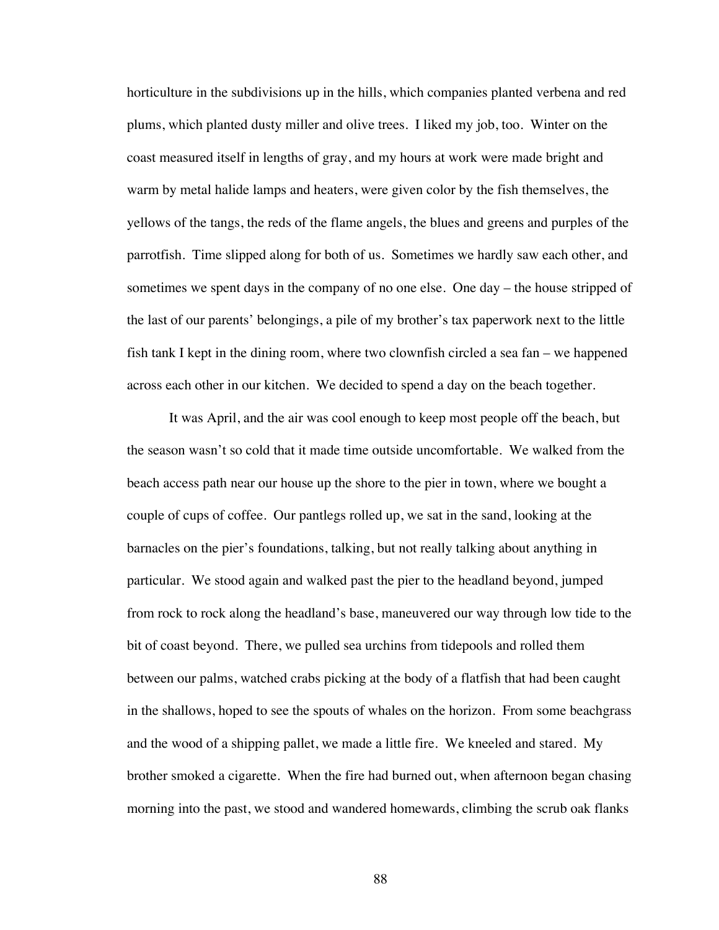horticulture in the subdivisions up in the hills, which companies planted verbena and red plums, which planted dusty miller and olive trees. I liked my job, too. Winter on the coast measured itself in lengths of gray, and my hours at work were made bright and warm by metal halide lamps and heaters, were given color by the fish themselves, the yellows of the tangs, the reds of the flame angels, the blues and greens and purples of the parrotfish. Time slipped along for both of us. Sometimes we hardly saw each other, and sometimes we spent days in the company of no one else. One day – the house stripped of the last of our parents' belongings, a pile of my brother's tax paperwork next to the little fish tank I kept in the dining room, where two clownfish circled a sea fan – we happened across each other in our kitchen. We decided to spend a day on the beach together.

It was April, and the air was cool enough to keep most people off the beach, but the season wasn't so cold that it made time outside uncomfortable. We walked from the beach access path near our house up the shore to the pier in town, where we bought a couple of cups of coffee. Our pantlegs rolled up, we sat in the sand, looking at the barnacles on the pier's foundations, talking, but not really talking about anything in particular. We stood again and walked past the pier to the headland beyond, jumped from rock to rock along the headland's base, maneuvered our way through low tide to the bit of coast beyond. There, we pulled sea urchins from tidepools and rolled them between our palms, watched crabs picking at the body of a flatfish that had been caught in the shallows, hoped to see the spouts of whales on the horizon. From some beachgrass and the wood of a shipping pallet, we made a little fire. We kneeled and stared. My brother smoked a cigarette. When the fire had burned out, when afternoon began chasing morning into the past, we stood and wandered homewards, climbing the scrub oak flanks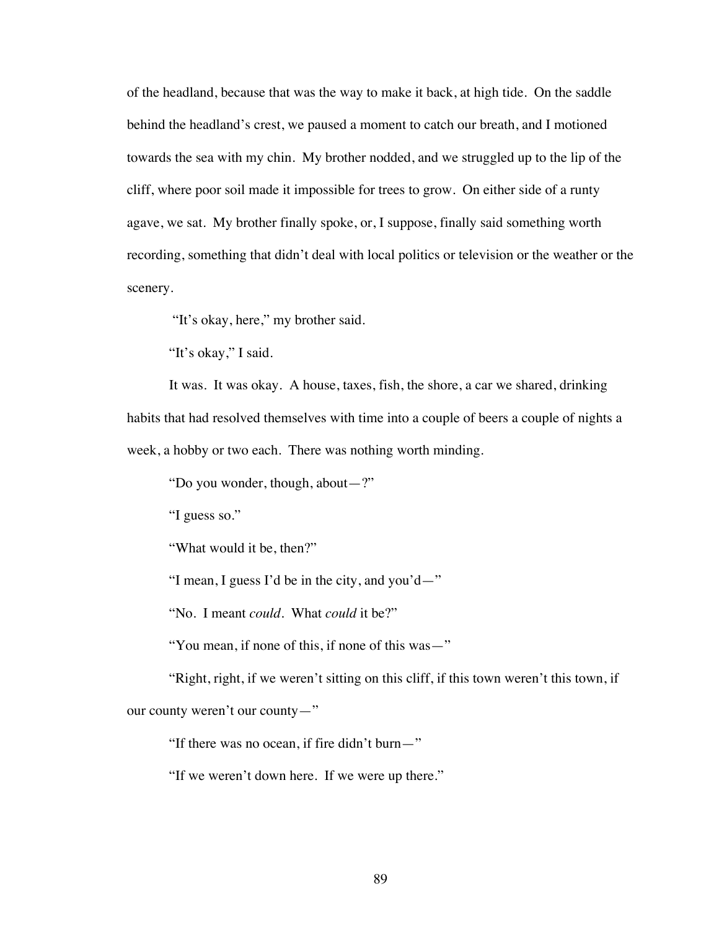of the headland, because that was the way to make it back, at high tide. On the saddle behind the headland's crest, we paused a moment to catch our breath, and I motioned towards the sea with my chin. My brother nodded, and we struggled up to the lip of the cliff, where poor soil made it impossible for trees to grow. On either side of a runty agave, we sat. My brother finally spoke, or, I suppose, finally said something worth recording, something that didn't deal with local politics or television or the weather or the scenery.

"It's okay, here," my brother said.

"It's okay," I said.

It was. It was okay. A house, taxes, fish, the shore, a car we shared, drinking habits that had resolved themselves with time into a couple of beers a couple of nights a week, a hobby or two each. There was nothing worth minding.

"Do you wonder, though, about—?"

"I guess so."

"What would it be, then?"

"I mean, I guess I'd be in the city, and you'd—"

"No. I meant *could*. What *could* it be?"

"You mean, if none of this, if none of this was—"

"Right, right, if we weren't sitting on this cliff, if this town weren't this town, if our county weren't our county—"

"If there was no ocean, if fire didn't burn—"

"If we weren't down here. If we were up there."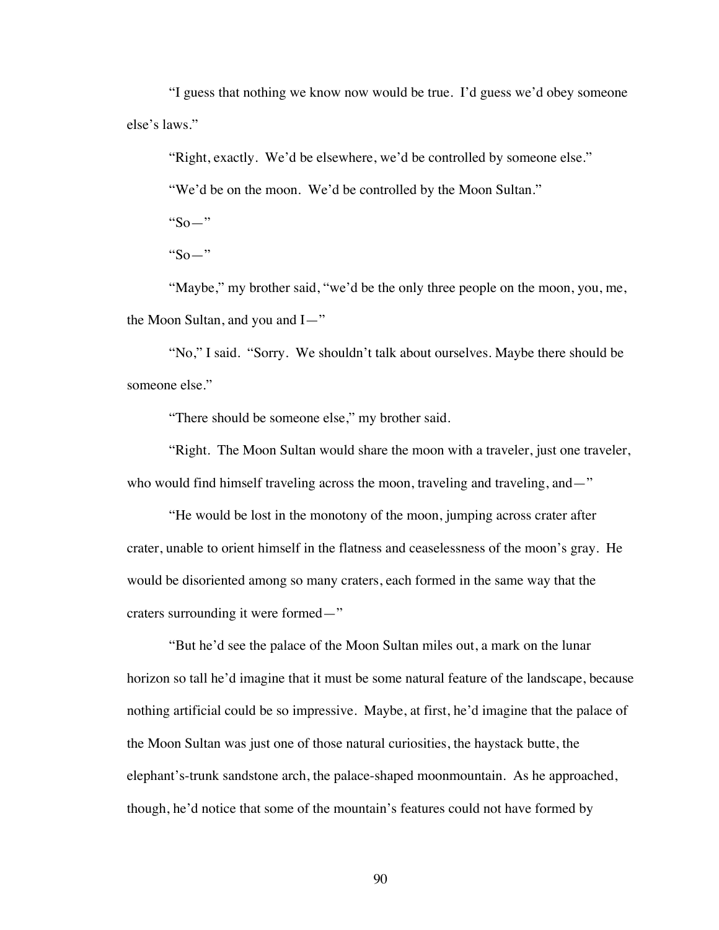"I guess that nothing we know now would be true. I'd guess we'd obey someone else's laws."

"Right, exactly. We'd be elsewhere, we'd be controlled by someone else."

"We'd be on the moon. We'd be controlled by the Moon Sultan."

"So—"

" $\text{So}$ "

"Maybe," my brother said, "we'd be the only three people on the moon, you, me, the Moon Sultan, and you and I—"

"No," I said. "Sorry. We shouldn't talk about ourselves. Maybe there should be someone else."

"There should be someone else," my brother said.

"Right. The Moon Sultan would share the moon with a traveler, just one traveler, who would find himself traveling across the moon, traveling and traveling, and—"

"He would be lost in the monotony of the moon, jumping across crater after crater, unable to orient himself in the flatness and ceaselessness of the moon's gray. He would be disoriented among so many craters, each formed in the same way that the craters surrounding it were formed—"

"But he'd see the palace of the Moon Sultan miles out, a mark on the lunar horizon so tall he'd imagine that it must be some natural feature of the landscape, because nothing artificial could be so impressive. Maybe, at first, he'd imagine that the palace of the Moon Sultan was just one of those natural curiosities, the haystack butte, the elephant's-trunk sandstone arch, the palace-shaped moonmountain. As he approached, though, he'd notice that some of the mountain's features could not have formed by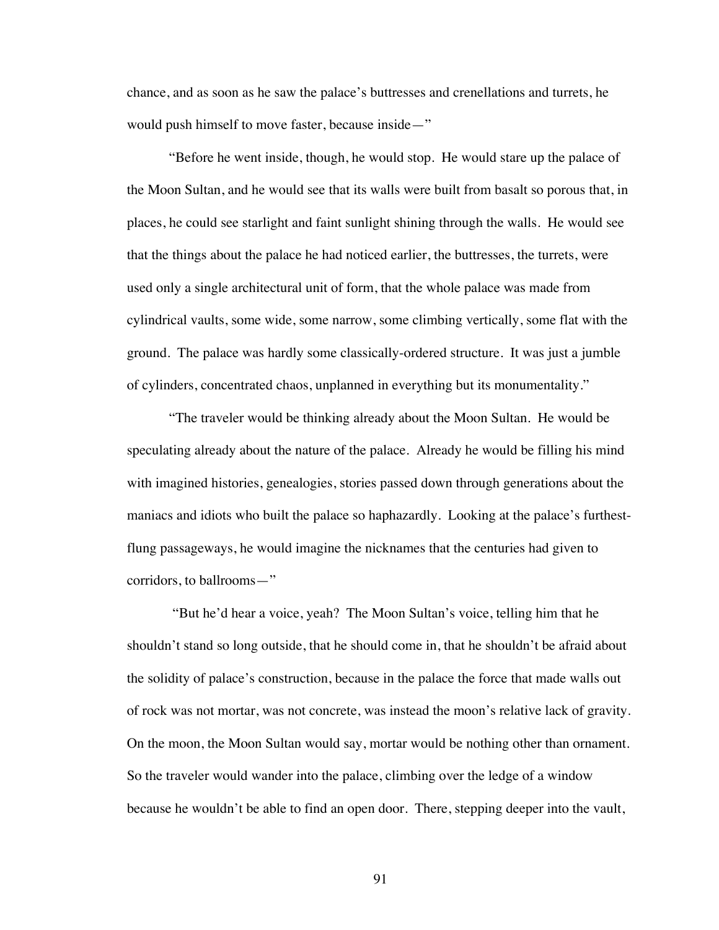chance, and as soon as he saw the palace's buttresses and crenellations and turrets, he would push himself to move faster, because inside—"

"Before he went inside, though, he would stop. He would stare up the palace of the Moon Sultan, and he would see that its walls were built from basalt so porous that, in places, he could see starlight and faint sunlight shining through the walls. He would see that the things about the palace he had noticed earlier, the buttresses, the turrets, were used only a single architectural unit of form, that the whole palace was made from cylindrical vaults, some wide, some narrow, some climbing vertically, some flat with the ground. The palace was hardly some classically-ordered structure. It was just a jumble of cylinders, concentrated chaos, unplanned in everything but its monumentality."

"The traveler would be thinking already about the Moon Sultan. He would be speculating already about the nature of the palace. Already he would be filling his mind with imagined histories, genealogies, stories passed down through generations about the maniacs and idiots who built the palace so haphazardly. Looking at the palace's furthestflung passageways, he would imagine the nicknames that the centuries had given to corridors, to ballrooms—"

 "But he'd hear a voice, yeah? The Moon Sultan's voice, telling him that he shouldn't stand so long outside, that he should come in, that he shouldn't be afraid about the solidity of palace's construction, because in the palace the force that made walls out of rock was not mortar, was not concrete, was instead the moon's relative lack of gravity. On the moon, the Moon Sultan would say, mortar would be nothing other than ornament. So the traveler would wander into the palace, climbing over the ledge of a window because he wouldn't be able to find an open door. There, stepping deeper into the vault,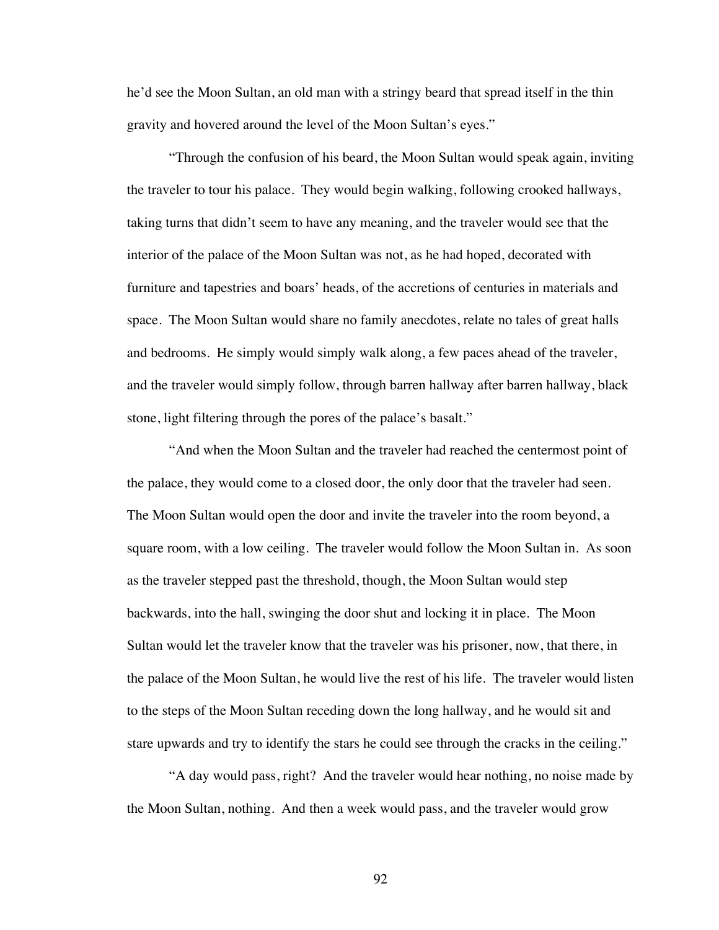he'd see the Moon Sultan, an old man with a stringy beard that spread itself in the thin gravity and hovered around the level of the Moon Sultan's eyes."

"Through the confusion of his beard, the Moon Sultan would speak again, inviting the traveler to tour his palace. They would begin walking, following crooked hallways, taking turns that didn't seem to have any meaning, and the traveler would see that the interior of the palace of the Moon Sultan was not, as he had hoped, decorated with furniture and tapestries and boars' heads, of the accretions of centuries in materials and space. The Moon Sultan would share no family anecdotes, relate no tales of great halls and bedrooms. He simply would simply walk along, a few paces ahead of the traveler, and the traveler would simply follow, through barren hallway after barren hallway, black stone, light filtering through the pores of the palace's basalt."

"And when the Moon Sultan and the traveler had reached the centermost point of the palace, they would come to a closed door, the only door that the traveler had seen. The Moon Sultan would open the door and invite the traveler into the room beyond, a square room, with a low ceiling. The traveler would follow the Moon Sultan in. As soon as the traveler stepped past the threshold, though, the Moon Sultan would step backwards, into the hall, swinging the door shut and locking it in place. The Moon Sultan would let the traveler know that the traveler was his prisoner, now, that there, in the palace of the Moon Sultan, he would live the rest of his life. The traveler would listen to the steps of the Moon Sultan receding down the long hallway, and he would sit and stare upwards and try to identify the stars he could see through the cracks in the ceiling."

"A day would pass, right? And the traveler would hear nothing, no noise made by the Moon Sultan, nothing. And then a week would pass, and the traveler would grow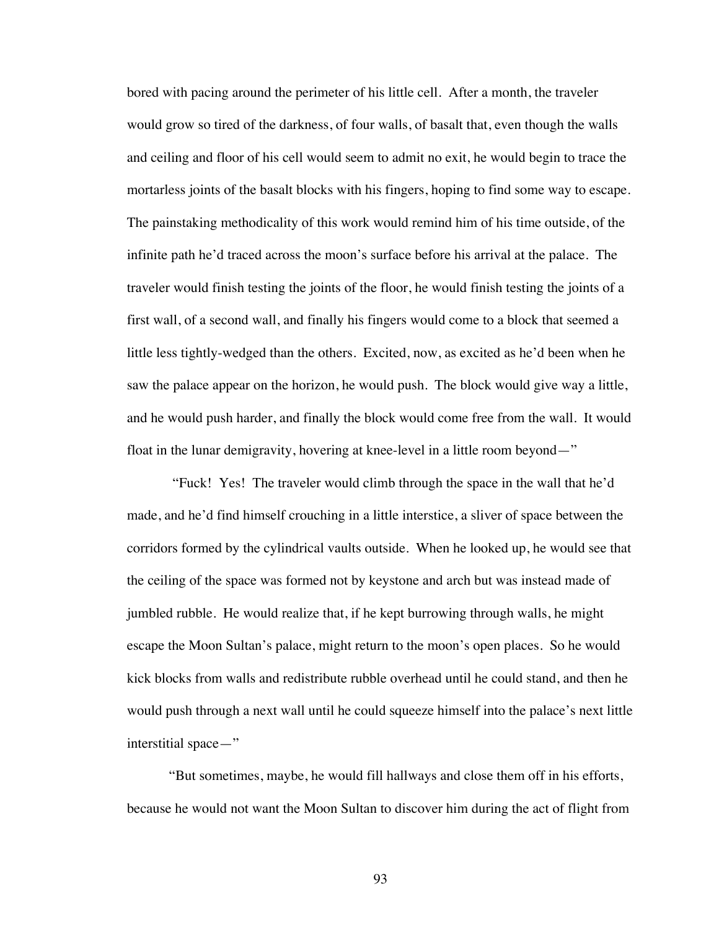bored with pacing around the perimeter of his little cell. After a month, the traveler would grow so tired of the darkness, of four walls, of basalt that, even though the walls and ceiling and floor of his cell would seem to admit no exit, he would begin to trace the mortarless joints of the basalt blocks with his fingers, hoping to find some way to escape. The painstaking methodicality of this work would remind him of his time outside, of the infinite path he'd traced across the moon's surface before his arrival at the palace. The traveler would finish testing the joints of the floor, he would finish testing the joints of a first wall, of a second wall, and finally his fingers would come to a block that seemed a little less tightly-wedged than the others. Excited, now, as excited as he'd been when he saw the palace appear on the horizon, he would push. The block would give way a little, and he would push harder, and finally the block would come free from the wall. It would float in the lunar demigravity, hovering at knee-level in a little room beyond—"

 "Fuck! Yes! The traveler would climb through the space in the wall that he'd made, and he'd find himself crouching in a little interstice, a sliver of space between the corridors formed by the cylindrical vaults outside. When he looked up, he would see that the ceiling of the space was formed not by keystone and arch but was instead made of jumbled rubble. He would realize that, if he kept burrowing through walls, he might escape the Moon Sultan's palace, might return to the moon's open places. So he would kick blocks from walls and redistribute rubble overhead until he could stand, and then he would push through a next wall until he could squeeze himself into the palace's next little interstitial space—"

"But sometimes, maybe, he would fill hallways and close them off in his efforts, because he would not want the Moon Sultan to discover him during the act of flight from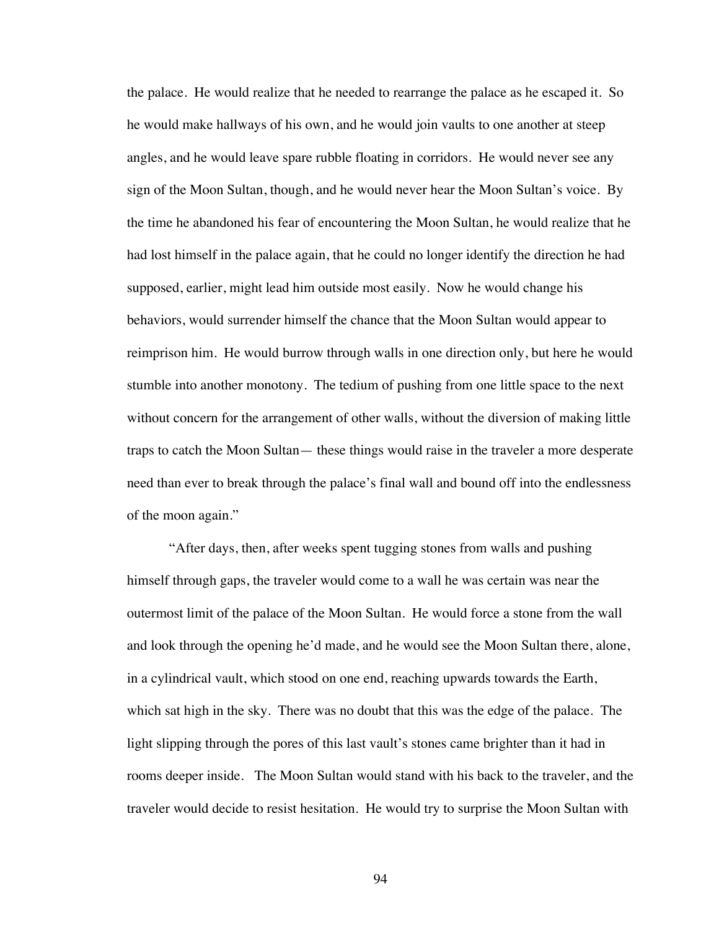the palace. He would realize that he needed to rearrange the palace as he escaped it. So he would make hallways of his own, and he would join vaults to one another at steep angles, and he would leave spare rubble floating in corridors. He would never see any sign of the Moon Sultan, though, and he would never hear the Moon Sultan's voice. By the time he abandoned his fear of encountering the Moon Sultan, he would realize that he had lost himself in the palace again, that he could no longer identify the direction he had supposed, earlier, might lead him outside most easily. Now he would change his behaviors, would surrender himself the chance that the Moon Sultan would appear to reimprison him. He would burrow through walls in one direction only, but here he would stumble into another monotony. The tedium of pushing from one little space to the next without concern for the arrangement of other walls, without the diversion of making little traps to catch the Moon Sultan— these things would raise in the traveler a more desperate need than ever to break through the palace's final wall and bound off into the endlessness of the moon again."

"After days, then, after weeks spent tugging stones from walls and pushing himself through gaps, the traveler would come to a wall he was certain was near the outermost limit of the palace of the Moon Sultan. He would force a stone from the wall and look through the opening he'd made, and he would see the Moon Sultan there, alone, in a cylindrical vault, which stood on one end, reaching upwards towards the Earth, which sat high in the sky. There was no doubt that this was the edge of the palace. The light slipping through the pores of this last vault's stones came brighter than it had in rooms deeper inside. The Moon Sultan would stand with his back to the traveler, and the traveler would decide to resist hesitation. He would try to surprise the Moon Sultan with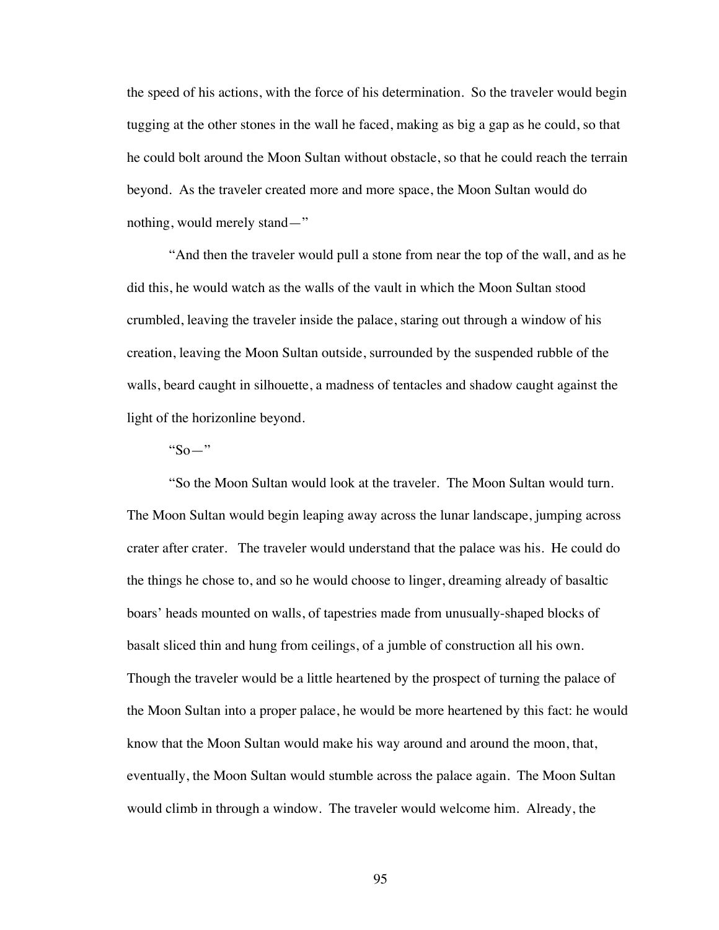the speed of his actions, with the force of his determination. So the traveler would begin tugging at the other stones in the wall he faced, making as big a gap as he could, so that he could bolt around the Moon Sultan without obstacle, so that he could reach the terrain beyond. As the traveler created more and more space, the Moon Sultan would do nothing, would merely stand—"

"And then the traveler would pull a stone from near the top of the wall, and as he did this, he would watch as the walls of the vault in which the Moon Sultan stood crumbled, leaving the traveler inside the palace, staring out through a window of his creation, leaving the Moon Sultan outside, surrounded by the suspended rubble of the walls, beard caught in silhouette, a madness of tentacles and shadow caught against the light of the horizonline beyond.

" $So -$ "

"So the Moon Sultan would look at the traveler. The Moon Sultan would turn. The Moon Sultan would begin leaping away across the lunar landscape, jumping across crater after crater. The traveler would understand that the palace was his. He could do the things he chose to, and so he would choose to linger, dreaming already of basaltic boars' heads mounted on walls, of tapestries made from unusually-shaped blocks of basalt sliced thin and hung from ceilings, of a jumble of construction all his own. Though the traveler would be a little heartened by the prospect of turning the palace of the Moon Sultan into a proper palace, he would be more heartened by this fact: he would know that the Moon Sultan would make his way around and around the moon, that, eventually, the Moon Sultan would stumble across the palace again. The Moon Sultan would climb in through a window. The traveler would welcome him. Already, the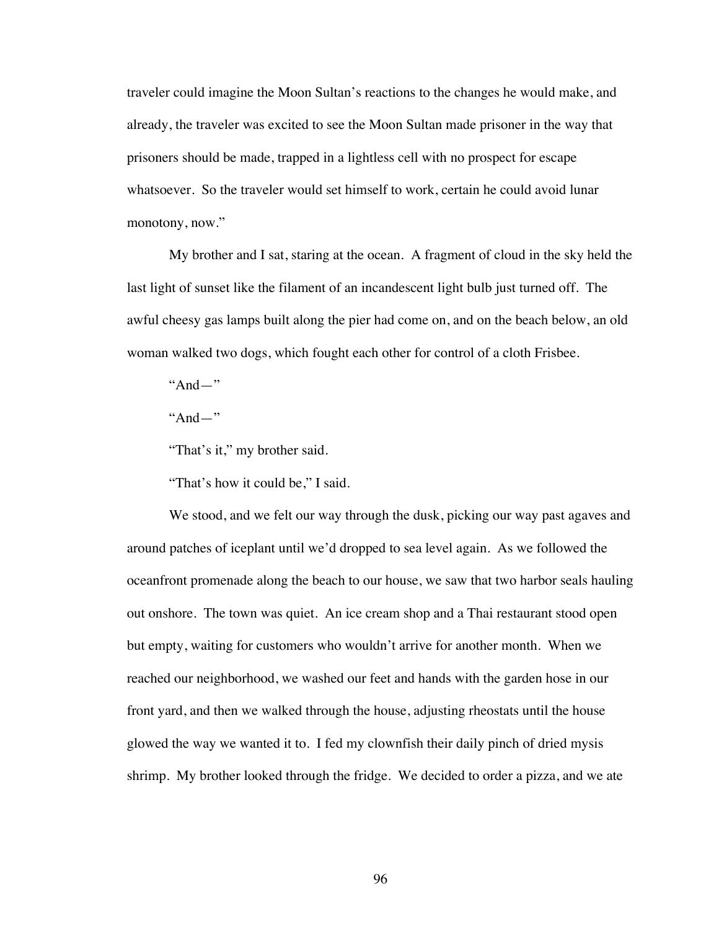traveler could imagine the Moon Sultan's reactions to the changes he would make, and already, the traveler was excited to see the Moon Sultan made prisoner in the way that prisoners should be made, trapped in a lightless cell with no prospect for escape whatsoever. So the traveler would set himself to work, certain he could avoid lunar monotony, now."

My brother and I sat, staring at the ocean. A fragment of cloud in the sky held the last light of sunset like the filament of an incandescent light bulb just turned off. The awful cheesy gas lamps built along the pier had come on, and on the beach below, an old woman walked two dogs, which fought each other for control of a cloth Frisbee.

" $And$ "

" $And$ -"

"That's it," my brother said.

"That's how it could be," I said.

We stood, and we felt our way through the dusk, picking our way past agaves and around patches of iceplant until we'd dropped to sea level again. As we followed the oceanfront promenade along the beach to our house, we saw that two harbor seals hauling out onshore. The town was quiet. An ice cream shop and a Thai restaurant stood open but empty, waiting for customers who wouldn't arrive for another month. When we reached our neighborhood, we washed our feet and hands with the garden hose in our front yard, and then we walked through the house, adjusting rheostats until the house glowed the way we wanted it to. I fed my clownfish their daily pinch of dried mysis shrimp. My brother looked through the fridge. We decided to order a pizza, and we ate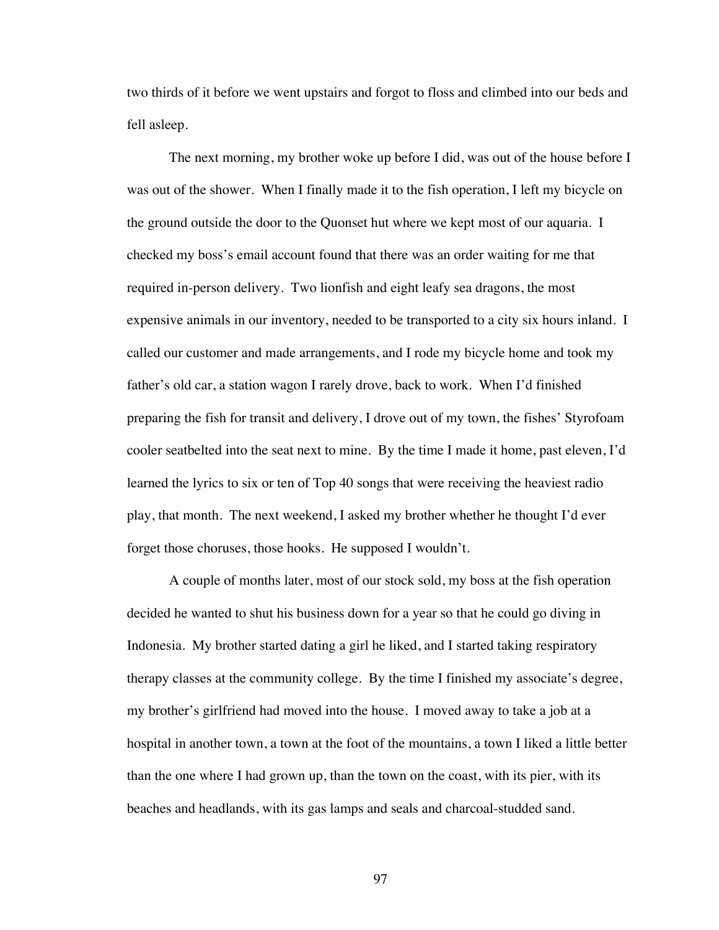two thirds of it before we went upstairs and forgot to floss and climbed into our beds and fell asleep.

The next morning, my brother woke up before I did, was out of the house before I was out of the shower. When I finally made it to the fish operation, I left my bicycle on the ground outside the door to the Quonset hut where we kept most of our aquaria. I checked my boss's email account found that there was an order waiting for me that required in-person delivery. Two lionfish and eight leafy sea dragons, the most expensive animals in our inventory, needed to be transported to a city six hours inland. I called our customer and made arrangements, and I rode my bicycle home and took my father's old car, a station wagon I rarely drove, back to work. When I'd finished preparing the fish for transit and delivery, I drove out of my town, the fishes' Styrofoam cooler seatbelted into the seat next to mine. By the time I made it home, past eleven, I'd learned the lyrics to six or ten of Top 40 songs that were receiving the heaviest radio play, that month. The next weekend, I asked my brother whether he thought I'd ever forget those choruses, those hooks. He supposed I wouldn't.

A couple of months later, most of our stock sold, my boss at the fish operation decided he wanted to shut his business down for a year so that he could go diving in Indonesia. My brother started dating a girl he liked, and I started taking respiratory therapy classes at the community college. By the time I finished my associate's degree, my brother's girlfriend had moved into the house. I moved away to take a job at a hospital in another town, a town at the foot of the mountains, a town I liked a little better than the one where I had grown up, than the town on the coast, with its pier, with its beaches and headlands, with its gas lamps and seals and charcoal-studded sand.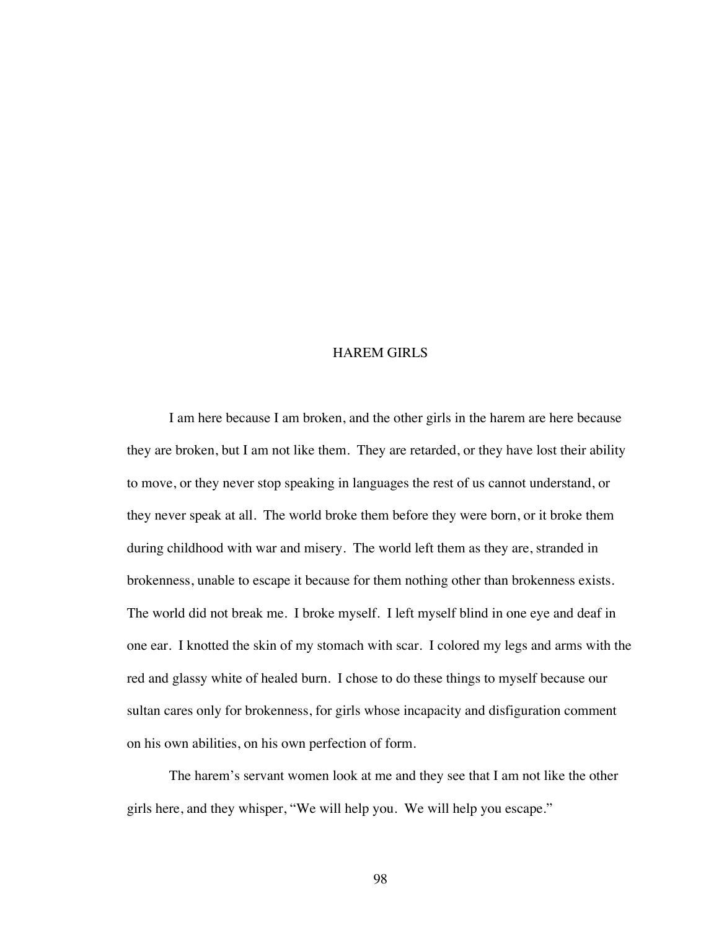## HAREM GIRLS

I am here because I am broken, and the other girls in the harem are here because they are broken, but I am not like them. They are retarded, or they have lost their ability to move, or they never stop speaking in languages the rest of us cannot understand, or they never speak at all. The world broke them before they were born, or it broke them during childhood with war and misery. The world left them as they are, stranded in brokenness, unable to escape it because for them nothing other than brokenness exists. The world did not break me. I broke myself. I left myself blind in one eye and deaf in one ear. I knotted the skin of my stomach with scar. I colored my legs and arms with the red and glassy white of healed burn. I chose to do these things to myself because our sultan cares only for brokenness, for girls whose incapacity and disfiguration comment on his own abilities, on his own perfection of form.

The harem's servant women look at me and they see that I am not like the other girls here, and they whisper, "We will help you. We will help you escape."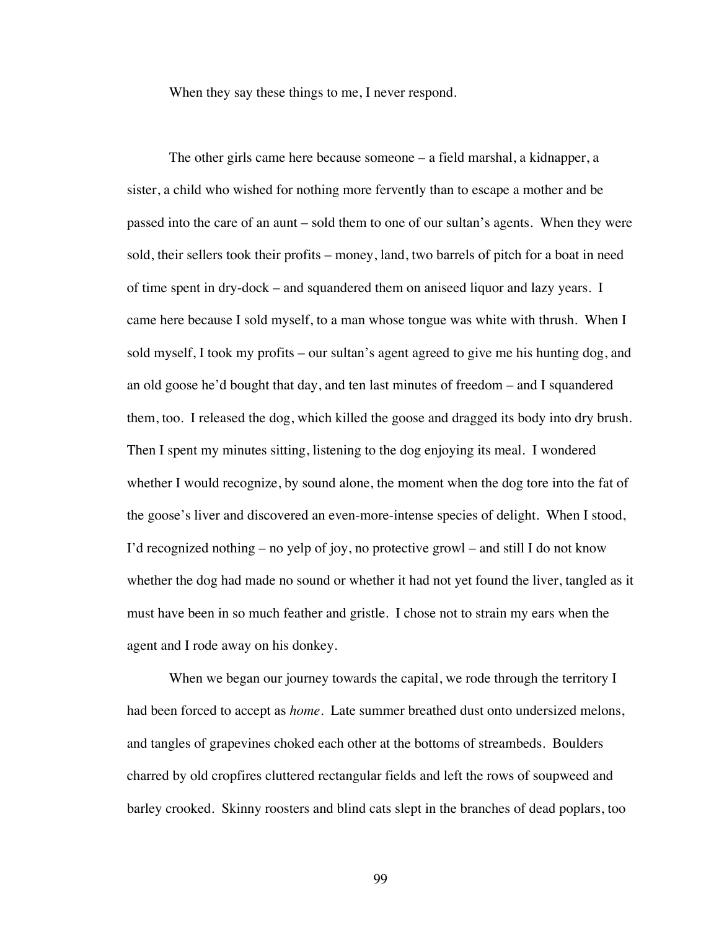When they say these things to me, I never respond.

The other girls came here because someone – a field marshal, a kidnapper, a sister, a child who wished for nothing more fervently than to escape a mother and be passed into the care of an aunt – sold them to one of our sultan's agents. When they were sold, their sellers took their profits – money, land, two barrels of pitch for a boat in need of time spent in dry-dock – and squandered them on aniseed liquor and lazy years. I came here because I sold myself, to a man whose tongue was white with thrush. When I sold myself, I took my profits – our sultan's agent agreed to give me his hunting dog, and an old goose he'd bought that day, and ten last minutes of freedom – and I squandered them, too. I released the dog, which killed the goose and dragged its body into dry brush. Then I spent my minutes sitting, listening to the dog enjoying its meal. I wondered whether I would recognize, by sound alone, the moment when the dog tore into the fat of the goose's liver and discovered an even-more-intense species of delight. When I stood, I'd recognized nothing – no yelp of joy, no protective growl – and still I do not know whether the dog had made no sound or whether it had not yet found the liver, tangled as it must have been in so much feather and gristle. I chose not to strain my ears when the agent and I rode away on his donkey.

When we began our journey towards the capital, we rode through the territory I had been forced to accept as *home*. Late summer breathed dust onto undersized melons, and tangles of grapevines choked each other at the bottoms of streambeds. Boulders charred by old cropfires cluttered rectangular fields and left the rows of soupweed and barley crooked. Skinny roosters and blind cats slept in the branches of dead poplars, too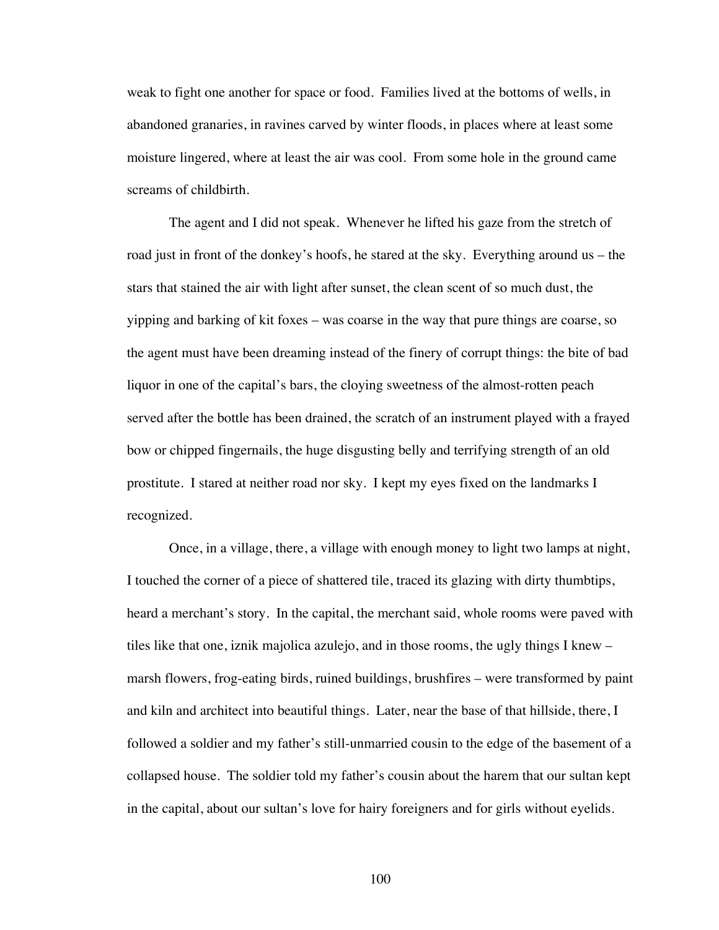weak to fight one another for space or food. Families lived at the bottoms of wells, in abandoned granaries, in ravines carved by winter floods, in places where at least some moisture lingered, where at least the air was cool. From some hole in the ground came screams of childbirth.

The agent and I did not speak. Whenever he lifted his gaze from the stretch of road just in front of the donkey's hoofs, he stared at the sky. Everything around us – the stars that stained the air with light after sunset, the clean scent of so much dust, the yipping and barking of kit foxes – was coarse in the way that pure things are coarse, so the agent must have been dreaming instead of the finery of corrupt things: the bite of bad liquor in one of the capital's bars, the cloying sweetness of the almost-rotten peach served after the bottle has been drained, the scratch of an instrument played with a frayed bow or chipped fingernails, the huge disgusting belly and terrifying strength of an old prostitute. I stared at neither road nor sky. I kept my eyes fixed on the landmarks I recognized.

Once, in a village, there, a village with enough money to light two lamps at night, I touched the corner of a piece of shattered tile, traced its glazing with dirty thumbtips, heard a merchant's story. In the capital, the merchant said, whole rooms were paved with tiles like that one, iznik majolica azulejo, and in those rooms, the ugly things I knew – marsh flowers, frog-eating birds, ruined buildings, brushfires – were transformed by paint and kiln and architect into beautiful things. Later, near the base of that hillside, there, I followed a soldier and my father's still-unmarried cousin to the edge of the basement of a collapsed house. The soldier told my father's cousin about the harem that our sultan kept in the capital, about our sultan's love for hairy foreigners and for girls without eyelids.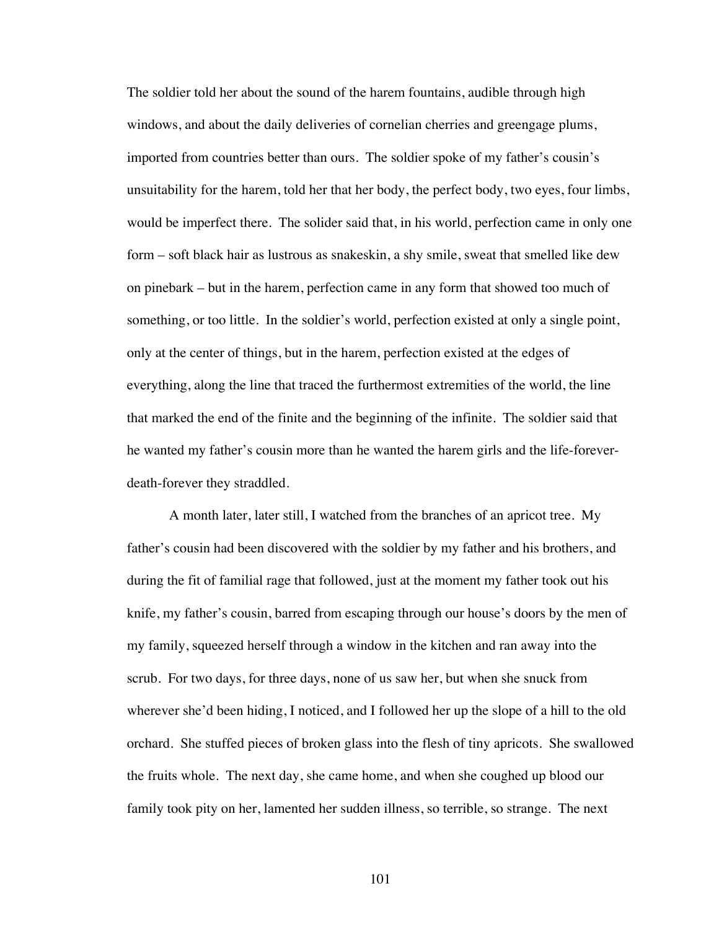The soldier told her about the sound of the harem fountains, audible through high windows, and about the daily deliveries of cornelian cherries and greengage plums, imported from countries better than ours. The soldier spoke of my father's cousin's unsuitability for the harem, told her that her body, the perfect body, two eyes, four limbs, would be imperfect there. The solider said that, in his world, perfection came in only one form – soft black hair as lustrous as snakeskin, a shy smile, sweat that smelled like dew on pinebark – but in the harem, perfection came in any form that showed too much of something, or too little. In the soldier's world, perfection existed at only a single point, only at the center of things, but in the harem, perfection existed at the edges of everything, along the line that traced the furthermost extremities of the world, the line that marked the end of the finite and the beginning of the infinite. The soldier said that he wanted my father's cousin more than he wanted the harem girls and the life-foreverdeath-forever they straddled.

A month later, later still, I watched from the branches of an apricot tree. My father's cousin had been discovered with the soldier by my father and his brothers, and during the fit of familial rage that followed, just at the moment my father took out his knife, my father's cousin, barred from escaping through our house's doors by the men of my family, squeezed herself through a window in the kitchen and ran away into the scrub. For two days, for three days, none of us saw her, but when she snuck from wherever she'd been hiding, I noticed, and I followed her up the slope of a hill to the old orchard. She stuffed pieces of broken glass into the flesh of tiny apricots. She swallowed the fruits whole. The next day, she came home, and when she coughed up blood our family took pity on her, lamented her sudden illness, so terrible, so strange. The next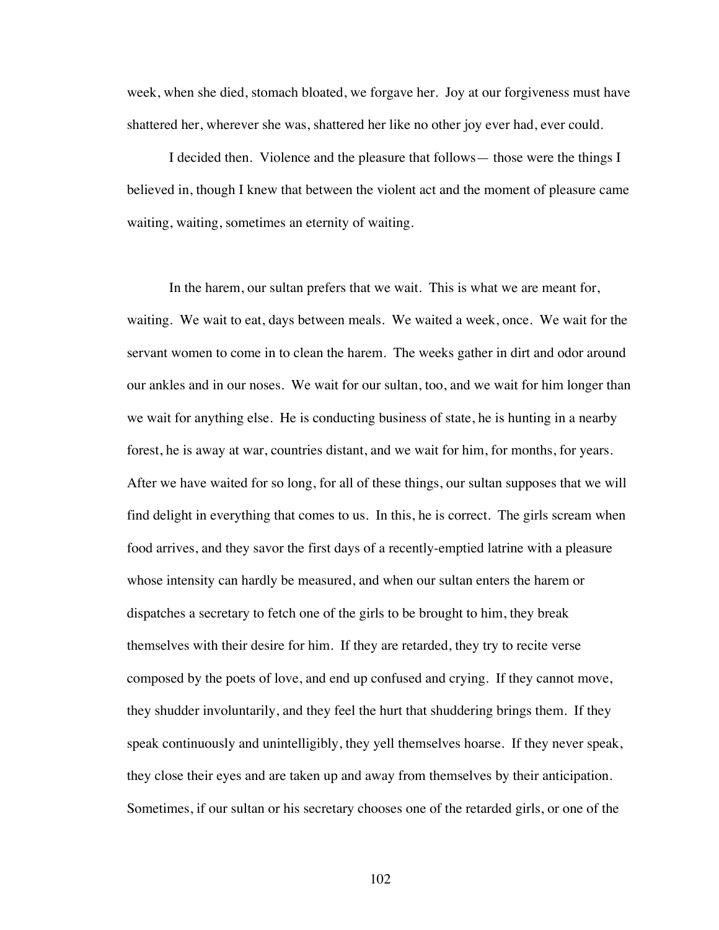week, when she died, stomach bloated, we forgave her. Joy at our forgiveness must have shattered her, wherever she was, shattered her like no other joy ever had, ever could.

I decided then. Violence and the pleasure that follows— those were the things I believed in, though I knew that between the violent act and the moment of pleasure came waiting, waiting, sometimes an eternity of waiting.

In the harem, our sultan prefers that we wait. This is what we are meant for, waiting. We wait to eat, days between meals. We waited a week, once. We wait for the servant women to come in to clean the harem. The weeks gather in dirt and odor around our ankles and in our noses. We wait for our sultan, too, and we wait for him longer than we wait for anything else. He is conducting business of state, he is hunting in a nearby forest, he is away at war, countries distant, and we wait for him, for months, for years. After we have waited for so long, for all of these things, our sultan supposes that we will find delight in everything that comes to us. In this, he is correct. The girls scream when food arrives, and they savor the first days of a recently-emptied latrine with a pleasure whose intensity can hardly be measured, and when our sultan enters the harem or dispatches a secretary to fetch one of the girls to be brought to him, they break themselves with their desire for him. If they are retarded, they try to recite verse composed by the poets of love, and end up confused and crying. If they cannot move, they shudder involuntarily, and they feel the hurt that shuddering brings them. If they speak continuously and unintelligibly, they yell themselves hoarse. If they never speak, they close their eyes and are taken up and away from themselves by their anticipation. Sometimes, if our sultan or his secretary chooses one of the retarded girls, or one of the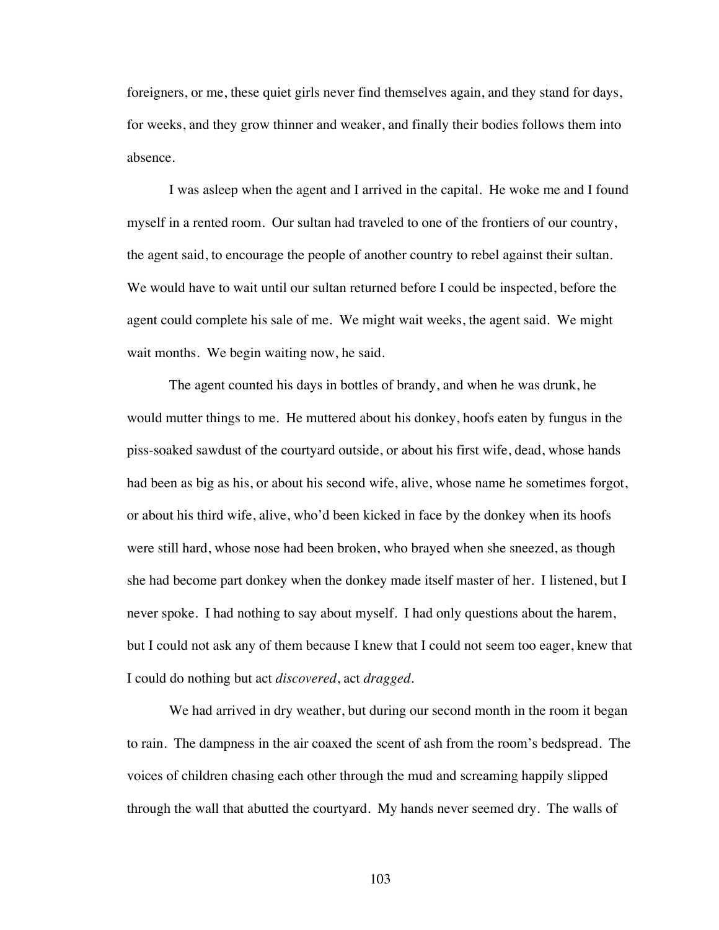foreigners, or me, these quiet girls never find themselves again, and they stand for days, for weeks, and they grow thinner and weaker, and finally their bodies follows them into absence.

I was asleep when the agent and I arrived in the capital. He woke me and I found myself in a rented room. Our sultan had traveled to one of the frontiers of our country, the agent said, to encourage the people of another country to rebel against their sultan. We would have to wait until our sultan returned before I could be inspected, before the agent could complete his sale of me. We might wait weeks, the agent said. We might wait months. We begin waiting now, he said.

The agent counted his days in bottles of brandy, and when he was drunk, he would mutter things to me. He muttered about his donkey, hoofs eaten by fungus in the piss-soaked sawdust of the courtyard outside, or about his first wife, dead, whose hands had been as big as his, or about his second wife, alive, whose name he sometimes forgot, or about his third wife, alive, who'd been kicked in face by the donkey when its hoofs were still hard, whose nose had been broken, who brayed when she sneezed, as though she had become part donkey when the donkey made itself master of her. I listened, but I never spoke. I had nothing to say about myself. I had only questions about the harem, but I could not ask any of them because I knew that I could not seem too eager, knew that I could do nothing but act *discovered*, act *dragged*.

We had arrived in dry weather, but during our second month in the room it began to rain. The dampness in the air coaxed the scent of ash from the room's bedspread. The voices of children chasing each other through the mud and screaming happily slipped through the wall that abutted the courtyard. My hands never seemed dry. The walls of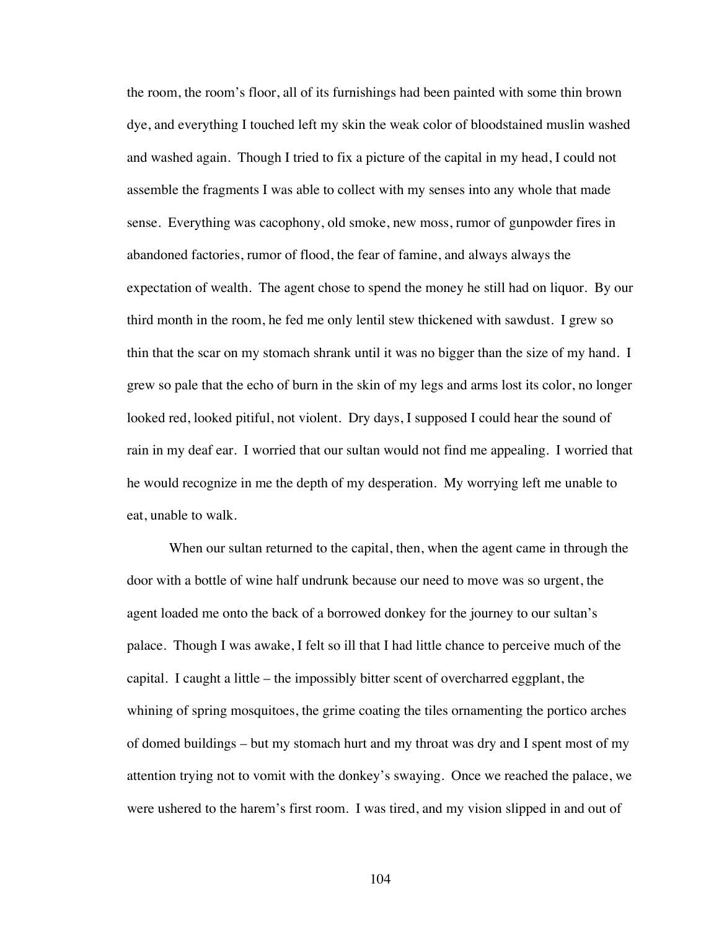the room, the room's floor, all of its furnishings had been painted with some thin brown dye, and everything I touched left my skin the weak color of bloodstained muslin washed and washed again. Though I tried to fix a picture of the capital in my head, I could not assemble the fragments I was able to collect with my senses into any whole that made sense. Everything was cacophony, old smoke, new moss, rumor of gunpowder fires in abandoned factories, rumor of flood, the fear of famine, and always always the expectation of wealth. The agent chose to spend the money he still had on liquor. By our third month in the room, he fed me only lentil stew thickened with sawdust. I grew so thin that the scar on my stomach shrank until it was no bigger than the size of my hand. I grew so pale that the echo of burn in the skin of my legs and arms lost its color, no longer looked red, looked pitiful, not violent. Dry days, I supposed I could hear the sound of rain in my deaf ear. I worried that our sultan would not find me appealing. I worried that he would recognize in me the depth of my desperation. My worrying left me unable to eat, unable to walk.

When our sultan returned to the capital, then, when the agent came in through the door with a bottle of wine half undrunk because our need to move was so urgent, the agent loaded me onto the back of a borrowed donkey for the journey to our sultan's palace. Though I was awake, I felt so ill that I had little chance to perceive much of the capital. I caught a little – the impossibly bitter scent of overcharred eggplant, the whining of spring mosquitoes, the grime coating the tiles ornamenting the portico arches of domed buildings – but my stomach hurt and my throat was dry and I spent most of my attention trying not to vomit with the donkey's swaying. Once we reached the palace, we were ushered to the harem's first room. I was tired, and my vision slipped in and out of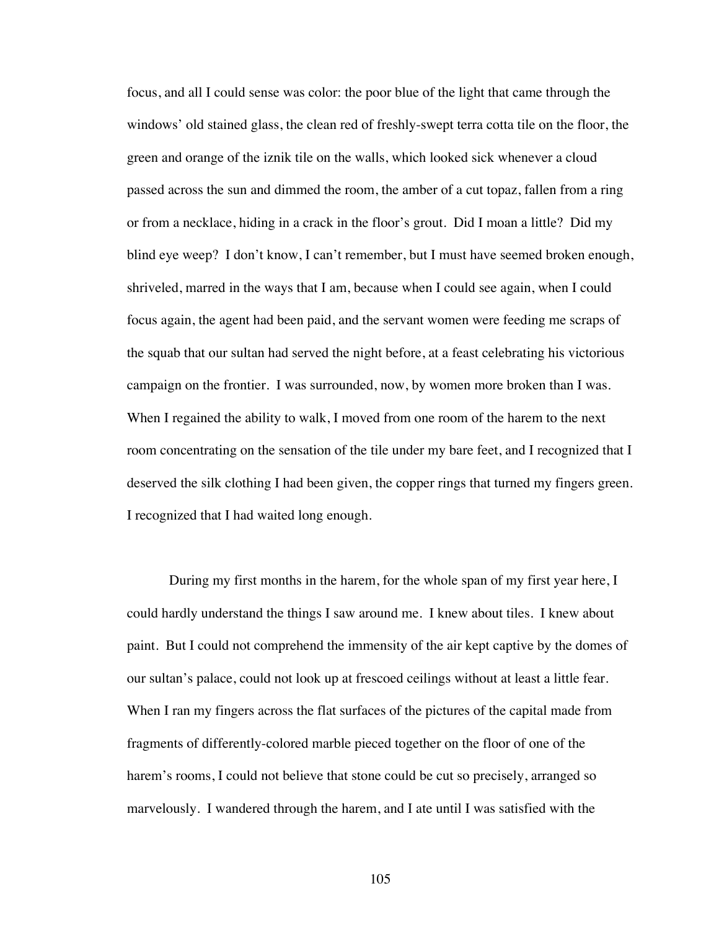focus, and all I could sense was color: the poor blue of the light that came through the windows' old stained glass, the clean red of freshly-swept terra cotta tile on the floor, the green and orange of the iznik tile on the walls, which looked sick whenever a cloud passed across the sun and dimmed the room, the amber of a cut topaz, fallen from a ring or from a necklace, hiding in a crack in the floor's grout. Did I moan a little? Did my blind eye weep? I don't know, I can't remember, but I must have seemed broken enough, shriveled, marred in the ways that I am, because when I could see again, when I could focus again, the agent had been paid, and the servant women were feeding me scraps of the squab that our sultan had served the night before, at a feast celebrating his victorious campaign on the frontier. I was surrounded, now, by women more broken than I was. When I regained the ability to walk, I moved from one room of the harem to the next room concentrating on the sensation of the tile under my bare feet, and I recognized that I deserved the silk clothing I had been given, the copper rings that turned my fingers green. I recognized that I had waited long enough.

During my first months in the harem, for the whole span of my first year here, I could hardly understand the things I saw around me. I knew about tiles. I knew about paint. But I could not comprehend the immensity of the air kept captive by the domes of our sultan's palace, could not look up at frescoed ceilings without at least a little fear. When I ran my fingers across the flat surfaces of the pictures of the capital made from fragments of differently-colored marble pieced together on the floor of one of the harem's rooms, I could not believe that stone could be cut so precisely, arranged so marvelously. I wandered through the harem, and I ate until I was satisfied with the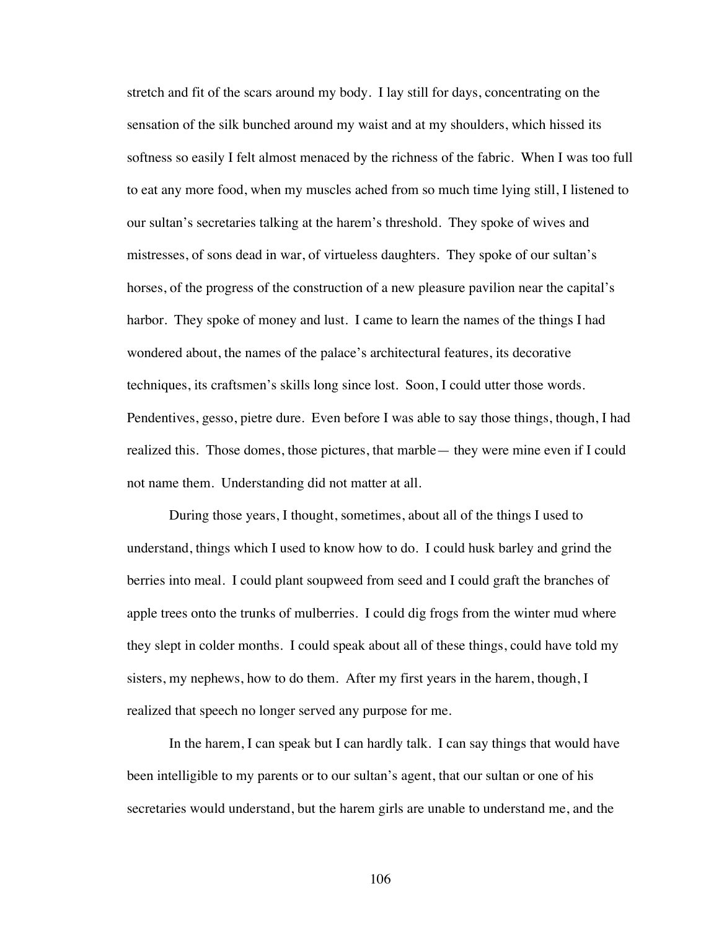stretch and fit of the scars around my body. I lay still for days, concentrating on the sensation of the silk bunched around my waist and at my shoulders, which hissed its softness so easily I felt almost menaced by the richness of the fabric. When I was too full to eat any more food, when my muscles ached from so much time lying still, I listened to our sultan's secretaries talking at the harem's threshold. They spoke of wives and mistresses, of sons dead in war, of virtueless daughters. They spoke of our sultan's horses, of the progress of the construction of a new pleasure pavilion near the capital's harbor. They spoke of money and lust. I came to learn the names of the things I had wondered about, the names of the palace's architectural features, its decorative techniques, its craftsmen's skills long since lost. Soon, I could utter those words. Pendentives, gesso, pietre dure. Even before I was able to say those things, though, I had realized this. Those domes, those pictures, that marble— they were mine even if I could not name them. Understanding did not matter at all.

During those years, I thought, sometimes, about all of the things I used to understand, things which I used to know how to do. I could husk barley and grind the berries into meal. I could plant soupweed from seed and I could graft the branches of apple trees onto the trunks of mulberries. I could dig frogs from the winter mud where they slept in colder months. I could speak about all of these things, could have told my sisters, my nephews, how to do them. After my first years in the harem, though, I realized that speech no longer served any purpose for me.

In the harem, I can speak but I can hardly talk. I can say things that would have been intelligible to my parents or to our sultan's agent, that our sultan or one of his secretaries would understand, but the harem girls are unable to understand me, and the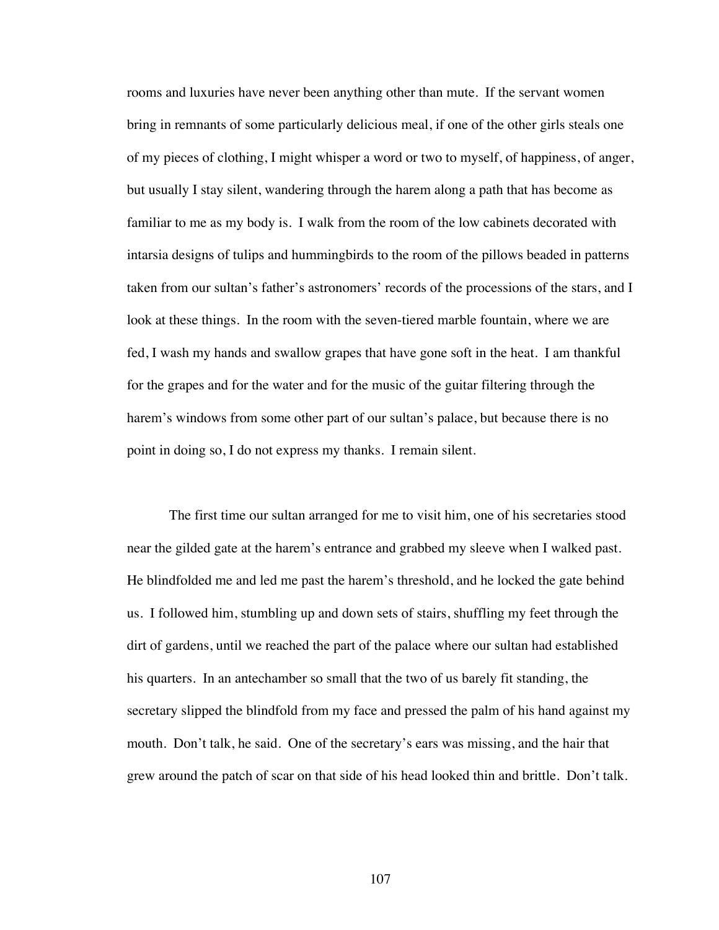rooms and luxuries have never been anything other than mute. If the servant women bring in remnants of some particularly delicious meal, if one of the other girls steals one of my pieces of clothing, I might whisper a word or two to myself, of happiness, of anger, but usually I stay silent, wandering through the harem along a path that has become as familiar to me as my body is. I walk from the room of the low cabinets decorated with intarsia designs of tulips and hummingbirds to the room of the pillows beaded in patterns taken from our sultan's father's astronomers' records of the processions of the stars, and I look at these things. In the room with the seven-tiered marble fountain, where we are fed, I wash my hands and swallow grapes that have gone soft in the heat. I am thankful for the grapes and for the water and for the music of the guitar filtering through the harem's windows from some other part of our sultan's palace, but because there is no point in doing so, I do not express my thanks. I remain silent.

The first time our sultan arranged for me to visit him, one of his secretaries stood near the gilded gate at the harem's entrance and grabbed my sleeve when I walked past. He blindfolded me and led me past the harem's threshold, and he locked the gate behind us. I followed him, stumbling up and down sets of stairs, shuffling my feet through the dirt of gardens, until we reached the part of the palace where our sultan had established his quarters. In an antechamber so small that the two of us barely fit standing, the secretary slipped the blindfold from my face and pressed the palm of his hand against my mouth. Don't talk, he said. One of the secretary's ears was missing, and the hair that grew around the patch of scar on that side of his head looked thin and brittle. Don't talk.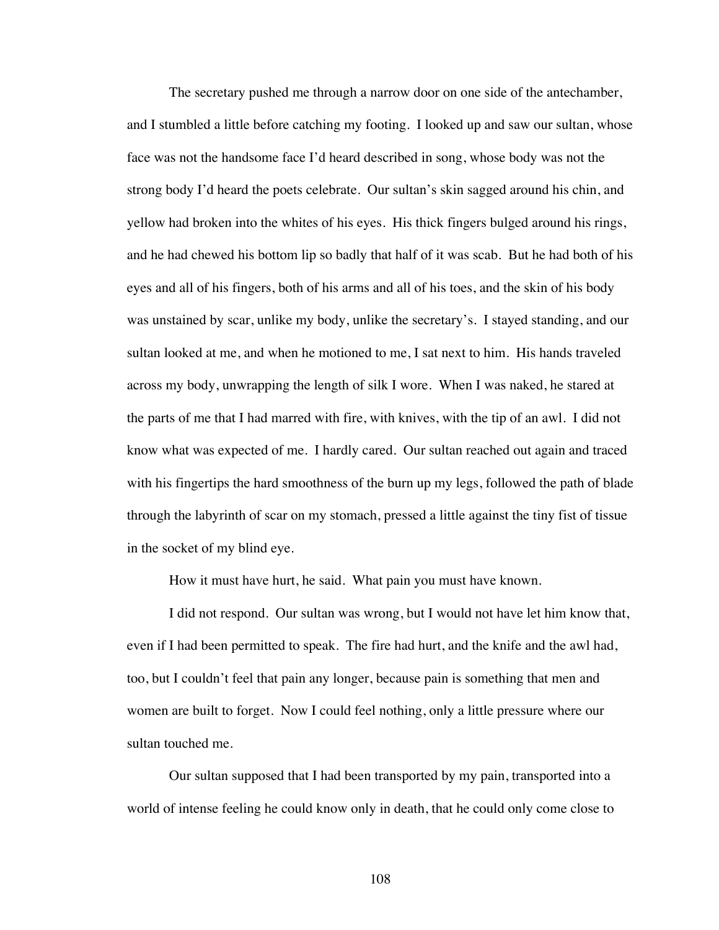The secretary pushed me through a narrow door on one side of the antechamber, and I stumbled a little before catching my footing. I looked up and saw our sultan, whose face was not the handsome face I'd heard described in song, whose body was not the strong body I'd heard the poets celebrate. Our sultan's skin sagged around his chin, and yellow had broken into the whites of his eyes. His thick fingers bulged around his rings, and he had chewed his bottom lip so badly that half of it was scab. But he had both of his eyes and all of his fingers, both of his arms and all of his toes, and the skin of his body was unstained by scar, unlike my body, unlike the secretary's. I stayed standing, and our sultan looked at me, and when he motioned to me, I sat next to him. His hands traveled across my body, unwrapping the length of silk I wore. When I was naked, he stared at the parts of me that I had marred with fire, with knives, with the tip of an awl. I did not know what was expected of me. I hardly cared. Our sultan reached out again and traced with his fingertips the hard smoothness of the burn up my legs, followed the path of blade through the labyrinth of scar on my stomach, pressed a little against the tiny fist of tissue in the socket of my blind eye.

How it must have hurt, he said. What pain you must have known.

I did not respond. Our sultan was wrong, but I would not have let him know that, even if I had been permitted to speak. The fire had hurt, and the knife and the awl had, too, but I couldn't feel that pain any longer, because pain is something that men and women are built to forget. Now I could feel nothing, only a little pressure where our sultan touched me.

Our sultan supposed that I had been transported by my pain, transported into a world of intense feeling he could know only in death, that he could only come close to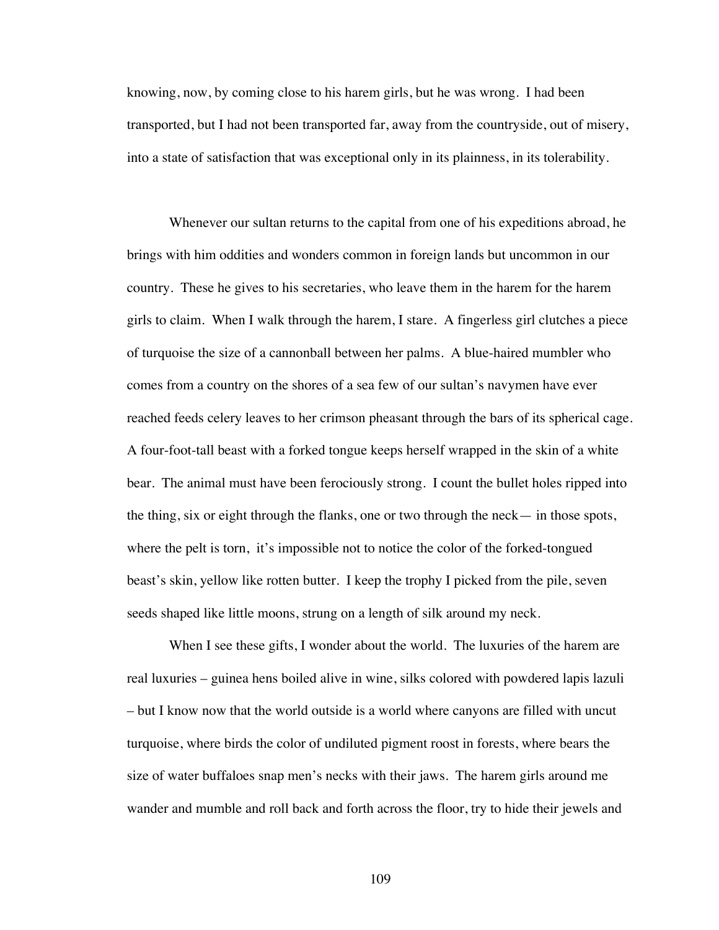knowing, now, by coming close to his harem girls, but he was wrong. I had been transported, but I had not been transported far, away from the countryside, out of misery, into a state of satisfaction that was exceptional only in its plainness, in its tolerability.

Whenever our sultan returns to the capital from one of his expeditions abroad, he brings with him oddities and wonders common in foreign lands but uncommon in our country. These he gives to his secretaries, who leave them in the harem for the harem girls to claim. When I walk through the harem, I stare. A fingerless girl clutches a piece of turquoise the size of a cannonball between her palms. A blue-haired mumbler who comes from a country on the shores of a sea few of our sultan's navymen have ever reached feeds celery leaves to her crimson pheasant through the bars of its spherical cage. A four-foot-tall beast with a forked tongue keeps herself wrapped in the skin of a white bear. The animal must have been ferociously strong. I count the bullet holes ripped into the thing, six or eight through the flanks, one or two through the neck— in those spots, where the pelt is torn, it's impossible not to notice the color of the forked-tongued beast's skin, yellow like rotten butter. I keep the trophy I picked from the pile, seven seeds shaped like little moons, strung on a length of silk around my neck.

When I see these gifts, I wonder about the world. The luxuries of the harem are real luxuries – guinea hens boiled alive in wine, silks colored with powdered lapis lazuli – but I know now that the world outside is a world where canyons are filled with uncut turquoise, where birds the color of undiluted pigment roost in forests, where bears the size of water buffaloes snap men's necks with their jaws. The harem girls around me wander and mumble and roll back and forth across the floor, try to hide their jewels and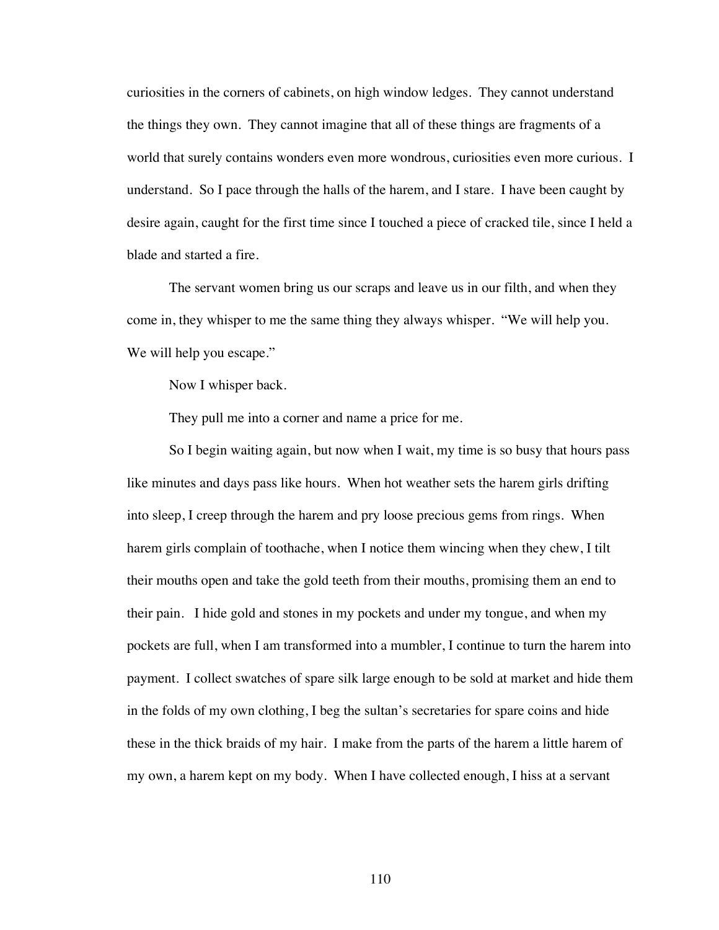curiosities in the corners of cabinets, on high window ledges. They cannot understand the things they own. They cannot imagine that all of these things are fragments of a world that surely contains wonders even more wondrous, curiosities even more curious. I understand. So I pace through the halls of the harem, and I stare. I have been caught by desire again, caught for the first time since I touched a piece of cracked tile, since I held a blade and started a fire.

The servant women bring us our scraps and leave us in our filth, and when they come in, they whisper to me the same thing they always whisper. "We will help you. We will help you escape."

Now I whisper back.

They pull me into a corner and name a price for me.

So I begin waiting again, but now when I wait, my time is so busy that hours pass like minutes and days pass like hours. When hot weather sets the harem girls drifting into sleep, I creep through the harem and pry loose precious gems from rings. When harem girls complain of toothache, when I notice them wincing when they chew, I tilt their mouths open and take the gold teeth from their mouths, promising them an end to their pain. I hide gold and stones in my pockets and under my tongue, and when my pockets are full, when I am transformed into a mumbler, I continue to turn the harem into payment. I collect swatches of spare silk large enough to be sold at market and hide them in the folds of my own clothing, I beg the sultan's secretaries for spare coins and hide these in the thick braids of my hair. I make from the parts of the harem a little harem of my own, a harem kept on my body. When I have collected enough, I hiss at a servant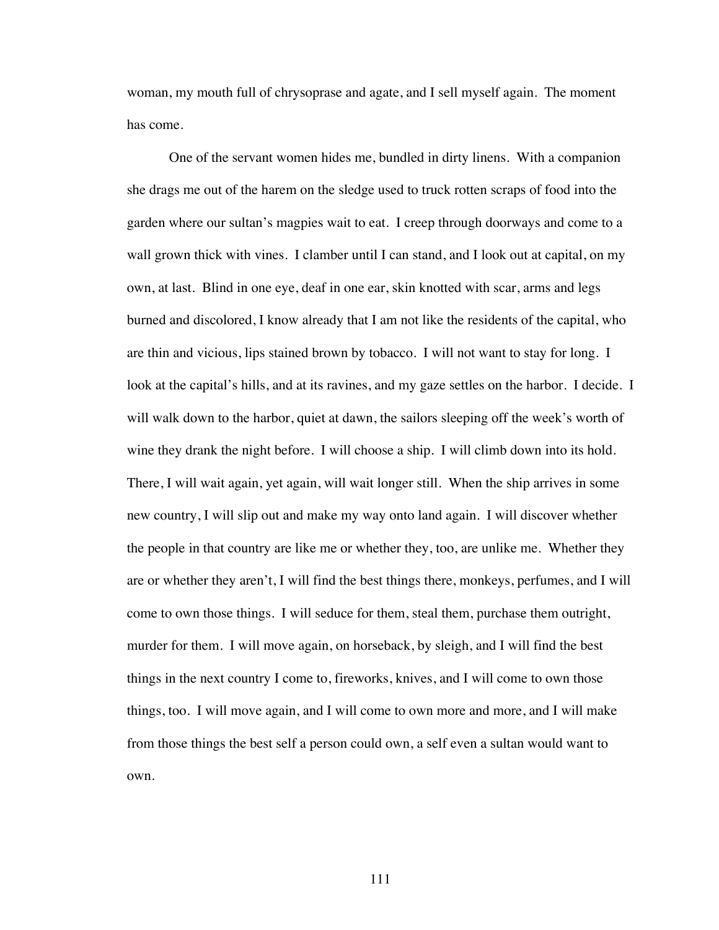woman, my mouth full of chrysoprase and agate, and I sell myself again. The moment has come.

One of the servant women hides me, bundled in dirty linens. With a companion she drags me out of the harem on the sledge used to truck rotten scraps of food into the garden where our sultan's magpies wait to eat. I creep through doorways and come to a wall grown thick with vines. I clamber until I can stand, and I look out at capital, on my own, at last. Blind in one eye, deaf in one ear, skin knotted with scar, arms and legs burned and discolored, I know already that I am not like the residents of the capital, who are thin and vicious, lips stained brown by tobacco. I will not want to stay for long. I look at the capital's hills, and at its ravines, and my gaze settles on the harbor. I decide. I will walk down to the harbor, quiet at dawn, the sailors sleeping off the week's worth of wine they drank the night before. I will choose a ship. I will climb down into its hold. There, I will wait again, yet again, will wait longer still. When the ship arrives in some new country, I will slip out and make my way onto land again. I will discover whether the people in that country are like me or whether they, too, are unlike me. Whether they are or whether they aren't, I will find the best things there, monkeys, perfumes, and I will come to own those things. I will seduce for them, steal them, purchase them outright, murder for them. I will move again, on horseback, by sleigh, and I will find the best things in the next country I come to, fireworks, knives, and I will come to own those things, too. I will move again, and I will come to own more and more, and I will make from those things the best self a person could own, a self even a sultan would want to own.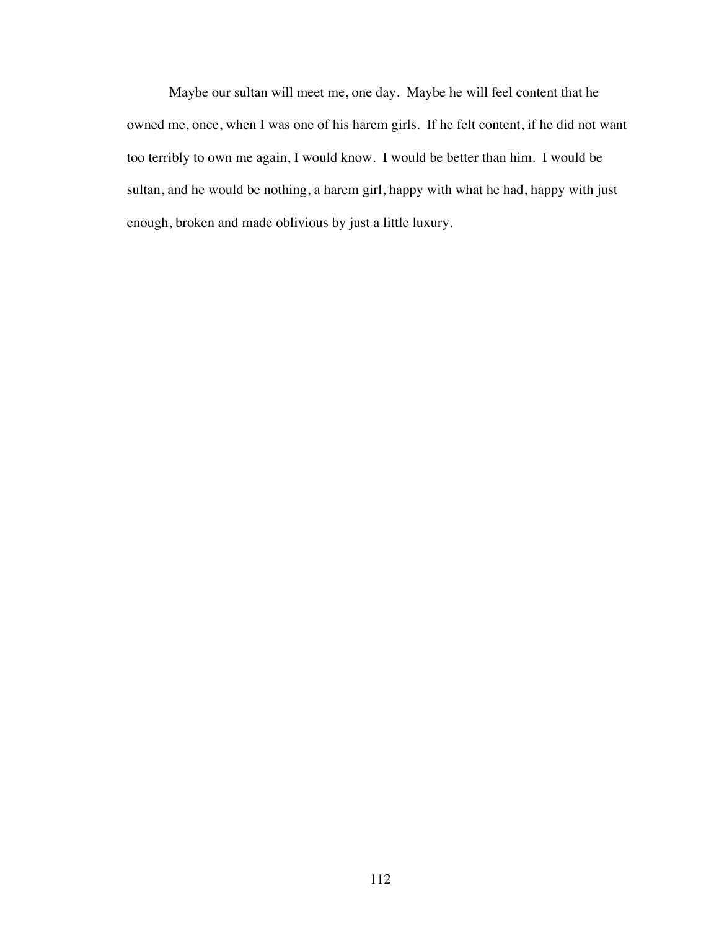Maybe our sultan will meet me, one day. Maybe he will feel content that he owned me, once, when I was one of his harem girls. If he felt content, if he did not want too terribly to own me again, I would know. I would be better than him. I would be sultan, and he would be nothing, a harem girl, happy with what he had, happy with just enough, broken and made oblivious by just a little luxury.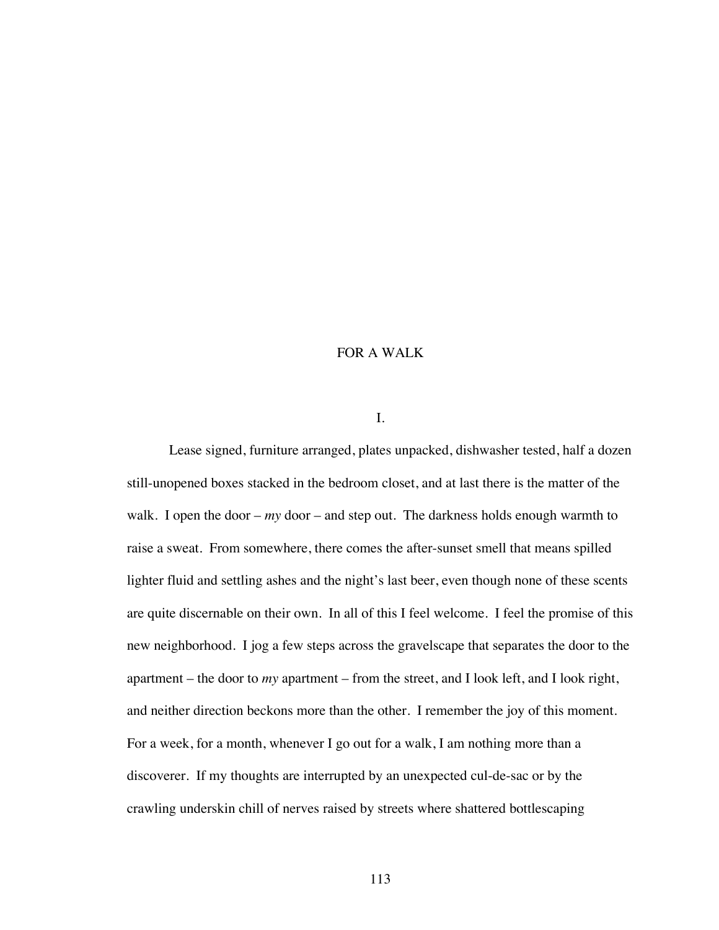### FOR A WALK

#### I.

Lease signed, furniture arranged, plates unpacked, dishwasher tested, half a dozen still-unopened boxes stacked in the bedroom closet, and at last there is the matter of the walk. I open the door – *my* door – and step out. The darkness holds enough warmth to raise a sweat. From somewhere, there comes the after-sunset smell that means spilled lighter fluid and settling ashes and the night's last beer, even though none of these scents are quite discernable on their own. In all of this I feel welcome. I feel the promise of this new neighborhood. I jog a few steps across the gravelscape that separates the door to the apartment – the door to *my* apartment – from the street, and I look left, and I look right, and neither direction beckons more than the other. I remember the joy of this moment. For a week, for a month, whenever I go out for a walk, I am nothing more than a discoverer. If my thoughts are interrupted by an unexpected cul-de-sac or by the crawling underskin chill of nerves raised by streets where shattered bottlescaping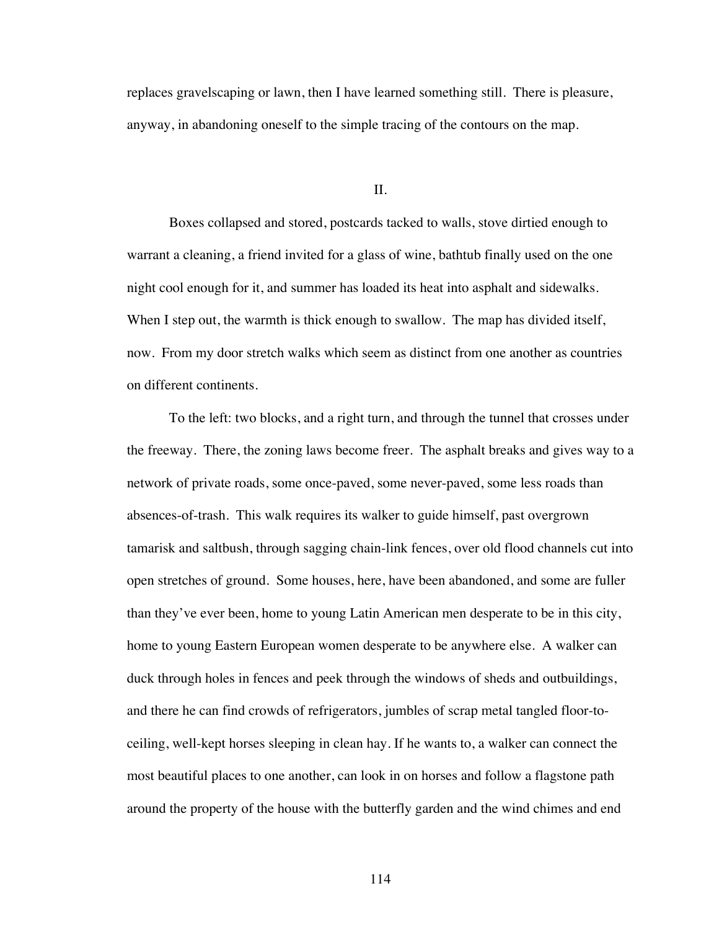replaces gravelscaping or lawn, then I have learned something still. There is pleasure, anyway, in abandoning oneself to the simple tracing of the contours on the map.

II.

Boxes collapsed and stored, postcards tacked to walls, stove dirtied enough to warrant a cleaning, a friend invited for a glass of wine, bathtub finally used on the one night cool enough for it, and summer has loaded its heat into asphalt and sidewalks. When I step out, the warmth is thick enough to swallow. The map has divided itself, now. From my door stretch walks which seem as distinct from one another as countries on different continents.

To the left: two blocks, and a right turn, and through the tunnel that crosses under the freeway. There, the zoning laws become freer. The asphalt breaks and gives way to a network of private roads, some once-paved, some never-paved, some less roads than absences-of-trash. This walk requires its walker to guide himself, past overgrown tamarisk and saltbush, through sagging chain-link fences, over old flood channels cut into open stretches of ground. Some houses, here, have been abandoned, and some are fuller than they've ever been, home to young Latin American men desperate to be in this city, home to young Eastern European women desperate to be anywhere else. A walker can duck through holes in fences and peek through the windows of sheds and outbuildings, and there he can find crowds of refrigerators, jumbles of scrap metal tangled floor-toceiling, well-kept horses sleeping in clean hay. If he wants to, a walker can connect the most beautiful places to one another, can look in on horses and follow a flagstone path around the property of the house with the butterfly garden and the wind chimes and end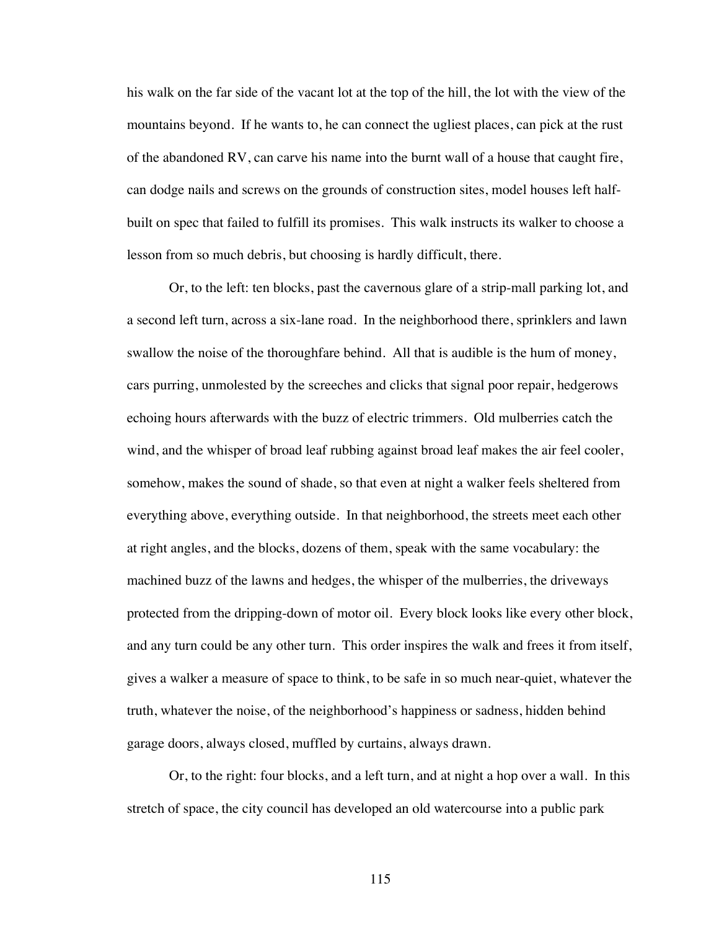his walk on the far side of the vacant lot at the top of the hill, the lot with the view of the mountains beyond. If he wants to, he can connect the ugliest places, can pick at the rust of the abandoned RV, can carve his name into the burnt wall of a house that caught fire, can dodge nails and screws on the grounds of construction sites, model houses left halfbuilt on spec that failed to fulfill its promises. This walk instructs its walker to choose a lesson from so much debris, but choosing is hardly difficult, there.

Or, to the left: ten blocks, past the cavernous glare of a strip-mall parking lot, and a second left turn, across a six-lane road. In the neighborhood there, sprinklers and lawn swallow the noise of the thoroughfare behind. All that is audible is the hum of money, cars purring, unmolested by the screeches and clicks that signal poor repair, hedgerows echoing hours afterwards with the buzz of electric trimmers. Old mulberries catch the wind, and the whisper of broad leaf rubbing against broad leaf makes the air feel cooler, somehow, makes the sound of shade, so that even at night a walker feels sheltered from everything above, everything outside. In that neighborhood, the streets meet each other at right angles, and the blocks, dozens of them, speak with the same vocabulary: the machined buzz of the lawns and hedges, the whisper of the mulberries, the driveways protected from the dripping-down of motor oil. Every block looks like every other block, and any turn could be any other turn. This order inspires the walk and frees it from itself, gives a walker a measure of space to think, to be safe in so much near-quiet, whatever the truth, whatever the noise, of the neighborhood's happiness or sadness, hidden behind garage doors, always closed, muffled by curtains, always drawn.

Or, to the right: four blocks, and a left turn, and at night a hop over a wall. In this stretch of space, the city council has developed an old watercourse into a public park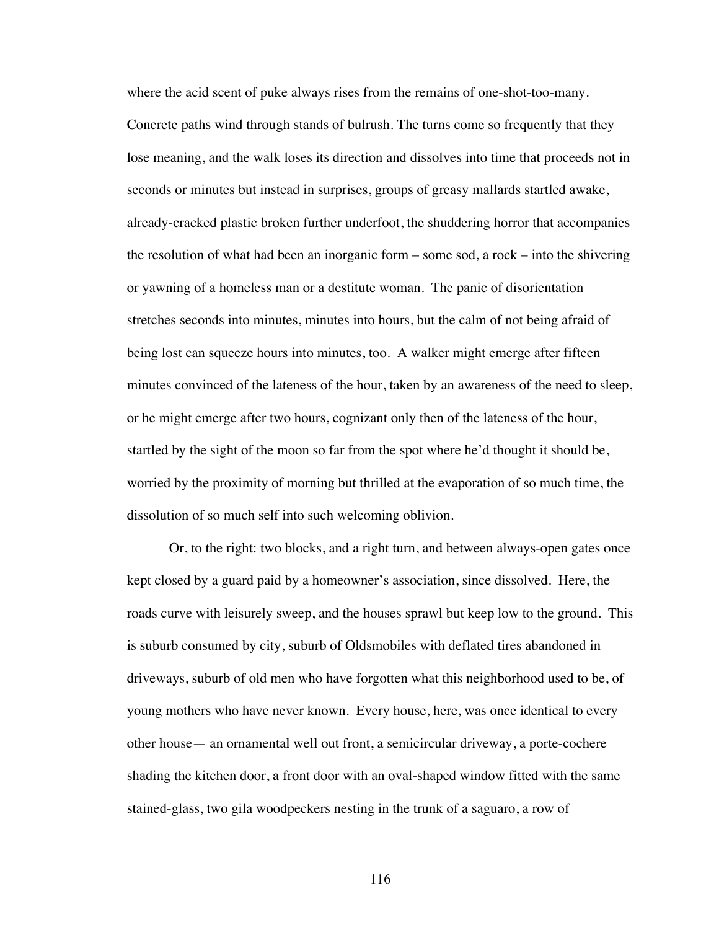where the acid scent of puke always rises from the remains of one-shot-too-many. Concrete paths wind through stands of bulrush. The turns come so frequently that they lose meaning, and the walk loses its direction and dissolves into time that proceeds not in seconds or minutes but instead in surprises, groups of greasy mallards startled awake, already-cracked plastic broken further underfoot, the shuddering horror that accompanies the resolution of what had been an inorganic form – some sod, a rock – into the shivering or yawning of a homeless man or a destitute woman. The panic of disorientation stretches seconds into minutes, minutes into hours, but the calm of not being afraid of being lost can squeeze hours into minutes, too. A walker might emerge after fifteen minutes convinced of the lateness of the hour, taken by an awareness of the need to sleep, or he might emerge after two hours, cognizant only then of the lateness of the hour, startled by the sight of the moon so far from the spot where he'd thought it should be, worried by the proximity of morning but thrilled at the evaporation of so much time, the dissolution of so much self into such welcoming oblivion.

Or, to the right: two blocks, and a right turn, and between always-open gates once kept closed by a guard paid by a homeowner's association, since dissolved. Here, the roads curve with leisurely sweep, and the houses sprawl but keep low to the ground. This is suburb consumed by city, suburb of Oldsmobiles with deflated tires abandoned in driveways, suburb of old men who have forgotten what this neighborhood used to be, of young mothers who have never known. Every house, here, was once identical to every other house— an ornamental well out front, a semicircular driveway, a porte-cochere shading the kitchen door, a front door with an oval-shaped window fitted with the same stained-glass, two gila woodpeckers nesting in the trunk of a saguaro, a row of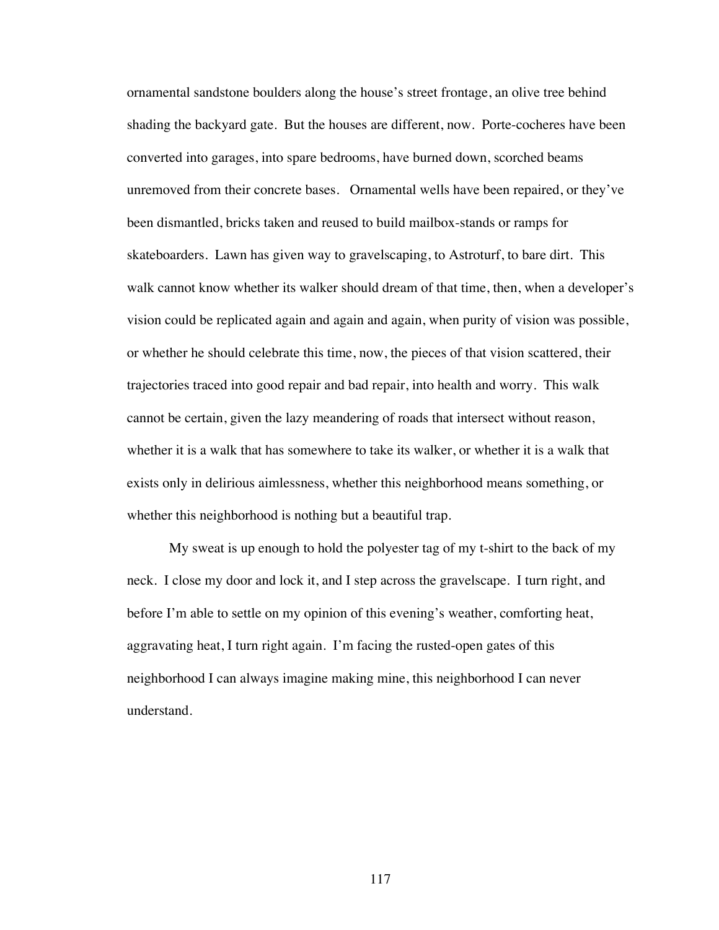ornamental sandstone boulders along the house's street frontage, an olive tree behind shading the backyard gate. But the houses are different, now. Porte-cocheres have been converted into garages, into spare bedrooms, have burned down, scorched beams unremoved from their concrete bases. Ornamental wells have been repaired, or they've been dismantled, bricks taken and reused to build mailbox-stands or ramps for skateboarders. Lawn has given way to gravelscaping, to Astroturf, to bare dirt. This walk cannot know whether its walker should dream of that time, then, when a developer's vision could be replicated again and again and again, when purity of vision was possible, or whether he should celebrate this time, now, the pieces of that vision scattered, their trajectories traced into good repair and bad repair, into health and worry. This walk cannot be certain, given the lazy meandering of roads that intersect without reason, whether it is a walk that has somewhere to take its walker, or whether it is a walk that exists only in delirious aimlessness, whether this neighborhood means something, or whether this neighborhood is nothing but a beautiful trap.

My sweat is up enough to hold the polyester tag of my t-shirt to the back of my neck. I close my door and lock it, and I step across the gravelscape. I turn right, and before I'm able to settle on my opinion of this evening's weather, comforting heat, aggravating heat, I turn right again. I'm facing the rusted-open gates of this neighborhood I can always imagine making mine, this neighborhood I can never understand.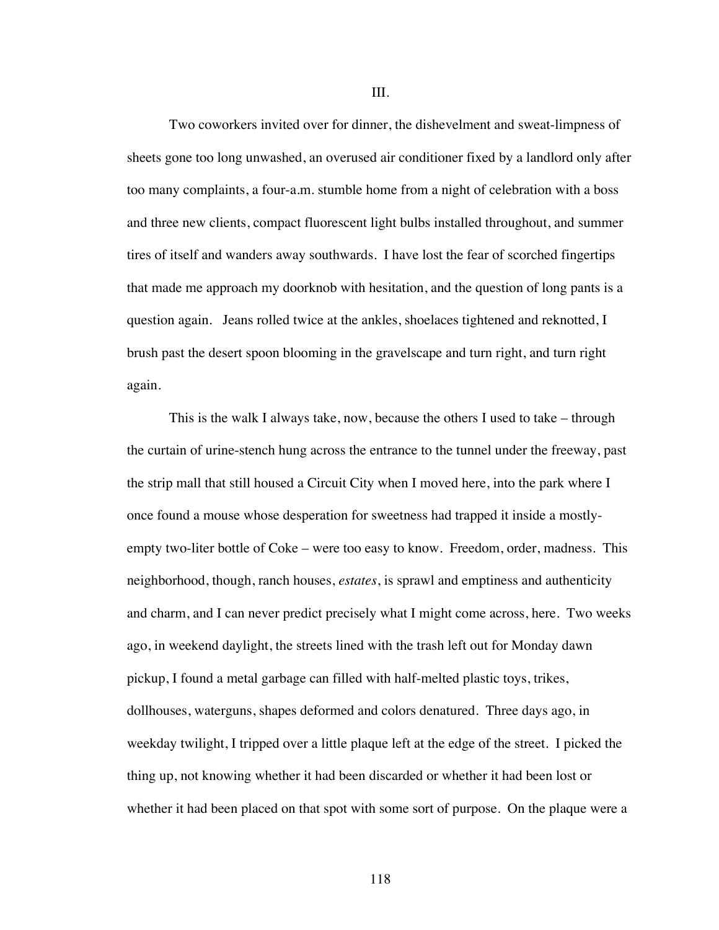Two coworkers invited over for dinner, the dishevelment and sweat-limpness of sheets gone too long unwashed, an overused air conditioner fixed by a landlord only after too many complaints, a four-a.m. stumble home from a night of celebration with a boss and three new clients, compact fluorescent light bulbs installed throughout, and summer tires of itself and wanders away southwards. I have lost the fear of scorched fingertips that made me approach my doorknob with hesitation, and the question of long pants is a question again. Jeans rolled twice at the ankles, shoelaces tightened and reknotted, I brush past the desert spoon blooming in the gravelscape and turn right, and turn right again.

This is the walk I always take, now, because the others I used to take – through the curtain of urine-stench hung across the entrance to the tunnel under the freeway, past the strip mall that still housed a Circuit City when I moved here, into the park where I once found a mouse whose desperation for sweetness had trapped it inside a mostlyempty two-liter bottle of Coke – were too easy to know. Freedom, order, madness. This neighborhood, though, ranch houses, *estates*, is sprawl and emptiness and authenticity and charm, and I can never predict precisely what I might come across, here. Two weeks ago, in weekend daylight, the streets lined with the trash left out for Monday dawn pickup, I found a metal garbage can filled with half-melted plastic toys, trikes, dollhouses, waterguns, shapes deformed and colors denatured. Three days ago, in weekday twilight, I tripped over a little plaque left at the edge of the street. I picked the thing up, not knowing whether it had been discarded or whether it had been lost or whether it had been placed on that spot with some sort of purpose. On the plaque were a

III.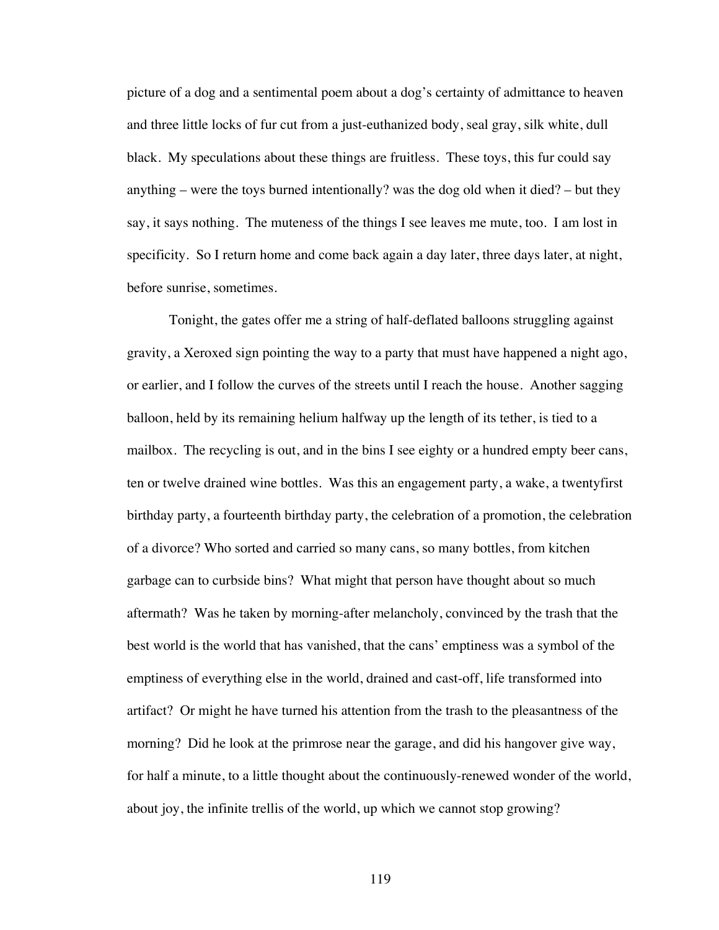picture of a dog and a sentimental poem about a dog's certainty of admittance to heaven and three little locks of fur cut from a just-euthanized body, seal gray, silk white, dull black. My speculations about these things are fruitless. These toys, this fur could say anything – were the toys burned intentionally? was the dog old when it died? – but they say, it says nothing. The muteness of the things I see leaves me mute, too. I am lost in specificity. So I return home and come back again a day later, three days later, at night, before sunrise, sometimes.

Tonight, the gates offer me a string of half-deflated balloons struggling against gravity, a Xeroxed sign pointing the way to a party that must have happened a night ago, or earlier, and I follow the curves of the streets until I reach the house. Another sagging balloon, held by its remaining helium halfway up the length of its tether, is tied to a mailbox. The recycling is out, and in the bins I see eighty or a hundred empty beer cans, ten or twelve drained wine bottles. Was this an engagement party, a wake, a twentyfirst birthday party, a fourteenth birthday party, the celebration of a promotion, the celebration of a divorce? Who sorted and carried so many cans, so many bottles, from kitchen garbage can to curbside bins? What might that person have thought about so much aftermath? Was he taken by morning-after melancholy, convinced by the trash that the best world is the world that has vanished, that the cans' emptiness was a symbol of the emptiness of everything else in the world, drained and cast-off, life transformed into artifact? Or might he have turned his attention from the trash to the pleasantness of the morning? Did he look at the primrose near the garage, and did his hangover give way, for half a minute, to a little thought about the continuously-renewed wonder of the world, about joy, the infinite trellis of the world, up which we cannot stop growing?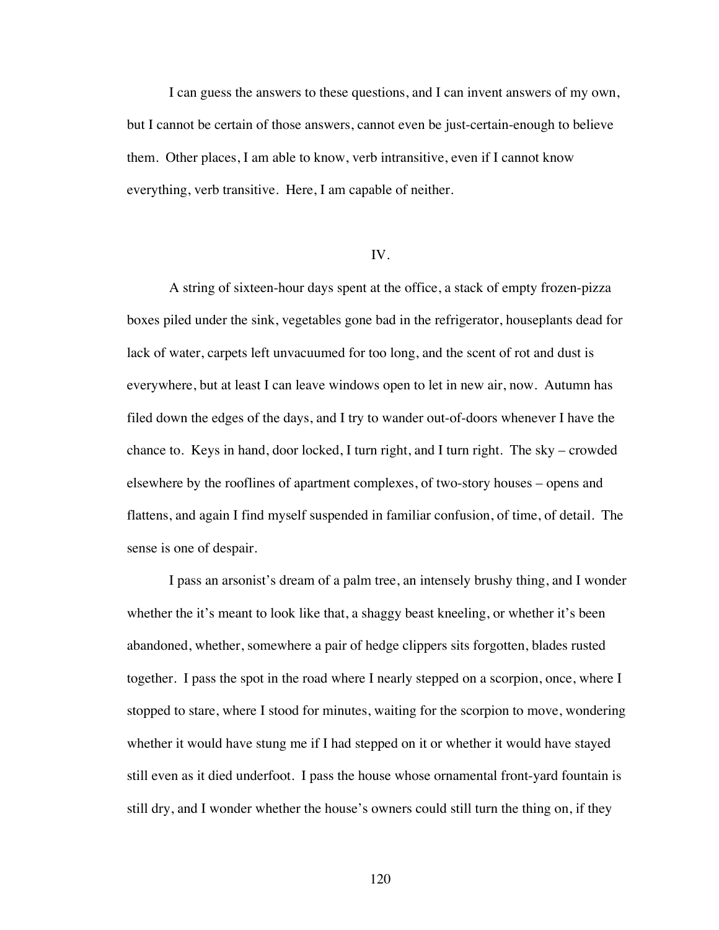I can guess the answers to these questions, and I can invent answers of my own, but I cannot be certain of those answers, cannot even be just-certain-enough to believe them. Other places, I am able to know, verb intransitive, even if I cannot know everything, verb transitive. Here, I am capable of neither.

#### IV.

A string of sixteen-hour days spent at the office, a stack of empty frozen-pizza boxes piled under the sink, vegetables gone bad in the refrigerator, houseplants dead for lack of water, carpets left unvacuumed for too long, and the scent of rot and dust is everywhere, but at least I can leave windows open to let in new air, now. Autumn has filed down the edges of the days, and I try to wander out-of-doors whenever I have the chance to. Keys in hand, door locked, I turn right, and I turn right. The sky – crowded elsewhere by the rooflines of apartment complexes, of two-story houses – opens and flattens, and again I find myself suspended in familiar confusion, of time, of detail. The sense is one of despair.

I pass an arsonist's dream of a palm tree, an intensely brushy thing, and I wonder whether the it's meant to look like that, a shaggy beast kneeling, or whether it's been abandoned, whether, somewhere a pair of hedge clippers sits forgotten, blades rusted together. I pass the spot in the road where I nearly stepped on a scorpion, once, where I stopped to stare, where I stood for minutes, waiting for the scorpion to move, wondering whether it would have stung me if I had stepped on it or whether it would have stayed still even as it died underfoot. I pass the house whose ornamental front-yard fountain is still dry, and I wonder whether the house's owners could still turn the thing on, if they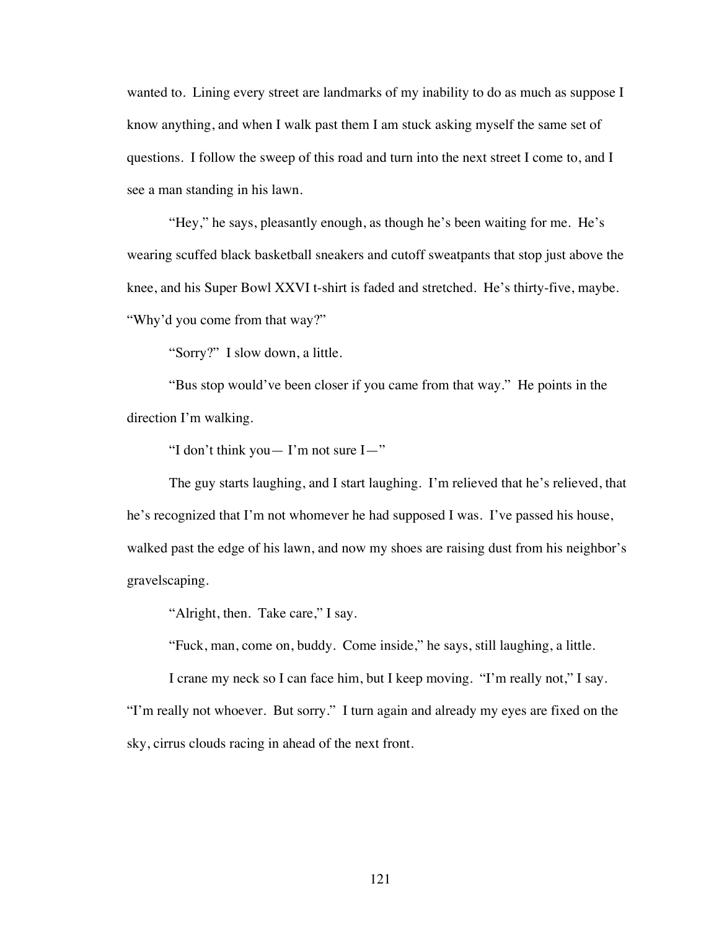wanted to. Lining every street are landmarks of my inability to do as much as suppose I know anything, and when I walk past them I am stuck asking myself the same set of questions. I follow the sweep of this road and turn into the next street I come to, and I see a man standing in his lawn.

"Hey," he says, pleasantly enough, as though he's been waiting for me. He's wearing scuffed black basketball sneakers and cutoff sweatpants that stop just above the knee, and his Super Bowl XXVI t-shirt is faded and stretched. He's thirty-five, maybe. "Why'd you come from that way?"

"Sorry?" I slow down, a little.

"Bus stop would've been closer if you came from that way." He points in the direction I'm walking.

"I don't think you— I'm not sure I—"

The guy starts laughing, and I start laughing. I'm relieved that he's relieved, that he's recognized that I'm not whomever he had supposed I was. I've passed his house, walked past the edge of his lawn, and now my shoes are raising dust from his neighbor's gravelscaping.

"Alright, then. Take care," I say.

"Fuck, man, come on, buddy. Come inside," he says, still laughing, a little.

I crane my neck so I can face him, but I keep moving. "I'm really not," I say.

"I'm really not whoever. But sorry." I turn again and already my eyes are fixed on the sky, cirrus clouds racing in ahead of the next front.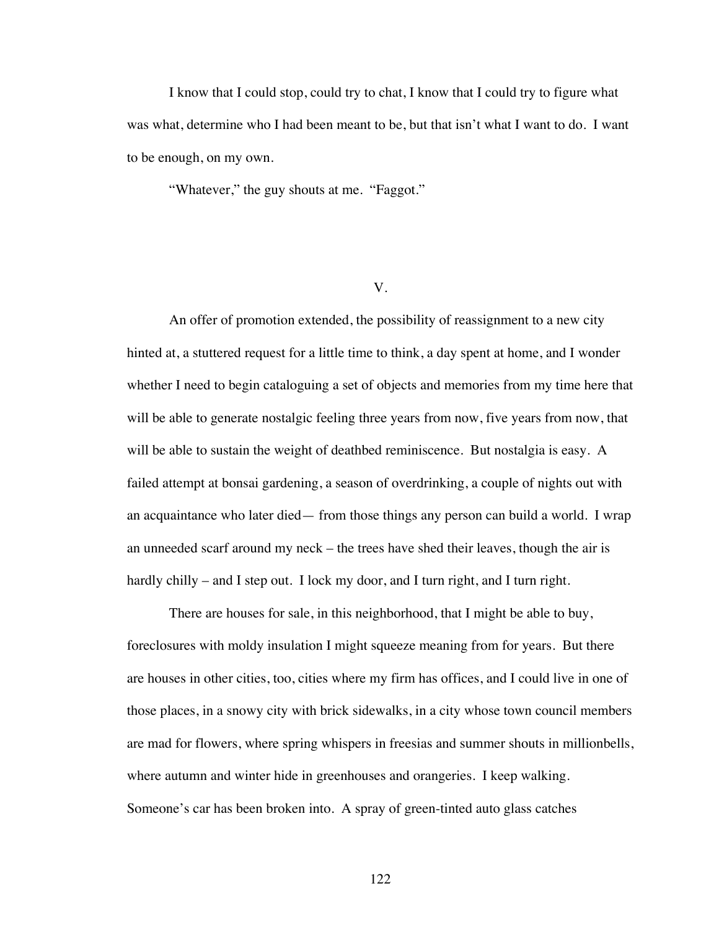I know that I could stop, could try to chat, I know that I could try to figure what was what, determine who I had been meant to be, but that isn't what I want to do. I want to be enough, on my own.

"Whatever," the guy shouts at me. "Faggot."

V.

An offer of promotion extended, the possibility of reassignment to a new city hinted at, a stuttered request for a little time to think, a day spent at home, and I wonder whether I need to begin cataloguing a set of objects and memories from my time here that will be able to generate nostalgic feeling three years from now, five years from now, that will be able to sustain the weight of deathbed reminiscence. But nostalgia is easy. A failed attempt at bonsai gardening, a season of overdrinking, a couple of nights out with an acquaintance who later died— from those things any person can build a world. I wrap an unneeded scarf around my neck – the trees have shed their leaves, though the air is hardly chilly – and I step out. I lock my door, and I turn right, and I turn right.

There are houses for sale, in this neighborhood, that I might be able to buy, foreclosures with moldy insulation I might squeeze meaning from for years. But there are houses in other cities, too, cities where my firm has offices, and I could live in one of those places, in a snowy city with brick sidewalks, in a city whose town council members are mad for flowers, where spring whispers in freesias and summer shouts in millionbells, where autumn and winter hide in greenhouses and orangeries. I keep walking. Someone's car has been broken into. A spray of green-tinted auto glass catches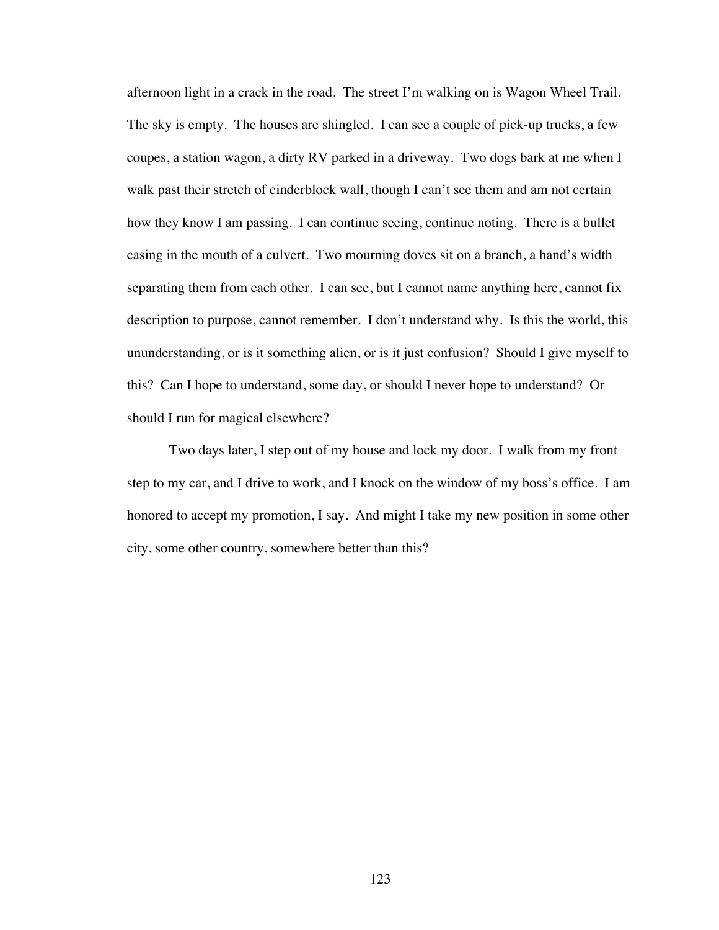afternoon light in a crack in the road. The street I'm walking on is Wagon Wheel Trail. The sky is empty. The houses are shingled. I can see a couple of pick-up trucks, a few coupes, a station wagon, a dirty RV parked in a driveway. Two dogs bark at me when I walk past their stretch of cinderblock wall, though I can't see them and am not certain how they know I am passing. I can continue seeing, continue noting. There is a bullet casing in the mouth of a culvert. Two mourning doves sit on a branch, a hand's width separating them from each other. I can see, but I cannot name anything here, cannot fix description to purpose, cannot remember. I don't understand why. Is this the world, this ununderstanding, or is it something alien, or is it just confusion? Should I give myself to this? Can I hope to understand, some day, or should I never hope to understand? Or should I run for magical elsewhere?

Two days later, I step out of my house and lock my door. I walk from my front step to my car, and I drive to work, and I knock on the window of my boss's office. I am honored to accept my promotion, I say. And might I take my new position in some other city, some other country, somewhere better than this?